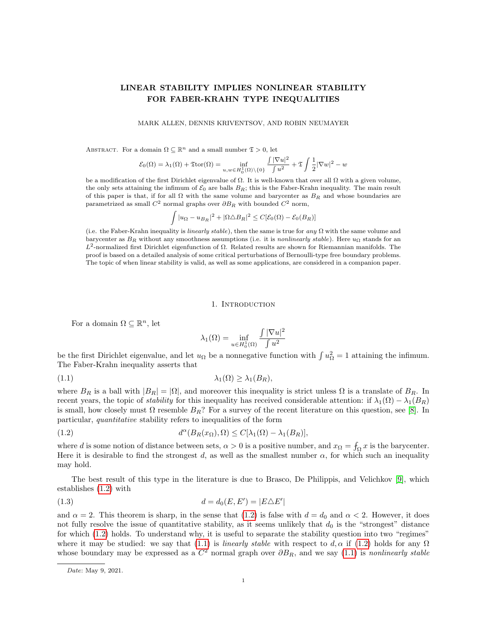# LINEAR STABILITY IMPLIES NONLINEAR STABILITY FOR FABER-KRAHN TYPE INEQUALITIES

### MARK ALLEN, DENNIS KRIVENTSOV, AND ROBIN NEUMAYER

ABSTRACT. For a domain  $\Omega \subseteq \mathbb{R}^n$  and a small number  $\mathfrak{T} > 0$ , let

$$
\mathcal{E}_0(\Omega)=\lambda_1(\Omega)+\mathfrak{T}\mathrm{tor}(\Omega)=\inf_{u,w\in H^1_0(\Omega)\backslash\{0\}}\frac{\int|\nabla u|^2}{\int u^2}+\mathfrak{T}\int\frac{1}{2}|\nabla w|^2-w
$$

be a modification of the first Dirichlet eigenvalue of  $\Omega$ . It is well-known that over all  $\Omega$  with a given volume, the only sets attaining the infimum of  $\mathcal{E}_0$  are balls  $B_R$ ; this is the Faber-Krahn inequality. The main result of this paper is that, if for all  $\Omega$  with the same volume and barycenter as  $B_R$  and whose boundaries are parametrized as small  $C^2$  normal graphs over  $\partial B_R$  with bounded  $C^2$  norm,

$$
\int |u_{\Omega} - u_{B_R}|^2 + |\Omega \triangle B_R|^2 \le C[\mathcal{E}_0(\Omega) - \mathcal{E}_0(B_R)]
$$

(i.e. the Faber-Krahn inequality is linearly stable), then the same is true for any  $\Omega$  with the same volume and barycenter as  $B_R$  without any smoothness assumptions (i.e. it is *nonlinearly stable*). Here  $u_{\Omega}$  stands for an  $L^2$ -normalized first Dirichlet eigenfunction of Ω. Related results are shown for Riemannian manifolds. The proof is based on a detailed analysis of some critical perturbations of Bernoulli-type free boundary problems. The topic of when linear stability is valid, as well as some applications, are considered in a companion paper.

#### 1. INTRODUCTION

For a domain  $\Omega \subseteq \mathbb{R}^n$ , let

<span id="page-0-1"></span><span id="page-0-0"></span>
$$
\lambda_1(\Omega) = \inf_{u \in H_0^1(\Omega)} \frac{\int |\nabla u|^2}{\int u^2}
$$

be the first Dirichlet eigenvalue, and let  $u_{\Omega}$  be a nonnegative function with  $\int u_{\Omega}^2 = 1$  attaining the infimum. The Faber-Krahn inequality asserts that

$$
\lambda_1(\Omega) \geq \lambda_1(B_R),
$$

where  $B_R$  is a ball with  $|B_R| = |\Omega|$ , and moreover this inequality is strict unless  $\Omega$  is a translate of  $B_R$ . In recent years, the topic of *stability* for this inequality has received considerable attention: if  $\lambda_1(\Omega) - \lambda_1(B_R)$ is small, how closely must  $\Omega$  resemble  $B_R$ ? For a survey of the recent literature on this question, see [\[8\]](#page-70-0). In particular, quantitative stability refers to inequalities of the form

(1.2) 
$$
d^{\alpha}(B_R(x_{\Omega}), \Omega) \le C[\lambda_1(\Omega) - \lambda_1(B_R)],
$$

where d is some notion of distance between sets,  $\alpha > 0$  is a positive number, and  $x_{\Omega} = \int_{\Omega} x$  is the barycenter. Here it is desirable to find the strongest d, as well as the smallest number  $\alpha$ , for which such an inequality may hold.

The best result of this type in the literature is due to Brasco, De Philippis, and Velichkov [\[9\]](#page-70-1), which establishes [\(1.2\)](#page-0-0) with

<span id="page-0-2"></span>(1.3) 
$$
d = d_0(E, E') = |E \triangle E'|
$$

and  $\alpha = 2$ . This theorem is sharp, in the sense that [\(1.2\)](#page-0-0) is false with  $d = d_0$  and  $\alpha < 2$ . However, it does not fully resolve the issue of quantitative stability, as it seems unlikely that  $d_0$  is the "strongest" distance for which [\(1.2\)](#page-0-0) holds. To understand why, it is useful to separate the stability question into two "regimes" where it may be studied: we say that [\(1.1\)](#page-0-1) is *linearly stable* with respect to d,  $\alpha$  if [\(1.2\)](#page-0-0) holds for any  $\Omega$ whose boundary may be expressed as a  $C^2$  normal graph over  $\partial B_R$ , and we say [\(1.1\)](#page-0-1) is nonlinearly stable

Date: May 9, 2021.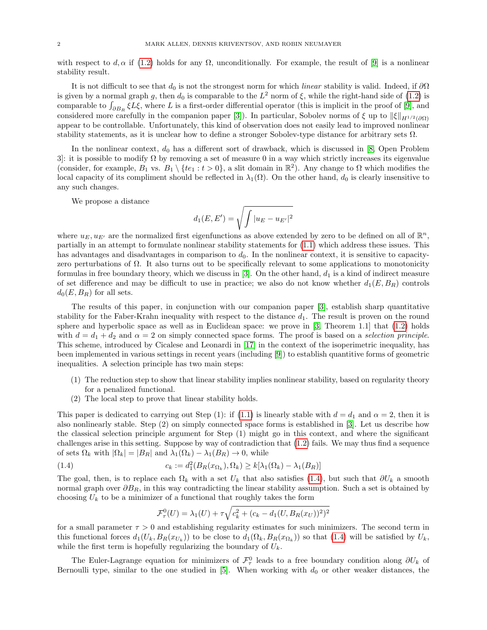with respect to d,  $\alpha$  if [\(1.2\)](#page-0-0) holds for any  $\Omega$ , unconditionally. For example, the result of [\[9\]](#page-70-1) is a nonlinear stability result.

It is not difficult to see that  $d_0$  is not the strongest norm for which linear stability is valid. Indeed, if  $\partial\Omega$ is given by a normal graph g, then  $d_0$  is comparable to the  $L^2$  norm of  $\xi$ , while the right-hand side of [\(1.2\)](#page-0-0) is comparable to  $\int_{\partial B_R} \xi L \xi$ , where L is a first-order differential operator (this is implicit in the proof of [\[9\]](#page-70-1), and considered more carefully in the companion paper [\[3\]](#page-70-2)). In particular, Sobolev norms of  $\xi$  up to  $\|\xi\|_{H^{1/2}(\partial\Omega)}$ appear to be controllable. Unfortunately, this kind of observation does not easily lead to improved nonlinear stability statements, as it is unclear how to define a stronger Sobolev-type distance for arbitrary sets  $\Omega$ .

In the nonlinear context,  $d_0$  has a different sort of drawback, which is discussed in [\[8,](#page-70-0) Open Problem 3. it is possible to modify  $\Omega$  by removing a set of measure 0 in a way which strictly increases its eigenvalue (consider, for example,  $B_1$  vs.  $B_1 \setminus \{te_1 : t > 0\}$ , a slit domain in  $\mathbb{R}^2$ ). Any change to  $\Omega$  which modifies the local capacity of its compliment should be reflected in  $\lambda_1(\Omega)$ . On the other hand,  $d_0$  is clearly insensitive to any such changes.

We propose a distance

$$
d_1(E,E') = \sqrt{\int |u_E - u_{E'}|^2}
$$

where  $u_E, u_{E'}$  are the normalized first eigenfunctions as above extended by zero to be defined on all of  $\mathbb{R}^n$ , partially in an attempt to formulate nonlinear stability statements for [\(1.1\)](#page-0-1) which address these issues. This has advantages and disadvantages in comparison to  $d_0$ . In the nonlinear context, it is sensitive to capacityzero perturbations of Ω. It also turns out to be specifically relevant to some applications to monotonicity formulas in free boundary theory, which we discuss in [\[3\]](#page-70-2). On the other hand,  $d_1$  is a kind of indirect measure of set difference and may be difficult to use in practice; we also do not know whether  $d_1(E, B_R)$  controls  $d_0(E, B_R)$  for all sets.

The results of this paper, in conjunction with our companion paper [\[3\]](#page-70-2), establish sharp quantitative stability for the Faber-Krahn inequality with respect to the distance  $d_1$ . The result is proven on the round sphere and hyperbolic space as well as in Euclidean space: we prove in [\[3,](#page-70-2) Theorem 1.1] that [\(1.2\)](#page-0-0) holds with  $d = d_1 + d_2$  and  $\alpha = 2$  on simply connected space forms. The proof is based on a selection principle. This scheme, introduced by Cicalese and Leonardi in [\[17\]](#page-70-3) in the context of the isoperimetric inequality, has been implemented in various settings in recent years (including [\[9\]](#page-70-1)) to establish quantitive forms of geometric inequalities. A selection principle has two main steps:

- (1) The reduction step to show that linear stability implies nonlinear stability, based on regularity theory for a penalized functional.
- (2) The local step to prove that linear stability holds.

This paper is dedicated to carrying out Step (1): if [\(1.1\)](#page-0-1) is linearly stable with  $d = d_1$  and  $\alpha = 2$ , then it is also nonlinearly stable. Step (2) on simply connected space forms is established in [\[3\]](#page-70-2). Let us describe how the classical selection principle argument for Step (1) might go in this context, and where the significant challenges arise in this setting. Suppose by way of contradiction that [\(1.2\)](#page-0-0) fails. We may thus find a sequence of sets  $\Omega_k$  with  $|\Omega_k| = |B_R|$  and  $\lambda_1(\Omega_k) - \lambda_1(B_R) \to 0$ , while

(1.4) 
$$
c_k := d_1^2(B_R(x_{\Omega_k}), \Omega_k) \ge k[\lambda_1(\Omega_k) - \lambda_1(B_R)]
$$

The goal, then, is to replace each  $\Omega_k$  with a set  $U_k$  that also satisfies [\(1.4\)](#page-1-0), but such that  $\partial U_k$  a smooth normal graph over  $\partial B_R$ , in this way contradicting the linear stability assumption. Such a set is obtained by choosing  $U_k$  to be a minimizer of a functional that roughly takes the form

<span id="page-1-0"></span>
$$
\mathcal{F}_{\tau}^{0}(U) = \lambda_{1}(U) + \tau \sqrt{c_{k}^{2} + (c_{k} - d_{1}(U, B_{R}(x_{U}))^{2})^{2}}
$$

for a small parameter  $\tau > 0$  and establishing regularity estimates for such minimizers. The second term in this functional forces  $d_1(U_k, B_R(x_{U_k}))$  to be close to  $d_1(\Omega_k, B_R(x_{\Omega_k}))$  so that [\(1.4\)](#page-1-0) will be satisfied by  $U_k$ , while the first term is hopefully regularizing the boundary of  $U_k$ .

The Euler-Lagrange equation for minimizers of  $\mathcal{F}^0_\tau$  leads to a free boundary condition along  $\partial U_k$  of Bernoulli type, similar to the one studied in [\[5\]](#page-70-4). When working with  $d_0$  or other weaker distances, the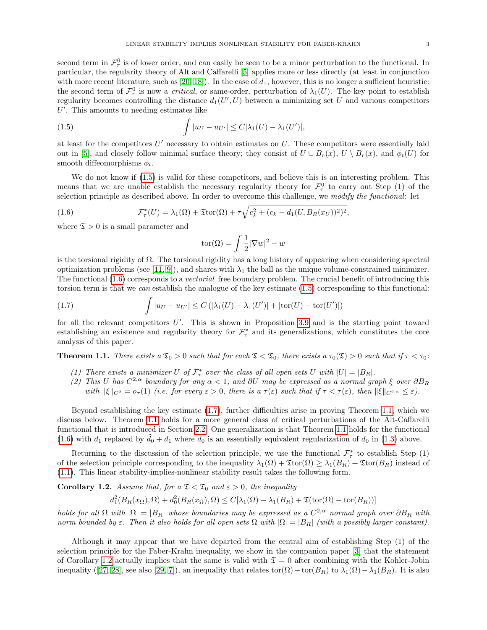second term in  $\mathcal{F}^0_\tau$  is of lower order, and can easily be seen to be a minor perturbation to the functional. In particular, the regularity theory of Alt and Caffarelli [\[5\]](#page-70-4) applies more or less directly (at least in conjunction with more recent literature, such as  $[20, 18]$  $[20, 18]$ . In the case of  $d_1$ , however, this is no longer a sufficient heuristic: the second term of  $\mathcal{F}^0_\tau$  is now a *critical*, or same-order, perturbation of  $\lambda_1(U)$ . The key point to establish regularity becomes controlling the distance  $d_1(U', U)$  between a minimizing set U and various competitors  $U'$ . This amounts to needing estimates like

(1.5) 
$$
\int |u_U - u_{U'}| \leq C |\lambda_1(U) - \lambda_1(U')|,
$$

at least for the competitors  $U'$  necessary to obtain estimates on  $U$ . These competitors were essentially laid out in [\[5\]](#page-70-4), and closely follow minimal surface theory; they consist of  $U \cup B_r(x)$ ,  $U \setminus B_r(x)$ , and  $\phi_t(U)$  for smooth diffeomorphisms  $\phi_t$ .

We do not know if  $(1.5)$  is valid for these competitors, and believe this is an interesting problem. This means that we are unable establish the necessary regularity theory for  $\mathcal{F}^0_\tau$  to carry out Step (1) of the selection principle as described above. In order to overcome this challenge, we modify the functional: let

(1.6) 
$$
\mathcal{F}_{\tau}^{*}(U) = \lambda_{1}(\Omega) + \mathfrak{T} \text{tor}(\Omega) + \tau \sqrt{c_{k}^{2} + (c_{k} - d_{1}(U, B_{R}(x_{U}))^{2})^{2}},
$$

where  $\mathfrak{T} > 0$  is a small parameter and

<span id="page-2-2"></span><span id="page-2-1"></span><span id="page-2-0"></span>
$$
tor(\Omega) = \int \frac{1}{2} |\nabla w|^2 - w
$$

is the torsional rigidity of  $\Omega$ . The torsional rigidity has a long history of appearing when considering spectral optimization problems (see [\[11,](#page-70-7) [9\]](#page-70-1)), and shares with  $\lambda_1$  the ball as the unique volume-constrained minimizer. The functional [\(1.6\)](#page-2-1) corresponds to a vectorial free boundary problem. The crucial benefit of introducing this torsion term is that we can establish the analogue of the key estimate [\(1.5\)](#page-2-0) corresponding to this functional:

(1.7) 
$$
\int |u_U - u_{U'}| \leq C \left( |\lambda_1(U) - \lambda_1(U')| + |\text{tor}(U) - \text{tor}(U')| \right)
$$

for all the relevant competitors  $U'$ . This is shown in Proposition [3.9](#page-15-0) and is the starting point toward establishing an existence and regularity theory for  $\mathcal{F}_{\tau}^*$  and its generalizations, which constitutes the core analysis of this paper.

<span id="page-2-3"></span>**Theorem 1.1.** There exists a  $\mathfrak{T}_0 > 0$  such that for each  $\mathfrak{T} < \mathfrak{T}_0$ , there exists a  $\tau_0(\mathfrak{T}) > 0$  such that if  $\tau < \tau_0$ .

- (1) There exists a minimizer U of  $\mathcal{F}_{\tau}^*$  over the class of all open sets U with  $|U| = |B_R|$ .
- (2) This U has  $C^{2,\alpha}$  boundary for any  $\alpha < 1$ , and  $\partial U$  may be expressed as a normal graph  $\xi$  over  $\partial B_R$ with  $\|\xi\|_{C^2} = o_\tau(1)$  (i.e. for every  $\varepsilon > 0$ , there is a  $\tau(\varepsilon)$  such that if  $\tau < \tau(\varepsilon)$ , then  $\|\xi\|_{C^{2,\alpha}} \leq \varepsilon$ ).

Beyond establishing the key estimate [\(1.7\)](#page-2-2), further difficulties arise in proving Theorem [1.1,](#page-2-3) which we discuss below. Theorem [1.1](#page-2-3) holds for a more general class of critical perturbations of the Alt-Caffarelli functional that is introduced in Section [2.2.](#page-6-0) One generalization is that Theorem [1.1](#page-2-3) holds for the functional [\(1.6\)](#page-2-1) with  $d_1$  replaced by  $\dot{d}_0 + d_1$  where  $\dot{d}_0$  is an essentially equivalent regularization of  $d_0$  in [\(1.3\)](#page-0-2) above.

Returning to the discussion of the selection principle, we use the functional  $\mathcal{F}_{\tau}^*$  to establish Step (1) of the selection principle corresponding to the inequality  $\lambda_1(\Omega) + \text{Tor}(\Omega) \geq \lambda_1(B_R) + \text{Tor}(B_R)$  instead of [\(1.1\)](#page-0-1). This linear stability-implies-nonlinear stability result takes the following form.

<span id="page-2-4"></span>Corollary 1.2. Assume that, for  $a \mathfrak{T} < \mathfrak{T}_0$  and  $\varepsilon > 0$ , the inequality

$$
d_1^2(B_R(x_\Omega),\Omega) + d_0^2(B_R(x_\Omega),\Omega) \le C[\lambda_1(\Omega) - \lambda_1(B_R) + \mathfrak{T}(\text{tor}(\Omega) - \text{tor}(B_R))]
$$

holds for all  $\Omega$  with  $|\Omega|=|B_R|$  whose boundaries may be expressed as a  $C^{2,\alpha}$  normal graph over  $\partial B_R$  with norm bounded by  $\varepsilon$ . Then it also holds for all open sets  $\Omega$  with  $|\Omega| = |B_R|$  (with a possibly larger constant).

Although it may appear that we have departed from the central aim of establishing Step (1) of the selection principle for the Faber-Krahn inequality, we show in the companion paper [\[3\]](#page-70-2) that the statement of Corollary [1.2](#page-2-4) actually implies that the same is valid with  $\mathfrak{T} = 0$  after combining with the Kohler-Jobin inequality ([\[27,](#page-70-8) [28\]](#page-70-9), see also [\[29,](#page-70-10) [7\]](#page-70-11)), an inequality that relates tor( $\Omega$ ) – tor( $B_R$ ) to  $\lambda_1(\Omega) - \lambda_1(B_R)$ . It is also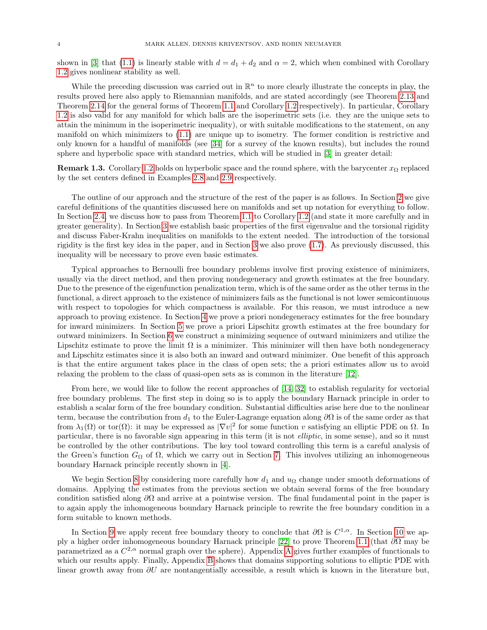shown in [\[3\]](#page-70-2) that [\(1.1\)](#page-0-1) is linearly stable with  $d = d_1 + d_2$  and  $\alpha = 2$ , which when combined with Corollary [1.2](#page-2-4) gives nonlinear stability as well.

While the preceding discussion was carried out in  $\mathbb{R}^n$  to more clearly illustrate the concepts in play, the results proved here also apply to Riemannian manifolds, and are stated accordingly (see Theorem [2.13](#page-9-0) and Theorem [2.14](#page-11-0) for the general forms of Theorem [1.1](#page-2-3) and Corollary [1.2](#page-2-4) respectively). In particular, Corollary [1.2](#page-2-4) is also valid for any manifold for which balls are the isoperimetric sets (i.e. they are the unique sets to attain the minimum in the isoperimetric inequality), or with suitable modifications to the statement, on any manifold on which minimizers to [\(1.1\)](#page-0-1) are unique up to isometry. The former condition is restrictive and only known for a handful of manifolds (see [\[34\]](#page-71-0) for a survey of the known results), but includes the round sphere and hyperbolic space with standard metrics, which will be studied in [\[3\]](#page-70-2) in greater detail:

**Remark 1.3.** Corollary [1.2](#page-2-4) holds on hyperbolic space and the round sphere, with the barycenter  $x_{\Omega}$  replaced by the set centers defined in Examples [2.8](#page-8-0) and [2.9](#page-8-1) respectively.

The outline of our approach and the structure of the rest of the paper is as follows. In Section [2](#page-4-0) we give careful definitions of the quantities discussed here on manifolds and set up notation for everything to follow. In Section [2.4,](#page-10-0) we discuss how to pass from Theorem [1.1](#page-2-3) to Corollary [1.2](#page-2-4) (and state it more carefully and in greater generality). In Section [3](#page-12-0) we establish basic properties of the first eigenvalue and the torsional rigidity and discuss Faber-Krahn inequalities on manifolds to the extent needed. The introduction of the torsional rigidity is the first key idea in the paper, and in Section [3](#page-12-0) we also prove [\(1.7\)](#page-2-2). As previously discussed, this inequality will be necessary to prove even basic estimates.

Typical approaches to Bernoulli free boundary problems involve first proving existence of minimizers, usually via the direct method, and then proving nondegeneracy and growth estimates at the free boundary. Due to the presence of the eigenfunction penalization term, which is of the same order as the other terms in the functional, a direct approach to the existence of minimizers fails as the functional is not lower semicontinuous with respect to topologies for which compactness is available. For this reason, we must introduce a new approach to proving existence. In Section [4](#page-25-0) we prove a priori nondegeneracy estimates for the free boundary for inward minimizers. In Section [5](#page-28-0) we prove a priori Lipschitz growth estimates at the free boundary for outward minimizers. In Section [6](#page-32-0) we construct a minimizing sequence of outward minimizers and utilize the Lipschitz estimate to prove the limit  $\Omega$  is a minimizer. This minimizer will then have both nondegeneracy and Lipschitz estimates since it is also both an inward and outward minimizer. One benefit of this approach is that the entire argument takes place in the class of open sets; the a priori estimates allow us to avoid relaxing the problem to the class of quasi-open sets as is common in the literature [\[12\]](#page-70-12).

From here, we would like to follow the recent approaches of [\[14,](#page-70-13) [32\]](#page-71-1) to establish regularity for vectorial free boundary problems. The first step in doing so is to apply the boundary Harnack principle in order to establish a scalar form of the free boundary condition. Substantial difficulties arise here due to the nonlinear term, because the contribution from  $d_1$  to the Euler-Lagrange equation along  $\partial\Omega$  is of the same order as that from  $\lambda_1(\Omega)$  or tor $(\Omega)$ : it may be expressed as  $|\nabla v|^2$  for some function v satisfying an elliptic PDE on  $\Omega$ . In particular, there is no favorable sign appearing in this term (it is not *elliptic*, in some sense), and so it must be controlled by the other contributions. The key tool toward controlling this term is a careful analysis of the Green's function  $G_{\Omega}$  of  $\Omega$ , which we carry out in Section [7.](#page-35-0) This involves utilizing an inhomogeneous boundary Harnack principle recently shown in [\[4\]](#page-70-14).

We begin Section [8](#page-42-0) by considering more carefully how  $d_1$  and  $u_{\Omega}$  change under smooth deformations of domains. Applying the estimates from the previous section we obtain several forms of the free boundary condition satisfied along  $\partial\Omega$  and arrive at a pointwise version. The final fundamental point in the paper is to again apply the inhomogeneous boundary Harnack principle to rewrite the free boundary condition in a form suitable to known methods.

In Section [9](#page-57-0) we apply recent free boundary theory to conclude that  $\partial\Omega$  is  $C^{1,\alpha}$ . In Section [10](#page-60-0) we apply a higher order inhomogeneous boundary Harnack principle [\[22\]](#page-70-15) to prove Theorem [1.1](#page-2-3) (that ∂Ω may be parametrized as a  $C^{2,\alpha}$  normal graph over the sphere). [A](#page-62-0)ppendix A gives further examples of functionals to which our results apply. Finally, Appendix [B](#page-66-0) shows that domains supporting solutions to elliptic PDE with linear growth away from  $\partial U$  are nontangentially accessible, a result which is known in the literature but,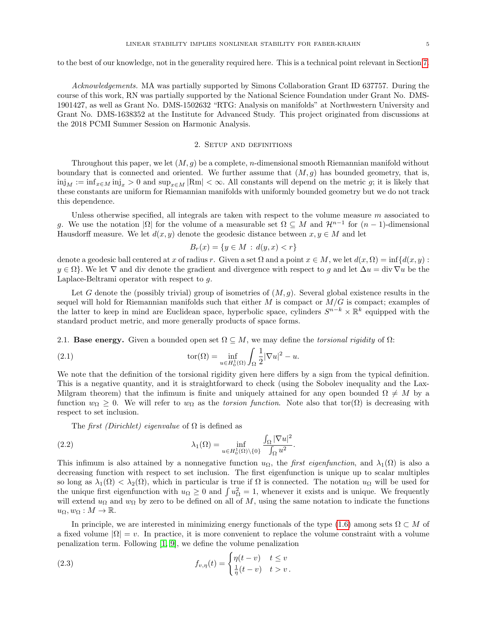to the best of our knowledge, not in the generality required here. This is a technical point relevant in Section [7.](#page-35-0)

Acknowledgements. MA was partially supported by Simons Collaboration Grant ID 637757. During the course of this work, RN was partially supported by the National Science Foundation under Grant No. DMS-1901427, as well as Grant No. DMS-1502632 "RTG: Analysis on manifolds" at Northwestern University and Grant No. DMS-1638352 at the Institute for Advanced Study. This project originated from discussions at the 2018 PCMI Summer Session on Harmonic Analysis.

# 2. Setup and definitions

<span id="page-4-0"></span>Throughout this paper, we let  $(M, q)$  be a complete, *n*-dimensional smooth Riemannian manifold without boundary that is connected and oriented. We further assume that  $(M, g)$  has bounded geometry, that is,  $\min_M := \inf_{x \in M} \min_{x \in M} |x = \infty|$  and  $\sup_{x \in M} |Rm| < \infty$ . All constants will depend on the metric g; it is likely that these constants are uniform for Riemannian manifolds with uniformly bounded geometry but we do not track this dependence.

Unless otherwise specified, all integrals are taken with respect to the volume measure  $m$  associated to g. We use the notation  $|\Omega|$  for the volume of a measurable set  $\Omega \subseteq M$  and  $\mathcal{H}^{n-1}$  for  $(n-1)$ -dimensional Hausdorff measure. We let  $d(x, y)$  denote the geodesic distance between  $x, y \in M$  and let

<span id="page-4-3"></span>
$$
B_r(x) = \{ y \in M : d(y, x) < r \}
$$

denote a geodesic ball centered at x of radius r. Given a set  $\Omega$  and a point  $x \in M$ , we let  $d(x, \Omega) = \inf \{d(x, y) :$  $y \in \Omega$ . We let  $\nabla$  and div denote the gradient and divergence with respect to g and let  $\Delta u = \text{div } \nabla u$  be the Laplace-Beltrami operator with respect to g.

Let G denote the (possibly trivial) group of isometries of  $(M, g)$ . Several global existence results in the sequel will hold for Riemannian manifolds such that either  $M$  is compact or  $M/G$  is compact; examples of the latter to keep in mind are Euclidean space, hyperbolic space, cylinders  $S^{n-k} \times \mathbb{R}^k$  equipped with the standard product metric, and more generally products of space forms.

2.1. **Base energy.** Given a bounded open set  $\Omega \subseteq M$ , we may define the *torsional rigidity* of  $\Omega$ :

(2.1) 
$$
\operatorname{tor}(\Omega) = \inf_{u \in H_0^1(\Omega)} \int_{\Omega} \frac{1}{2} |\nabla u|^2 - u.
$$

We note that the definition of the torsional rigidity given here differs by a sign from the typical definition. This is a negative quantity, and it is straightforward to check (using the Sobolev inequality and the Lax-Milgram theorem) that the infimum is finite and uniquely attained for any open bounded  $\Omega \neq M$  by a function  $w_{\Omega} \geq 0$ . We will refer to  $w_{\Omega}$  as the torsion function. Note also that tor $(\Omega)$  is decreasing with respect to set inclusion.

<span id="page-4-2"></span>The first (Dirichlet) eigenvalue of  $\Omega$  is defined as

(2.2) 
$$
\lambda_1(\Omega) = \inf_{u \in H_0^1(\Omega) \setminus \{0\}} \frac{\int_{\Omega} |\nabla u|^2}{\int_{\Omega} u^2}.
$$

This infimum is also attained by a nonnegative function  $u_{\Omega}$ , the *first eigenfunction*, and  $\lambda_1(\Omega)$  is also a decreasing function with respect to set inclusion. The first eigenfunction is unique up to scalar multiples so long as  $\lambda_1(\Omega) < \lambda_2(\Omega)$ , which in particular is true if  $\Omega$  is connected. The notation  $u_{\Omega}$  will be used for the unique first eigenfunction with  $u_{\Omega} \geq 0$  and  $\int u_{\Omega}^2 = 1$ , whenever it exists and is unique. We frequently will extend  $u_{\Omega}$  and  $w_{\Omega}$  by zero to be defined on all of M, using the same notation to indicate the functions  $u_{\Omega}, w_{\Omega}: M \to \mathbb{R}.$ 

In principle, we are interested in minimizing energy functionals of the type [\(1.6\)](#page-2-1) among sets  $\Omega \subset M$  of a fixed volume  $|\Omega| = v$ . In practice, it is more convenient to replace the volume constraint with a volume penalization term. Following  $[1, 9]$  $[1, 9]$ , we define the volume penalization

<span id="page-4-1"></span>(2.3) 
$$
f_{v,\eta}(t) = \begin{cases} \eta(t-v) & t \leq v \\ \frac{1}{\eta}(t-v) & t > v. \end{cases}
$$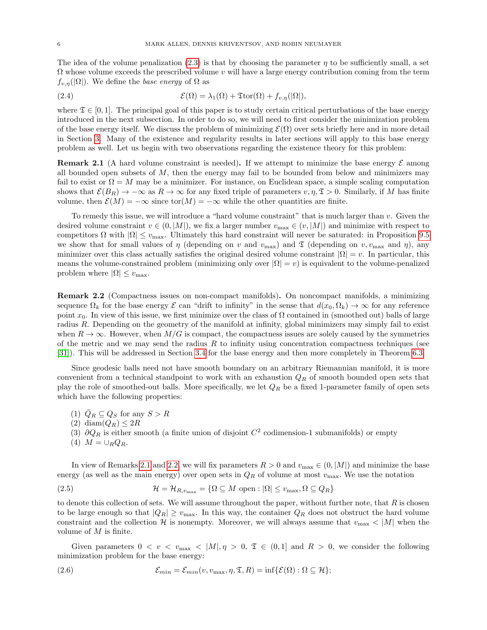The idea of the volume penalization [\(2.3\)](#page-4-1) is that by choosing the parameter  $\eta$  to be sufficiently small, a set  $\Omega$  whose volume exceeds the prescribed volume v will have a large energy contribution coming from the term  $f_{v,n}(|\Omega|)$ . We define the base energy of  $\Omega$  as

<span id="page-5-4"></span>(2.4) 
$$
\mathcal{E}(\Omega) = \lambda_1(\Omega) + \mathfrak{T} \text{tor}(\Omega) + f_{v,\eta}(|\Omega|),
$$

where  $\mathfrak{T} \in [0,1]$ . The principal goal of this paper is to study certain critical perturbations of the base energy introduced in the next subsection. In order to do so, we will need to first consider the minimization problem of the base energy itself. We discuss the problem of minimizing  $\mathcal{E}(\Omega)$  over sets briefly here and in more detail in Section [3.](#page-12-0) Many of the existence and regularity results in later sections will apply to this base energy problem as well. Let us begin with two observations regarding the existence theory for this problem:

<span id="page-5-0"></span>**Remark 2.1** (A hard volume constraint is needed). If we attempt to minimize the base energy  $\mathcal{E}$  among all bounded open subsets of  $M$ , then the energy may fail to be bounded from below and minimizers may fail to exist or  $\Omega = M$  may be a minimizer. For instance, on Euclidean space, a simple scaling computation shows that  $\mathcal{E}(B_R) \to -\infty$  as  $R \to \infty$  for any fixed triple of parameters  $v, \eta, \mathfrak{T} > 0$ . Similarly, if M has finite volume, then  $\mathcal{E}(M) = -\infty$  since tor $(M) = -\infty$  while the other quantities are finite.

To remedy this issue, we will introduce a "hard volume constraint" that is much larger than  $v$ . Given the desired volume constraint  $v \in (0, |M|)$ , we fix a larger number  $v_{\text{max}} \in (v, |M|)$  and minimize with respect to competitors  $\Omega$  with  $|\Omega| \le v_{\text{max}}$ . Ultimately this hard constraint will never be saturated: in Proposition [9.5](#page-59-0) we show that for small values of  $\eta$  (depending on v and  $v_{\text{max}}$ ) and  $\mathfrak{I}$  (depending on v,  $v_{\text{max}}$  and  $\eta$ ), any minimizer over this class actually satisfies the original desired volume constraint  $|\Omega| = v$ . In particular, this means the volume-constrained problem (minimizing only over  $|\Omega| = v$ ) is equivalent to the volume-penalized problem where  $|\Omega| \leq v_{\text{max}}$ .

<span id="page-5-1"></span>Remark 2.2 (Compactness issues on non-compact manifolds). On noncompact manifolds, a minimizing sequence  $\Omega_k$  for the base energy  $\mathcal E$  can "drift to infinity" in the sense that  $d(x_0, \Omega_k) \to \infty$  for any reference point  $x_0$ . In view of this issue, we first minimize over the class of  $\Omega$  contained in (smoothed out) balls of large radius R. Depending on the geometry of the manifold at infinity, global minimizers may simply fail to exist when  $R \to \infty$ . However, when  $M/G$  is compact, the compactness issues are solely caused by the symmetries of the metric and we may send the radius  $R$  to infinity using concentration compactness techniques (see [\[31\]](#page-71-2)). This will be addressed in Section [3.4](#page-21-0) for the base energy and then more completely in Theorem [6.3.](#page-34-0)

Since geodesic balls need not have smooth boundary on an arbitrary Riemannian manifold, it is more convenient from a technical standpoint to work with an exhaustion  $Q_R$  of smooth bounded open sets that play the role of smoothed-out balls. More specifically, we let  $Q_R$  be a fixed 1-parameter family of open sets which have the following properties:

- (1)  $\overline{Q}_R \subseteq Q_S$  for any  $S > R$
- (2) diam $(Q_R) \leq 2R$
- (3)  $\partial Q_R$  is either smooth (a finite union of disjoint  $C^2$  codimension-1 submanifolds) or empty
- <span id="page-5-3"></span>(4)  $M = \bigcup_R Q_R$ .

In view of Remarks [2.1](#page-5-0) and [2.2,](#page-5-1) we will fix parameters  $R > 0$  and  $v_{\text{max}} \in (0, |M|)$  and minimize the base energy (as well as the main energy) over open sets in  $Q_R$  of volume at most  $v_{\text{max}}$ . We use the notation

(2.5) 
$$
\mathcal{H} = \mathcal{H}_{R,v_{\text{max}}} = \{ \Omega \subseteq M \text{ open} : |\Omega| \le v_{\text{max}}, \Omega \subseteq Q_R \}
$$

to denote this collection of sets. We will assume throughout the paper, without further note, that  $R$  is chosen to be large enough so that  $|Q_R| \ge v_{\text{max}}$ . In this way, the container  $Q_R$  does not obstruct the hard volume constraint and the collection H is nonempty. Moreover, we will always assume that  $v_{\text{max}} < |M|$  when the volume of M is finite.

Given parameters  $0 < v < v_{\text{max}} < |M|, \eta > 0, \mathfrak{T} \in (0,1]$  and  $R > 0$ , we consider the following minimization problem for the base energy:

<span id="page-5-2"></span>(2.6) 
$$
\mathcal{E}_{min} = \mathcal{E}_{min}(v, v_{\max}, \eta, \mathfrak{T}, R) = \inf \{ \mathcal{E}(\Omega) : \Omega \subseteq \mathcal{H} \};
$$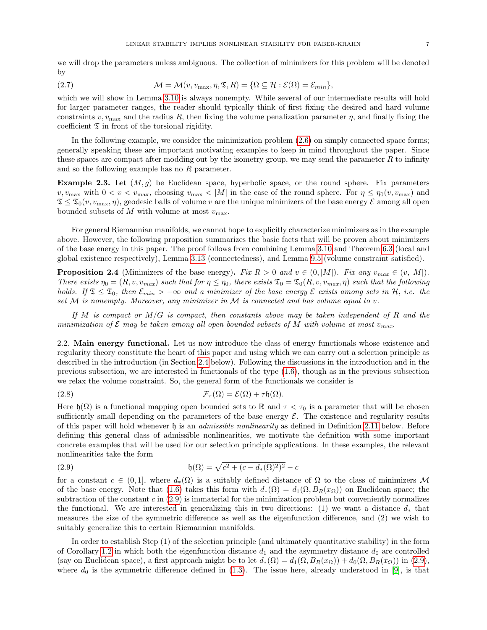we will drop the parameters unless ambiguous. The collection of minimizers for this problem will be denoted by

<span id="page-6-5"></span>(2.7) 
$$
\mathcal{M} = \mathcal{M}(v, v_{\max}, \eta, \mathfrak{T}, R) = \{ \Omega \subseteq \mathcal{H} : \mathcal{E}(\Omega) = \mathcal{E}_{min} \},
$$

which we will show in Lemma [3.10](#page-16-0) is always nonempty. While several of our intermediate results will hold for larger parameter ranges, the reader should typically think of first fixing the desired and hard volume constraints v,  $v_{\text{max}}$  and the radius R, then fixing the volume penalization parameter  $\eta$ , and finally fixing the coefficient  $\mathfrak T$  in front of the torsional rigidity.

In the following example, we consider the minimization problem [\(2.6\)](#page-5-2) on simply connected space forms; generally speaking these are important motivating examples to keep in mind throughout the paper. Since these spaces are compact after modding out by the isometry group, we may send the parameter  $R$  to infinity and so the following example has no R parameter.

<span id="page-6-3"></span>**Example 2.3.** Let  $(M, g)$  be Euclidean space, hyperbolic space, or the round sphere. Fix parameters  $v, v_{\text{max}}$  with  $0 < v < v_{\text{max}}$ , choosing  $v_{\text{max}} < |M|$  in the case of the round sphere. For  $\eta \le \eta_0(v, v_{\text{max}})$  and  $\mathfrak{T} \leq \mathfrak{T}_0(v, v_{\text{max}}, \eta)$ , geodesic balls of volume v are the unique minimizers of the base energy  $\mathcal{E}$  among all open bounded subsets of M with volume at most  $v_{\text{max}}$ .

For general Riemannian manifolds, we cannot hope to explicitly characterize minimizers as in the example above. However, the following proposition summarizes the basic facts that will be proven about minimizers of the base energy in this paper. The proof follows from combining Lemma [3.10](#page-16-0) and Theorem [6.3](#page-34-0) (local and global existence respectively), Lemma [3.13](#page-19-0) (connectedness), and Lemma [9.5](#page-59-0) (volume constraint satisfied).

<span id="page-6-4"></span>**Proposition 2.4** (Minimizers of the base energy). Fix  $R > 0$  and  $v \in (0, |M|)$ . Fix any  $v_{max} \in (v, |M|)$ . There exists  $\eta_0 = (R, v, v_{max})$  such that for  $\eta \leq \eta_0$ , there exists  $\mathfrak{T}_0 = \mathfrak{T}_0(R, v, v_{max}, \eta)$  such that the following holds. If  $\mathfrak{T} \leq \mathfrak{T}_0$ , then  $\mathcal{E}_{min} > -\infty$  and a minimizer of the base energy  $\mathcal{E}$  exists among sets in  $\mathcal{H}$ , i.e. the set  $M$  is nonempty. Moreover, any minimizer in  $M$  is connected and has volume equal to v.

If M is compact or  $M/G$  is compact, then constants above may be taken independent of R and the minimization of  $\mathcal E$  may be taken among all open bounded subsets of M with volume at most  $v_{max}$ .

<span id="page-6-0"></span>2.2. Main energy functional. Let us now introduce the class of energy functionals whose existence and regularity theory constitute the heart of this paper and using which we can carry out a selection principle as described in the introduction (in Section [2.4](#page-10-0) below). Following the discussions in the introduction and in the previous subsection, we are interested in functionals of the type [\(1.6\)](#page-2-1), though as in the previous subsection we relax the volume constraint. So, the general form of the functionals we consider is

<span id="page-6-2"></span>(2.8) 
$$
\mathcal{F}_{\tau}(\Omega) = \mathcal{E}(\Omega) + \tau \mathfrak{h}(\Omega).
$$

Here  $\mathfrak{h}(\Omega)$  is a functional mapping open bounded sets to R and  $\tau < \tau_0$  is a parameter that will be chosen sufficiently small depending on the parameters of the base energy  $\mathcal{E}$ . The existence and regularity results of this paper will hold whenever  $\mathfrak h$  is an *admissible nonlinearity* as defined in Definition [2.11](#page-8-2) below. Before defining this general class of admissible nonlinearities, we motivate the definition with some important concrete examples that will be used for our selection principle applications. In these examples, the relevant nonlinearities take the form

<span id="page-6-1"></span>(2.9) 
$$
\mathfrak{h}(\Omega) = \sqrt{c^2 + (c - d_*(\Omega)^2)^2} - c
$$

for a constant  $c \in (0,1]$ , where  $d_*(\Omega)$  is a suitably defined distance of  $\Omega$  to the class of minimizers M of the base energy. Note that [\(1.6\)](#page-2-1) takes this form with  $d_*(\Omega) = d_1(\Omega, B_R(x_\Omega))$  on Euclidean space; the subtraction of the constant  $c$  in  $(2.9)$  is immaterial for the minimization problem but conveniently normalizes the functional. We are interested in generalizing this in two directions: (1) we want a distance  $d_*$  that measures the size of the symmetric difference as well as the eigenfunction difference, and (2) we wish to suitably generalize this to certain Riemannian manifolds.

In order to establish Step (1) of the selection principle (and ultimately quantitative stability) in the form of Corollary [1.2](#page-2-4) in which both the eigenfunction distance  $d_1$  and the asymmetry distance  $d_0$  are controlled (say on Euclidean space), a first approach might be to let  $d_*(\Omega) = d_1(\Omega, B_R(x_{\Omega})) + d_0(\Omega, B_R(x_{\Omega}))$  in [\(2.9\)](#page-6-1), where  $d_0$  is the symmetric difference defined in [\(1.3\)](#page-0-2). The issue here, already understood in [\[9\]](#page-70-1), is that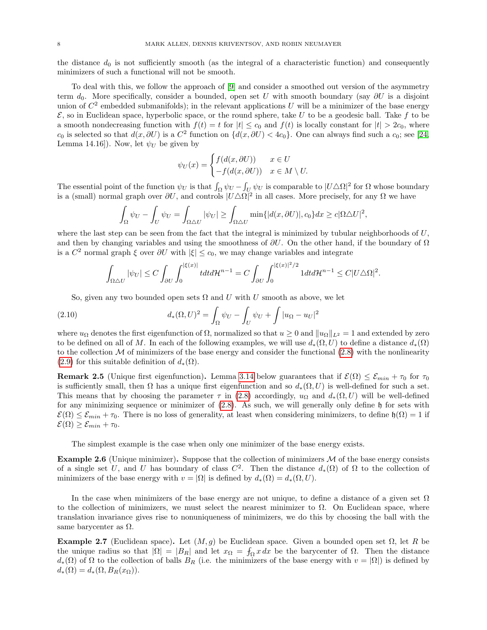the distance  $d_0$  is not sufficiently smooth (as the integral of a characteristic function) and consequently minimizers of such a functional will not be smooth.

To deal with this, we follow the approach of [\[9\]](#page-70-1) and consider a smoothed out version of the asymmetry term  $d_0$ . More specifically, consider a bounded, open set U with smooth boundary (say  $\partial U$  is a disjoint union of  $C^2$  embedded submanifolds); in the relevant applications U will be a minimizer of the base energy  $\mathcal{E}$ , so in Euclidean space, hyperbolic space, or the round sphere, take U to be a geodesic ball. Take f to be a smooth nondecreasing function with  $f(t) = t$  for  $|t| \leq c_0$  and  $f(t)$  is locally constant for  $|t| > 2c_0$ , where  $c_0$  is selected so that  $d(x, \partial U)$  is a  $C^2$  function on  $\{d(x, \partial U) < 4c_0\}$ . One can always find such a  $c_0$ ; see [\[24,](#page-70-17) Lemma 14.16]). Now, let  $\psi_U$  be given by

$$
\psi_U(x) = \begin{cases} f(d(x, \partial U)) & x \in U \\ -f(d(x, \partial U)) & x \in M \setminus U. \end{cases}
$$

The essential point of the function  $\psi_U$  is that  $\int_{\Omega} \psi_U - \int_{U} \psi_U$  is comparable to  $|U \triangle \Omega|^2$  for  $\Omega$  whose boundary is a (small) normal graph over  $\partial U$ , and controls  $|U \triangle \Omega|^2$  in all cases. More precisely, for any  $\Omega$  we have

$$
\int_{\Omega} \psi_U - \int_U \psi_U = \int_{\Omega \triangle U} |\psi_U| \ge \int_{\Omega \triangle U} \min\{|d(x, \partial U)|, c_0\} dx \ge c |\Omega \triangle U|^2,
$$

where the last step can be seen from the fact that the integral is minimized by tubular neighborhoods of  $U$ , and then by changing variables and using the smoothness of  $\partial U$ . On the other hand, if the boundary of  $\Omega$ is a  $C^2$  normal graph  $\xi$  over  $\partial U$  with  $|\xi| \leq c_0$ , we may change variables and integrate

$$
\int_{\Omega\triangle U}|\psi_U|\leq C\int_{\partial U}\int_0^{|\xi(x)|}t dt d\mathcal{H}^{n-1}=C\int_{\partial U}\int_0^{|\xi(x)|^2/2}1 dt d\mathcal{H}^{n-1}\leq C|U\triangle\Omega|^2.
$$

So, given any two bounded open sets  $\Omega$  and U with U smooth as above, we let

(2.10) 
$$
d_*(\Omega, U)^2 = \int_{\Omega} \psi_U - \int_U \psi_U + \int |u_{\Omega} - u_U|^2
$$

where  $u_{\Omega}$  denotes the first eigenfunction of  $\Omega$ , normalized so that  $u \geq 0$  and  $||u_{\Omega}||_{L^2} = 1$  and extended by zero to be defined on all of M. In each of the following examples, we will use  $d_*(\Omega, U)$  to define a distance  $d_*(\Omega)$ to the collection  $\mathcal M$  of minimizers of the base energy and consider the functional  $(2.8)$  with the nonlinearity [\(2.9\)](#page-6-1) for this suitable definition of  $d_*(\Omega)$ .

<span id="page-7-0"></span>**Remark 2.5** (Unique first eigenfunction). Lemma [3.14](#page-20-0) below guarantees that if  $\mathcal{E}(\Omega) \leq \mathcal{E}_{min} + \tau_0$  for  $\tau_0$ is sufficiently small, then  $\Omega$  has a unique first eigenfunction and so  $d_*(\Omega, U)$  is well-defined for such a set. This means that by choosing the parameter  $\tau$  in [\(2.8\)](#page-6-2) accordingly,  $u_{\Omega}$  and  $d_*(\Omega, U)$  will be well-defined for any minimizing sequence or minimizer of [\(2.8\)](#page-6-2). As such, we will generally only define h for sets with  $\mathcal{E}(\Omega) \leq \mathcal{E}_{min} + \tau_0$ . There is no loss of generality, at least when considering minimizers, to define  $\mathfrak{h}(\Omega) = 1$  if  $\mathcal{E}(\Omega) \geq \mathcal{E}_{min} + \tau_0.$ 

The simplest example is the case when only one minimizer of the base energy exists.

**Example 2.6** (Unique minimizer). Suppose that the collection of minimizers  $M$  of the base energy consists of a single set U, and U has boundary of class  $C^2$ . Then the distance  $d_*(\Omega)$  of  $\Omega$  to the collection of minimizers of the base energy with  $v = |\Omega|$  is defined by  $d_*(\Omega) = d_*(\Omega, U)$ .

In the case when minimizers of the base energy are not unique, to define a distance of a given set  $\Omega$ to the collection of minimizers, we must select the nearest minimizer to  $\Omega$ . On Euclidean space, where translation invariance gives rise to nonuniqueness of minimizers, we do this by choosing the ball with the same barycenter as  $\Omega$ .

<span id="page-7-1"></span>Example 2.7 (Euclidean space). Let  $(M, g)$  be Euclidean space. Given a bounded open set  $\Omega$ , let R be the unique radius so that  $|\Omega| = |B_R|$  and let  $x_{\Omega} = \int_{\Omega} x \, dx$  be the barycenter of  $\Omega$ . Then the distance  $d_*(\Omega)$  of  $\Omega$  to the collection of balls  $B_R$  (i.e. the minimizers of the base energy with  $v = |\Omega|$ ) is defined by  $d_*(\Omega) = d_*(\Omega, B_R(x_\Omega)).$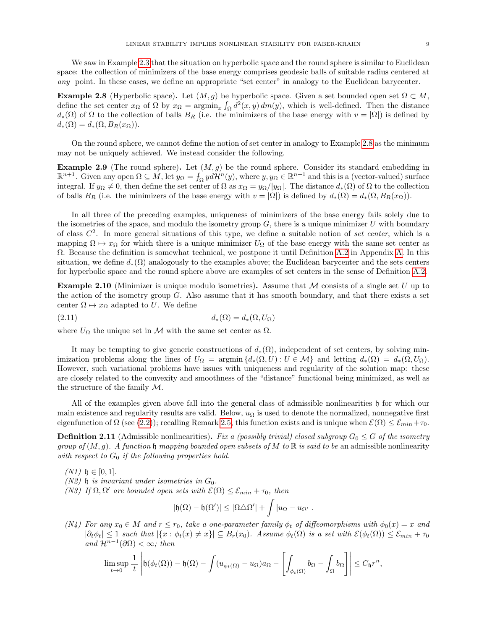We saw in Example [2.3](#page-6-3) that the situation on hyperbolic space and the round sphere is similar to Euclidean space: the collection of minimizers of the base energy comprises geodesic balls of suitable radius centered at any point. In these cases, we define an appropriate "set center" in analogy to the Euclidean barycenter.

<span id="page-8-0"></span>**Example 2.8** (Hyperbolic space). Let  $(M, g)$  be hyperbolic space. Given a set bounded open set  $\Omega \subset M$ , define the set center  $x_{\Omega}$  of  $\Omega$  by  $x_{\Omega} = \operatorname{argmin}_x \int_{\Omega} d^2(x, y) dm(y)$ , which is well-defined. Then the distance  $d_*(\Omega)$  of  $\Omega$  to the collection of balls  $B_R$  (i.e. the minimizers of the base energy with  $v = |\Omega|$ ) is defined by  $d_*(\Omega) = d_*(\Omega, B_R(x_\Omega)).$ 

On the round sphere, we cannot define the notion of set center in analogy to Example [2.8](#page-8-0) as the minimum may not be uniquely achieved. We instead consider the following.

<span id="page-8-1"></span>**Example 2.9** (The round sphere). Let  $(M, g)$  be the round sphere. Consider its standard embedding in  $\mathbb{R}^{n+1}$ . Given any open  $\Omega \subseteq M$ , let  $y_{\Omega} = \int_{\Omega} y d\mathcal{H}^{n}(y)$ , where  $y, y_{\Omega} \in \mathbb{R}^{n+1}$  and this is a (vector-valued) surface integral. If  $y_{\Omega} \neq 0$ , then define the set center of  $\Omega$  as  $x_{\Omega} = y_{\Omega}/|y_{\Omega}|$ . The distance  $d_*(\Omega)$  of  $\Omega$  to the collection of balls  $B_R$  (i.e. the minimizers of the base energy with  $v = |\Omega|$ ) is defined by  $d_*(\Omega) = d_*(\Omega, B_R(x_{\Omega}))$ .

In all three of the preceding examples, uniqueness of minimizers of the base energy fails solely due to the isometries of the space, and modulo the isometry group  $G$ , there is a unique minimizer U with boundary of class  $C^2$ . In more general situations of this type, we define a suitable notion of set center, which is a mapping  $\Omega \mapsto x_{\Omega}$  for which there is a unique minimizer  $U_{\Omega}$  of the base energy with the same set center as Ω. Because the definition is somewhat technical, we postpone it until Definition [A.2](#page-63-0) in Appendix [A.](#page-62-0) In this situation, we define  $d_*(\Omega)$  analogously to the examples above; the Euclidean barycenter and the sets centers for hyperbolic space and the round sphere above are examples of set centers in the sense of Definition [A.2.](#page-63-0)

<span id="page-8-5"></span>**Example 2.10** (Minimizer is unique modulo isometries). Assume that  $M$  consists of a single set U up to the action of the isometry group  $G$ . Also assume that it has smooth boundary, and that there exists a set center  $\Omega \mapsto x_{\Omega}$  adapted to U. We define

$$
(2.11) \t\t d_*(\Omega) = d_*(\Omega, U_{\Omega})
$$

where  $U_{\Omega}$  the unique set in M with the same set center as  $\Omega$ .

It may be tempting to give generic constructions of  $d_*(\Omega)$ , independent of set centers, by solving minimization problems along the lines of  $U_{\Omega} = \argmin \{d_*(\Omega, U) : U \in \mathcal{M}\}\$ and letting  $d_*(\Omega) = d_*(\Omega, U_{\Omega})$ . However, such variational problems have issues with uniqueness and regularity of the solution map: these are closely related to the convexity and smoothness of the "distance" functional being minimized, as well as the structure of the family M.

All of the examples given above fall into the general class of admissible nonlinearities h for which our main existence and regularity results are valid. Below,  $u_{\Omega}$  is used to denote the normalized, nonnegative first eigenfunction of  $\Omega$  (see [\(2.2\)](#page-4-2)); recalling Remark [2.5,](#page-7-0) this function exists and is unique when  $\mathcal{E}(\Omega) \leq \mathcal{E}_{min} + \tau_0$ .

<span id="page-8-2"></span>**Definition 2.11** (Admissible nonlinearities). Fix a (possibly trivial) closed subgroup  $G_0 \leq G$  of the isometry group of  $(M, g)$ . A function h mapping bounded open subsets of M to R is said to be an admissible nonlinearity with respect to  $G_0$  if the following properties hold.

<span id="page-8-3"></span> $(N1)$   $\nmid$   $\in$  [0, 1].

- <span id="page-8-4"></span> $(N2)$  h is invariant under isometries in  $G_0$ .
- <span id="page-8-6"></span>(N3) If  $\Omega, \Omega'$  are bounded open sets with  $\mathcal{E}(\Omega) \leq \mathcal{E}_{min} + \tau_0$ , then

$$
|\mathfrak{h}(\Omega)-\mathfrak{h}(\Omega')|\leq |\Omega\triangle\Omega'|+\int |u_{\Omega}-u_{\Omega'}|.
$$

<span id="page-8-7"></span>(N4) For any  $x_0 \in M$  and  $r \le r_0$ , take a one-parameter family  $\phi_t$  of diffeomorphisms with  $\phi_0(x) = x$  and  $|\partial_t \phi_t| \leq 1$  such that  $|\{x : \phi_t(x) \neq x\}| \subseteq B_r(x_0)$ . Assume  $\phi_t(\Omega)$  is a set with  $\mathcal{E}(\phi_t(\Omega)) \leq \mathcal{E}_{min} + \tau_0$ and  $\mathcal{H}^{n-1}(\partial\Omega)<\infty$ ; then

$$
\limsup_{t\to 0}\frac{1}{|t|}\left|\mathfrak{h}(\phi_t(\Omega))-\mathfrak{h}(\Omega)-\int (u_{\phi_t(\Omega)}-u_{\Omega})a_{\Omega}-\left[\int_{\phi_t(\Omega)}b_{\Omega}-\int_{\Omega}b_{\Omega}\right]\right|\leq C_{\mathfrak{h}}r^n,
$$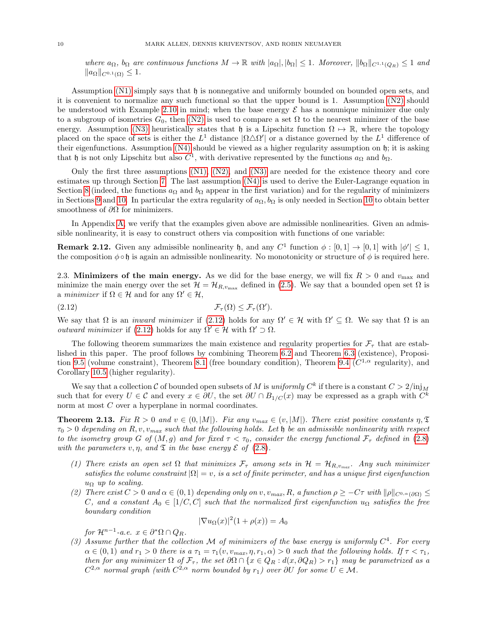where  $a_{\Omega}$ ,  $b_{\Omega}$  are continuous functions  $M \to \mathbb{R}$  with  $|a_{\Omega}|, |b_{\Omega}| \leq 1$ . Moreover,  $||b_{\Omega}||_{C^{1,1}(Q_R)} \leq 1$  and  $||a_{\Omega}||_{C^{0,1}(\Omega)} \leq 1.$ 

Assumption [\(N1\)](#page-8-3) simply says that  $\mathfrak h$  is nonnegative and uniformly bounded on bounded open sets, and it is convenient to normalize any such functional so that the upper bound is 1. Assumption [\(N2\)](#page-8-4) should be understood with Example [2.10](#page-8-5) in mind; when the base energy  $\mathcal E$  has a nonunique minimizer due only to a subgroup of isometries  $G_0$ , then [\(N2\)](#page-8-4) is used to compare a set  $\Omega$  to the nearest minimizer of the base energy. Assumption [\(N3\)](#page-8-6) heuristically states that h is a Lipschitz function  $\Omega \mapsto \mathbb{R}$ , where the topology placed on the space of sets is either the  $L^1$  distance  $|\Omega \triangle \Omega'|$  or a distance governed by the  $L^1$  difference of their eigenfunctions. Assumption [\(N4\)](#page-8-7) should be viewed as a higher regularity assumption on h; it is asking that h is not only Lipschitz but also  $C^1$ , with derivative represented by the functions  $a_{\Omega}$  and  $b_{\Omega}$ .

Only the first three assumptions  $(N1)$ ,  $(N2)$ , and  $(N3)$  are needed for the existence theory and core estimates up through Section [7.](#page-35-0) The last assumption [\(N4\)](#page-8-7) is used to derive the Euler-Lagrange equation in Section [8](#page-42-0) (indeed, the functions  $a_{\Omega}$  and  $b_{\Omega}$  appear in the first variation) and for the regularity of minimizers in Sections [9](#page-57-0) and [10.](#page-60-0) In particular the extra regularity of  $a_{\Omega}, b_{\Omega}$  is only needed in Section [10](#page-60-0) to obtain better smoothness of  $\partial\Omega$  for minimizers.

In Appendix [A,](#page-62-0) we verify that the examples given above are admissible nonlinearities. Given an admissible nonlinearity, it is easy to construct others via composition with functions of one variable:

**Remark 2.12.** Given any admissible nonlinearity b, and any  $C^1$  function  $\phi : [0,1] \to [0,1]$  with  $|\phi'| \leq 1$ , the composition  $\phi \circ \mathfrak{h}$  is again an admissible nonlinearity. No monotonicity or structure of  $\phi$  is required here.

2.3. Minimizers of the main energy. As we did for the base energy, we will fix  $R > 0$  and  $v_{\text{max}}$  and minimize the main energy over the set  $\mathcal{H} = \mathcal{H}_{R,v_{\text{max}}}$  defined in [\(2.5\)](#page-5-3). We say that a bounded open set  $\Omega$  is a minimizer if  $\Omega \in \mathcal{H}$  and for any  $\Omega' \in \mathcal{H}$ ,

<span id="page-9-1"></span>(2.12) 
$$
\mathcal{F}_{\tau}(\Omega) \leq \mathcal{F}_{\tau}(\Omega').
$$

We say that  $\Omega$  is an *inward minimizer* if [\(2.12\)](#page-9-1) holds for any  $\Omega' \in \mathcal{H}$  with  $\Omega' \subset \Omega$ . We say that  $\Omega$  is an *outward minimizer* if [\(2.12\)](#page-9-1) holds for any  $\Omega' \in \mathcal{H}$  with  $\Omega' \supset \Omega$ .

The following theorem summarizes the main existence and regularity properties for  $\mathcal{F}_{\tau}$  that are established in this paper. The proof follows by combining Theorem [6.2](#page-33-0) and Theorem [6.3](#page-34-0) (existence), Proposi-tion [9.5](#page-59-0) (volume constraint), Theorem [8.1](#page-43-0) (free boundary condition), Theorem [9.4](#page-58-0) ( $C^{1,\alpha}$  regularity), and Corollary [10.5](#page-62-1) (higher regularity).

We say that a collection C of bounded open subsets of M is *uniformly*  $C^k$  if there is a constant  $C > 2/\text{inj}_M$ such that for every  $U \in \mathcal{C}$  and every  $x \in \partial U$ , the set  $\partial U \cap B_{1/C}(x)$  may be expressed as a graph with  $C^k$ norm at most C over a hyperplane in normal coordinates.

<span id="page-9-0"></span>**Theorem 2.13.** Fix  $R > 0$  and  $v \in (0, |M|)$ . Fix any  $v_{max} \in (v, |M|)$ . There exist positive constants  $\eta$ ,  $\mathfrak{T}$  $\tau_0 > 0$  depending on R, v,  $v_{max}$  such that the following holds. Let  $\mathfrak h$  be an admissible nonlinearity with respect to the isometry group G of  $(M, g)$  and for fixed  $\tau < \tau_0$ , consider the energy functional  $\mathcal{F}_{\tau}$  defined in [\(2.8\)](#page-6-2) with the parameters v,  $\eta$ , and  $\mathfrak T$  in the base energy  $\mathcal E$  of [\(2.8\)](#page-6-2).

- (1) There exists an open set  $\Omega$  that minimizes  $\mathcal{F}_{\tau}$  among sets in  $\mathcal{H} = \mathcal{H}_{R,v_{max}}$ . Any such minimizer satisfies the volume constraint  $|\Omega| = v$ , is a set of finite perimeter, and has a unique first eigenfunction  $u_{\Omega}$  up to scaling.
- (2) There exist  $C > 0$  and  $\alpha \in (0, 1)$  depending only on v,  $v_{max}$ , R, a function  $\rho \geq -C\tau$  with  $\|\rho\|_{C^{0,\alpha}(\partial\Omega)} \leq$ C, and a constant  $A_0 \in [1/C, C]$  such that the normalized first eigenfunction  $u_{\Omega}$  satisfies the free boundary condition  $2^{12}$

$$
|\nabla u_{\Omega}(x)|^2(1+\rho(x))=A_0
$$

for  $\mathcal{H}^{n-1}$ -a.e.  $x \in \partial^* \Omega \cap Q_R$ .

(3) Assume further that the collection M of minimizers of the base energy is uniformly  $C<sup>4</sup>$ . For every  $\alpha \in (0,1)$  and  $r_1 > 0$  there is a  $\tau_1 = \tau_1(v, v_{max}, \eta, r_1, \alpha) > 0$  such that the following holds. If  $\tau < \tau_1$ , then for any minimizer  $\Omega$  of  $\mathcal{F}_{\tau}$ , the set  $\partial\Omega \cap \{x \in Q_R : d(x, \partial Q_R) > r_1\}$  may be parametrized as a  $C^{2,\alpha}$  normal graph (with  $C^{2,\alpha}$  norm bounded by  $r_1$ ) over ∂U for some  $U \in \mathcal{M}$ .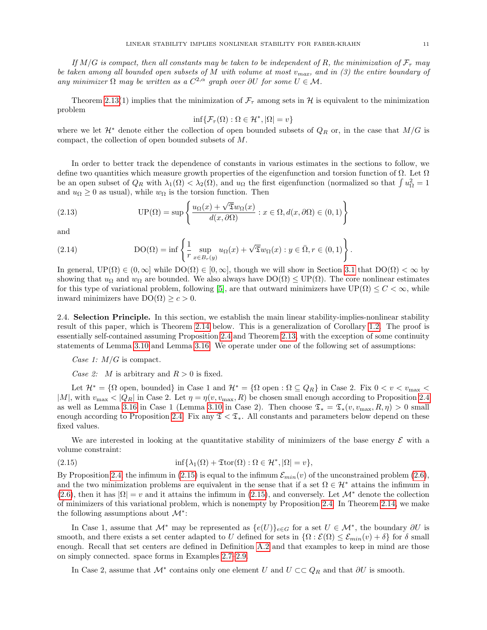If  $M/G$  is compact, then all constants may be taken to be independent of R, the minimization of  $\mathcal{F}_{\tau}$  may be taken among all bounded open subsets of M with volume at most  $v_{max}$ , and in (3) the entire boundary of any minimizer  $\Omega$  may be written as a  $C^{2,\alpha}$  graph over  $\partial U$  for some  $U \in \mathcal{M}$ .

Theorem [2.13\(](#page-9-0)1) implies that the minimization of  $\mathcal{F}_{\tau}$  among sets in H is equivalent to the minimization problem

$$
\inf \{ \mathcal{F}_{\tau}(\Omega) : \Omega \in \mathcal{H}^*, |\Omega| = v \}
$$

where we let  $\mathcal{H}^*$  denote either the collection of open bounded subsets of  $Q_R$  or, in the case that  $M/G$  is compact, the collection of open bounded subsets of M.

In order to better track the dependence of constants in various estimates in the sections to follow, we define two quantities which measure growth properties of the eigenfunction and torsion function of  $\Omega$ . Let  $\Omega$ be an open subset of  $Q_R$  with  $\lambda_1(\Omega) < \lambda_2(\Omega)$ , and  $u_{\Omega}$  the first eigenfunction (normalized so that  $\int u_{\Omega}^2 = 1$ and  $u_{\Omega} \geq 0$  as usual), while  $w_{\Omega}$  is the torsion function. Then

<span id="page-10-3"></span>(2.13) 
$$
\text{UP}(\Omega) = \sup \left\{ \frac{u_{\Omega}(x) + \sqrt{\mathfrak{T}}w_{\Omega}(x)}{d(x, \partial \Omega)} : x \in \Omega, d(x, \partial \Omega) \in (0, 1) \right\}
$$

and

<span id="page-10-2"></span>(2.14) 
$$
DO(\Omega) = \inf \left\{ \frac{1}{r} \sup_{x \in B_r(y)} u_{\Omega}(x) + \sqrt{\mathfrak{T}} w_{\Omega}(x) : y \in \overline{\Omega}, r \in (0,1) \right\}.
$$

In general,  $UP(\Omega) \in (0,\infty]$  while  $DO(\Omega) \in [0,\infty]$ , though we will show in Section [3.1](#page-12-1) that  $DO(\Omega) < \infty$  by showing that  $u_{\Omega}$  and  $w_{\Omega}$  are bounded. We also always have  $DO(\Omega) \leq UP(\Omega)$ . The core nonlinear estimates for this type of variational problem, following [\[5\]](#page-70-4), are that outward minimizers have  $UP(\Omega) \leq C < \infty$ , while inward minimizers have  $DO(\Omega) \geq c > 0$ .

<span id="page-10-0"></span>2.4. Selection Principle. In this section, we establish the main linear stability-implies-nonlinear stability result of this paper, which is Theorem [2.14](#page-11-0) below. This is a generalization of Corollary [1.2.](#page-2-4) The proof is essentially self-contained assuming Proposition [2.4](#page-6-4) and Theorem [2.13,](#page-9-0) with the exception of some continuity statements of Lemma [3.10](#page-16-0) and Lemma [3.16.](#page-21-1) We operate under one of the following set of assumptions:

Case 1:  $M/G$  is compact.

Case 2: M is arbitrary and  $R > 0$  is fixed.

Let  $\mathcal{H}^* = \{\Omega \text{ open, bounded}\}\$ in Case 1 and  $\mathcal{H}^* = \{\Omega \text{ open}: \Omega \subseteq Q_R\}\$ in Case 2. Fix  $0 < v < v_{\text{max}} <$ |M|, with  $v_{\text{max}} < |Q_R|$  in Case 2. Let  $\eta = \eta(v, v_{\text{max}}, R)$  be chosen small enough according to Proposition [2.4](#page-6-4) as well as Lemma [3.16](#page-21-1) in Case 1 (Lemma [3.10](#page-16-0) in Case 2). Then choose  $\mathfrak{T}_* = \mathfrak{T}_*(v, v_{\max}, R, \eta) > 0$  small enough according to Proposition [2.4.](#page-6-4) Fix any  $\mathfrak{T} < \mathfrak{T}_*$ . All constants and parameters below depend on these fixed values.

We are interested in looking at the quantitative stability of minimizers of the base energy  $\mathcal E$  with a volume constraint:

<span id="page-10-1"></span>(2.15) 
$$
\inf \{ \lambda_1(\Omega) + \mathfrak{T} \text{tor}(\Omega) : \Omega \in \mathcal{H}^*, |\Omega| = v \},
$$

By Proposition [2.4,](#page-6-4) the infimum in [\(2.15\)](#page-10-1) is equal to the infimum  $\mathcal{E}_{min}(v)$  of the unconstrained problem [\(2.6\)](#page-5-2), and the two minimization problems are equivalent in the sense that if a set  $\Omega \in \mathcal{H}^*$  attains the infimum in [\(2.6\)](#page-5-2), then it has  $|\Omega| = v$  and it attains the infimum in [\(2.15\)](#page-10-1), and conversely. Let  $\mathcal{M}^*$  denote the collection of minimizers of this variational problem, which is nonempty by Proposition [2.4.](#page-6-4) In Theorem [2.14,](#page-11-0) we make the following assumptions about  $\mathcal{M}^*$ :

In Case 1, assume that  $\mathcal{M}^*$  may be represented as  $\{e(U)\}_{e\in G}$  for a set  $U \in \mathcal{M}^*$ , the boundary  $\partial U$  is smooth, and there exists a set center adapted to U defined for sets in  $\{\Omega : \mathcal{E}(\Omega) \leq \mathcal{E}_{min}(v) + \delta\}$  for  $\delta$  small enough. Recall that set centers are defined in Definition [A.2](#page-63-0) and that examples to keep in mind are those on simply connected. space forms in Examples [2.7–](#page-7-1)[2.9.](#page-8-1)

In Case 2, assume that  $\mathcal{M}^*$  contains only one element U and  $U \subset\subset Q_R$  and that  $\partial U$  is smooth.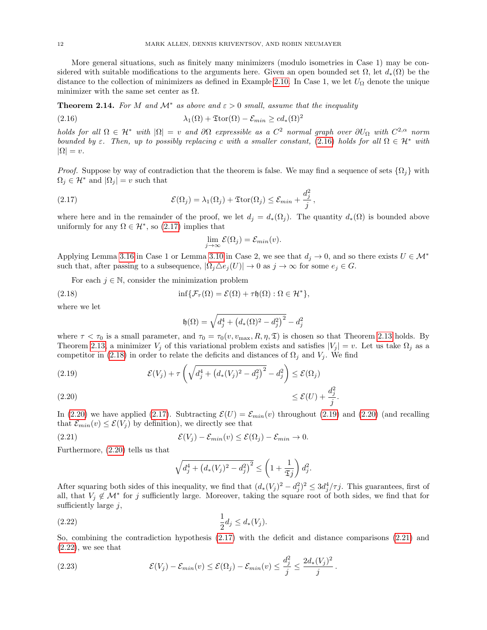12 MARK ALLEN, DENNIS KRIVENTSOV, AND ROBIN NEUMAYER

More general situations, such as finitely many minimizers (modulo isometries in Case 1) may be considered with suitable modifications to the arguments here. Given an open bounded set  $\Omega$ , let  $d_*(\Omega)$  be the distance to the collection of minimizers as defined in Example [2.10.](#page-8-5) In Case 1, we let  $U_{\Omega}$  denote the unique minimizer with the same set center as  $\Omega$ .

<span id="page-11-0"></span>**Theorem 2.14.** For M and  $\mathcal{M}^*$  as above and  $\varepsilon > 0$  small, assume that the inequality

<span id="page-11-1"></span>(2.16) 
$$
\lambda_1(\Omega) + \mathfrak{T}\mathrm{tor}(\Omega) - \mathcal{E}_{min} \geq c d_*(\Omega)^2
$$

holds for all  $\Omega \in H^*$  with  $|\Omega| = v$  and  $\partial \Omega$  expressible as a  $C^2$  normal graph over  $\partial U_{\Omega}$  with  $C^{2,\alpha}$  norm bounded by  $\varepsilon$ . Then, up to possibly replacing c with a smaller constant, [\(2.16\)](#page-11-1) holds for all  $\Omega \in \mathcal{H}^*$  with  $|\Omega| = v.$ 

*Proof.* Suppose by way of contradiction that the theorem is false. We may find a sequence of sets  $\{\Omega_i\}$  with  $\Omega_i \in \mathcal{H}^*$  and  $|\Omega_i| = v$  such that

(2.17) 
$$
\mathcal{E}(\Omega_j) = \lambda_1(\Omega_j) + \mathfrak{T}\mathrm{tor}(\Omega_j) \leq \mathcal{E}_{min} + \frac{d_j^2}{j},
$$

where here and in the remainder of the proof, we let  $d_i = d_*(\Omega_i)$ . The quantity  $d_*(\Omega)$  is bounded above uniformly for any  $\Omega \in \mathcal{H}^*$ , so [\(2.17\)](#page-11-2) implies that

<span id="page-11-2"></span>
$$
\lim_{j \to \infty} \mathcal{E}(\Omega_j) = \mathcal{E}_{min}(v).
$$

Applying Lemma [3.16](#page-21-1) in Case 1 or Lemma [3.10](#page-16-0) in Case 2, we see that  $d_j \to 0$ , and so there exists  $U \in \mathcal{M}^*$ such that, after passing to a subsequence,  $|\Omega_i \triangle e_i(U)| \to 0$  as  $j \to \infty$  for some  $e_j \in G$ .

For each  $j \in \mathbb{N}$ , consider the minimization problem

(2.18) 
$$
\inf \{ \mathcal{F}_{\tau}(\Omega) = \mathcal{E}(\Omega) + \tau \mathfrak{h}(\Omega) : \Omega \in \mathcal{H}^* \},
$$

where we let

<span id="page-11-3"></span>
$$
\mathfrak{h}(\Omega) = \sqrt{d_j^4 + \left(d_*(\Omega)^2 - d_j^2\right)^2} - d_j^2
$$

where  $\tau < \tau_0$  is a small parameter, and  $\tau_0 = \tau_0(v, v_{\text{max}}, R, \eta, \mathfrak{T})$  is chosen so that Theorem [2.13](#page-9-0) holds. By Theorem [2.13,](#page-9-0) a minimizer  $V_i$  of this variational problem exists and satisfies  $|V_i| = v$ . Let us take  $\Omega_i$  as a competitor in [\(2.18\)](#page-11-3) in order to relate the deficits and distances of  $\Omega_j$  and  $V_j$ . We find

<span id="page-11-5"></span><span id="page-11-4"></span>(2.19) 
$$
\mathcal{E}(V_j) + \tau \left( \sqrt{d_j^4 + (d_*(V_j)^2 - d_j^2)^2} - d_j^2 \right) \le \mathcal{E}(\Omega_j)
$$
  
(2.20) 
$$
\le \mathcal{E}(U) + \frac{d_j^2}{j}.
$$

In [\(2.20\)](#page-11-4) we have applied [\(2.17\)](#page-11-2). Subtracting  $\mathcal{E}(U) = \mathcal{E}_{min}(v)$  throughout [\(2.19\)](#page-11-5) and (2.20) (and recalling that  $\mathcal{E}_{min}(v) \leq \mathcal{E}(V_i)$  by definition), we directly see that

(2.21) 
$$
\mathcal{E}(V_j) - \mathcal{E}_{min}(v) \leq \mathcal{E}(\Omega_j) - \mathcal{E}_{min} \to 0.
$$

Furthermore, [\(2.20\)](#page-11-4) tells us that

<span id="page-11-7"></span><span id="page-11-6"></span>
$$
\sqrt{d_j^4 + \left(d_*(V_j)^2 - d_j^2\right)^2} \le \left(1 + \frac{1}{\mathfrak{T}j}\right) d_j^2.
$$

After squaring both sides of this inequality, we find that  $(d_*(V_j)^2 - d_j^2)^2 \leq 3d_j^4/\tau j$ . This guarantees, first of all, that  $V_j \notin \mathcal{M}^*$  for j sufficiently large. Moreover, taking the square root of both sides, we find that for sufficiently large  $j$ ,

(2.22) 
$$
\frac{1}{2}d_j \leq d_*(V_j).
$$

So, combining the contradiction hypothesis [\(2.17\)](#page-11-2) with the deficit and distance comparisons [\(2.21\)](#page-11-6) and  $(2.22)$ , we see that

(2.23) 
$$
\mathcal{E}(V_j) - \mathcal{E}_{min}(v) \leq \mathcal{E}(\Omega_j) - \mathcal{E}_{min}(v) \leq \frac{d_j^2}{j} \leq \frac{2d_*(V_j)^2}{j}.
$$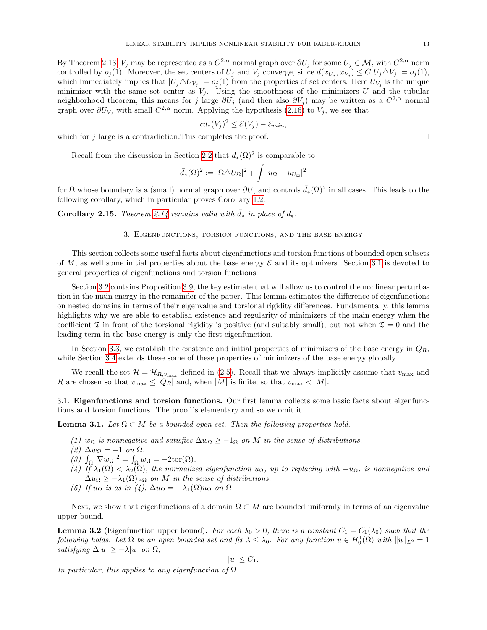By Theorem [2.13,](#page-9-0)  $V_j$  may be represented as a  $C^{2,\alpha}$  normal graph over  $\partial U_j$  for some  $U_j \in \mathcal{M}$ , with  $C^{2,\alpha}$  norm controlled by  $o_j(1)$ . Moreover, the set centers of  $U_j$  and  $V_j$  converge, since  $d(x_{U_j}, x_{V_j}) \leq C|U_j \triangle V_j| = o_j(1)$ , which immediately implies that  $|U_j \triangle U_{V_j}| = o_j(1)$  from the properties of set centers. Here  $U_{V_j}$  is the unique minimizer with the same set center as  $V_j$ . Using the smoothness of the minimizers U and the tubular neighborhood theorem, this means for j large  $\partial U_j$  (and then also  $\partial V_j$ ) may be written as a  $C^{2,\alpha}$  normal graph over  $\partial U_{V_j}$  with small  $C^{2,\alpha}$  norm. Applying the hypothesis [\(2.16\)](#page-11-1) to  $V_j$ , we see that

$$
cd_*(V_j)^2 \le \mathcal{E}(V_j) - \mathcal{E}_{min},
$$

which for j large is a contradiction. This completes the proof.  $\Box$ 

Recall from the discussion in Section [2.2](#page-6-0) that  $d_*(\Omega)^2$  is comparable to

$$
\bar{d}_{*}(\Omega)^{2} := |\Omega \triangle U_{\Omega}|^{2} + \int |u_{\Omega} - u_{U_{\Omega}}|^{2}
$$

for  $\Omega$  whose boundary is a (small) normal graph over  $\partial U$ , and controls  $\bar{d}_*(\Omega)^2$  in all cases. This leads to the following corollary, which in particular proves Corollary [1.2.](#page-2-4)

<span id="page-12-0"></span>Corollary 2.15. Theorem [2.14](#page-11-0) remains valid with  $d_*$  in place of  $d_*$ .

# 3. Eigenfunctions, torsion functions, and the base energy

This section collects some useful facts about eigenfunctions and torsion functions of bounded open subsets of M, as well some initial properties about the base energy  $\mathcal E$  and its optimizers. Section [3.1](#page-12-1) is devoted to general properties of eigenfunctions and torsion functions.

Section [3.2](#page-15-1) contains Proposition [3.9,](#page-15-0) the key estimate that will allow us to control the nonlinear perturbation in the main energy in the remainder of the paper. This lemma estimates the difference of eigenfunctions on nested domains in terms of their eigenvalue and torsional rigidity differences. Fundamentally, this lemma highlights why we are able to establish existence and regularity of minimizers of the main energy when the coefficient  $\mathfrak T$  in front of the torsional rigidity is positive (and suitably small), but not when  $\mathfrak T = 0$  and the leading term in the base energy is only the first eigenfunction.

In Section [3.3,](#page-16-1) we establish the existence and initial properties of minimizers of the base energy in  $Q_R$ , while Section [3.4](#page-21-0) extends these some of these properties of minimizers of the base energy globally.

We recall the set  $\mathcal{H} = \mathcal{H}_{R,v_{\text{max}}}$  defined in [\(2.5\)](#page-5-3). Recall that we always implicitly assume that  $v_{\text{max}}$  and R are chosen so that  $v_{\text{max}} \leq |Q_R|$  and, when |M| is finite, so that  $v_{\text{max}} < |M|$ .

<span id="page-12-1"></span>3.1. Eigenfunctions and torsion functions. Our first lemma collects some basic facts about eigenfunctions and torsion functions. The proof is elementary and so we omit it.

<span id="page-12-2"></span>**Lemma 3.1.** Let  $\Omega \subset M$  be a bounded open set. Then the following properties hold.

- (1)  $w_{\Omega}$  is nonnegative and satisfies  $\Delta w_{\Omega} \geq -1_{\Omega}$  on M in the sense of distributions.
- (2)  $\Delta w_{\Omega} = -1$  on  $\Omega$ .
- (3)  $\int_{\Omega} |\nabla w_{\Omega}|^2 = \int_{\Omega} w_{\Omega} = -2\text{tor}(\Omega).$
- (4) If  $\lambda_1(\Omega) < \lambda_2(\Omega)$ , the normalized eigenfunction  $u_{\Omega}$ , up to replacing with  $-u_{\Omega}$ , is nonnegative and  $\Delta u_{\Omega} \geq -\lambda_1(\Omega)u_{\Omega}$  on M in the sense of distributions.
- (5) If  $u_{\Omega}$  is as in (4),  $\Delta u_{\Omega} = -\lambda_1(\Omega)u_{\Omega}$  on  $\Omega$ .

Next, we show that eigenfunctions of a domain  $\Omega \subset M$  are bounded uniformly in terms of an eigenvalue upper bound.

<span id="page-12-3"></span>**Lemma 3.2** (Eigenfunction upper bound). For each  $\lambda_0 > 0$ , there is a constant  $C_1 = C_1(\lambda_0)$  such that the following holds. Let  $\Omega$  be an open bounded set and fix  $\lambda \leq \lambda_0$ . For any function  $u \in H_0^1(\Omega)$  with  $||u||_{L^2} = 1$ satisfying  $\Delta |u| \geq -\lambda |u|$  on  $\Omega$ ,

$$
|u| \leq C_1.
$$

In particular, this applies to any eigenfunction of  $\Omega$ .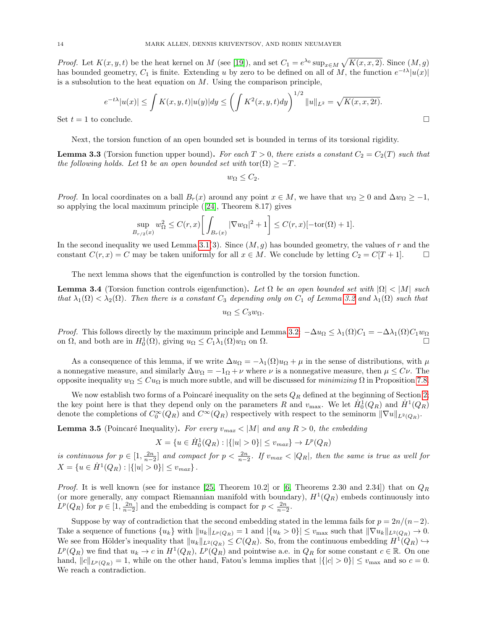*Proof.* Let  $K(x, y, t)$  be the heat kernel on M (see [\[19\]](#page-70-18)), and set  $C_1 = e^{\lambda_0} \sup_{x \in M} \sqrt{K(x, x, 2)}$ . Since  $(M, g)$ has bounded geometry,  $C_1$  is finite. Extending u by zero to be defined on all of M, the function  $e^{-t\lambda}|u(x)|$ is a subsolution to the heat equation on  $M$ . Using the comparison principle,

$$
e^{-t\lambda}|u(x)| \le \int K(x, y, t)|u(y)| dy \le \left(\int K^2(x, y, t) dy\right)^{1/2} \|u\|_{L^2} = \sqrt{K(x, x, 2t)}.
$$
  
Set  $t = 1$  to conclude.

Next, the torsion function of an open bounded set is bounded in terms of its torsional rigidity.

<span id="page-13-1"></span>**Lemma 3.3** (Torsion function upper bound). For each  $T > 0$ , there exists a constant  $C_2 = C_2(T)$  such that the following holds. Let  $\Omega$  be an open bounded set with  $\text{tor}(\Omega) \geq -T$ .

$$
w_{\Omega} \leq C_2.
$$

*Proof.* In local coordinates on a ball  $B_r(x)$  around any point  $x \in M$ , we have that  $w_{\Omega} \ge 0$  and  $\Delta w_{\Omega} \ge -1$ , so applying the local maximum principle ([\[24\]](#page-70-17), Theorem 8.17) gives

$$
\sup_{B_{r/2}(x)} w_{\Omega}^2 \le C(r,x) \bigg[ \int_{B_r(x)} |\nabla w_{\Omega}|^2 + 1 \bigg] \le C(r,x) [-\text{tor}(\Omega) + 1].
$$

In the second inequality we used Lemma [3.1\(](#page-12-2)3). Since  $(M, g)$  has bounded geometry, the values of r and the constant  $C(r, x) = C$  may be taken uniformly for all  $x \in M$ . We conclude by letting  $C_2 = C[T + 1]$ .

The next lemma shows that the eigenfunction is controlled by the torsion function.

<span id="page-13-2"></span>**Lemma 3.4** (Torsion function controls eigenfunction). Let  $\Omega$  be an open bounded set with  $|\Omega| < |M|$  such that  $\lambda_1(\Omega) < \lambda_2(\Omega)$ . Then there is a constant  $C_3$  depending only on  $C_1$  of Lemma [3.2](#page-12-3) and  $\lambda_1(\Omega)$  such that  $u_{\Omega} \leq C_3 w_{\Omega}$ .

*Proof.* This follows directly by the maximum principle and Lemma [3.2:](#page-12-3)  $-\Delta u_{\Omega} \leq \lambda_1(\Omega)C_1 = -\Delta\lambda_1(\Omega)C_1w_{\Omega}$ on  $\Omega$ , and both are in  $H_0^1(\Omega)$ , giving  $u_{\Omega} \leq C_1 \lambda_1(\Omega) w_{\Omega}$  on  $\Omega$ .

As a consequence of this lemma, if we write  $\Delta u_{\Omega} = -\lambda_1(\Omega)u_{\Omega} + \mu$  in the sense of distributions, with  $\mu$ a nonnegative measure, and similarly  $\Delta w_{\Omega} = -1_{\Omega} + \nu$  where  $\nu$  is a nonnegative measure, then  $\mu \leq C_{\nu}$ . The opposite inequality  $w_{\Omega} \leq C u_{\Omega}$  is much more subtle, and will be discussed for *minimizing*  $\Omega$  in Proposition [7.8.](#page-38-0)

We now establish two forms of a Poincaré inequality on the sets  $Q_R$  defined at the beginning of Section [2;](#page-4-0) the key point here is that they depend only on the parameters R and  $v_{\text{max}}$ . We let  $\dot{H}_0^1(Q_R)$  and  $\dot{H}^1(Q_R)$ denote the completions of  $C_0^{\infty}(Q_R)$  and  $C^{\infty}(Q_R)$  respectively with respect to the seminorm  $\|\nabla u\|_{L^2(Q_R)}$ .

<span id="page-13-0"></span>**Lemma 3.5** (Poincaré Inequality). For every  $v_{max} < |M|$  and any  $R > 0$ , the embedding

$$
X = \{u \in \dot{H}_0^1(Q_R) : |\{|u| > 0\}| \le v_{max}\} \to L^p(Q_R)
$$

is continuous for  $p \in [1, \frac{2n}{n-2}]$  and compact for  $p < \frac{2n}{n-2}$ . If  $v_{max} < |Q_R|$ , then the same is true as well for  $X = \{u \in \dot{H}^1(Q_R) : |\{|u| > 0\}| \le v_{max}\}.$ 

*Proof.* It is well known (see for instance [\[25,](#page-70-19) Theorem 10.2] or [\[6,](#page-70-20) Theorems 2.30 and 2.34]) that on  $Q_R$ (or more generally, any compact Riemannian manifold with boundary),  $H^1(Q_R)$  embeds continuously into  $L^p(Q_R)$  for  $p \in [1, \frac{2n}{n-2}]$  and the embedding is compact for  $p < \frac{2n}{n-2}$ .

Suppose by way of contradiction that the second embedding stated in the lemma fails for  $p = 2n/(n-2)$ . Take a sequence of functions  $\{u_k\}$  with  $||u_k||_{L^p(Q_R)} = 1$  and  $|\{u_k > 0\}| \le v_{\text{max}}$  such that  $||\nabla u_k||_{L^2(Q_R)} \to 0$ . We see from Hölder's inequality that  $||u_k||_{L^2(Q_R)} \leq C(Q_R)$ . So, from the continuous embedding  $H^1(Q_R) \hookrightarrow$  $L^p(Q_R)$  we find that  $u_k \to c$  in  $H^1(Q_R)$ ,  $L^p(Q_R)$  and pointwise a.e. in  $Q_R$  for some constant  $c \in \mathbb{R}$ . On one hand,  $||c||_{L^p(Q_R)} = 1$ , while on the other hand, Fatou's lemma implies that  $|\{|c| > 0\}| \le v_{\text{max}}$  and so  $c = 0$ . We reach a contradiction.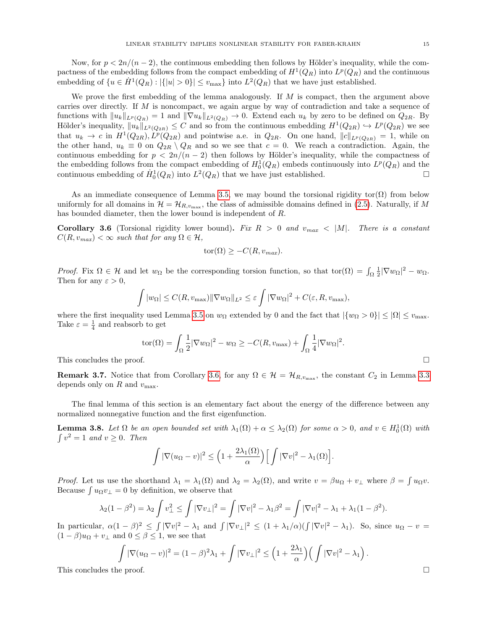Now, for  $p < 2n/(n-2)$ , the continuous embedding then follows by Hölder's inequality, while the compactness of the embedding follows from the compact embedding of  $H^1(Q_R)$  into  $L^p(Q_R)$  and the continuous embedding of  $\{u \in \dot{H}^1(Q_R) : |\{|u| > 0\}| \le v_{\text{max}}\}$  into  $L^2(Q_R)$  that we have just established.

We prove the first embedding of the lemma analogously. If  $M$  is compact, then the argument above carries over directly. If M is noncompact, we again argue by way of contradiction and take a sequence of functions with  $||u_k||_{L^p(Q_R)} = 1$  and  $||\nabla u_k||_{L^2(Q_R)} \to 0$ . Extend each  $u_k$  by zero to be defined on  $Q_{2R}$ . By Hölder's inequality,  $||u_k||_{L^2(Q_{2R})} \leq C$  and so from the continuous embedding  $H^1(Q_{2R}) \hookrightarrow L^p(Q_{2R})$  we see that  $u_k \to c$  in  $H^1(Q_{2R}), L^p(Q_{2R})$  and pointwise a.e. in  $Q_{2R}$ . On one hand,  $||c||_{L^p(Q_{2R})} = 1$ , while on the other hand,  $u_k \equiv 0$  on  $Q_{2R} \setminus Q_R$  and so we see that  $c = 0$ . We reach a contradiction. Again, the continuous embedding for  $p < 2n/(n-2)$  then follows by Hölder's inequality, while the compactness of the embedding follows from the compact embedding of  $H_0^1(Q_R)$  embeds continuously into  $L^p(Q_R)$  and the continuous embedding of  $\dot{H}_0^1(Q_R)$  into  $L^2(Q_R)$  that we have just established.

As an immediate consequence of Lemma [3.5,](#page-13-0) we may bound the torsional rigidity tor $(\Omega)$  from below uniformly for all domains in  $\mathcal{H} = \mathcal{H}_{R,v_{\text{max}}}$ , the class of admissible domains defined in [\(2.5\)](#page-5-3). Naturally, if M has bounded diameter, then the lower bound is independent of R.

<span id="page-14-0"></span>**Corollary 3.6** (Torsional rigidity lower bound). Fix  $R > 0$  and  $v_{max} < |M|$ . There is a constant  $C(R, v_{max}) < \infty$  such that for any  $\Omega \in \mathcal{H}$ ,

$$
tor(\Omega) \geq -C(R, v_{max}).
$$

Proof. Fix  $\Omega \in \mathcal{H}$  and let  $w_{\Omega}$  be the corresponding torsion function, so that tor $(\Omega) = \int_{\Omega} \frac{1}{2} |\nabla w_{\Omega}|^2 - w_{\Omega}$ . Then for any  $\varepsilon > 0$ ,

$$
\int |w_{\Omega}| \leq C(R, v_{\max}) \|\nabla w_{\Omega}\|_{L^2} \leq \varepsilon \int |\nabla w_{\Omega}|^2 + C(\varepsilon, R, v_{\max}),
$$

where the first inequality used Lemma [3.5](#page-13-0) on  $w_{\Omega}$  extended by 0 and the fact that  $|\{w_{\Omega} > 0\}| \leq |\Omega| \leq v_{\text{max}}$ . Take  $\varepsilon = \frac{1}{4}$  and reabsorb to get

$$
\text{tor}(\Omega) = \int_{\Omega} \frac{1}{2} |\nabla w_{\Omega}|^2 - w_{\Omega} \ge -C(R, v_{\text{max}}) + \int_{\Omega} \frac{1}{4} |\nabla w_{\Omega}|^2.
$$
  
This concludes the proof.

**Remark 3.7.** Notice that from Corollary [3.6,](#page-14-0) for any  $\Omega \in \mathcal{H} = \mathcal{H}_{R,v_{\text{max}}}$ , the constant  $C_2$  in Lemma [3.3](#page-13-1) depends only on  $R$  and  $v_{\text{max}}$ .

The final lemma of this section is an elementary fact about the energy of the difference between any normalized nonnegative function and the first eigenfunction.

<span id="page-14-1"></span>**Lemma 3.8.** Let  $\Omega$  be an open bounded set with  $\lambda_1(\Omega) + \alpha \leq \lambda_2(\Omega)$  for some  $\alpha > 0$ , and  $v \in H_0^1(\Omega)$  with  $\int v^2 = 1$  and  $v \ge 0$ . Then

$$
\int |\nabla (u_{\Omega} - v)|^2 \le \left(1 + \frac{2\lambda_1(\Omega)}{\alpha}\right) \Big[ \int |\nabla v|^2 - \lambda_1(\Omega) \Big].
$$

*Proof.* Let us use the shorthand  $\lambda_1 = \lambda_1(\Omega)$  and  $\lambda_2 = \lambda_2(\Omega)$ , and write  $v = \beta u_{\Omega} + v_{\perp}$  where  $\beta = \int u_{\Omega}v$ . Because  $\int u_{\Omega}v_{\perp} = 0$  by definition, we observe that

$$
\lambda_2(1-\beta^2) = \lambda_2 \int v_\perp^2 \le \int |\nabla v_\perp|^2 = \int |\nabla v|^2 - \lambda_1 \beta^2 = \int |\nabla v|^2 - \lambda_1 + \lambda_1 (1-\beta^2).
$$

In particular,  $\alpha(1-\beta)^2 \leq \int |\nabla v|^2 - \lambda_1$  and  $\int |\nabla v_\perp|^2 \leq (1 + \lambda_1/\alpha)(\int |\nabla v|^2 - \lambda_1)$ . So, since  $u_{\Omega} - v =$  $(1 - \beta)u_{\Omega} + v_{\perp}$  and  $0 \le \beta \le 1$ , we see that

$$
\int |\nabla(u_{\Omega} - v)|^2 = (1 - \beta)^2 \lambda_1 + \int |\nabla v_{\perp}|^2 \le \left(1 + \frac{2\lambda_1}{\alpha}\right) \left(\int |\nabla v|^2 - \lambda_1\right).
$$
  
This concludes the proof.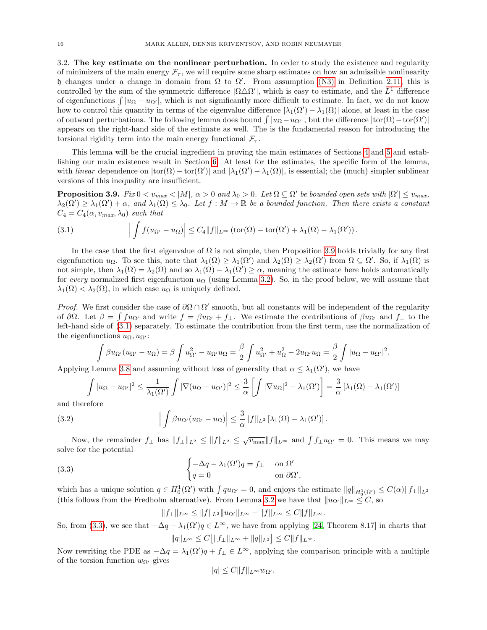<span id="page-15-1"></span>3.2. The key estimate on the nonlinear perturbation. In order to study the existence and regularity of minimizers of the main energy  $\mathcal{F}_{\tau}$ , we will require some sharp estimates on how an admissible nonlinearity h changes under a change in domain from  $\Omega$  to  $\Omega'$ . From assumption [\(N3\)](#page-8-6) in Definition [2.11,](#page-8-2) this is controlled by the sum of the symmetric difference  $|\Omega \triangle \Omega'|$ , which is easy to estimate, and the  $L^1$  difference of eigenfunctions  $\int |u_{\Omega} - u_{\Omega'}|$ , which is not significantly more difficult to estimate. In fact, we do not know how to control this quantity in terms of the eigenvalue difference  $|\lambda_1(\Omega') - \lambda_1(\Omega)|$  alone, at least in the case of outward perturbations. The following lemma does bound  $\int |u_{\Omega} - u_{\Omega'}|$ , but the difference  $|\text{tor}(\Omega) - \text{tor}(\Omega')|$ appears on the right-hand side of the estimate as well. The is the fundamental reason for introducing the torsional rigidity term into the main energy functional  $\mathcal{F}_{\tau}$ .

This lemma will be the crucial ingredient in proving the main estimates of Sections [4](#page-25-0) and [5](#page-28-0) and establishing our main existence result in Section [6.](#page-32-0) At least for the estimates, the specific form of the lemma, with *linear* dependence on  $|\text{tor}(\Omega) - \text{tor}(\Omega')|$  and  $|\lambda_1(\Omega') - \lambda_1(\Omega)|$ , is essential; the (much) simpler sublinear versions of this inequality are insufficient.

<span id="page-15-0"></span>**Proposition 3.9.** Fix  $0 < v_{max} < |M|$ ,  $\alpha > 0$  and  $\lambda_0 > 0$ . Let  $\Omega \subseteq \Omega'$  be bounded open sets with  $|\Omega'| \le v_{max}$ ,  $\lambda_2(\Omega') \geq \lambda_1(\Omega') + \alpha$ , and  $\lambda_1(\Omega) \leq \lambda_0$ . Let  $f : M \to \mathbb{R}$  be a bounded function. Then there exists a constant  $C_4 = C_4(\alpha, v_{max}, \lambda_0)$  such that

<span id="page-15-2"></span>(3.1) 
$$
\left| \int f(u_{\Omega'} - u_{\Omega}) \right| \leq C_4 \|f\|_{L^{\infty}} (\text{tor}(\Omega) - \text{tor}(\Omega') + \lambda_1(\Omega) - \lambda_1(\Omega')).
$$

In the case that the first eigenvalue of  $\Omega$  is not simple, then Proposition [3.9](#page-15-0) holds trivially for any first eigenfunction  $u_{\Omega}$ . To see this, note that  $\lambda_1(\Omega) \geq \lambda_1(\Omega')$  and  $\lambda_2(\Omega) \geq \lambda_2(\Omega')$  from  $\Omega \subseteq \Omega'$ . So, if  $\lambda_1(\Omega)$  is not simple, then  $\lambda_1(\Omega) = \lambda_2(\Omega)$  and so  $\lambda_1(\Omega) - \lambda_1(\Omega') \ge \alpha$ , meaning the estimate here holds automatically for every normalized first eigenfunction  $u_{\Omega}$  (using Lemma [3.2\)](#page-12-3). So, in the proof below, we will assume that  $\lambda_1(\Omega) < \lambda_2(\Omega)$ , in which case  $u_{\Omega}$  is uniquely defined.

Proof. We first consider the case of  $\partial\Omega \cap \Omega'$  smooth, but all constants will be independent of the regularity of  $\partial\Omega$ . Let  $\beta = \int f u_{\Omega'}$  and write  $f = \beta u_{\Omega'} + f_{\perp}$ . We estimate the contributions of  $\beta u_{\Omega'}$  and  $f_{\perp}$  to the left-hand side of [\(3.1\)](#page-15-2) separately. To estimate the contribution from the first term, use the normalization of the eigenfunctions  $u_{\Omega}, u_{\Omega'}$ :

$$
\int \beta u_{\Omega'}(u_{\Omega'}-u_{\Omega}) = \beta \int u_{\Omega'}^2 - u_{\Omega'}u_{\Omega} = \frac{\beta}{2} \int u_{\Omega'}^2 + u_{\Omega}^2 - 2u_{\Omega'}u_{\Omega} = \frac{\beta}{2} \int |u_{\Omega} - u_{\Omega'}|^2.
$$

Applying Lemma [3.8](#page-14-1) and assuming without loss of generality that  $\alpha \leq \lambda_1(\Omega)$ , we have

<span id="page-15-4"></span>
$$
\int |u_{\Omega} - u_{\Omega'}|^2 \le \frac{1}{\lambda_1(\Omega')} \int |\nabla (u_{\Omega} - u_{\Omega'})|^2 \le \frac{3}{\alpha} \left[ \int |\nabla u_{\Omega}|^2 - \lambda_1(\Omega') \right] = \frac{3}{\alpha} \left[ \lambda_1(\Omega) - \lambda_1(\Omega') \right]
$$

and therefore

(3.2) 
$$
\left|\int \beta u_{\Omega'}(u_{\Omega'}-u_{\Omega})\right| \leq \frac{3}{\alpha} \|f\|_{L^2} \left[\lambda_1(\Omega)-\lambda_1(\Omega')\right].
$$

Now, the remainder  $f_{\perp}$  has  $||f_{\perp}||_{L^2} \le ||f||_{L^2} \le \sqrt{v_{\text{max}}}||f||_{L^{\infty}}$  and  $\int f_{\perp}u_{\Omega'}=0$ . This means we may solve for the potential

(3.3) 
$$
\begin{cases} -\Delta q - \lambda_1(\Omega')q = f_{\perp} & \text{on } \Omega' \\ q = 0 & \text{on } \partial\Omega', \end{cases}
$$

which has a unique solution  $q \in H_0^1(\Omega')$  with  $\int q u_{\Omega'} = 0$ , and enjoys the estimate  $||q||_{H_0^1(\Omega')} \leq C(\alpha) ||f_\perp||_{L^2}$ (this follows from the Fredholm alternative). From Lemma [3.2](#page-12-3) we have that  $||u_{\Omega'}||_{L^{\infty}} \leq C$ , so

<span id="page-15-3"></span>
$$
||f_{\perp}||_{L^{\infty}} \leq ||f||_{L^{2}}||u_{\Omega'}||_{L^{\infty}} + ||f||_{L^{\infty}} \leq C||f||_{L^{\infty}}.
$$

So, from [\(3.3\)](#page-15-3), we see that  $-\Delta q - \lambda_1(\Omega')q \in L^{\infty}$ , we have from applying [\[24,](#page-70-17) Theorem 8.17] in charts that  $||q||_{L^{\infty}} \leq C [||f_{\perp}||_{L^{\infty}} + ||q||_{L^2}] \leq C ||f||_{L^{\infty}}.$ 

Now rewriting the PDE as  $-\Delta q = \lambda_1(\Omega')q + f_{\perp} \in L^{\infty}$ , applying the comparison principle with a multiple of the torsion function  $w_{\Omega}$  gives

$$
|q| \le C ||f||_{L^{\infty}} w_{\Omega'}.
$$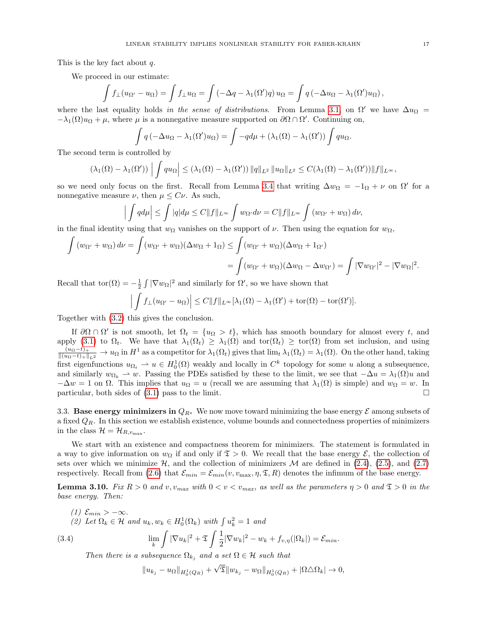This is the key fact about q.

We proceed in our estimate:

$$
\int f_{\perp}(u_{\Omega'} - u_{\Omega}) = \int f_{\perp}u_{\Omega} = \int \left(-\Delta q - \lambda_1(\Omega')q\right)u_{\Omega} = \int q\left(-\Delta u_{\Omega} - \lambda_1(\Omega')u_{\Omega}\right),
$$

where the last equality holds in the sense of distributions. From Lemma [3.1,](#page-12-2) on  $\Omega'$  we have  $\Delta u_{\Omega} =$  $-\lambda_1(\Omega)u_{\Omega} + \mu$ , where  $\mu$  is a nonnegative measure supported on  $\partial\Omega \cap \Omega'$ . Continuing on,

$$
\int q\left(-\Delta u_{\Omega} - \lambda_1(\Omega')u_{\Omega}\right) = \int -q d\mu + \left(\lambda_1(\Omega) - \lambda_1(\Omega')\right)\int q u_{\Omega}.
$$

The second term is controlled by

$$
(\lambda_1(\Omega)-\lambda_1(\Omega'))\left|\int qu_\Omega\right|\leq (\lambda_1(\Omega)-\lambda_1(\Omega'))\|q\|_{L^2}\|u_\Omega\|_{L^2}\leq C(\lambda_1(\Omega)-\lambda_1(\Omega'))\|f\|_{L^\infty},
$$

so we need only focus on the first. Recall from Lemma [3.4](#page-13-2) that writing  $\Delta w_{\Omega} = -1_{\Omega} + \nu$  on  $\Omega'$  for a nonnegative measure  $\nu$ , then  $\mu \leq C \nu$ . As such,

$$
\left| \int q d\mu \right| \leq \int |q| d\mu \leq C \|f\|_{L^{\infty}} \int w_{\Omega'} d\nu = C \|f\|_{L^{\infty}} \int (w_{\Omega'} + w_{\Omega}) d\nu,
$$

in the final identity using that  $w_{\Omega}$  vanishes on the support of  $\nu$ . Then using the equation for  $w_{\Omega}$ ,

$$
\int (w_{\Omega'} + w_{\Omega}) d\nu = \int (w_{\Omega'} + w_{\Omega})(\Delta w_{\Omega} + 1_{\Omega}) \le \int (w_{\Omega'} + w_{\Omega})(\Delta w_{\Omega} + 1_{\Omega'})
$$
  
= 
$$
\int (w_{\Omega'} + w_{\Omega})(\Delta w_{\Omega} - \Delta w_{\Omega'}) = \int |\nabla w_{\Omega'}|^2 - |\nabla w_{\Omega}|^2.
$$

Recall that  $\text{tor}(\Omega) = -\frac{1}{2} \int |\nabla w_{\Omega}|^2$  and similarly for  $\Omega'$ , so we have shown that

$$
\left| \int f_{\perp}(u_{\Omega'} - u_{\Omega}) \right| \leq C \|f\|_{L^{\infty}} [\lambda_1(\Omega) - \lambda_1(\Omega') + \text{tor}(\Omega) - \text{tor}(\Omega')].
$$

Together with [\(3.2\)](#page-15-4) this gives the conclusion.

If  $\partial\Omega \cap \Omega'$  is not smooth, let  $\Omega_t = \{u_{\Omega} > t\}$ , which has smooth boundary for almost every t, and apply [\(3.1\)](#page-15-2) to  $\Omega_t$ . We have that  $\lambda_1(\Omega_t) \geq \lambda_1(\Omega)$  and tor $(\Omega_t) \geq \text{tor}(\Omega)$  from set inclusion, and using  $\frac{(u_{\Omega}-t)_+}{\|(u_{\Omega}-t)_+\|_{L^2}} \to u_{\Omega}$  in  $H^1$  as a competitor for  $\lambda_1(\Omega_t)$  gives that  $\lim_t \lambda_1(\Omega_t) = \lambda_1(\Omega)$ . On the other hand, taking first eigenfunctions  $u_{\Omega_t} \rightharpoonup u \in H_0^1(\Omega)$  weakly and locally in  $C^k$  topology for some u along a subsequence, and similarly  $w_{\Omega_k} \to w$ . Passing the PDEs satisfied by these to the limit, we see that  $-\Delta u = \lambda_1(\Omega)u$  and  $-\Delta w = 1$  on  $\Omega$ . This implies that  $u_{\Omega} = u$  (recall we are assuming that  $\lambda_1(\Omega)$  is simple) and  $w_{\Omega} = w$ . In particular, both sides of  $(3.1)$  pass to the limit.

<span id="page-16-1"></span>3.3. Base energy minimizers in  $Q_R$ . We now move toward minimizing the base energy  $\mathcal E$  among subsets of a fixed  $Q_R$ . In this section we establish existence, volume bounds and connectedness properties of minimizers in the class  $\mathcal{H} = \mathcal{H}_{R,v_{\text{max}}}.$ 

We start with an existence and compactness theorem for minimizers. The statement is formulated in a way to give information on  $w_{\Omega}$  if and only if  $\mathfrak{T} > 0$ . We recall that the base energy  $\mathcal{E}$ , the collection of sets over which we minimize  $H$ , and the collection of minimizers  $M$  are defined in [\(2.4\)](#page-5-4), [\(2.5\)](#page-5-3), and [\(2.7\)](#page-6-5) respectively. Recall from [\(2.6\)](#page-5-2) that  $\mathcal{E}_{min} = \mathcal{E}_{min}(v, v_{\text{max}}, \eta, \mathfrak{T}, R)$  denotes the infimum of the base energy.

<span id="page-16-0"></span>**Lemma 3.10.** Fix  $R > 0$  and v,  $v_{max}$  with  $0 < v < v_{max}$ , as well as the parameters  $\eta > 0$  and  $\mathfrak{T} > 0$  in the base energy. Then:

(1) 
$$
\mathcal{E}_{min} > -\infty
$$
.  
\n(2) Let  $\Omega_k \in \mathcal{H}$  and  $u_k, w_k \in H_0^1(\Omega_k)$  with  $\int u_k^2 = 1$  and  
\n(3.4) 
$$
\lim_k \int |\nabla u_k|^2 + \mathfrak{T} \int \frac{1}{2} |\nabla w_k|^2 - w_k + f_{v,\eta}(|\Omega_k|) = \mathcal{E}_{min}.
$$

Then there is a subsequence  $\Omega_{k_i}$  and a set  $\Omega \in \mathcal{H}$  such that

<span id="page-16-2"></span> $||u_{k_j} - u_{\Omega}||_{H_0^1(Q_R)} +$ √  $\mathfrak{T} \| w_{k_j} - w_{\Omega} \|_{H^1_0(Q_R)} + |\Omega \triangle \Omega_k| \to 0,$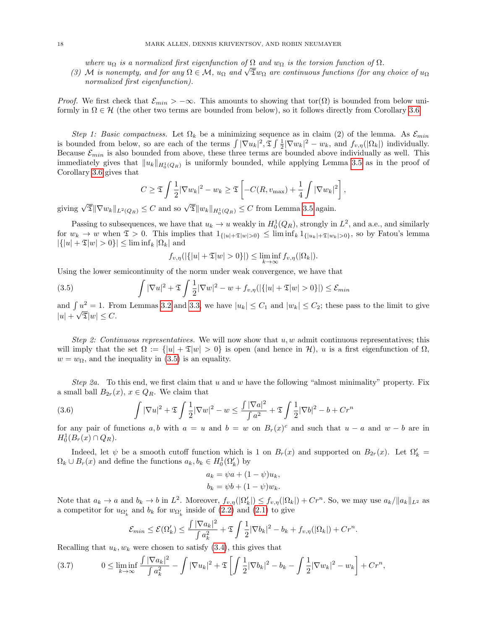where  $u_{\Omega}$  is a normalized first eigenfunction of  $\Omega$  and  $w_{\Omega}$  is the torsion function of  $\Omega$ .

where  $u_{\Omega}$  is a normalized first eigenfunction of  $\Omega$  and  $w_{\Omega}$  is the torsion function of  $\Omega$ .<br>(3) M is nonempty, and for any  $\Omega \in \mathcal{M}$ ,  $u_{\Omega}$  and  $\sqrt{\Sigma}w_{\Omega}$  are continuous functions (for any choice of  $u_{\$ normalized first eigenfunction).

*Proof.* We first check that  $\mathcal{E}_{min} > -\infty$ . This amounts to showing that tor( $\Omega$ ) is bounded from below uniformly in  $\Omega \in \mathcal{H}$  (the other two terms are bounded from below), so it follows directly from Corollary [3.6.](#page-14-0)

Step 1: Basic compactness. Let  $\Omega_k$  be a minimizing sequence as in claim (2) of the lemma. As  $\mathcal{E}_{min}$ is bounded from below, so are each of the terms  $\int |\nabla u_k|^2 \cdot \mathfrak{T} \int \frac{1}{2} |\nabla w_k|^2 - w_k$ , and  $f_{v,\eta}(|\Omega_k|)$  individually. Because  $\mathcal{E}_{min}$  is also bounded from above, these three terms are bounded above individually as well. This immediately gives that  $||u_k||_{H_0^1(Q_R)}$  is uniformly bounded, while applying Lemma [3.5](#page-13-0) as in the proof of Corollary [3.6](#page-14-0) gives that

$$
C \geq \mathfrak{T} \int \frac{1}{2} |\nabla w_k|^2 - w_k \geq \mathfrak{T} \left[ -C(R, v_{\max}) + \frac{1}{4} \int |\nabla w_k|^2 \right],
$$

giving  $\sqrt{\mathfrak{T}}$   $\|\nabla w_k\|_{L^2(Q_R)} \leq C$  and so  $\sqrt{\mathfrak{T}} \|w_k\|_{H_0^1(Q_R)} \leq C$  from Lemma [3.5](#page-13-0) again.

Passing to subsequences, we have that  $u_k \to u$  weakly in  $H_0^1(Q_R)$ , strongly in  $L^2$ , and a.e., and similarly for  $w_k \to w$  when  $\mathfrak{T} > 0$ . This implies that  $1_{\{|u|+\mathfrak{T}|w|>0\}} \leq \liminf_k 1_{\{|u_k|+\mathfrak{T}|w_k|>0\}}$ , so by Fatou's lemma  $|\{|u| + \mathfrak{T}|w| > 0\}| \leq \liminf_k |\Omega_k|$  and

<span id="page-17-0"></span>
$$
f_{v,\eta}(|\{|u|+\mathfrak{T}|w|>0\}|) \leq \liminf_{k \to \infty} f_{v,\eta}(|\Omega_k|).
$$

Using the lower semicontinuity of the norm under weak convergence, we have that

(3.5) 
$$
\int |\nabla u|^2 + \mathfrak{T} \int \frac{1}{2} |\nabla w|^2 - w + f_{v,\eta}(|\{|u| + \mathfrak{T}|w| > 0\}|) \leq \mathcal{E}_{min}
$$

and  $\int u^2 = 1$ . From Lemmas [3.2](#page-12-3) and [3.3,](#page-13-1) we have  $|u_k| \le C_1$  and  $|w_k| \le C_2$ ; these pass to the limit to give  $|u| + \sqrt{\mathfrak{T}}|w| \leq C.$ 

Step 2: Continuous representatives. We will now show that  $u, w$  admit continuous representatives; this will imply that the set  $\Omega := \{|u| + \mathfrak{T}|w| > 0\}$  is open (and hence in H), u is a first eigenfunction of  $\Omega$ ,  $w = w_{\Omega}$ , and the inequality in [\(3.5\)](#page-17-0) is an equality.

Step 2a. To this end, we first claim that u and w have the following "almost minimality" property. Fix a small ball  $B_{2r}(x)$ ,  $x \in Q_R$ . We claim that

<span id="page-17-2"></span>(3.6) 
$$
\int |\nabla u|^2 + \mathfrak{T} \int \frac{1}{2} |\nabla w|^2 - w \leq \frac{\int |\nabla a|^2}{\int a^2} + \mathfrak{T} \int \frac{1}{2} |\nabla b|^2 - b + Cr^n
$$

for any pair of functions a, b with  $a = u$  and  $b = w$  on  $B_r(x)^c$  and such that  $u - a$  and  $w - b$  are in  $H_0^1(B_r(x) \cap Q_R).$ 

Indeed, let  $\psi$  be a smooth cutoff function which is 1 on  $B_r(x)$  and supported on  $B_{2r}(x)$ . Let  $\Omega'_k =$  $\Omega_k \cup B_r(x)$  and define the functions  $a_k, b_k \in H_0^1(\Omega_k)$  by

$$
a_k = \psi a + (1 - \psi) u_k,
$$
  

$$
b_k = \psi b + (1 - \psi) w_k.
$$

Note that  $a_k \to a$  and  $b_k \to b$  in  $L^2$ . Moreover,  $f_{v,\eta}(|\Omega'_k|) \leq f_{v,\eta}(|\Omega_k|) + Cr^n$ . So, we may use  $a_k / ||a_k||_{L^2}$  as a competitor for  $u_{\Omega'_k}$  and  $b_k$  for  $w_{\Omega'_k}$  inside of  $(2.2)$  and  $(2.1)$  to give

$$
\mathcal{E}_{min} \leq \mathcal{E}(\Omega'_k) \leq \frac{\int |\nabla a_k|^2}{\int a_k^2} + \mathfrak{T} \int \frac{1}{2} |\nabla b_k|^2 - b_k + f_{v,\eta}(|\Omega_k|) + Cr^n.
$$

Recalling that  $u_k, w_k$  were chosen to satisfy  $(3.4)$ , this gives that

<span id="page-17-1"></span>
$$
(3.7) \t 0 \le \liminf_{k \to \infty} \frac{\int |\nabla a_k|^2}{\int a_k^2} - \int |\nabla u_k|^2 + \mathfrak{T} \left[ \int \frac{1}{2} |\nabla b_k|^2 - b_k - \int \frac{1}{2} |\nabla w_k|^2 - w_k \right] + Cr^n,
$$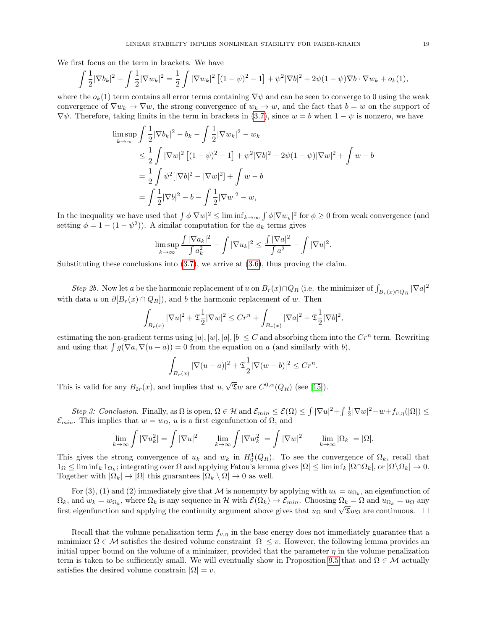We first focus on the term in brackets. We have

$$
\int \frac{1}{2} |\nabla b_k|^2 - \int \frac{1}{2} |\nabla w_k|^2 = \frac{1}{2} \int |\nabla w_k|^2 \left[ (1 - \psi)^2 - 1 \right] + \psi^2 |\nabla b|^2 + 2\psi (1 - \psi) \nabla b \cdot \nabla w_k + o_k(1),
$$

where the  $o_k(1)$  term contains all error terms containing  $\nabla \psi$  and can be seen to converge to 0 using the weak convergence of  $\nabla w_k \to \nabla w$ , the strong convergence of  $w_k \to w$ , and the fact that  $b = w$  on the support of  $\nabla \psi$ . Therefore, taking limits in the term in brackets in [\(3.7\)](#page-17-1), since  $w = b$  when  $1 - \psi$  is nonzero, we have

$$
\limsup_{k \to \infty} \int \frac{1}{2} |\nabla b_k|^2 - b_k - \int \frac{1}{2} |\nabla w_k|^2 - w_k
$$
\n
$$
\leq \frac{1}{2} \int |\nabla w|^2 \left[ (1 - \psi)^2 - 1 \right] + \psi^2 |\nabla b|^2 + 2\psi (1 - \psi) |\nabla w|^2 + \int w - b
$$
\n
$$
= \frac{1}{2} \int \psi^2 [|\nabla b|^2 - |\nabla w|^2] + \int w - b
$$
\n
$$
= \int \frac{1}{2} |\nabla b|^2 - b - \int \frac{1}{2} |\nabla w|^2 - w,
$$

In the inequality we have used that  $\int \phi |\nabla w|^2 \leq \liminf_{k \to \infty} \int \phi |\nabla w_k|^2$  for  $\phi \geq 0$  from weak convergence (and setting  $\phi = 1 - (1 - \psi^2)$ . A similar computation for the  $a_k$  terms gives

$$
\limsup_{k \to \infty} \frac{\int |\nabla a_k|^2}{\int a_k^2} - \int |\nabla u_k|^2 \le \frac{\int |\nabla a|^2}{\int a^2} - \int |\nabla u|^2.
$$

Substituting these conclusions into  $(3.7)$ , we arrive at  $(3.6)$ , thus proving the claim.

Step 2b. Now let a be the harmonic replacement of u on  $B_r(x) \cap Q_R$  (i.e. the minimizer of  $\int_{B_r(x) \cap Q_R} |\nabla a|^2$ with data u on  $\partial [B_r(x) \cap Q_R]$ , and b the harmonic replacement of w. Then

$$
\int_{B_r(x)} |\nabla u|^2 + \mathfrak{T} \frac{1}{2} |\nabla w|^2 \le Cr^n + \int_{B_r(x)} |\nabla u|^2 + \mathfrak{T} \frac{1}{2} |\nabla b|^2,
$$

estimating the non-gradient terms using  $|u|, |w|, |a|, |b| \leq C$  and absorbing them into the  $Cr^n$  term. Rewriting and using that  $\int g(\nabla a, \nabla (u - a)) = 0$  from the equation on a (and similarly with b),

$$
\int_{B_r(x)} |\nabla(u-a)|^2 + \mathfrak{T} \frac{1}{2} |\nabla(w-b)|^2 \le Cr^n.
$$

This is valid for any  $B_{2r}(x)$ , and implies that  $u, \sqrt{\overline{x}}w$  are  $C^{0,\alpha}(Q_R)$  (see [\[15\]](#page-70-21)).

Step 3: Conclusion. Finally, as  $\Omega$  is open,  $\Omega \in \mathcal{H}$  and  $\mathcal{E}_{min} \leq \mathcal{E}(\Omega) \leq \int |\nabla u|^2 + \int \frac{1}{2} |\nabla w|^2 - w + f_{v,\eta}(|\Omega|) \leq$  $\mathcal{E}_{min}$ . This implies that  $w = w_{\Omega}$ , u is a first eigenfunction of  $\Omega$ , and

$$
\lim_{k \to \infty} \int |\nabla u_k^2| = \int |\nabla u|^2 \qquad \lim_{k \to \infty} \int |\nabla w_k^2| = \int |\nabla w|^2 \qquad \lim_{k \to \infty} |\Omega_k| = |\Omega|.
$$

This gives the strong convergence of  $u_k$  and  $w_k$  in  $H_0^1(Q_R)$ . To see the convergence of  $\Omega_k$ , recall that  $1_{\Omega} \leq \liminf_k 1_{\Omega_k}$ ; integrating over  $\Omega$  and applying Fatou's lemma gives  $|\Omega| \leq \liminf_k |\Omega \cap \Omega_k|$ , or  $|\Omega \setminus \Omega_k| \to 0$ . Together with  $|\Omega_k| \to |\Omega|$  this guarantees  $|\Omega_k \setminus \Omega| \to 0$  as well.

For (3), (1) and (2) immediately give that M is nonempty by applying with  $u_k = u_{\Omega_k}$ , an eigenfunction of  $\Omega_k$ , and  $w_k = w_{\Omega_k}$ , where  $\Omega_k$  is any sequence in H with  $\mathcal{E}(\Omega_k) \to \mathcal{E}_{min}$ . Choosing  $\Omega_k = \Omega$  and  $u_{\Omega_k} = u_{\Omega}$  any  $\Omega_k$ , and  $w_k = w_{\Omega_k}$ , where  $\Omega_k$  is any sequence in  $\mathcal{H}$  with  $\mathcal{L}(\Omega_k) \to \mathcal{L}_{min}$ . Choosing  $\Omega_k = \Omega$  and  $u_{\Omega_k} = u_{\Omega}$  any first eigenfunction and applying the continuity argument above gives that  $u_{\Omega}$  and

Recall that the volume penalization term  $f_{v,\eta}$  in the base energy does not immediately guarantee that a minimizer  $\Omega \in \mathcal{M}$  satisfies the desired volume constraint  $|\Omega| \leq v$ . However, the following lemma provides an initial upper bound on the volume of a minimizer, provided that the parameter  $\eta$  in the volume penalization term is taken to be sufficiently small. We will eventually show in Proposition [9.5](#page-59-0) that and  $\Omega \in \mathcal{M}$  actually satisfies the desired volume constrain  $|\Omega| = v$ .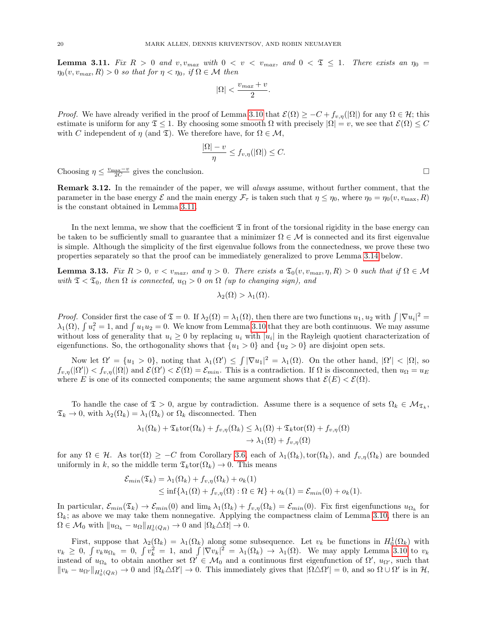<span id="page-19-1"></span>**Lemma 3.11.** Fix  $R > 0$  and  $v, v_{max}$  with  $0 < v < v_{max}$ , and  $0 < \mathfrak{T} \leq 1$ . There exists an  $\eta_0 =$  $\eta_0(v, v_{max}, R) > 0$  so that for  $\eta < \eta_0$ , if  $\Omega \in \mathcal{M}$  then

$$
|\Omega| < \frac{v_{max} + v}{2}.
$$

*Proof.* We have already verified in the proof of Lemma [3.10](#page-16-0) that  $\mathcal{E}(\Omega) \geq -C + f_{v,n}(|\Omega|)$  for any  $\Omega \in \mathcal{H}$ ; this estimate is uniform for any  $\mathfrak{T} \leq 1$ . By choosing some smooth  $\Omega$  with precisely  $|\Omega| = v$ , we see that  $\mathcal{E}(\Omega) \leq C$ with C independent of  $\eta$  (and  $\mathfrak{T}$ ). We therefore have, for  $\Omega \in \mathcal{M}$ ,

$$
\frac{|\Omega|-v}{\eta} \le f_{v,\eta}(|\Omega|) \le C.
$$

Choosing  $\eta \leq \frac{v_{\text{max}} - v}{2C}$  gives the conclusion.

<span id="page-19-2"></span>Remark 3.12. In the remainder of the paper, we will always assume, without further comment, that the parameter in the base energy  $\mathcal{E}$  and the main energy  $\mathcal{F}_{\tau}$  is taken such that  $\eta \leq \eta_0$ , where  $\eta_0 = \eta_0(v, v_{\text{max}}, R)$ is the constant obtained in Lemma [3.11.](#page-19-1)

In the next lemma, we show that the coefficient  $\mathfrak T$  in front of the torsional rigidity in the base energy can be taken to be sufficiently small to guarantee that a minimizer  $\Omega \in \mathcal{M}$  is connected and its first eigenvalue is simple. Although the simplicity of the first eigenvalue follows from the connectedness, we prove these two properties separately so that the proof can be immediately generalized to prove Lemma [3.14](#page-20-0) below.

<span id="page-19-0"></span>**Lemma 3.13.** Fix  $R > 0$ ,  $v < v_{max}$ , and  $\eta > 0$ . There exists a  $\mathfrak{T}_0(v, v_{max}, \eta, R) > 0$  such that if  $\Omega \in \mathcal{M}$ with  $\mathfrak{T} < \mathfrak{T}_0$ , then  $\Omega$  is connected,  $u_{\Omega} > 0$  on  $\Omega$  (up to changing sign), and

$$
\lambda_2(\Omega) > \lambda_1(\Omega).
$$

*Proof.* Consider first the case of  $\mathfrak{T} = 0$ . If  $\lambda_2(\Omega) = \lambda_1(\Omega)$ , then there are two functions  $u_1, u_2$  with  $\int |\nabla u_i|^2 =$  $\lambda_1(\Omega)$ ,  $\int u_i^2 = 1$ , and  $\int u_1 u_2 = 0$ . We know from Lemma [3.10](#page-16-0) that they are both continuous. We may assume without loss of generality that  $u_i \geq 0$  by replacing  $u_i$  with  $|u_i|$  in the Rayleigh quotient characterization of eigenfunctions. So, the orthogonality shows that  $\{u_1 > 0\}$  and  $\{u_2 > 0\}$  are disjoint open sets.

Now let  $\Omega' = \{u_1 > 0\}$ , noting that  $\lambda_1(\Omega') \leq \int |\nabla u_1|^2 = \lambda_1(\Omega)$ . On the other hand,  $|\Omega'| < |\Omega|$ , so  $f_{v,\eta}(|\Omega'|) < f_{v,\eta}(|\Omega|)$  and  $\mathcal{E}(\Omega') < \mathcal{E}(\Omega) = \mathcal{E}_{min}$ . This is a contradiction. If  $\Omega$  is disconnected, then  $u_{\Omega} = u_E$ where E is one of its connected components; the same argument shows that  $\mathcal{E}(E) < \mathcal{E}(\Omega)$ .

To handle the case of  $\mathfrak{T} > 0$ , argue by contradiction. Assume there is a sequence of sets  $\Omega_k \in \mathcal{M}_{\mathfrak{T}_k}$ ,  $\mathfrak{T}_k \to 0$ , with  $\lambda_2(\Omega_k) = \lambda_1(\Omega_k)$  or  $\Omega_k$  disconnected. Then

$$
\lambda_1(\Omega_k) + \mathfrak{T}_k \text{tor}(\Omega_k) + f_{v,\eta}(\Omega_k) \leq \lambda_1(\Omega) + \mathfrak{T}_k \text{tor}(\Omega) + f_{v,\eta}(\Omega)
$$

$$
\rightarrow \lambda_1(\Omega) + f_{v,\eta}(\Omega)
$$

for any  $\Omega \in \mathcal{H}$ . As tor $(\Omega) \geq -C$  from Corollary [3.6,](#page-14-0) each of  $\lambda_1(\Omega_k)$ , tor $(\Omega_k)$ , and  $f_{v,\eta}(\Omega_k)$  are bounded uniformly in k, so the middle term  $\mathfrak{T}_k$ tor $(\Omega_k) \to 0$ . This means

$$
\mathcal{E}_{min}(\mathfrak{T}_k) = \lambda_1(\Omega_k) + f_{v,\eta}(\Omega_k) + o_k(1)
$$
  
 
$$
\leq \inf \{ \lambda_1(\Omega) + f_{v,\eta}(\Omega) : \Omega \in \mathcal{H} \} + o_k(1) = \mathcal{E}_{min}(0) + o_k(1).
$$

In particular,  $\mathcal{E}_{min}(\mathfrak{T}_k) \to \mathcal{E}_{min}(0)$  and  $\lim_k \lambda_1(\Omega_k) + f_{v,\eta}(\Omega_k) = \mathcal{E}_{min}(0)$ . Fix first eigenfunctions  $u_{\Omega_k}$  for  $\Omega_k$ ; as above we may take them nonnegative. Applying the compactness claim of Lemma [3.10,](#page-16-0) there is an  $\Omega \in \mathcal{M}_0$  with  $||u_{\Omega_k} - u_{\Omega}||_{H_0^1(Q_R)} \to 0$  and  $|\Omega_k \triangle \Omega| \to 0$ .

First, suppose that  $\lambda_2(\Omega_k) = \lambda_1(\Omega_k)$  along some subsequence. Let  $v_k$  be functions in  $H_0^1(\Omega_k)$  with  $v_k \geq 0$ ,  $\int v_k u_{\Omega_k} = 0$ ,  $\int v_k^2 = 1$ , and  $\int |\nabla v_k|^2 = \lambda_1(\Omega_k) \rightarrow \lambda_1(\Omega)$ . We may apply Lemma [3.10](#page-16-0) to  $v_k$ instead of  $u_{\Omega_k}$  to obtain another set  $\Omega' \in \mathcal{M}_0$  and a continuous first eigenfunction of  $\Omega'$ ,  $u_{\Omega'}$ , such that  $||v_k - u_{\Omega'}||_{H_0^1(Q_R)} \to 0$  and  $|\Omega_k \triangle \Omega'| \to 0$ . This immediately gives that  $|\Omega \triangle \Omega'| = 0$ , and so  $\Omega \cup \Omega'$  is in  $\mathcal{H}$ ,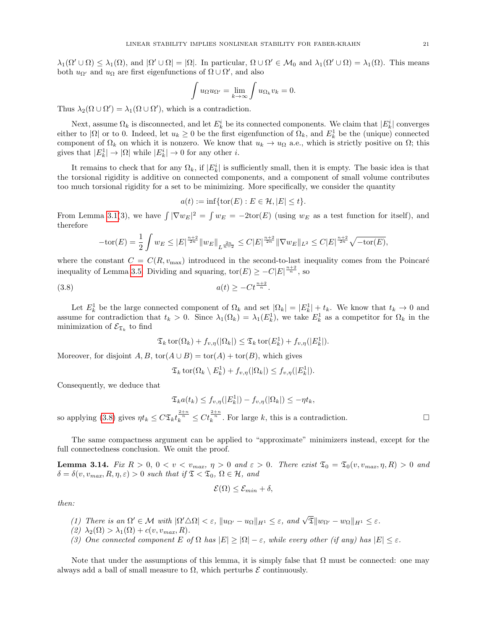$\lambda_1(\Omega' \cup \Omega) \leq \lambda_1(\Omega)$ , and  $|\Omega' \cup \Omega| = |\Omega|$ . In particular,  $\Omega \cup \Omega' \in \mathcal{M}_0$  and  $\lambda_1(\Omega' \cup \Omega) = \lambda_1(\Omega)$ . This means both  $u_{\Omega'}$  and  $u_{\Omega}$  are first eigenfunctions of  $\Omega \cup \Omega'$ , and also

$$
\int u_{\Omega}u_{\Omega'} = \lim_{k \to \infty} \int u_{\Omega_k}v_k = 0.
$$

Thus  $\lambda_2(\Omega \cup \Omega') = \lambda_1(\Omega \cup \Omega')$ , which is a contradiction.

Next, assume  $\Omega_k$  is disconnected, and let  $E_k^i$  be its connected components. We claim that  $|E_k^i|$  converges either to |Ω| or to 0. Indeed, let  $u_k \geq 0$  be the first eigenfunction of  $\Omega_k$ , and  $E_k^1$  be the (unique) connected component of  $\Omega_k$  on which it is nonzero. We know that  $u_k \to u_{\Omega}$  a.e., which is strictly positive on  $\Omega$ ; this gives that  $|E_k^1| \to |\Omega|$  while  $|E_k^i| \to 0$  for any other *i*.

It remains to check that for any  $\Omega_k$ , if  $|E_k^i|$  is sufficiently small, then it is empty. The basic idea is that the torsional rigidity is additive on connected components, and a component of small volume contributes too much torsional rigidity for a set to be minimizing. More specifically, we consider the quantity

$$
a(t) := \inf\{\text{tor}(E) : E \in \mathcal{H}, |E| \le t\}.
$$

From Lemma [3.1\(](#page-12-2)3), we have  $\int |\nabla w_E|^2 = \int w_E = -2\text{tor}(E)$  (using  $w_E$  as a test function for itself), and therefore

$$
-\text{tor}(E) = \frac{1}{2} \int w_E \le |E|^{\frac{n+2}{2n}} \|w_E\|_{L^{\frac{2n}{n-2}}} \le C|E|^{\frac{n+2}{2n}} \|\nabla w_E\|_{L^2} \le C|E|^{\frac{n+2}{2n}} \sqrt{-\text{tor}(E)},
$$

where the constant  $C = C(R, v_{\text{max}})$  introduced in the second-to-last inequality comes from the Poincaré inequality of Lemma [3.5.](#page-13-0) Dividing and squaring,  $\text{tor}(E) \geq -C|E|^{\frac{n+2}{n}}$ , so

$$
(3.8)\qquad \qquad a(t) \ge -C t^{\frac{n+2}{n}}.
$$

Let  $E_k^1$  be the large connected component of  $\Omega_k$  and set  $|\Omega_k| = |E_k^1| + t_k$ . We know that  $t_k \to 0$  and assume for contradiction that  $t_k > 0$ . Since  $\lambda_1(\Omega_k) = \lambda_1(E_k^1)$ , we take  $E_k^1$  as a competitor for  $\Omega_k$  in the minimization of  $\mathcal{E}_{\mathfrak{T}_k}$  to find

<span id="page-20-1"></span>
$$
\mathfrak{T}_k \operatorname{tor}(\Omega_k) + f_{v,\eta}(|\Omega_k|) \leq \mathfrak{T}_k \operatorname{tor}(E_k^1) + f_{v,\eta}(|E_k^1|).
$$

Moreover, for disjoint A, B,  $\text{tor}(A \cup B) = \text{tor}(A) + \text{tor}(B)$ , which gives

$$
\mathfrak{T}_k \operatorname{tor}(\Omega_k \setminus E_k^1) + f_{v,\eta}(|\Omega_k|) \le f_{v,\eta}(|E_k^1|).
$$

Consequently, we deduce that

$$
\mathfrak{T}_{k}a(t_{k}) \le f_{v,\eta}(|E_{k}^{1}|) - f_{v,\eta}(|\Omega_{k}|) \le -\eta t_{k},
$$
  

$$
C_{\eta} \le t^{\frac{2+n}{n}} \le C_{\eta} \le \frac{2+n}{n} \quad \text{For large } l_{k}
$$

so applying [\(3.8\)](#page-20-1) gives  $\eta t_k \leq C \mathfrak{T}_k t_k^{\frac{2+n}{n}} \leq C t_k^{\frac{2+n}{n}}$ . For large k, this is a contradiction.

The same compactness argument can be applied to "approximate" minimizers instead, except for the full connectedness conclusion. We omit the proof.

<span id="page-20-0"></span>**Lemma 3.14.** Fix  $R > 0$ ,  $0 < v < v_{max}$ ,  $\eta > 0$  and  $\varepsilon > 0$ . There exist  $\mathfrak{T}_0 = \mathfrak{T}_0(v, v_{max}, \eta, R) > 0$  and  $\delta = \delta(v, v_{max}, R, \eta, \varepsilon) > 0$  such that if  $\mathfrak{T} < \mathfrak{T}_0$ ,  $\Omega \in \mathcal{H}$ , and

$$
\mathcal{E}(\Omega) \leq \mathcal{E}_{min} + \delta,
$$

then:

- (1) There is an  $\Omega' \in \mathcal{M}$  with  $|\Omega' \triangle \Omega| < \varepsilon$ ,  $||u_{\Omega'} u_{\Omega}||_{H^1} \leq \varepsilon$ , and  $\sqrt{\mathfrak{T}}||w_{\Omega'} w_{\Omega}||_{H^1} \leq \varepsilon$ .
- (2)  $\lambda_2(\Omega) > \lambda_1(\Omega) + c(v, v_{max}, R)$ .
- (3) One connected component E of  $\Omega$  has  $|E| \geq |\Omega| \varepsilon$ , while every other (if any) has  $|E| \leq \varepsilon$ .

Note that under the assumptions of this lemma, it is simply false that  $\Omega$  must be connected: one may always add a ball of small measure to  $\Omega$ , which perturbs  $\mathcal E$  continuously.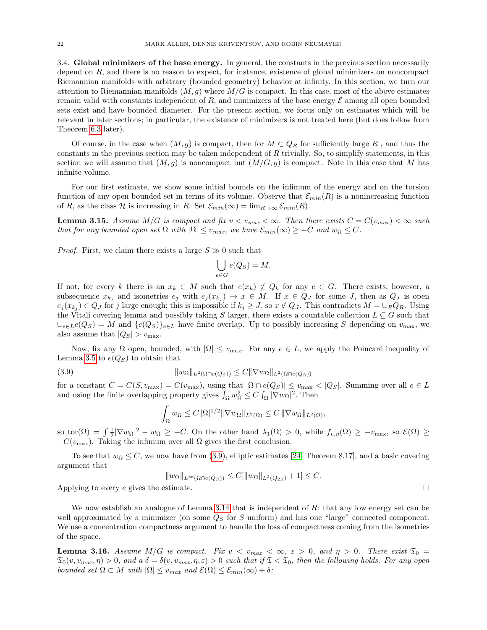<span id="page-21-0"></span>3.4. Global minimizers of the base energy. In general, the constants in the previous section necessarily depend on R, and there is no reason to expect, for instance, existence of global minimizers on noncompact Riemannian manifolds with arbitrary (bounded geometry) behavior at infinity. In this section, we turn our attention to Riemannian manifolds  $(M, g)$  where  $M/G$  is compact. In this case, most of the above estimates remain valid with constants independent of R, and minimizers of the base energy  $\mathcal E$  among all open bounded sets exist and have bounded diameter. For the present section, we focus only on estimates which will be relevant in later sections; in particular, the existence of minimizers is not treated here (but does follow from Theorem [6.3](#page-34-0) later).

Of course, in the case when  $(M, g)$  is compact, then for  $M \subset Q_R$  for sufficiently large R, and thus the constants in the previous section may be taken independent of  $R$  trivially. So, to simplify statements, in this section we will assume that  $(M,g)$  is noncompact but  $(M/G,g)$  is compact. Note in this case that M has infinite volume.

For our first estimate, we show some initial bounds on the infimum of the energy and on the torsion function of any open bounded set in terms of its volume. Observe that  $\mathcal{E}_{min}(R)$  is a nonincreasing function of R, as the class H is increasing in R. Set  $\mathcal{E}_{min}(\infty) = \lim_{R \to \infty} \mathcal{E}_{min}(R)$ .

<span id="page-21-3"></span>**Lemma 3.15.** Assume  $M/G$  is compact and fix  $v < v_{max} < \infty$ . Then there exists  $C = C(v_{max}) < \infty$  such that for any bounded open set  $\Omega$  with  $|\Omega| \le v_{max}$ , we have  $\mathcal{E}_{min}(\infty) \ge -C$  and  $w_{\Omega} \le C$ .

*Proof.* First, we claim there exists a large  $S \gg 0$  such that

$$
\bigcup_{e \in G} e(Q_S) = M.
$$

If not, for every k there is an  $x_k \in M$  such that  $e(x_k) \notin Q_k$  for any  $e \in G$ . There exists, however, a subsequence  $x_{k_j}$  and isometries  $e_j$  with  $e_j(x_{k_j}) \to x \in M$ . If  $x \in Q_J$  for some J, then as  $Q_J$  is open  $e_j(x_{k_j}) \in Q_J$  for j large enough; this is impossible if  $k_j \geq J$ , so  $x \notin Q_J$ . This contradicts  $M = \bigcup_R Q_R$ . Using the Vitali covering lemma and possibly taking S larger, there exists a countable collection  $L \subseteq G$  such that  $\bigcup_{e \in L} e(Q_S) = M$  and  $\{e(Q_S)\}_{e \in L}$  have finite overlap. Up to possibly increasing S depending on  $v_{\text{max}}$ , we also assume that  $|Q_S| > v_{\text{max}}$ .

Now, fix any  $\Omega$  open, bounded, with  $|\Omega| \le v_{\text{max}}$ . For any  $e \in L$ , we apply the Poincaré inequality of Lemma [3.5](#page-13-0) to  $e(Q_S)$  to obtain that

(3.9) 
$$
||w_{\Omega}||_{L^{2}(\Omega \cap e(Q_{S}))} \leq C||\nabla w_{\Omega}||_{L^{2}(\Omega \cap e(Q_{S}))}
$$

for a constant  $C = C(S, v_{\text{max}}) = C(v_{\text{max}})$ , using that  $|\Omega \cap e(Q_S)| \le v_{\text{max}} < |Q_S|$ . Summing over all  $e \in L$ and using the finite overlapping property gives  $\int_{\Omega} w_{\Omega}^2 \le C \int_{\Omega} |\nabla w_{\Omega}|^2$ . Then

<span id="page-21-2"></span>
$$
\int_{\Omega} w_{\Omega} \leq C \, |\Omega|^{1/2} \|\nabla w_{\Omega}\|_{L^2(\Omega)} \leq C \, \|\nabla w_{\Omega}\|_{L^2(\Omega)},
$$

so tor( $\Omega$ ) =  $\int \frac{1}{2} |\nabla w_{\Omega}|^2 - w_{\Omega} \geq -C$ . On the other hand  $\lambda_1(\Omega) > 0$ , while  $f_{v,\eta}(\Omega) \geq -v_{\max}$ , so  $\mathcal{E}(\Omega) \geq$  $-C(v_{\text{max}})$ . Taking the infimum over all  $\Omega$  gives the first conclusion.

To see that  $w_{\Omega} \leq C$ , we now have from [\(3.9\)](#page-21-2), elliptic estimates [\[24,](#page-70-17) Theorem 8.17], and a basic covering argument that

$$
||w_{\Omega}||_{L^{\infty}(\Omega \cap e(Q_S))} \leq C[||w_{\Omega}||_{L^2(Q_{2S})} + 1] \leq C.
$$

Applying to every e gives the estimate.  $\square$ 

We now establish an analogue of Lemma [3.14](#page-20-0) that is independent of R: that any low energy set can be well approximated by a minimizer (on some  $Q<sub>S</sub>$  for S uniform) and has one "large" connected component. We use a concentration compactness argument to handle the loss of compactness coming from the isometries of the space.

<span id="page-21-1"></span>**Lemma 3.16.** Assume  $M/G$  is compact. Fix  $v < v_{max} < \infty$ ,  $\varepsilon > 0$ , and  $\eta > 0$ . There exist  $\mathfrak{T}_0 =$  $\mathfrak{T}_0(v, v_{max}, \eta) > 0$ , and a  $\delta = \delta(v, v_{max}, \eta, \varepsilon) > 0$  such that if  $\mathfrak{T} < \mathfrak{T}_0$ , then the following holds. For any open bounded set  $\Omega \subset M$  with  $|\Omega| \le v_{max}$  and  $\mathcal{E}(\Omega) \le \mathcal{E}_{min}(\infty) + \delta$ :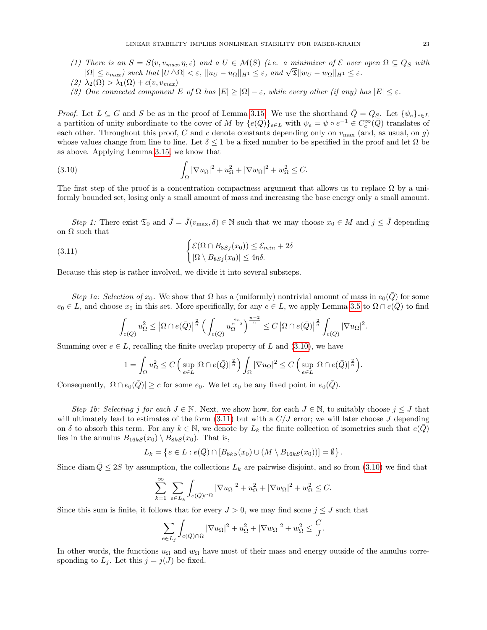(1) There is an  $S = S(v, v_{max}, \eta, \varepsilon)$  and a  $U \in \mathcal{M}(S)$  (i.e. a minimizer of  $\mathcal{E}$  over open  $\Omega \subseteq Q_S$  with There is an  $S = S(v, v_{max}, \eta, \varepsilon)$  and a  $U \in \mathcal{M}(S)$  (i.e. a minimizer of  $\mathcal{L}$  over  $|\Omega| \le v_{max}$ ) such that  $|U \triangle \Omega| < \varepsilon$ ,  $||u_U - u_{\Omega}||_{H^1} \le \varepsilon$ , and  $\sqrt{\mathfrak{T}}||w_U - w_{\Omega}||_{H^1} \le \varepsilon$ .

$$
(2) \ \lambda_2(\Omega) > \lambda_1(\Omega) + c(v, v_{max})
$$

(3) One connected component E of  $\Omega$  has  $|E| \geq |\Omega| - \varepsilon$ , while every other (if any) has  $|E| \leq \varepsilon$ .

*Proof.* Let  $L \subseteq G$  and S be as in the proof of Lemma [3.15.](#page-21-3) We use the shorthand  $\overline{Q} = Q_S$ . Let  $\{\psi_e\}_{e \in L}$ a partition of unity subordinate to the cover of M by  $\{e(\bar{Q})\}_{e\in L}$  with  $\psi_e = \psi \circ e^{-1} \in C_c^{\infty}(\bar{Q})$  translates of each other. Throughout this proof, C and c denote constants depending only on  $v_{\text{max}}$  (and, as usual, on g) whose values change from line to line. Let  $\delta \leq 1$  be a fixed number to be specified in the proof and let  $\Omega$  be as above. Applying Lemma [3.15,](#page-21-3) we know that

<span id="page-22-0"></span>(3.10) 
$$
\int_{\Omega} |\nabla u_{\Omega}|^2 + u_{\Omega}^2 + |\nabla w_{\Omega}|^2 + w_{\Omega}^2 \leq C.
$$

The first step of the proof is a concentration compactness argument that allows us to replace  $\Omega$  by a uniformly bounded set, losing only a small amount of mass and increasing the base energy only a small amount.

Step 1: There exist  $\mathfrak{T}_0$  and  $\bar{J}=\bar{J}(v_{\text{max}},\delta)\in\mathbb{N}$  such that we may choose  $x_0\in M$  and  $j\leq\bar{J}$  depending on  $\Omega$  such that

(3.11) 
$$
\begin{cases} \mathcal{E}(\Omega \cap B_{8Sj}(x_0)) \leq \mathcal{E}_{min} + 2\delta \\ |\Omega \setminus B_{8Sj}(x_0)| \leq 4\eta\delta. \end{cases}
$$

Because this step is rather involved, we divide it into several substeps.

Step 1a: Selection of  $x_0$ . We show that  $\Omega$  has a (uniformly) nontrivial amount of mass in  $e_0(\bar{Q})$  for some  $e_0 \in L$ , and choose  $x_0$  in this set. More specifically, for any  $e \in L$ , we apply Lemma [3.5](#page-13-0) to  $\Omega \cap e(Q)$  to find

<span id="page-22-1"></span>
$$
\int_{e(\bar{Q})} u_{\Omega}^2 \leq \left| \Omega \cap e(\bar{Q}) \right|^{\frac{2}{n}} \left( \int_{e(\bar{Q})} u_{\Omega}^{\frac{2n}{n-2}} \right)^{\frac{n-2}{n}} \leq C \left| \Omega \cap e(\bar{Q}) \right|^{\frac{2}{n}} \int_{e(\bar{Q})} |\nabla u_{\Omega}|^2.
$$

Summing over  $e \in L$ , recalling the finite overlap property of L and [\(3.10\)](#page-22-0), we have

$$
1 = \int_{\Omega} u_{\Omega}^2 \le C \left( \sup_{e \in L} |\Omega \cap e(\bar{Q})|^{\frac{2}{n}} \right) \int_{\Omega} |\nabla u_{\Omega}|^2 \le C \left( \sup_{e \in L} |\Omega \cap e(\bar{Q})|^{\frac{2}{n}} \right).
$$

Consequently,  $|\Omega \cap e_0(\overline{Q})| \geq c$  for some  $e_0$ . We let  $x_0$  be any fixed point in  $e_0(\overline{Q})$ .

Step 1b: Selecting j for each  $J \in \mathbb{N}$ . Next, we show how, for each  $J \in \mathbb{N}$ , to suitably choose  $j \leq J$  that will ultimately lead to estimates of the form  $(3.11)$  but with a  $C/J$  error; we will later choose J depending on δ to absorb this term. For any  $k \in \mathbb{N}$ , we denote by  $L_k$  the finite collection of isometries such that  $e(\bar{Q})$ lies in the annulus  $B_{16kS}(x_0) \setminus B_{8kS}(x_0)$ . That is,

$$
L_k = \left\{ e \in L : e(\overline{Q}) \cap [B_{8kS}(x_0) \cup (M \setminus B_{16kS}(x_0))] = \emptyset \right\}.
$$

Since diam  $\overline{Q} \leq 2S$  by assumption, the collections  $L_k$  are pairwise disjoint, and so from [\(3.10\)](#page-22-0) we find that

$$
\sum_{k=1}^{\infty}\;\sum_{e\in L_k}\int_{e(\bar{Q})\cap\Omega}|\nabla u_{\Omega}|^2+u_{\Omega}^2+|\nabla w_{\Omega}|^2+w_{\Omega}^2\leq C.
$$

Since this sum is finite, it follows that for every  $J > 0$ , we may find some  $j \leq J$  such that

$$
\sum_{e\in L_j}\int_{e(\bar{Q})\cap\Omega}|\nabla u_{\Omega}|^2+u_{\Omega}^2+|\nabla w_{\Omega}|^2+w_{\Omega}^2\leq \frac{C}{J}.
$$

In other words, the functions  $u_{\Omega}$  and  $w_{\Omega}$  have most of their mass and energy outside of the annulus corresponding to  $L_j$ . Let this  $j = j(J)$  be fixed.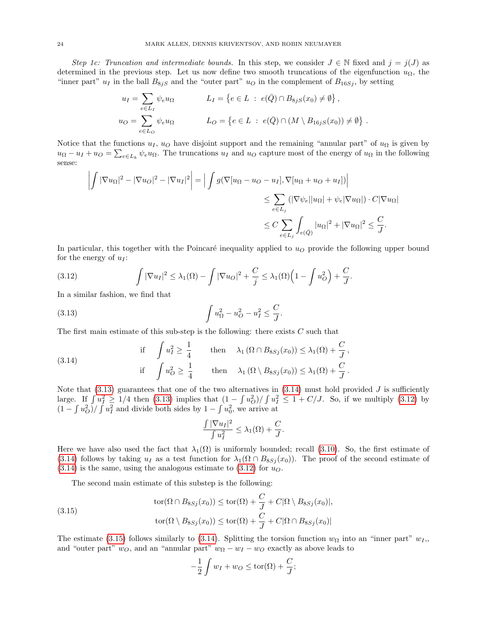Step 1c: Truncation and intermediate bounds. In this step, we consider  $J \in \mathbb{N}$  fixed and  $j = j(J)$  as determined in the previous step. Let us now define two smooth truncations of the eigenfunction  $u_{\Omega}$ , the "inner part"  $u_I$  in the ball  $B_{8jS}$  and the "outer part"  $u_O$  in the complement of  $B_{16Sj}$ , by setting

$$
u_I = \sum_{e \in L_I} \psi_e u_\Omega \qquad L_I = \{ e \in L \; : \; e(\bar{Q}) \cap B_{8jS}(x_0) \neq \emptyset \},
$$
  

$$
u_O = \sum_{e \in L_O} \psi_e u_\Omega \qquad L_O = \{ e \in L \; : \; e(\bar{Q}) \cap (M \setminus B_{16jS}(x_0)) \neq \emptyset \}.
$$

Notice that the functions  $u_1, u_0$  have disjoint support and the remaining "annular part" of  $u_0$  is given by  $u_{\Omega} - u_I + u_O = \sum_{e \in L_k} \psi_e u_{\Omega}$ . The truncations  $u_I$  and  $u_O$  capture most of the energy of  $u_{\Omega}$  in the following sense:

$$
\left| \int |\nabla u_{\Omega}|^2 - |\nabla u_{\Omega}|^2 - |\nabla u_I|^2 \right| = \left| \int g(\nabla [u_{\Omega} - u_O - u_I], \nabla [u_{\Omega} + u_O + u_I]) \right|
$$
  

$$
\leq \sum_{e \in L_j} (|\nabla \psi_e| |u_{\Omega}| + \psi_e |\nabla u_{\Omega}|) \cdot C |\nabla u_{\Omega}|
$$
  

$$
\leq C \sum_{e \in L_j} \int_{e(\bar{Q})} |u_{\Omega}|^2 + |\nabla u_{\Omega}|^2 \leq \frac{C}{J}.
$$

In particular, this together with the Poincaré inequality applied to  $u<sub>O</sub>$  provide the following upper bound for the energy of  $u_I$ :

<span id="page-23-0"></span>.

<span id="page-23-2"></span>(3.12) 
$$
\int |\nabla u_I|^2 \leq \lambda_1(\Omega) - \int |\nabla u_O|^2 + \frac{C}{j} \leq \lambda_1(\Omega) \Big( 1 - \int u_O^2 \Big) + \frac{C}{J}.
$$

In a similar fashion, we find that

(3.13) 
$$
\int u_{\Omega}^2 - u_O^2 - u_I^2 \leq \frac{C}{J}
$$

The first main estimate of this sub-step is the following: there exists  $C$  such that

<span id="page-23-1"></span>(3.14) if 
$$
\int u_I^2 \ge \frac{1}{4}
$$
 then  $\lambda_1 (\Omega \cap B_{8Sj}(x_0)) \le \lambda_1(\Omega) + \frac{C}{J}$ ,  
if  $\int u_O^2 \ge \frac{1}{4}$  then  $\lambda_1 (\Omega \setminus B_{8Sj}(x_0)) \le \lambda_1(\Omega) + \frac{C}{J}$ .

Note that  $(3.13)$  guarantees that one of the two alternatives in  $(3.14)$  must hold provided J is sufficiently large. If  $\int u_I^2 \geq 1/4$  then [\(3.13\)](#page-23-0) implies that  $(1 - \int u_O^2)/\int u_I^2 \leq 1 + C/J$ . So, if we multiply [\(3.12\)](#page-23-2) by  $(1 - \int u_O^2) / \int u_I^2$  and divide both sides by  $1 - \int u_0^2$ , we arrive at

$$
\frac{\int |\nabla u_I|^2}{\int u_I^2} \leq \lambda_1(\Omega) + \frac{C}{J}.
$$

Here we have also used the fact that  $\lambda_1(\Omega)$  is uniformly bounded; recall [\(3.10\)](#page-22-0). So, the first estimate of [\(3.14\)](#page-23-1) follows by taking  $u_I$  as a test function for  $\lambda_1(\Omega \cap B_{8S_j}(x_0))$ . The proof of the second estimate of  $(3.14)$  is the same, using the analogous estimate to  $(3.12)$  for  $u<sub>O</sub>$ .

The second main estimate of this substep is the following:

<span id="page-23-3"></span>(3.15)  
\n
$$
\text{tor}(\Omega \cap B_{8Sj}(x_0)) \leq \text{tor}(\Omega) + \frac{C}{J} + C|\Omega \setminus B_{8Sj}(x_0)|,
$$
\n
$$
\text{tor}(\Omega \setminus B_{8Sj}(x_0)) \leq \text{tor}(\Omega) + \frac{C}{J} + C|\Omega \cap B_{8Sj}(x_0)|
$$

The estimate [\(3.15\)](#page-23-3) follows similarly to [\(3.14\)](#page-23-1). Splitting the torsion function  $w_{\Omega}$  into an "inner part"  $w_I$ , and "outer part"  $w_O$ , and an "annular part"  $w_{\Omega} - w_I - w_O$  exactly as above leads to

$$
-\frac{1}{2}\int w_I + w_O \leq \text{tor}(\Omega) + \frac{C}{J};
$$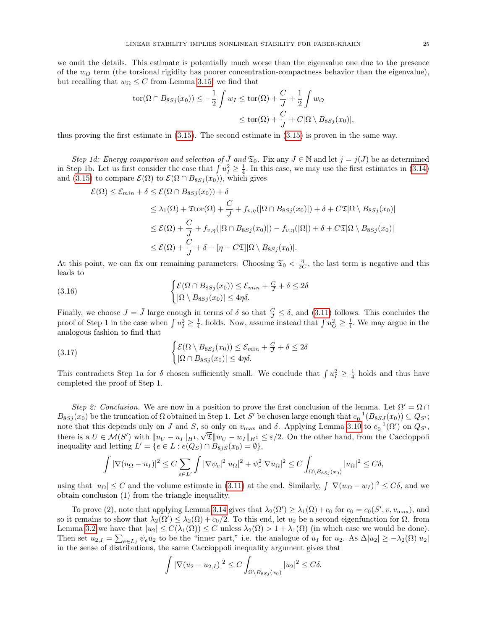$$
tor(\Omega \cap B_{8Sj}(x_0)) \le -\frac{1}{2} \int w_I \le tor(\Omega) + \frac{C}{J} + \frac{1}{2} \int w_O
$$
  
 
$$
\le tor(\Omega) + \frac{C}{J} + C|\Omega \setminus B_{8Sj}(x_0)|,
$$

thus proving the first estimate in [\(3.15\)](#page-23-3). The second estimate in [\(3.15\)](#page-23-3) is proven in the same way.

Step 1d: Energy comparison and selection of  $\bar{J}$  and  $\mathfrak{T}_0$ . Fix any  $J \in \mathbb{N}$  and let  $j = j(J)$  be as determined in Step 1b. Let us first consider the case that  $\int u_I^2 \geq \frac{1}{4}$ . In this case, we may use the first estimates in [\(3.14\)](#page-23-1) and [\(3.15\)](#page-23-3) to compare  $\mathcal{E}(\Omega)$  to  $\mathcal{E}(\Omega \cap B_{8Sj}(x_0))$ , which gives

$$
\mathcal{E}(\Omega) \leq \mathcal{E}_{min} + \delta \leq \mathcal{E}(\Omega \cap B_{8Sj}(x_0)) + \delta
$$
  
\n
$$
\leq \lambda_1(\Omega) + \mathfrak{T} \text{tor}(\Omega) + \frac{C}{J} + f_{v,\eta}(|\Omega \cap B_{8Sj}(x_0)|) + \delta + C \mathfrak{T}|\Omega \setminus B_{8Sj}(x_0)|
$$
  
\n
$$
\leq \mathcal{E}(\Omega) + \frac{C}{J} + f_{v,\eta}(|\Omega \cap B_{8Sj}(x_0)|) - f_{v,\eta}(|\Omega|) + \delta + C \mathfrak{T}|\Omega \setminus B_{8Sj}(x_0)|
$$
  
\n
$$
\leq \mathcal{E}(\Omega) + \frac{C}{J} + \delta - [\eta - C \mathfrak{T}]|\Omega \setminus B_{8Sj}(x_0)|.
$$

At this point, we can fix our remaining parameters. Choosing  $\mathfrak{T}_0 < \frac{\eta}{2C}$ , the last term is negative and this leads to

(3.16) 
$$
\begin{cases} \mathcal{E}(\Omega \cap B_{8Sj}(x_0)) \leq \mathcal{E}_{min} + \frac{C}{J} + \delta \leq 2\delta \\ |\Omega \setminus B_{8Sj}(x_0)| \leq 4\eta\delta. \end{cases}
$$

Finally, we choose  $J = \bar{J}$  large enough in terms of  $\delta$  so that  $\frac{C}{J} \leq \delta$ , and [\(3.11\)](#page-22-1) follows. This concludes the proof of Step 1 in the case when  $\int u_I^2 \geq \frac{1}{4}$ . holds. Now, assume instead that  $\int u_O^2 \geq \frac{1}{4}$ . We may argue in the analogous fashion to find that

(3.17) 
$$
\begin{cases} \mathcal{E}(\Omega \setminus B_{8Sj}(x_0)) \leq \mathcal{E}_{min} + \frac{C}{J} + \delta \leq 2\delta \\ |\Omega \cap B_{8Sj}(x_0)| \leq 4\eta\delta. \end{cases}
$$

This contradicts Step 1a for  $\delta$  chosen sufficiently small. We conclude that  $\int u_I^2 \geq \frac{1}{4}$  holds and thus have completed the proof of Step 1.

Step 2: Conclusion. We are now in a position to prove the first conclusion of the lemma. Let  $\Omega' = \Omega \cap$  $B_{8Sj}(x_0)$  be the truncation of  $\Omega$  obtained in Step 1. Let S' be chosen large enough that  $e_0^{-1}(B_{8Sj}(x_0)) \subseteq Q_{S'};$ note that this depends only on J and S, so only on  $v_{\text{max}}$  and  $\delta$ . Applying Lemma [3.10](#page-16-0) to  $e_0^{-1}(\Omega')$  on  $Q_{S'}$ , there is a  $U \in \mathcal{M}(S')$  with  $||u_U - u_I||_{H^1}, \sqrt{\mathfrak{T}}||w_U - w_I||_{H^1} \leq \varepsilon/2$ . On the other hand, from the Caccioppoli inequality and letting  $L' = \{e \in L : e(Q_S) \cap B_{8jS}(x_0) = \emptyset\},\$ 

$$
\int |\nabla (u_{\Omega} - u_I)|^2 \le C \sum_{e \in L'} \int |\nabla \psi_e|^2 |u_{\Omega}|^2 + \psi_e^2 |\nabla u_{\Omega}|^2 \le C \int_{\Omega \setminus B_{8Sj}(x_0)} |u_{\Omega}|^2 \le C\delta,
$$

using that  $|u_{\Omega}| \leq C$  and the volume estimate in [\(3.11\)](#page-22-1) at the end. Similarly,  $\int |\nabla(w_{\Omega} - w_I)|^2 \leq C\delta$ , and we obtain conclusion (1) from the triangle inequality.

To prove (2), note that applying Lemma [3.14](#page-20-0) gives that  $\lambda_2(\Omega') \geq \lambda_1(\Omega) + c_0$  for  $c_0 = c_0(S', v, v_{\text{max}})$ , and so it remains to show that  $\lambda_2(\Omega') \leq \lambda_2(\Omega) + c_0/2$ . To this end, let  $u_2$  be a second eigenfunction for  $\Omega$ . from Lemma [3.2](#page-12-3) we have that  $|u_2| \leq C(\lambda_1(\Omega)) \leq C$  unless  $\lambda_2(\Omega) > 1 + \lambda_1(\Omega)$  (in which case we would be done). Then set  $u_{2,I} = \sum_{e \in L_I} \psi_e u_2$  to be the "inner part," i.e. the analogue of  $u_I$  for  $u_2$ . As  $\Delta |u_2| \geq -\lambda_2(\Omega)|u_2|$ in the sense of distributions, the same Caccioppoli inequality argument gives that

$$
\int |\nabla (u_2 - u_{2,I})|^2 \le C \int_{\Omega \setminus B_{8Sj}(x_0)} |u_2|^2 \le C\delta.
$$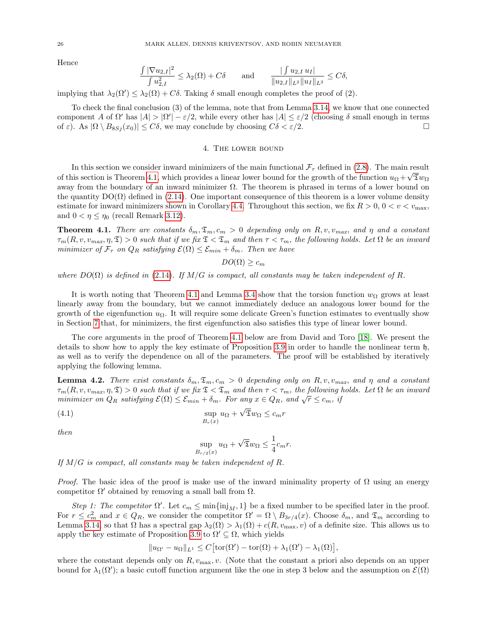Hence

$$
\frac{\int |\nabla u_{2,I}|^2}{\int u_{2,I}^2} \le \lambda_2(\Omega) + C\delta \quad \text{and} \quad \frac{\int u_{2,I} u_I|}{\|u_{2,I}\|_{L^2} \|u_I\|_{L^2}} \le C\delta,
$$

implying that  $\lambda_2(\Omega') \leq \lambda_2(\Omega) + C\delta$ . Taking  $\delta$  small enough completes the proof of (2).

To check the final conclusion (3) of the lemma, note that from Lemma [3.14,](#page-20-0) we know that one connected component A of  $\Omega'$  has  $|A| > |\Omega'| - \varepsilon/2$ , while every other has  $|A| \leq \varepsilon/2$  (choosing  $\delta$  small enough in terms of  $\varepsilon$ ). As  $|\Omega \setminus B_{8Sj}(x_0)| \leq C\delta$ , we may conclude by choosing  $C\delta < \varepsilon/2$ .

### 4. The lower bound

<span id="page-25-0"></span>In this section we consider inward minimizers of the main functional  $\mathcal{F}_{\tau}$  defined in [\(2.8\)](#page-6-2). The main result of this section is Theorem [4.1,](#page-25-1) which provides a linear lower bound for the growth of the function  $u_{\Omega} + \sqrt{\mathfrak{D}w_{\Omega}}$ away from the boundary of an inward minimizer  $\Omega$ . The theorem is phrased in terms of a lower bound on the quantity  $DO(\Omega)$  defined in [\(2.14\)](#page-10-2). One important consequence of this theorem is a lower volume density estimate for inward minimizers shown in Corollary [4.4.](#page-27-0) Throughout this section, we fix  $R > 0, 0 < v < v_{\text{max}}$ , and  $0 < \eta \leq \eta_0$  (recall Remark [3.12\)](#page-19-2).

<span id="page-25-1"></span>**Theorem 4.1.** There are constants  $\delta_m, \mathfrak{T}_m, c_m > 0$  depending only on R, v,  $v_{max}$ , and  $\eta$  and a constant  $\tau_m(R, v, v_{max}, \eta, \mathfrak{T}) > 0$  such that if we fix  $\mathfrak{T} < \mathfrak{T}_m$  and then  $\tau < \tau_m$ , the following holds. Let  $\Omega$  be an inward minimizer of  $\mathcal{F}_{\tau}$  on  $Q_R$  satisfying  $\mathcal{E}(\Omega) \leq \mathcal{E}_{min} + \delta_m$ . Then we have

 $DO(\Omega) \geq c_m$ 

where  $DO(\Omega)$  is defined in [\(2.14\)](#page-10-2). If  $M/G$  is compact, all constants may be taken independent of R.

It is worth noting that Theorem [4.1](#page-25-1) and Lemma [3.4](#page-13-2) show that the torsion function  $w_{\Omega}$  grows at least linearly away from the boundary, but we cannot immediately deduce an analogous lower bound for the growth of the eigenfunction  $u_{\Omega}$ . It will require some delicate Green's function estimates to eventually show in Section [7](#page-35-0) that, for minimizers, the first eigenfunction also satisfies this type of linear lower bound.

The core arguments in the proof of Theorem [4.1](#page-25-1) below are from David and Toro [\[18\]](#page-70-6). We present the details to show how to apply the key estimate of Proposition [3.9](#page-15-0) in order to handle the nonlinear term h, as well as to verify the dependence on all of the parameters. The proof will be established by iteratively applying the following lemma.

<span id="page-25-3"></span>**Lemma 4.2.** There exist constants  $\delta_m, \mathfrak{T}_m, c_m > 0$  depending only on R, v,  $v_{max}$ , and  $\eta$  and a constant  $\tau_m(R, v, v_{max}, \eta, \mathfrak{T}) > 0$  such that if we fix  $\mathfrak{T} < \mathfrak{T}_m$  and then  $\tau < \tau_m$ , the following holds. Let  $\Omega$  be an inward  $\mathcal{F}_{m}(n, v, v_{max}, \eta, \lambda) > 0$  such that if we fix  $\lambda < \lambda_m$  and then  $\gamma < \gamma_m$ , the following minimizer on  $Q_R$  satisfying  $\mathcal{E}(\Omega) \leq \mathcal{E}_{min} + \delta_m$ . For any  $x \in Q_R$ , and  $\sqrt{r} \leq c_m$ , if

(4.1) 
$$
\sup_{B_r(x)} u_{\Omega} + \sqrt{2}w_{\Omega} \leq c_m r
$$

then

<span id="page-25-2"></span>
$$
\sup_{B_{r/2}(x)} u_{\Omega} + \sqrt{\mathfrak{T}} w_{\Omega} \le \frac{1}{4} c_m r.
$$

If  $M/G$  is compact, all constants may be taken independent of R.

*Proof.* The basic idea of the proof is make use of the inward minimality property of  $\Omega$  using an energy competitor  $\Omega'$  obtained by removing a small ball from  $\Omega$ .

Step 1: The competitor  $\Omega'$ . Let  $c_m \leq \min\{\text{inj}_M, 1\}$  be a fixed number to be specified later in the proof. For  $r \leq c_m^2$  and  $x \in Q_R$ , we consider the competitor  $\Omega' = \Omega \setminus B_{3r/4}(x)$ . Choose  $\delta_m$ , and  $\mathfrak{T}_m$  according to Lemma [3.14,](#page-20-0) so that  $\Omega$  has a spectral gap  $\lambda_2(\Omega) > \lambda_1(\Omega) + c(R, v_{\text{max}}, v)$  of a definite size. This allows us to apply the key estimate of Proposition [3.9](#page-15-0) to  $\Omega' \subseteq \Omega$ , which yields

$$
||u_{\Omega'} - u_{\Omega}||_{L^1} \leq C \big[ \text{tor}(\Omega') - \text{tor}(\Omega) + \lambda_1(\Omega') - \lambda_1(\Omega) \big],
$$

where the constant depends only on  $R$ ,  $v_{\text{max}}$ ,  $v$ . (Note that the constant a priori also depends on an upper bound for  $\lambda_1(\Omega')$ ; a basic cutoff function argument like the one in step 3 below and the assumption on  $\mathcal{E}(\Omega)$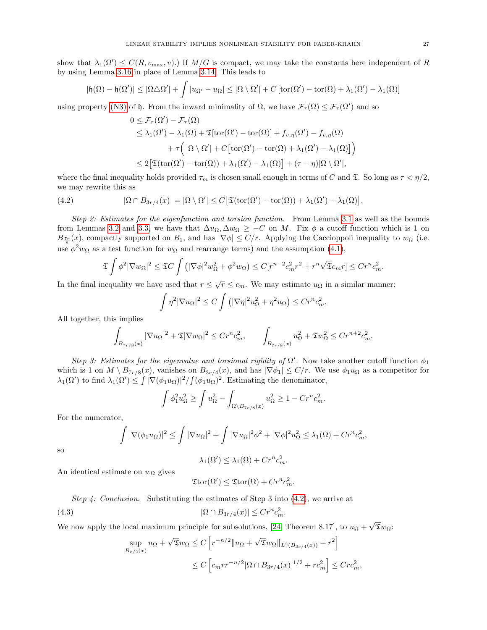show that  $\lambda_1(\Omega') \leq C(R, v_{\text{max}}, v)$ .) If  $M/G$  is compact, we may take the constants here independent of R by using Lemma [3.16](#page-21-1) in place of Lemma [3.14.](#page-20-0) This leads to

$$
|\mathfrak{h}(\Omega) - \mathfrak{h}(\Omega')| \leq |\Omega \triangle \Omega'| + \int |u_{\Omega'} - u_{\Omega}| \leq |\Omega \setminus \Omega'| + C \left[ \text{tor}(\Omega') - \text{tor}(\Omega) + \lambda_1(\Omega') - \lambda_1(\Omega) \right]
$$

using property [\(N3\)](#page-8-6) of h. From the inward minimality of  $\Omega$ , we have  $\mathcal{F}_{\tau}(\Omega) \leq \mathcal{F}_{\tau}(\Omega')$  and so

$$
0 \leq \mathcal{F}_{\tau}(\Omega') - \mathcal{F}_{\tau}(\Omega)
$$
  
\n
$$
\leq \lambda_1(\Omega') - \lambda_1(\Omega) + \mathfrak{T}[\text{tor}(\Omega') - \text{tor}(\Omega)] + f_{v,\eta}(\Omega') - f_{v,\eta}(\Omega)
$$
  
\n
$$
+ \tau \Big( |\Omega \setminus \Omega'| + C [\text{tor}(\Omega') - \text{tor}(\Omega) + \lambda_1(\Omega') - \lambda_1(\Omega)] \Big)
$$
  
\n
$$
\leq 2 [\mathfrak{T}(\text{tor}(\Omega') - \text{tor}(\Omega)) + \lambda_1(\Omega') - \lambda_1(\Omega)] + (\tau - \eta) |\Omega \setminus \Omega'|,
$$

where the final inequality holds provided  $\tau_m$  is chosen small enough in terms of C and  $\mathfrak{X}$ . So long as  $\tau < \eta/2$ , we may rewrite this as

<span id="page-26-0"></span>(4.2) 
$$
|\Omega \cap B_{3r/4}(x)| = |\Omega \setminus \Omega'| \leq C \big[ \mathfrak{T}(\text{tor}(\Omega') - \text{tor}(\Omega)) + \lambda_1(\Omega') - \lambda_1(\Omega) \big].
$$

Step 2: Estimates for the eigenfunction and torsion function. From Lemma [3.1](#page-12-2) as well as the bounds from Lemmas [3.2](#page-12-3) and [3.3,](#page-13-1) we have that  $\Delta u_{\Omega}, \Delta w_{\Omega} \geq -C$  on M. Fix  $\phi$  a cutoff function which is 1 on  $B_{\frac{7r}{8}}(x)$ , compactly supported on  $B_1$ , and has  $|\nabla \phi| \leq C/r$ . Applying the Caccioppoli inequality to  $w_{\Omega}$  (i.e. use  $\phi^2 w_{\Omega}$  as a test function for  $w_{\Omega}$  and rearrange terms) and the assumption [\(4.1\)](#page-25-2),

$$
\mathfrak{T} \int \phi^2 |\nabla w_{\Omega}|^2 \leq \mathfrak{T} C \int \left( |\nabla \phi|^2 w_{\Omega}^2 + \phi^2 w_{\Omega} \right) \leq C [r^{n-2} c_m^2 r^2 + r^n \sqrt{\mathfrak{T}} c_m r] \leq C r^n c_m^2.
$$

In the final inequality we have used that  $r \leq \sqrt{r} \leq c_m$ . We may estimate  $u_{\Omega}$  in a similar manner:

$$
\int \eta^2 |\nabla u_{\Omega}|^2 \le C \int \left( |\nabla \eta|^2 u_{\Omega}^2 + \eta^2 u_{\Omega} \right) \le C r^n c_m^2.
$$

All together, this implies

$$
\int_{B_{7r/8}(x)} |\nabla u_{\Omega}|^2 + \mathfrak{T} |\nabla w_{\Omega}|^2 \leq Cr^n c_m^2, \qquad \int_{B_{7r/8}(x)} u_{\Omega}^2 + \mathfrak{T} w_{\Omega}^2 \leq Cr^{n+2} c_m^2.
$$

Step 3: Estimates for the eigenvalue and torsional rigidity of  $\Omega'$ . Now take another cutoff function  $\phi_1$ which is 1 on  $M \setminus B_{7r/8}(x)$ , vanishes on  $B_{3r/4}(x)$ , and has  $|\nabla \phi_1| \le C/r$ . We use  $\phi_1 u_\Omega$  as a competitor for  $\lambda_1(\Omega')$  to find  $\lambda_1(\Omega') \leq \int |\nabla(\phi_1 u_{\Omega})|^2 / \int (\phi_1 u_{\Omega})^2$ . Estimating the denominator,

$$
\int \phi_1^2 u_\Omega^2 \ge \int u_\Omega^2 - \int_{\Omega \setminus B_{7r/8}(x)} u_\Omega^2 \ge 1 - Cr^n c_m^2.
$$

For the numerator,

$$
\int |\nabla(\phi_1 u_{\Omega})|^2 \le \int |\nabla u_{\Omega}|^2 + \int |\nabla u_{\Omega}|^2 \phi^2 + |\nabla \phi|^2 u_{\Omega}^2 \le \lambda_1(\Omega) + Cr^n c_m^2,
$$

so

$$
\lambda_1(\Omega') \leq \lambda_1(\Omega) + Cr^n c_m^2.
$$

An identical estimate on  $w_{\Omega}$  gives

<span id="page-26-1"></span>
$$
\mathfrak{T}\mathrm{tor}(\Omega') \leq \mathfrak{T}\mathrm{tor}(\Omega) + Cr^n c_m^2.
$$

Step 4: Conclusion. Substituting the estimates of Step 3 into  $(4.2)$ , we arrive at

$$
(4.3) \t\t\t |\Omega \cap B_{3r/4}(x)| \le Cr^n c_m^2.
$$

We now apply the local maximum principle for subsolutions, [\[24,](#page-70-17) Theorem 8.17], to  $u_{\Omega}$  + √  ${\mathfrak Tw}_\Omega$ :

$$
\sup_{B_{r/2}(x)} u_{\Omega} + \sqrt{\mathfrak{T}} w_{\Omega} \le C \left[ r^{-n/2} \| u_{\Omega} + \sqrt{\mathfrak{T}} w_{\Omega} \|_{L^2(B_{3r/4}(x))} + r^2 \right]
$$
  

$$
\le C \left[ c_m r r^{-n/2} |\Omega \cap B_{3r/4}(x)|^{1/2} + r c_m^2 \right] \le C r c_m^2,
$$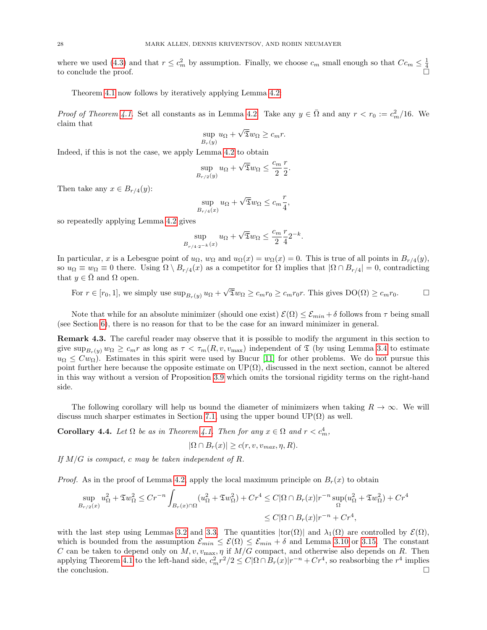where we used [\(4.3\)](#page-26-1) and that  $r \leq c_m^2$  by assumption. Finally, we choose  $c_m$  small enough so that  $Cc_m \leq \frac{1}{4}$  to conclude the proof.

Theorem [4.1](#page-25-1) now follows by iteratively applying Lemma [4.2:](#page-25-3)

*Proof of Theorem [4.1.](#page-25-1)* Set all constants as in Lemma [4.2.](#page-25-3) Take any  $y \in \overline{\Omega}$  and any  $r < r_0 := c_m^2/16$ . We claim that √

$$
\sup_{B_r(y)} u_{\Omega} + \sqrt{\mathfrak{T}} w_{\Omega} \ge c_m r.
$$

Indeed, if this is not the case, we apply Lemma [4.2](#page-25-3) to obtain

$$
\sup_{B_{r/2}(y)} u_{\Omega} + \sqrt{\overline{x}} w_{\Omega} \le \frac{c_m}{2} \frac{r}{2}.
$$

Then take any  $x \in B_{r/4}(y)$ :

$$
\sup_{B_{r/4}(x)} u_{\Omega} + \sqrt{\mathfrak{T}} w_{\Omega} \le c_m \frac{r}{4},
$$

so repeatedly applying Lemma [4.2](#page-25-3) gives

$$
\sup_{B_{r/4 \cdot 2^{-k}}(x)} u_{\Omega} + \sqrt{\mathfrak{T}} w_{\Omega} \le \frac{c_m}{2} \frac{r}{4} 2^{-k}.
$$

In particular, x is a Lebesgue point of  $u_{\Omega}$ ,  $w_{\Omega}$  and  $u_{\Omega}(x) = w_{\Omega}(x) = 0$ . This is true of all points in  $B_{r/4}(y)$ , so  $u_{\Omega} \equiv w_{\Omega} \equiv 0$  there. Using  $\Omega \setminus B_{r/4}(x)$  as a competitor for  $\Omega$  implies that  $|\Omega \cap B_{r/4}| = 0$ , contradicting that  $y \in \overline{\Omega}$  and  $\Omega$  open.

For  $r \in [r_0, 1]$ , we simply use  $\sup_{B_r(y)} u_{\Omega}$  +  $\sqrt{2}w_{\Omega} \geq c_m r_0 \geq c_m r_0 r$ . This gives  $DO(\Omega) \geq c_m r_0$ .  $\Box$ 

Note that while for an absolute minimizer (should one exist)  $\mathcal{E}(\Omega) \leq \mathcal{E}_{min} + \delta$  follows from  $\tau$  being small (see Section [6\)](#page-32-0), there is no reason for that to be the case for an inward minimizer in general.

Remark 4.3. The careful reader may observe that it is possible to modify the argument in this section to give  $\sup_{B_r(y)} w_\Omega \geq c_m r$  as long as  $\tau < \tau_m(R, v, v_{\text{max}})$  independent of  $\mathfrak T$  (by using Lemma [3.4](#page-13-2) to estimate  $u_{\Omega} \leq C w_{\Omega}$ ). Estimates in this spirit were used by Bucur [\[11\]](#page-70-7) for other problems. We do not pursue this point further here because the opposite estimate on  $UP(\Omega)$ , discussed in the next section, cannot be altered in this way without a version of Proposition [3.9](#page-15-0) which omits the torsional rigidity terms on the right-hand side.

The following corollary will help us bound the diameter of minimizers when taking  $R \to \infty$ . We will discuss much sharper estimates in Section [7.1,](#page-35-1) using the upper bound  $UP(\Omega)$  as well.

<span id="page-27-0"></span>**Corollary 4.4.** Let  $\Omega$  be as in Theorem [4.1.](#page-25-1) Then for any  $x \in \Omega$  and  $r < c_m^4$ ,

$$
|\Omega \cap B_r(x)| \ge c(r, v, v_{max}, \eta, R).
$$

If  $M/G$  is compact, c may be taken independent of R.

*Proof.* As in the proof of Lemma [4.2,](#page-25-3) apply the local maximum principle on  $B_r(x)$  to obtain

$$
\sup_{B_{r/2}(x)} u_{\Omega}^2 + \mathfrak{T}w_{\Omega}^2 \le Cr^{-n} \int_{B_r(x)\cap\Omega} (u_{\Omega}^2 + \mathfrak{T}w_{\Omega}^2) + Cr^4 \le C|\Omega \cap B_r(x)|r^{-n} \sup_{\Omega} (u_{\Omega}^2 + \mathfrak{T}w_{\Omega}^2) + Cr^4
$$
  

$$
\le C|\Omega \cap B_r(x)|r^{-n} + Cr^4,
$$

with the last step using Lemmas [3.2](#page-12-3) and [3.3.](#page-13-1) The quantities  $|tor(\Omega)|$  and  $\lambda_1(\Omega)$  are controlled by  $\mathcal{E}(\Omega)$ , which is bounded from the assumption  $\mathcal{E}_{min} \leq \mathcal{E}(\Omega) \leq \mathcal{E}_{min} + \delta$  and Lemma [3.10](#page-16-0) or [3.15.](#page-21-3) The constant C can be taken to depend only on  $M, v, v_{\text{max}}, \eta$  if  $M/G$  compact, and otherwise also depends on R. Then applying Theorem [4.1](#page-25-1) to the left-hand side,  $c_m^2 r^2/2 \le C |\Omega \cap B_r(x)| r^{-n} + Cr^4$ , so reabsorbing the  $r^4$  implies the conclusion.  $\Box$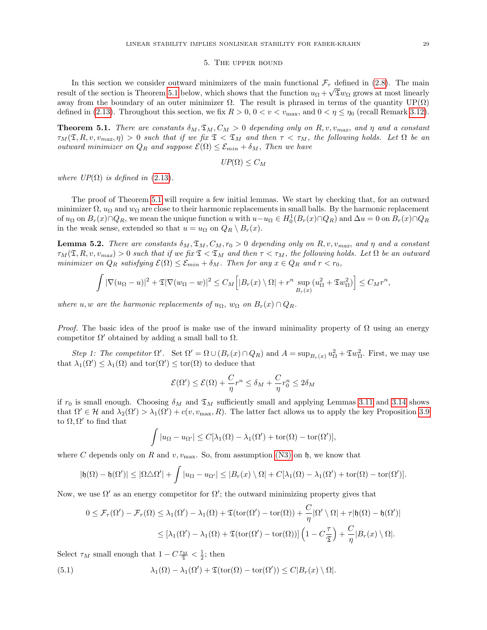#### 5. The upper bound

<span id="page-28-0"></span>In this section we consider outward minimizers of the main functional  $\mathcal{F}_{\tau}$  defined in [\(2.8\)](#page-6-2). The main result of the section is Theorem [5.1](#page-28-1) below, which shows that the function  $u_{\Omega} + \sqrt{\mathfrak{D}}w_{\Omega}$  grows at most linearly away from the boundary of an outer minimizer  $\Omega$ . The result is phrased in terms of the quantity  $UP(\Omega)$ defined in [\(2.13\)](#page-10-3). Throughout this section, we fix  $R > 0$ ,  $0 < v < v_{\text{max}}$ , and  $0 < \eta \leq \eta_0$  (recall Remark [3.12\)](#page-19-2).

<span id="page-28-1"></span>**Theorem 5.1.** There are constants  $\delta_M$ ,  $\mathfrak{T}_M$ ,  $C_M > 0$  depending only on R, v, v<sub>max</sub>, and  $\eta$  and a constant  $\tau_M(\mathfrak{T}, R, v, v_{max}, \eta) > 0$  such that if we fix  $\mathfrak{T} < \mathfrak{T}_M$  and then  $\tau < \tau_M$ , the following holds. Let  $\Omega$  be an outward minimizer on  $Q_R$  and suppose  $\mathcal{E}(\Omega) \leq \mathcal{E}_{min} + \delta_M$ , Then we have

$$
UP(\Omega) \leq C_M
$$

where  $UP(\Omega)$  is defined in [\(2.13\)](#page-10-3).

The proof of Theorem [5.1](#page-28-1) will require a few initial lemmas. We start by checking that, for an outward minimizer  $\Omega$ ,  $u_{\Omega}$  and  $w_{\Omega}$  are close to their harmonic replacements in small balls. By the harmonic replacement of  $u_{\Omega}$  on  $B_r(x) \cap Q_R$ , we mean the unique function u with  $u-u_{\Omega} \in H_0^1(B_r(x) \cap Q_R)$  and  $\Delta u = 0$  on  $B_r(x) \cap Q_R$ in the weak sense, extended so that  $u = u_{\Omega}$  on  $Q_R \setminus B_r(x)$ .

<span id="page-28-3"></span>**Lemma 5.2.** There are constants  $\delta_M$ ,  $\mathfrak{T}_M$ ,  $C_M$ ,  $r_0 > 0$  depending only on R, v,  $v_{max}$ , and  $\eta$  and a constant  $\tau_M(\mathfrak{T}, R, v, v_{max}) > 0$  such that if we fix  $\mathfrak{T} < \mathfrak{T}_M$  and then  $\tau < \tau_M$ , the following holds. Let  $\Omega$  be an outward minimizer on  $Q_R$  satisfying  $\mathcal{E}(\Omega) \leq \mathcal{E}_{min} + \delta_M$ . Then for any  $x \in Q_R$  and  $r < r_0$ ,

$$
\int |\nabla(u_{\Omega}-u)|^2 + \mathfrak{T}|\nabla(w_{\Omega}-w)|^2 \leq C_M \Big[|B_r(x)\setminus\Omega| + r^n \sup_{B_r(x)}(u_{\Omega}^2 + \mathfrak{T}w_{\Omega}^2)\Big] \leq C_M r^n,
$$

where u, w are the harmonic replacements of  $u_{\Omega}$ ,  $w_{\Omega}$  on  $B_r(x) \cap Q_R$ .

*Proof.* The basic idea of the proof is make use of the inward minimality property of  $\Omega$  using an energy competitor  $\Omega'$  obtained by adding a small ball to  $\Omega$ .

Step 1: The competitor  $\Omega'$ . Set  $\Omega' = \Omega \cup (B_r(x) \cap Q_R)$  and  $A = \sup_{B_r(x)} u_{\Omega}^2 + \mathfrak{T}w_{\Omega}^2$ . First, we may use that  $\lambda_1(\Omega') \leq \lambda_1(\Omega)$  and  $\text{tor}(\Omega') \leq \text{tor}(\Omega)$  to deduce that

$$
\mathcal{E}(\Omega') \le \mathcal{E}(\Omega) + \frac{C}{\eta}r^n \le \delta_M + \frac{C}{\eta}r_0^n \le 2\delta_M
$$

if  $r_0$  is small enough. Choosing  $\delta_M$  and  $\mathfrak{T}_M$  sufficiently small and applying Lemmas [3.11](#page-19-1) and [3.14](#page-20-0) shows that  $\Omega' \in \mathcal{H}$  and  $\lambda_2(\Omega') > \lambda_1(\Omega') + c(v, v_{\text{max}}, R)$ . The latter fact allows us to apply the key Proposition [3.9](#page-15-0) to  $\Omega, \Omega'$  to find that

$$
\int |u_{\Omega} - u_{\Omega'}| \le C[\lambda_1(\Omega) - \lambda_1(\Omega') + \text{tor}(\Omega) - \text{tor}(\Omega')],
$$

where C depends only on R and  $v, v_{\text{max}}$ . So, from assumption [\(N3\)](#page-8-6) on h, we know that

$$
|\mathfrak{h}(\Omega)-\mathfrak{h}(\Omega')|\leq |\Omega\triangle\Omega'|+\int |u_{\Omega}-u_{\Omega'}|\leq |B_r(x)\setminus\Omega|+C[\lambda_1(\Omega)-\lambda_1(\Omega')+\text{tor}(\Omega)-\text{tor}(\Omega')].
$$

Now, we use  $\Omega'$  as an energy competitor for  $\Omega'$ ; the outward minimizing property gives that

<span id="page-28-2"></span>
$$
0 \leq \mathcal{F}_{\tau}(\Omega') - \mathcal{F}_{\tau}(\Omega) \leq \lambda_1(\Omega') - \lambda_1(\Omega) + \mathfrak{T}(\text{tor}(\Omega') - \text{tor}(\Omega)) + \frac{C}{\eta}|\Omega' \setminus \Omega| + \tau|\mathfrak{h}(\Omega) - \mathfrak{h}(\Omega')|
$$
  

$$
\leq [\lambda_1(\Omega') - \lambda_1(\Omega) + \mathfrak{T}(\text{tor}(\Omega') - \text{tor}(\Omega))] \left(1 - C\frac{\tau}{\mathfrak{T}}\right) + \frac{C}{\eta}|B_r(x) \setminus \Omega|.
$$

Select  $\tau_M$  small enough that  $1 - C \frac{\tau_M}{\mathfrak{T}} < \frac{1}{2}$ ; then

(5.1) 
$$
\lambda_1(\Omega) - \lambda_1(\Omega') + \mathfrak{T}(\text{tor}(\Omega) - \text{tor}(\Omega')) \leq C|B_r(x) \setminus \Omega|.
$$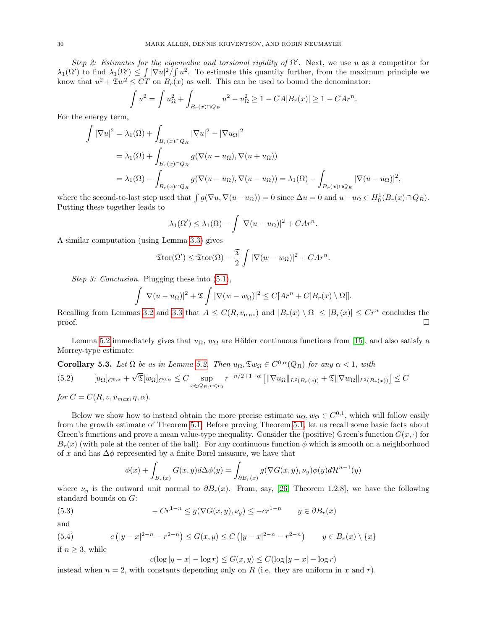Step 2: Estimates for the eigenvalue and torsional rigidity of  $\Omega'$ . Next, we use u as a competitor for  $\lambda_1(\Omega')$  to find  $\lambda_1(\Omega') \leq \int |\nabla u|^2 / \int u^2$ . To estimate this quantity further, from the maximum principle we know that  $u^2 + \mathfrak{T}w^2 \leq C T$  on  $B_r(x)$  as well. This can be used to bound the denominator:

$$
\int u^2 = \int u_{\Omega}^2 + \int_{B_r(x) \cap Q_R} u^2 - u_{\Omega}^2 \ge 1 - CA|B_r(x)| \ge 1 - CAr^n.
$$

For the energy term,

$$
\int |\nabla u|^2 = \lambda_1(\Omega) + \int_{B_r(x)\cap Q_R} |\nabla u|^2 - |\nabla u_\Omega|^2
$$
  
=  $\lambda_1(\Omega) + \int_{B_r(x)\cap Q_R} g(\nabla(u - u_\Omega), \nabla(u + u_\Omega))$   
=  $\lambda_1(\Omega) - \int_{B_r(x)\cap Q_R} g(\nabla(u - u_\Omega), \nabla(u - u_\Omega)) = \lambda_1(\Omega) - \int_{B_r(x)\cap Q_R} |\nabla(u - u_\Omega)|^2$ ,

where the second-to-last step used that  $\int g(\nabla u, \nabla (u - u_{\Omega})) = 0$  since  $\Delta u = 0$  and  $u - u_{\Omega} \in H_0^1(B_r(x) \cap Q_R)$ . Putting these together leads to

$$
\lambda_1(\Omega') \leq \lambda_1(\Omega) - \int |\nabla(u - u_{\Omega})|^2 + C A r^n.
$$

A similar computation (using Lemma [3.3\)](#page-13-1) gives

$$
\mathfrak{T}\mathrm{tor}(\Omega') \leq \mathfrak{T}\mathrm{tor}(\Omega) - \frac{\mathfrak{T}}{2} \int |\nabla(w - w_{\Omega})|^2 + C A r^n.
$$

Step 3: Conclusion. Plugging these into  $(5.1)$ ,

$$
\int |\nabla(u - u_{\Omega})|^2 + \mathfrak{T} \int |\nabla(w - w_{\Omega})|^2 \leq C[Ar^n + C|B_r(x) \setminus \Omega|].
$$

Recalling from Lemmas [3.2](#page-12-3) and [3.3](#page-13-1) that  $A \leq C(R, v_{\text{max}})$  and  $|B_r(x) \setminus \Omega| \leq |B_r(x)| \leq Cr^n$  concludes the  $\Box$ 

Lemma [5.2](#page-28-3) immediately gives that  $u_{\Omega}$ ,  $w_{\Omega}$  are Hölder continuous functions from [\[15\]](#page-70-21), and also satisfy a Morrey-type estimate:

<span id="page-29-3"></span>**Corollary 5.3.** Let  $\Omega$  be as in Lemma [5.2.](#page-28-3) Then  $u_{\Omega}, \mathfrak{T}w_{\Omega} \in C^{0,\alpha}(Q_R)$  for any  $\alpha < 1$ , with

<span id="page-29-0"></span>
$$
(5.2) \qquad [u_{\Omega}]_{C^{0,\alpha}} + \sqrt{\mathfrak{T}}[w_{\Omega}]_{C^{0,\alpha}} \leq C \sup_{x \in Q_R, r < r_0} r^{-n/2 + 1 - \alpha} \left[ \|\nabla u_{\Omega}\|_{L^2(B_r(x))} + \mathfrak{T}\|\nabla w_{\Omega}\|_{L^2(B_r(x))} \right] \leq C
$$

for  $C = C(R, v, v_{max}, \eta, \alpha)$ .

Below we show how to instead obtain the more precise estimate  $u_{\Omega}, w_{\Omega} \in C^{0,1}$ , which will follow easily from the growth estimate of Theorem [5.1.](#page-28-1) Before proving Theorem [5.1,](#page-28-1) let us recall some basic facts about Green's functions and prove a mean value-type inequality. Consider the (positive) Green's function  $G(x, \cdot)$  for  $B_r(x)$  (with pole at the center of the ball). For any continuous function  $\phi$  which is smooth on a neighborhood of x and has  $\Delta \phi$  represented by a finite Borel measure, we have that

<span id="page-29-2"></span>
$$
\phi(x) + \int_{B_r(x)} G(x, y) d\Delta \phi(y) = \int_{\partial B_r(x)} g(\nabla G(x, y), \nu_y) \phi(y) d\mathcal{H}^{n-1}(y)
$$

where  $\nu_y$  is the outward unit normal to  $\partial B_r(x)$ . From, say, [\[26,](#page-70-22) Theorem 1.2.8], we have the following standard bounds on G:

(5.3) 
$$
-Cr^{1-n} \le g(\nabla G(x,y),\nu_y) \le -cr^{1-n} \qquad y \in \partial B_r(x)
$$

and

(5.4) 
$$
c(|y-x|^{2-n} - r^{2-n}) \le G(x,y) \le C(|y-x|^{2-n} - r^{2-n}) \qquad y \in B_r(x) \setminus \{x\}
$$
if  $n \ge 3$ , while

<span id="page-29-1"></span>
$$
c(\log|y-x| - \log r) \le G(x, y) \le C(\log|y-x| - \log r)
$$

instead when  $n = 2$ , with constants depending only on R (i.e. they are uniform in x and r).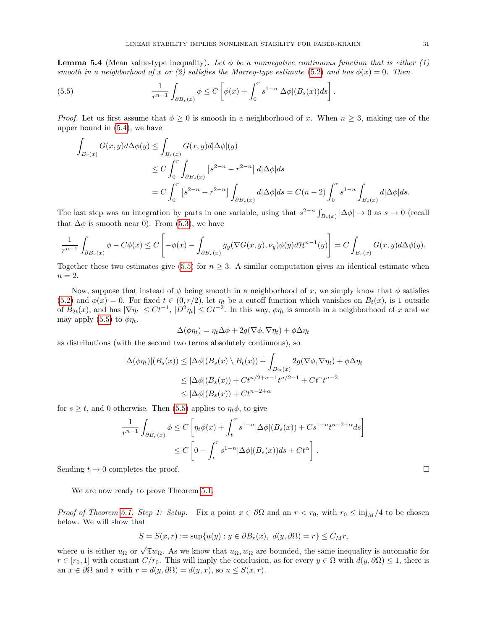<span id="page-30-1"></span>**Lemma 5.4** (Mean value-type inequality). Let  $\phi$  be a nonnegative continuous function that is either (1) smooth in a neighborhood of x or (2) satisfies the Morrey-type estimate [\(5.2\)](#page-29-0) and has  $\phi(x) = 0$ . Then

(5.5) 
$$
\frac{1}{r^{n-1}} \int_{\partial B_r(x)} \phi \leq C \left[ \phi(x) + \int_0^r s^{1-n} |\Delta \phi| (B_s(x)) ds \right].
$$

*Proof.* Let us first assume that  $\phi \geq 0$  is smooth in a neighborhood of x. When  $n \geq 3$ , making use of the upper bound in [\(5.4\)](#page-29-1), we have

<span id="page-30-0"></span>
$$
\int_{B_r(x)} G(x, y) d\Delta \phi(y) \le \int_{B_r(x)} G(x, y) d|\Delta \phi|(y)
$$
\n
$$
\le C \int_0^r \int_{\partial B_s(x)} \left[ s^{2-n} - r^{2-n} \right] d|\Delta \phi| ds
$$
\n
$$
= C \int_0^r \left[ s^{2-n} - r^{2-n} \right] \int_{\partial B_s(x)} d|\Delta \phi| ds = C(n-2) \int_0^r s^{1-n} \int_{B_s(x)} d|\Delta \phi| ds.
$$

The last step was an integration by parts in one variable, using that  $s^{2-n} \int_{B_s(x)} |\Delta \phi| \to 0$  as  $s \to 0$  (recall that  $\Delta \phi$  is smooth near 0). From [\(5.3\)](#page-29-2), we have

$$
\frac{1}{r^{n-1}}\int_{\partial B_r(x)} \phi - C\phi(x) \le C \left[ -\phi(x) - \int_{\partial B_r(x)} g_y(\nabla G(x,y), \nu_y)\phi(y) d\mathcal{H}^{n-1}(y) \right] = C \int_{B_r(x)} G(x,y) d\Delta \phi(y).
$$

Together these two estimates give [\(5.5\)](#page-30-0) for  $n \geq 3$ . A similar computation gives an identical estimate when  $n=2$ .

Now, suppose that instead of  $\phi$  being smooth in a neighborhood of x, we simply know that  $\phi$  satisfies [\(5.2\)](#page-29-0) and  $\phi(x) = 0$ . For fixed  $t \in (0, r/2)$ , let  $\eta_t$  be a cutoff function which vanishes on  $B_t(x)$ , is 1 outside of  $B_{2t}(x)$ , and has  $|\nabla \eta_t| \leq C t^{-1}$ ,  $|D^2 \eta_t| \leq C t^{-2}$ . In this way,  $\phi \eta_t$  is smooth in a neighborhood of x and we may apply [\(5.5\)](#page-30-0) to  $\phi \eta_t$ .

$$
\Delta(\phi \eta_t) = \eta_t \Delta \phi + 2g(\nabla \phi, \nabla \eta_t) + \phi \Delta \eta_t
$$

as distributions (with the second two terms absolutely continuous), so

$$
|\Delta(\phi \eta_t)|(B_s(x)) \le |\Delta \phi|(B_s(x) \setminus B_t(x)) + \int_{B_{2t}(x)} 2g(\nabla \phi, \nabla \eta_t) + \phi \Delta \eta_t
$$
  
\n
$$
\le |\Delta \phi|(B_s(x)) + Ct^{n/2 + \alpha - 1}t^{n/2 - 1} + Ct^{\alpha}t^{n-2}
$$
  
\n
$$
\le |\Delta \phi|(B_s(x)) + Ct^{n-2 + \alpha}
$$

for  $s \geq t$ , and 0 otherwise. Then [\(5.5\)](#page-30-0) applies to  $\eta_t \phi$ , to give

$$
\frac{1}{r^{n-1}} \int_{\partial B_r(x)} \phi \le C \left[ \eta_t \phi(x) + \int_t^r s^{1-n} |\Delta \phi| (B_s(x)) + Cs^{1-n} t^{n-2+\alpha} ds \right]
$$
  

$$
\le C \left[ 0 + \int_t^r s^{1-n} |\Delta \phi| (B_s(x)) ds + Ct^{\alpha} \right].
$$

Sending  $t \to 0$  completes the proof.

We are now ready to prove Theorem [5.1.](#page-28-1)

*Proof of Theorem [5.1.](#page-28-1) Step 1: Setup.* Fix a point  $x \in \partial\Omega$  and an  $r < r_0$ , with  $r_0 \le \text{inj}_M/4$  to be chosen below. We will show that

$$
S = S(x, r) := \sup\{u(y) : y \in \partial B_r(x), d(y, \partial \Omega) = r\} \le C_M r,
$$

where u is either  $u_{\Omega}$  or  $\sqrt{\overline{\mathfrak{X}}}w_{\Omega}$ . As we know that  $u_{\Omega}, w_{\Omega}$  are bounded, the same inequality is automatic for  $r \in [r_0, 1]$  with constant  $C/r_0$ . This will imply the conclusion, as for every  $y \in \Omega$  with  $d(y, \partial \Omega) \leq 1$ , there is an  $x \in \partial \Omega$  and r with  $r = d(y, \partial \Omega) = d(y, x)$ , so  $u \leq S(x, r)$ .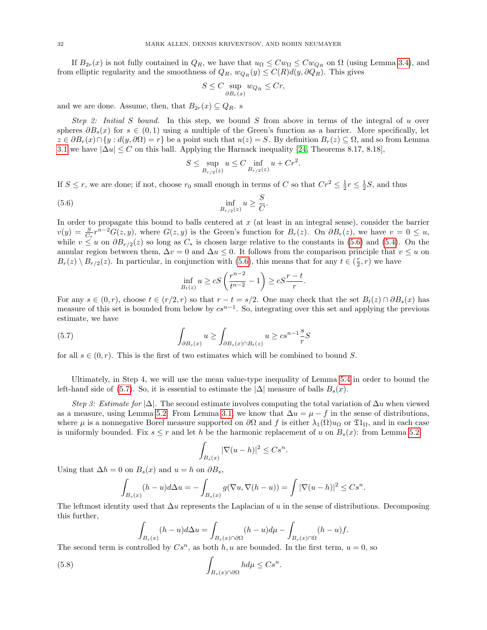If  $B_{2r}(x)$  is not fully contained in  $Q_R$ , we have that  $u_{\Omega} \leq C w_{\Omega} \leq C w_{Q_R}$  on  $\Omega$  (using Lemma [3.4\)](#page-13-2), and from elliptic regularity and the smoothness of  $Q_R$ ,  $w_{Q_R}(y) \leq C(R)d(y, \partial Q_R)$ . This gives

$$
S \le C \sup_{\partial B_r(x)} w_{Q_R} \le Cr,
$$

and we are done. Assume, then, that  $B_{2r}(x) \subseteq Q_R$ . s

Step 2: Initial S bound. In this step, we bound S from above in terms of the integral of u over spheres  $\partial B_s(x)$  for  $s \in (0,1)$  using a multiple of the Green's function as a barrier. More specifically, let  $z \in \partial B_r(x) \cap \{y : d(y, \partial \Omega) = r\}$  be a point such that  $u(z) = S$ . By definition  $B_r(z) \subseteq \Omega$ , and so from Lemma [3.1](#page-12-2) we have  $|\Delta u| \leq C$  on this ball. Applying the Harnack inequality [\[24,](#page-70-17) Theorems 8.17, 8.18],

<span id="page-31-0"></span>
$$
S \le \sup_{B_{r/2}(z)} u \le C \inf_{B_{r/2}(z)} u + Cr^2.
$$

If  $S \leq r$ , we are done; if not, choose  $r_0$  small enough in terms of C so that  $Cr^2 \leq \frac{1}{2}r \leq \frac{1}{2}S$ , and thus

$$
\inf_{B_{r/2}(z)} u \ge \frac{S}{C}.
$$

In order to propagate this bound to balls centered at  $x$  (at least in an integral sense), consider the barrier  $v(y) = \frac{S}{C_*} r^{n-2} G(z, y)$ , where  $G(z, y)$  is the Green's function for  $B_r(z)$ . On  $\partial B_r(z)$ , we have  $v = 0 \le u$ , while  $v \leq u$  on  $\partial B_{r/2}(z)$  so long as  $C_*$  is chosen large relative to the constants in [\(5.6\)](#page-31-0) and [\(5.4\)](#page-29-1). On the annular region between them,  $\Delta v = 0$  and  $\Delta u \leq 0$ . It follows from the comparison principle that  $v \leq u$  on  $B_r(z) \setminus B_{r/2}(z)$ . In particular, in conjunction with [\(5.6\)](#page-31-0), this means that for any  $t \in (\frac{r}{2}, r)$  we have

<span id="page-31-1"></span>
$$
\inf_{B_t(z)} u \ge cS\left(\frac{r^{n-2}}{t^{n-2}} - 1\right) \ge cS\frac{r-t}{r}.
$$

For any  $s \in (0, r)$ , choose  $t \in (r/2, r)$  so that  $r - t = s/2$ . One may check that the set  $B_t(z) \cap \partial B_s(x)$  has measure of this set is bounded from below by  $cs^{n-1}$ . So, integrating over this set and applying the previous estimate, we have

(5.7) 
$$
\int_{\partial B_s(x)} u \ge \int_{\partial B_s(x) \cap B_t(z)} u \ge cs^{n-1}\frac{s}{r}S
$$

for all  $s \in (0, r)$ . This is the first of two estimates which will be combined to bound S.

Ultimately, in Step 4, we will use the mean value-type inequality of Lemma [5.4](#page-30-1) in order to bound the left-hand side of [\(5.7\)](#page-31-1). So, it is essential to estimate the  $|\Delta|$  measure of balls  $B_s(x)$ .

Step 3: Estimate for  $|\Delta|$ . The second estimate involves computing the total variation of  $\Delta u$  when viewed as a measure, using Lemma [5.2.](#page-28-3) From Lemma [3.1,](#page-12-2) we know that  $\Delta u = \mu - f$  in the sense of distributions, where  $\mu$  is a nonnegative Borel measure supported on  $\partial\Omega$  and f is either  $\lambda_1(\Omega)u_{\Omega}$  or  $\mathfrak{I}_\Omega$ , and in each case is uniformly bounded. Fix  $s \leq r$  and let h be the harmonic replacement of u on  $B_s(x)$ : from Lemma [5.2,](#page-28-3)

$$
\int_{B_s(x)} |\nabla(u-h)|^2 \leq Cs^n
$$

.

<span id="page-31-2"></span>.

Using that  $\Delta h = 0$  on  $B_s(x)$  and  $u = h$  on  $\partial B_s$ ,

$$
\int_{B_s(x)} (h-u)d\Delta u = -\int_{B_s(x)} g(\nabla u, \nabla (h-u)) = \int |\nabla (u-h)|^2 \leq Cs^n.
$$

The leftmost identity used that  $\Delta u$  represents the Laplacian of u in the sense of distributions. Decomposing this further,

$$
\int_{B_s(x)} (h-u)d\Delta u = \int_{B_s(x)\cap\partial\Omega} (h-u)d\mu - \int_{B_s(x)\cap\Omega} (h-u)f.
$$

The second term is controlled by  $Cs^n$ , as both h, u are bounded. In the first term,  $u = 0$ , so

(5.8) 
$$
\int_{B_s(x)\cap\partial\Omega} h d\mu \leq Cs^n
$$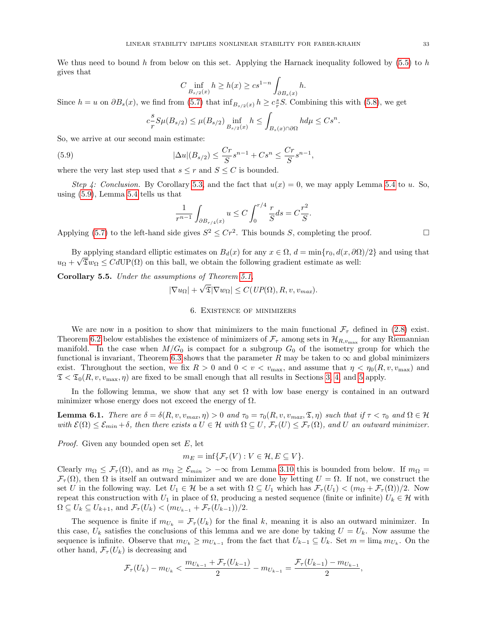We thus need to bound h from below on this set. Applying the Harnack inequality followed by  $(5.5)$  to h gives that

$$
C \inf_{B_{s/2}(x)} h \ge h(x) \ge c s^{1-n} \int_{\partial B_s(x)} h.
$$

Since  $h = u$  on  $\partial B_s(x)$ , we find from [\(5.7\)](#page-31-1) that  $\inf_{B_{s/2}(x)} h \ge c_r^s S$ . Combining this with [\(5.8\)](#page-31-2), we get

<span id="page-32-1"></span>
$$
c_{\overline{r}}^{s} S\mu(B_{s/2}) \leq \mu(B_{s/2}) \inf_{B_{s/2}(x)} h \leq \int_{B_{s}(x)\cap\partial\Omega} h d\mu \leq Cs^{n}.
$$

So, we arrive at our second main estimate:

(5.9) 
$$
|\Delta u|(B_{s/2}) \leq \frac{Cr}{S} s^{n-1} + Cs^n \leq \frac{Cr}{S} s^{n-1},
$$

where the very last step used that  $s \leq r$  and  $S \leq C$  is bounded.

Step 4: Conclusion. By Corollary [5.3,](#page-29-3) and the fact that  $u(x) = 0$ , we may apply Lemma [5.4](#page-30-1) to u. So, using [\(5.9\)](#page-32-1), Lemma [5.4](#page-30-1) tells us that

$$
\frac{1}{r^{n-1}} \int_{\partial B_{r/4}(x)} u \le C \int_0^{r/4} \frac{r}{S} ds = C \frac{r^2}{S}.
$$

Applying [\(5.7\)](#page-31-1) to the left-hand side gives  $S^2 \leq Cr^2$ . This bounds S, completing the proof.

By applying standard elliptic estimates on  $B_d(x)$  for any  $x \in \Omega$ ,  $d = \min\{r_0, d(x, \partial \Omega)/2\}$  and using that  $u_{\Omega} + \sqrt{\mathfrak{D}}w_{\Omega} \leq CdUP(\Omega)$  on this ball, we obtain the following gradient estimate as well:

<span id="page-32-3"></span>**Corollary 5.5.** Under the assumptions of Theorem [5.1,](#page-28-1)

$$
|\nabla u_{\Omega}| + \sqrt{\mathfrak{T}} |\nabla w_{\Omega}| \le C(\text{UP}(\Omega), R, v, v_{\text{max}}).
$$

## 6. Existence of minimizers

<span id="page-32-0"></span>We are now in a position to show that minimizers to the main functional  $\mathcal{F}_{\tau}$  defined in [\(2.8\)](#page-6-2) exist. Theorem [6.2](#page-33-0) below establishes the existence of minimizers of  $\mathcal{F}_{\tau}$  among sets in  $\mathcal{H}_{R,v_{\max}}$  for any Riemannian manifold. In the case when  $M/G_0$  is compact for a subgroup  $G_0$  of the isometry group for which the functional is invariant, Theorem [6.3](#page-34-0) shows that the parameter R may be taken to  $\infty$  and global minimizers exist. Throughout the section, we fix  $R > 0$  and  $0 < v < v_{\text{max}}$ , and assume that  $\eta < \eta_0(R, v, v_{\text{max}})$  and  $\mathfrak{T} < \mathfrak{T}_0(R, v, v_{\text{max}}, \eta)$  are fixed to be small enough that all results in Sections [3,](#page-12-0) [4,](#page-25-0) and [5](#page-28-0) apply.

In the following lemma, we show that any set  $\Omega$  with low base energy is contained in an outward minimizer whose energy does not exceed the energy of  $\Omega$ .

<span id="page-32-2"></span>**Lemma 6.1.** There are  $\delta = \delta(R, v, v_{max}, \eta) > 0$  and  $\tau_0 = \tau_0(R, v, v_{max}, \mathfrak{T}, \eta)$  such that if  $\tau < \tau_0$  and  $\Omega \in \mathcal{H}$ with  $\mathcal{E}(\Omega) \leq \mathcal{E}_{min} + \delta$ , then there exists a  $U \in \mathcal{H}$  with  $\Omega \subseteq U$ ,  $\mathcal{F}_{\tau}(U) \leq \mathcal{F}_{\tau}(\Omega)$ , and U an outward minimizer.

Proof. Given any bounded open set E, let

$$
m_E = \inf \{ \mathcal{F}_{\tau}(V) : V \in \mathcal{H}, E \subseteq V \}.
$$

Clearly  $m_{\Omega} \leq \mathcal{F}_{\tau}(\Omega)$ , and as  $m_{\Omega} \geq \mathcal{E}_{min} > -\infty$  from Lemma [3.10](#page-16-0) this is bounded from below. If  $m_{\Omega} =$  $\mathcal{F}_{\tau}(\Omega)$ , then  $\Omega$  is itself an outward minimizer and we are done by letting  $U = \Omega$ . If not, we construct the set U in the following way. Let  $U_1 \in \mathcal{H}$  be a set with  $\Omega \subseteq U_1$  which has  $\mathcal{F}_{\tau}(U_1) < (m_{\Omega} + \mathcal{F}_{\tau}(\Omega))/2$ . Now repeat this construction with  $U_1$  in place of  $\Omega$ , producing a nested sequence (finite or infinite)  $U_k \in \mathcal{H}$  with  $\Omega \subseteq U_k \subseteq U_{k+1}$ , and  $\mathcal{F}_{\tau}(U_k) < (m_{U_{k-1}} + \mathcal{F}_{\tau}(U_{k-1}))/2$ .

The sequence is finite if  $m_{U_k} = \mathcal{F}_{\tau}(U_k)$  for the final k, meaning it is also an outward minimizer. In this case,  $U_k$  satisfies the conclusions of this lemma and we are done by taking  $U = U_k$ . Now assume the sequence is infinite. Observe that  $m_{U_k} \ge m_{U_{k-1}}$  from the fact that  $U_{k-1} \subseteq U_k$ . Set  $m = \lim_k m_{U_k}$ . On the other hand,  $\mathcal{F}_{\tau}(U_k)$  is decreasing and

$$
\mathcal{F}_{\tau}(U_k) - m_{U_k} < \frac{m_{U_{k-1}} + \mathcal{F}_{\tau}(U_{k-1})}{2} - m_{U_{k-1}} = \frac{\mathcal{F}_{\tau}(U_{k-1}) - m_{U_{k-1}}}{2},
$$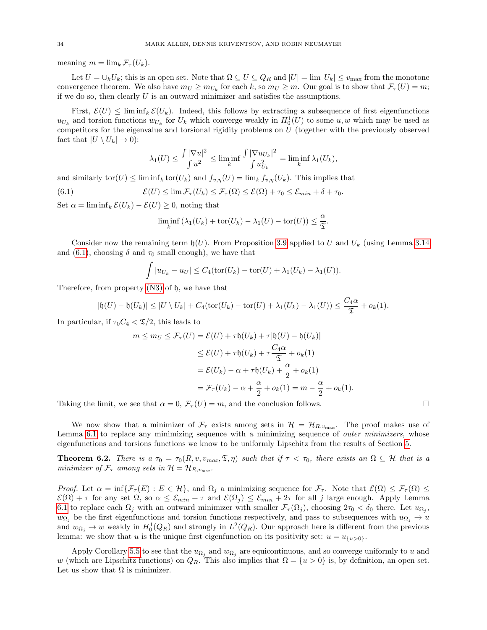meaning  $m = \lim_{k} \mathcal{F}_{\tau}(U_{k}).$ 

Let  $U = \bigcup_k U_k$ ; this is an open set. Note that  $\Omega \subseteq U \subseteq Q_R$  and  $|U| = \lim |U_k| \le v_{\max}$  from the monotone convergence theorem. We also have  $m_U \ge m_{U_k}$  for each k, so  $m_U \ge m$ . Our goal is to show that  $\mathcal{F}_{\tau}(U) = m$ ; if we do so, then clearly  $U$  is an outward minimizer and satisfies the assumptions.

First,  $\mathcal{E}(U) \leq \liminf_k \mathcal{E}(U_k)$ . Indeed, this follows by extracting a subsequence of first eigenfunctions  $u_{U_k}$  and torsion functions  $w_{U_k}$  for  $U_k$  which converge weakly in  $H_0^1(U)$  to some  $u, w$  which may be used as competitors for the eigenvalue and torsional rigidity problems on U (together with the previously observed fact that  $|U \setminus U_k| \to 0$ :

$$
\lambda_1(U) \le \frac{\int |\nabla u|^2}{\int u^2} \le \liminf_k \frac{\int |\nabla u_{U_k}|^2}{\int u_{U_k}^2} = \liminf_k \lambda_1(U_k),
$$

and similarly tor $(U) \leq \liminf_k \text{tor}(U_k)$  and  $f_{v,\eta}(U) = \lim_k f_{v,\eta}(U_k)$ . This implies that

(6.1) 
$$
\mathcal{E}(U) \leq \lim \mathcal{F}_{\tau}(U_k) \leq \mathcal{F}_{\tau}(\Omega) \leq \mathcal{E}(\Omega) + \tau_0 \leq \mathcal{E}_{min} + \delta + \tau_0.
$$

Set  $\alpha = \liminf_k \mathcal{E}(U_k) - \mathcal{E}(U) \geq 0$ , noting that

<span id="page-33-1"></span>
$$
\liminf_{k} (\lambda_1(U_k) + \text{tor}(U_k) - \lambda_1(U) - \text{tor}(U)) \le \frac{\alpha}{2}.
$$

Consider now the remaining term  $\mathfrak{h}(U)$ . From Proposition [3.9](#page-15-0) applied to U and  $U_k$  (using Lemma [3.14](#page-20-0)) and [\(6.1\)](#page-33-1), choosing  $\delta$  and  $\tau_0$  small enough), we have that

$$
\int |u_{U_k}-u_U| \leq C_4(\text{tor}(U_k)-\text{tor}(U)+\lambda_1(U_k)-\lambda_1(U)).
$$

Therefore, from property [\(N3\)](#page-8-6) of h, we have that

$$
|\mathfrak{h}(U) - \mathfrak{h}(U_k)| \leq |U \setminus U_k| + C_4(\text{tor}(U_k) - \text{tor}(U) + \lambda_1(U_k) - \lambda_1(U)) \leq \frac{C_4\alpha}{\mathfrak{T}} + o_k(1).
$$

In particular, if  $\tau_0 C_4 < \mathcal{I}/2$ , this leads to

$$
m \le m_U \le \mathcal{F}_{\tau}(U) = \mathcal{E}(U) + \tau \mathfrak{h}(U_k) + \tau |\mathfrak{h}(U) - \mathfrak{h}(U_k)|
$$
  
\n
$$
\le \mathcal{E}(U) + \tau \mathfrak{h}(U_k) + \tau \frac{C_4 \alpha}{\mathfrak{T}} + o_k(1)
$$
  
\n
$$
= \mathcal{E}(U_k) - \alpha + \tau \mathfrak{h}(U_k) + \frac{\alpha}{2} + o_k(1)
$$
  
\n
$$
= \mathcal{F}_{\tau}(U_k) - \alpha + \frac{\alpha}{2} + o_k(1) = m - \frac{\alpha}{2} + o_k(1).
$$

Taking the limit, we see that  $\alpha = 0$ ,  $\mathcal{F}_{\tau}(U) = m$ , and the conclusion follows.

We now show that a minimizer of  $\mathcal{F}_{\tau}$  exists among sets in  $\mathcal{H} = \mathcal{H}_{R,v_{\text{max}}}$ . The proof makes use of Lemma [6.1](#page-32-2) to replace any minimizing sequence with a minimizing sequence of *outer minimizers*, whose eigenfunctions and torsions functions we know to be uniformly Lipschitz from the results of Section [5.](#page-28-0)

<span id="page-33-0"></span>**Theorem 6.2.** There is a  $\tau_0 = \tau_0(R, v, v_{max}, \mathfrak{T}, \eta)$  such that if  $\tau < \tau_0$ , there exists an  $\Omega \subseteq \mathcal{H}$  that is a minimizer of  $\mathcal{F}_{\tau}$  among sets in  $\mathcal{H} = \mathcal{H}_{R,v_{max}}$ .

*Proof.* Let  $\alpha = \inf \{ \mathcal{F}_{\tau}(E) : E \in \mathcal{H} \}$ , and  $\Omega_j$  a minimizing sequence for  $\mathcal{F}_{\tau}$ . Note that  $\mathcal{E}(\Omega) \leq \mathcal{F}_{\tau}(\Omega) \leq \mathcal{F}_{\tau}(\Omega)$  $\mathcal{E}(\Omega) + \tau$  for any set  $\Omega$ , so  $\alpha \leq \mathcal{E}_{min} + \tau$  and  $\mathcal{E}(\Omega_j) \leq \mathcal{E}_{min} + 2\tau$  for all j large enough. Apply Lemma [6.1](#page-32-2) to replace each  $\Omega_j$  with an outward minimizer with smaller  $\mathcal{F}_{\tau}(\Omega_j)$ , choosing  $2\tau_0 < \delta_0$  there. Let  $u_{\Omega_j}$ ,  $w_{\Omega_j}$  be the first eigenfunctions and torsion functions respectively, and pass to subsequences with  $u_{\Omega_j} \to u$ and  $w_{\Omega_j} \to w$  weakly in  $H_0^1(Q_R)$  and strongly in  $L^2(Q_R)$ . Our approach here is different from the previous lemma: we show that u is the unique first eigenfunction on its positivity set:  $u = u_{\{u>0\}}$ .

Apply Corollary [5.5](#page-32-3) to see that the  $u_{\Omega_i}$  and  $w_{\Omega_i}$  are equicontinuous, and so converge uniformly to u and w (which are Lipschitz functions) on  $Q_R$ . This also implies that  $\Omega = \{u > 0\}$  is, by definition, an open set. Let us show that  $\Omega$  is minimizer.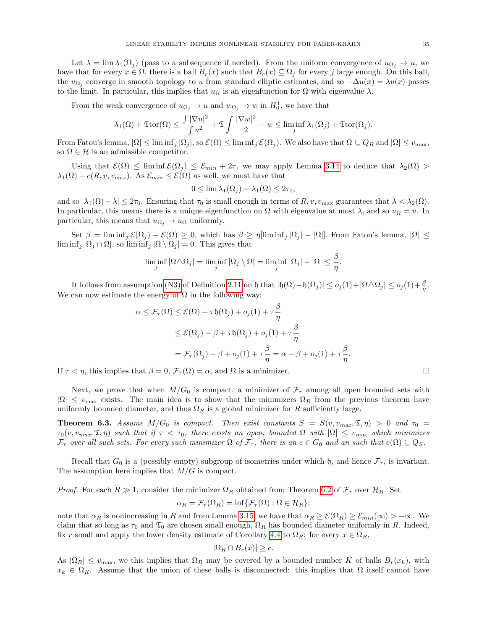Let  $\lambda = \lim_{\lambda_1(\Omega_i)} (\text{pass to a subsequence if needed}).$  From the uniform convergence of  $u_{\Omega_i} \to u$ , we

have that for every  $x \in \Omega$ , there is a ball  $B_r(x)$  such that  $B_r(x) \subseteq \Omega_j$  for every j large enough. On this ball, the  $u_{\Omega_j}$  converge in smooth topology to u from standard elliptic estimates, and so  $-\Delta u(x) = \lambda u(x)$  passes to the limit. In particular, this implies that  $u_{\Omega}$  is an eigenfunction for  $\Omega$  with eigenvalue  $\lambda$ .

From the weak convergence of  $u_{\Omega_j} \to u$  and  $w_{\Omega_j} \to w$  in  $H_0^1$ , we have that

$$
\lambda_1(\Omega) + \mathfrak{T}\mathrm{tor}(\Omega) \le \frac{\int |\nabla u|^2}{\int u^2} + \mathfrak{T} \int \frac{|\nabla w|^2}{2} - w \le \liminf_j \lambda_1(\Omega_j) + \mathfrak{T}\mathrm{tor}(\Omega_j).
$$

From Fatou's lemma,  $|\Omega| \leq \liminf_j |\Omega_j|$ , so  $\mathcal{E}(\Omega) \leq \liminf_j \mathcal{E}(\Omega_j)$ . We also have that  $\Omega \subseteq Q_R$  and  $|\Omega| \leq v_{\text{max}}$ , so  $\Omega \in \mathcal{H}$  is an admissible competitor.

Using that  $\mathcal{E}(\Omega) \leq \liminf \mathcal{E}(\Omega_i) \leq \mathcal{E}_{min} + 2\tau$ , we may apply Lemma [3.14](#page-20-0) to deduce that  $\lambda_2(\Omega)$  $\lambda_1(\Omega) + c(R, v, v_{\text{max}})$ . As  $\mathcal{E}_{min} \leq \mathcal{E}(\Omega)$  as well, we must have that

$$
0 \le \lim \lambda_1(\Omega_j) - \lambda_1(\Omega) \le 2\tau_0,
$$

and so  $|\lambda_1(\Omega)-\lambda| \leq 2\tau_0$ . Ensuring that  $\tau_0$  is small enough in terms of  $R$ ,  $v$ ,  $v_{\text{max}}$  guarantees that  $\lambda < \lambda_2(\Omega)$ . In particular, this means there is a unique eigenfunction on  $\Omega$  with eigenvalue at most  $\lambda$ , and so  $u_{\Omega} = u$ . In particular, this means that  $u_{\Omega_i} \to u_{\Omega}$  uniformly.

Set  $\beta = \liminf_j \mathcal{E}(\Omega_j) - \mathcal{E}(\Omega) \geq 0$ , which has  $\beta \geq \eta[\liminf_j |\Omega_j| - |\Omega|]$ . From Fatou's lemma,  $|\Omega| \leq \eta$  $\liminf_j |\Omega_j \cap \Omega|$ , so  $\liminf_j |\Omega \setminus \Omega_j| = 0$ . This gives that

$$
\liminf_{j} |\Omega \triangle \Omega_j| = \liminf_{j} |\Omega_j \setminus \Omega| = \liminf_{j} |\Omega_j| - |\Omega| \le \frac{\beta}{\eta}.
$$

It follows from assumption [\(N3\)](#page-8-6) of Definition [2.11](#page-8-2) on h that  $|\mathfrak{h}(\Omega) - \mathfrak{h}(\Omega_j)| \le o_j(1) + |\Omega \triangle \Omega_j| \le o_j(1) + \frac{\beta}{\eta}$ . We can now estimate the energy of  $\Omega$  in the following way:

$$
\alpha \leq \mathcal{F}_{\tau}(\Omega) \leq \mathcal{E}(\Omega) + \tau \mathfrak{h}(\Omega_j) + o_j(1) + \tau \frac{\beta}{\eta}
$$
  

$$
\leq \mathcal{E}(\Omega_j) - \beta + \tau \mathfrak{h}(\Omega_j) + o_j(1) + \tau \frac{\beta}{\eta}
$$
  

$$
= \mathcal{F}_{\tau}(\Omega_j) - \beta + o_j(1) + \tau \frac{\beta}{\eta} = \alpha - \beta + o_j(1) + \tau \frac{\beta}{\eta}.
$$

If  $\tau < \eta$ , this implies that  $\beta = 0$ ,  $\mathcal{F}_{\tau}(\Omega) = \alpha$ , and  $\Omega$  is a minimizer.

Next, we prove that when  $M/G_0$  is compact, a minimizer of  $\mathcal{F}_{\tau}$  among all open bounded sets with  $|\Omega| \leq v_{\text{max}}$  exists. The main idea is to show that the minimizers  $\Omega_R$  from the previous theorem have uniformly bounded diameter, and thus  $\Omega_R$  is a global minimizer for R sufficiently large.

<span id="page-34-0"></span>**Theorem 6.3.** Assume  $M/G_0$  is compact. Then exist constants  $S = S(v, v_{max}, \mathfrak{T}, \eta) > 0$  and  $\tau_0 =$  $\tau_0(v, v_{max}, \mathfrak{T}, \eta)$  such that if  $\tau < \tau_0$ , there exists an open, bounded  $\Omega$  with  $|\Omega| \le v_{max}$  which minimizes  $\mathcal{F}_{\tau}$  over all such sets. For every such minimizer  $\Omega$  of  $\mathcal{F}_{\tau}$ , there is an  $e \in G_0$  and an such that  $e(\Omega) \subseteq Q_S$ .

Recall that  $G_0$  is a (possibly empty) subgroup of isometries under which  $\mathfrak{h}$ , and hence  $\mathcal{F}_{\tau}$ , is invariant. The assumption here implies that  $M/G$  is compact.

*Proof.* For each  $R \gg 1$ , consider the minimizer  $\Omega_R$  obtained from Theorem [6.2](#page-33-0) of  $\mathcal{F}_{\tau}$  over  $\mathcal{H}_R$ . Set

$$
\alpha_R = \mathcal{F}_{\tau}(\Omega_R) = \inf \{ \mathcal{F}_{\tau}(\Omega) : \Omega \in \mathcal{H}_R \};
$$

note that  $\alpha_R$  is nonincreasing in R and from Lemma [3.15,](#page-21-3) we have that  $\alpha_R \geq \mathcal{E}(\Omega_R) \geq \mathcal{E}_{min}(\infty) > -\infty$ . We claim that so long as  $\tau_0$  and  $\mathfrak{T}_0$  are chosen small enough,  $\Omega_R$  has bounded diameter uniformly in R. Indeed, fix r small and apply the lower density estimate of Corollary [4.4](#page-27-0) to  $\Omega_R$ : for every  $x \in \Omega_R$ ,

$$
|\Omega_R \cap B_r(x)| \ge c.
$$

As  $|\Omega_R| \le v_{\text{max}}$ , we this implies that  $\Omega_R$  may be covered by a bounded number K of balls  $B_r(x_k)$ , with  $x_k \in \Omega_R$ . Assume that the union of these balls is disconnected: this implies that  $\Omega$  itself cannot have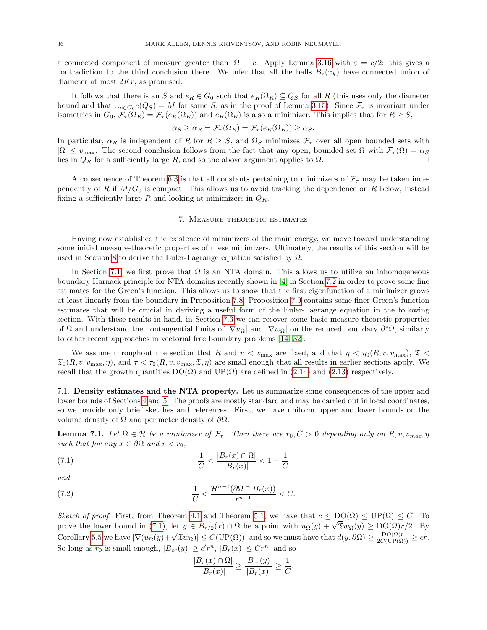a connected component of measure greater than  $|\Omega| - c$ . Apply Lemma [3.16](#page-21-1) with  $\varepsilon = c/2$ : this gives a contradiction to the third conclusion there. We infer that all the balls  $B_r(x_k)$  have connected union of diameter at most 2Kr, as promised.

It follows that there is an S and  $e_R \in G_0$  such that  $e_R(\Omega_R) \subseteq Q_S$  for all R (this uses only the diameter bound and that  $\bigcup_{e\in G_0} e(Q_s) = M$  for some S, as in the proof of Lemma [3.15\)](#page-21-3). Since  $\mathcal{F}_{\tau}$  is invariant under isometries in  $G_0$ ,  $\mathcal{F}_{\tau}(\Omega_R) = \mathcal{F}_{\tau}(e_R(\Omega_R))$  and  $e_R(\Omega_R)$  is also a minimizer. This implies that for  $R \geq S$ ,

$$
\alpha_S \ge \alpha_R = \mathcal{F}_{\tau}(\Omega_R) = \mathcal{F}_{\tau}(e_R(\Omega_R)) \ge \alpha_S.
$$

In particular,  $\alpha_R$  is independent of R for  $R \geq S$ , and  $\Omega_S$  minimizes  $\mathcal{F}_{\tau}$  over all open bounded sets with  $|\Omega| \le v_{\text{max}}$ . The second conclusion follows from the fact that any open, bounded set  $\Omega$  with  $\mathcal{F}_{\tau}(\Omega) = \alpha_S$ lies in  $Q_R$  for a sufficiently large R, and so the above argument applies to  $\Omega$ .

A consequence of Theorem [6.3](#page-34-0) is that all constants pertaining to minimizers of  $\mathcal{F}_{\tau}$  may be taken independently of R if  $M/G_0$  is compact. This allows us to avoid tracking the dependence on R below, instead fixing a sufficiently large R and looking at minimizers in  $Q_R$ .

### 7. Measure-theoretic estimates

<span id="page-35-0"></span>Having now established the existence of minimizers of the main energy, we move toward understanding some initial measure-theoretic properties of these minimizers. Ultimately, the results of this section will be used in Section [8](#page-42-0) to derive the Euler-Lagrange equation satisfied by  $\Omega$ .

In Section [7.1,](#page-35-1) we first prove that  $\Omega$  is an NTA domain. This allows us to utilize an inhomogeneous boundary Harnack principle for NTA domains recently shown in [\[4\]](#page-70-14) in Section [7.2](#page-37-0) in order to prove some fine estimates for the Green's function. This allows us to show that the first eigenfunction of a minimizer grows at least linearly from the boundary in Proposition [7.8.](#page-38-0) Proposition [7.9](#page-39-0) contains some finer Green's function estimates that will be crucial in deriving a useful form of the Euler-Lagrange equation in the following section. With these results in hand, in Section [7.3](#page-40-0) we can recover some basic measure theoretic properties of  $\Omega$  and understand the nontangential limits of  $|\nabla u_{\Omega}|$  and  $|\nabla w_{\Omega}|$  on the reduced boundary  $\partial^* \Omega$ , similarly to other recent approaches in vectorial free boundary problems [\[14,](#page-70-13) [32\]](#page-71-1).

We assume throughout the section that R and  $v < v_{\text{max}}$  are fixed, and that  $\eta < \eta_0(R, v, v_{\text{max}}), \mathfrak{T} <$  $\mathfrak{T}_0(R, v, v_{\text{max}}, \eta)$ , and  $\tau < \tau_0(R, v, v_{\text{max}}, \mathfrak{T}, \eta)$  are small enough that all results in earlier sections apply. We recall that the growth quantities  $DO(\Omega)$  and  $UP(\Omega)$  are defined in [\(2.14\)](#page-10-2) and [\(2.13\)](#page-10-3) respectively.

<span id="page-35-1"></span>7.1. Density estimates and the NTA property. Let us summarize some consequences of the upper and lower bounds of Sections [4](#page-25-0) and [5.](#page-28-0) The proofs are mostly standard and may be carried out in local coordinates, so we provide only brief sketches and references. First, we have uniform upper and lower bounds on the volume density of  $\Omega$  and perimeter density of  $\partial\Omega$ .

**Lemma 7.1.** Let  $\Omega \in \mathcal{H}$  be a minimizer of  $\mathcal{F}_{\tau}$ . Then there are  $r_0, C > 0$  depending only on  $R, v, v_{max}, \eta$ such that for any  $x \in \partial \Omega$  and  $r < r_0$ ,

(7.1) 
$$
\frac{1}{C} < \frac{|B_r(x) \cap \Omega|}{|B_r(x)|} < 1 - \frac{1}{C}
$$

and

(7.2) 
$$
\frac{1}{C} < \frac{\mathcal{H}^{n-1}(\partial \Omega \cap B_r(x))}{r^{n-1}} < C.
$$

Sketch of proof. First, from Theorem [4.1](#page-25-1) and Theorem [5.1,](#page-28-1) we have that  $c \leq DO(\Omega) \leq UP(\Omega) \leq C$ . To betch of proof. First, from Theorem 4.1 and Theorem 5.1, we have that  $c \leq DO(Y) \leq OP(Y) \leq C$ . To<br>prove the lower bound in [\(7.1\)](#page-35-2), let  $y \in B_{r/2}(x) \cap \Omega$  be a point with  $u_{\Omega}(y) + \sqrt{\mathfrak{F}}w_{\Omega}(y) \geq DO(\Omega)r/2$ . By Corollary [5.5](#page-32-3) we have  $|\nabla (u_{\Omega}(y) + \sqrt{\mathfrak{D}}w_{\Omega})| \leq C(\text{UP}(\Omega))$ , and so we must have that  $d(y, \partial \Omega) \geq \frac{\text{DO}(\Omega)r}{2C(\text{UP}(\Omega))} \geq cr$ . So long as  $r_0$  is small enough,  $|B_{cr}(y)| \ge c'r^n$ ,  $|B_r(x)| \le Cr^n$ , and so

<span id="page-35-2"></span>
$$
\frac{|B_r(x) \cap \Omega|}{|B_r(x)|} \ge \frac{|B_{cr}(y)|}{|B_r(x)|} \ge \frac{1}{C}.
$$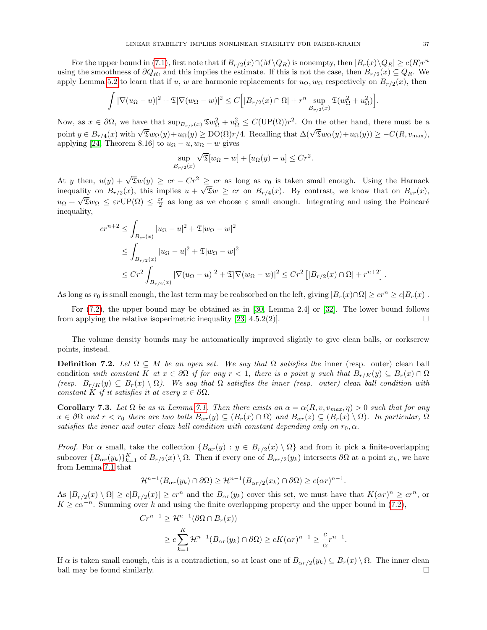For the upper bound in [\(7.1\)](#page-35-0), first note that if  $B_{r/2}(x) \cap (M \setminus Q_R)$  is nonempty, then  $|B_r(x) \setminus Q_R| \ge c(R)r^n$ using the smoothness of  $\partial Q_R$ , and this implies the estimate. If this is not the case, then  $B_{r/2}(x) \subseteq Q_R$ . We apply Lemma [5.2](#page-28-0) to learn that if u, w are harmonic replacements for  $u_{\Omega}, w_{\Omega}$  respectively on  $B_{r/2}(x)$ , then

$$
\int |\nabla(u_{\Omega}-u)|^2 + \mathfrak{T}|\nabla(w_{\Omega}-w)|^2 \leq C\Big[|B_{r/2}(x) \cap \Omega| + r^n \sup_{B_{r/2}(x)} \mathfrak{T}(w_{\Omega}^2 + u_{\Omega}^2)\Big].
$$

Now, as  $x \in \partial\Omega$ , we have that  $\sup_{B_{r/2}(x)} \mathfrak{T}w_{\Omega}^2 + u_{\Omega}^2 \leq C(\text{UP}(\Omega))r^2$ . On the other hand, there must be a point  $y \in B_{r/4}(x)$  with  $\sqrt{2}w_{\Omega}(y) + u_{\Omega}(y) \geq DO(\Omega)r/4$ . Recalling that  $\Delta(\sqrt{2}w_{\Omega}(y) + u_{\Omega}(y)) \geq -C(R, v_{\max})$ , applying [\[24,](#page-70-0) Theorem 8.16] to  $u_{\Omega} - u, w_{\Omega} - w$  gives

$$
\sup_{B_{r/2}(x)} \sqrt{\mathfrak{T}}[w_{\Omega} - w] + [u_{\Omega}(y) - u] \le Cr^2.
$$

At y then,  $u(y) + \sqrt{2}w(y) \geq cr - Cr^2 \geq cr$  as long as  $r_0$  is taken small enough. Using the Harnack inequality on  $B_{r/2}(x)$ , this implies  $u + \sqrt{2}w \geq cr$  on  $B_{r/4}(x)$ . By contrast, we know that on  $B_{\varepsilon r}(x)$ ,  $u_{\Omega} + \sqrt{\mathfrak{T}}w_{\Omega} \leq \varepsilon r \text{UP}(\Omega) \leq \frac{cr}{2}$  as long as we choose  $\varepsilon$  small enough. Integrating and using the Poincaré inequality,

$$
cr^{n+2} \leq \int_{B_{\varepsilon r}(x)} |u_{\Omega} - u|^2 + \mathfrak{T}|w_{\Omega} - w|^2
$$
  
\n
$$
\leq \int_{B_{r/2}(x)} |u_{\Omega} - u|^2 + \mathfrak{T}|w_{\Omega} - w|^2
$$
  
\n
$$
\leq Cr^2 \int_{B_{r/2}(x)} |\nabla (u_{\Omega} - u)|^2 + \mathfrak{T}|\nabla (w_{\Omega} - w)|^2 \leq Cr^2 [|B_{r/2}(x) \cap \Omega| + r^{n+2}].
$$

As long as  $r_0$  is small enough, the last term may be reabsorbed on the left, giving  $|B_r(x) \cap \Omega| \geq c r^n \geq c |B_r(x)|$ .

For [\(7.2\)](#page-35-1), the upper bound may be obtained as in [\[30,](#page-70-1) Lemma 2.4] or [\[32\]](#page-71-0). The lower bound follows from applying the relative isoperimetric inequality [\[23,](#page-70-2) 4.5.2(2)].

The volume density bounds may be automatically improved slightly to give clean balls, or corkscrew points, instead.

**Definition 7.2.** Let  $\Omega \subseteq M$  be an open set. We say that  $\Omega$  satisfies the inner (resp. outer) clean ball condition with constant K at  $x \in \partial \Omega$  if for any  $r < 1$ , there is a point y such that  $B_{r/K}(y) \subseteq B_r(x) \cap \Omega$ (resp.  $B_{r/K}(y) \subseteq B_r(x) \setminus \Omega$ ). We say that  $\Omega$  satisfies the inner (resp. outer) clean ball condition with constant K if it satisfies it at every  $x \in \partial \Omega$ .

<span id="page-36-0"></span>Corollary 7.3. Let  $\Omega$  be as in Lemma [7.1.](#page-35-2) Then there exists an  $\alpha = \alpha(R, v, v_{max}, \eta) > 0$  such that for any  $x \in \partial\Omega$  and  $r < r_0$  there are two balls  $B_{\alpha r}(y) \subseteq (B_r(x) \cap \Omega)$  and  $B_{\alpha r}(z) \subseteq (B_r(x) \setminus \Omega)$ . In particular,  $\Omega$ satisfies the inner and outer clean ball condition with constant depending only on  $r_0, \alpha$ .

*Proof.* For  $\alpha$  small, take the collection  $\{B_{\alpha r}(y) : y \in B_{r/2}(x) \setminus \Omega\}$  and from it pick a finite-overlapping subcover  ${B_{\alpha r}(y_k)}_{k=1}^K$  of  $B_{r/2}(x) \setminus \Omega$ . Then if every one of  $B_{\alpha r/2}(y_k)$  intersects  $\partial\Omega$  at a point  $x_k$ , we have from Lemma [7.1](#page-35-2) that

$$
\mathcal{H}^{n-1}(B_{\alpha r}(y_k) \cap \partial \Omega) \geq \mathcal{H}^{n-1}(B_{\alpha r/2}(x_k) \cap \partial \Omega) \geq c(\alpha r)^{n-1}.
$$

As  $|B_{r/2}(x) \setminus \Omega| \ge c|B_{r/2}(x)| \ge c r^n$  and the  $B_{\alpha r}(y_k)$  cover this set, we must have that  $K(\alpha r)^n \ge c r^n$ , or  $K \geq c\alpha^{-n}$ . Summing over k and using the finite overlapping property and the upper bound in [\(7.2\)](#page-35-1),

$$
Cr^{n-1} \ge \mathcal{H}^{n-1}(\partial \Omega \cap B_r(x))
$$
  
 
$$
\ge c \sum_{k=1}^K \mathcal{H}^{n-1}(B_{\alpha r}(y_k) \cap \partial \Omega) \ge cK(\alpha r)^{n-1} \ge \frac{c}{\alpha}r^{n-1}.
$$

If α is taken small enough, this is a contradiction, so at least one of  $B_{\alpha r/2}(y_k) \subseteq B_r(x) \setminus \Omega$ . The inner clean ball may be found similarly.  $\square$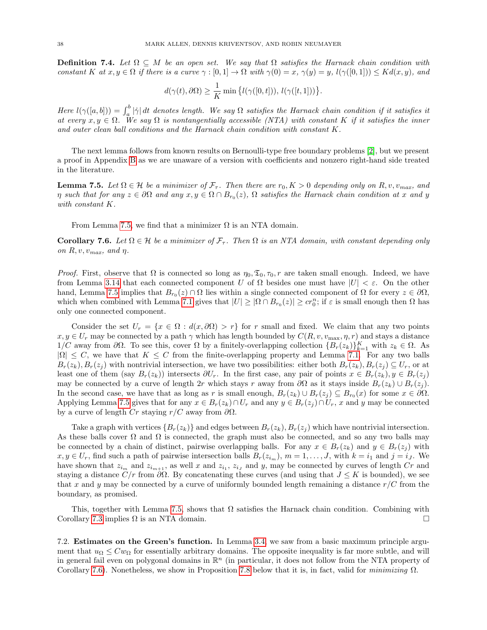**Definition 7.4.** Let  $\Omega \subseteq M$  be an open set. We say that  $\Omega$  satisfies the Harnack chain condition with constant K at  $x, y \in \Omega$  if there is a curve  $\gamma : [0,1] \to \Omega$  with  $\gamma(0) = x$ ,  $\gamma(y) = y$ ,  $l(\gamma([0,1])) \leq Kd(x,y)$ , and

$$
d(\gamma(t),\partial\Omega) \ge \frac{1}{K} \min \big\{ l(\gamma([0,t])),\ l(\gamma([t,1])) \big\}.
$$

Here  $l(\gamma([a,b])) = \int_a^b |\dot{\gamma}| dt$  denotes length. We say  $\Omega$  satisfies the Harnack chain condition if it satisfies it at every  $x, y \in \Omega$ . We say  $\Omega$  is nontangentially accessible (NTA) with constant K if it satisfies the inner and outer clean ball conditions and the Harnack chain condition with constant K.

The next lemma follows from known results on Bernoulli-type free boundary problems [\[2\]](#page-70-3), but we present a proof in Appendix [B](#page-66-0) as we are unaware of a version with coefficients and nonzero right-hand side treated in the literature.

<span id="page-37-0"></span>**Lemma 7.5.** Let  $\Omega \in \mathcal{H}$  be a minimizer of  $\mathcal{F}_{\tau}$ . Then there are  $r_0, K > 0$  depending only on  $R, v, v_{max}$ , and  $\eta$  such that for any  $z \in \partial\Omega$  and any  $x, y \in \Omega \cap B_{r_0}(z)$ ,  $\Omega$  satisfies the Harnack chain condition at x and y with constant K.

From Lemma [7.5,](#page-37-0) we find that a minimizer  $\Omega$  is an NTA domain.

<span id="page-37-1"></span>Corollary 7.6. Let  $\Omega \in \mathcal{H}$  be a minimizer of  $\mathcal{F}_{\tau}$ . Then  $\Omega$  is an NTA domain, with constant depending only on  $R, v, v_{max}$ , and  $\eta$ .

*Proof.* First, observe that  $\Omega$  is connected so long as  $\eta_0, \mathfrak{T}_0, \tau_0, r$  are taken small enough. Indeed, we have from Lemma [3.14](#page-20-0) that each connected component U of  $\Omega$  besides one must have  $|U| < \varepsilon$ . On the other hand, Lemma [7.5](#page-37-0) implies that  $B_{r_0}(z) \cap \Omega$  lies within a single connected component of  $\Omega$  for every  $z \in \partial\Omega$ , which when combined with Lemma [7.1](#page-35-2) gives that  $|U| \geq |\Omega \cap B_{r_0}(z)| \geq c r_0^n$ ; if  $\varepsilon$  is small enough then  $\Omega$  has only one connected component.

Consider the set  $U_r = \{x \in \Omega : d(x, \partial \Omega) > r\}$  for r small and fixed. We claim that any two points  $x, y \in U_r$  may be connected by a path  $\gamma$  which has length bounded by  $C(R, v, v_{\text{max}}, \eta, r)$  and stays a distance 1/C away from ∂Ω. To see this, cover Ω by a finitely-overlapping collection  ${B_r(z_k)}_{k=1}^K$  with  $z_k ∈ Ω$ . As  $|\Omega| \leq C$ , we have that  $K \leq C$  from the finite-overlapping property and Lemma [7.1.](#page-35-2) For any two balls  $B_r(z_k), B_r(z_i)$  with nontrivial intersection, we have two possibilities: either both  $B_r(z_k), B_r(z_i) \subseteq U_r$ , or at least one of them (say  $B_r(z_k)$ ) intersects  $\partial U_r$ . In the first case, any pair of points  $x \in B_r(z_k)$ ,  $y \in B_r(z_i)$ may be connected by a curve of length 2r which stays r away from  $\partial\Omega$  as it stays inside  $B_r(z_k) \cup B_r(z_j)$ . In the second case, we have that as long as r is small enough,  $B_r(z_k) \cup B_r(z_j) \subseteq B_{r_0}(x)$  for some  $x \in \partial\Omega$ . Applying Lemma [7.5](#page-37-0) gives that for any  $x \in B_r(z_k) \cap U_r$  and any  $y \in B_r(z_i) \cap U_r$ , x and y may be connected by a curve of length Cr staying  $r/C$  away from  $\partial\Omega$ .

Take a graph with vertices  $\{B_r(z_k)\}\$  and edges between  $B_r(z_k), B_r(z_i)$  which have nontrivial intersection. As these balls cover  $\Omega$  and  $\Omega$  is connected, the graph must also be connected, and so any two balls may be connected by a chain of distinct, pairwise overlapping balls. For any  $x \in B_r(z_k)$  and  $y \in B_r(z_i)$  with  $x, y \in U_r$ , find such a path of pairwise intersection balls  $B_r(z_{i_m})$ ,  $m = 1, \ldots, J$ , with  $k = i_1$  and  $j = i_J$ . We have shown that  $z_{i_m}$  and  $z_{i_{m+1}}$ , as well x and  $z_{i_1}$ ,  $z_{i_j}$  and y, may be connected by curves of length Cr and staying a distance  $C/r$  from  $\partial\Omega$ . By concatenating these curves (and using that  $J \leq K$  is bounded), we see that x and y may be connected by a curve of uniformly bounded length remaining a distance  $r/C$  from the boundary, as promised.

This, together with Lemma [7.5,](#page-37-0) shows that  $\Omega$  satisfies the Harnack chain condition. Combining with Corollary [7.3](#page-36-0) implies  $\Omega$  is an NTA domain.

7.2. Estimates on the Green's function. In Lemma [3.4,](#page-13-0) we saw from a basic maximum principle argument that  $u_{\Omega} \leq C w_{\Omega}$  for essentially arbitrary domains. The opposite inequality is far more subtle, and will in general fail even on polygonal domains in  $\mathbb{R}^n$  (in particular, it does not follow from the NTA property of Corollary [7.6\)](#page-37-1). Nonetheless, we show in Proposition [7.8](#page-38-0) below that it is, in fact, valid for *minimizing*  $\Omega$ .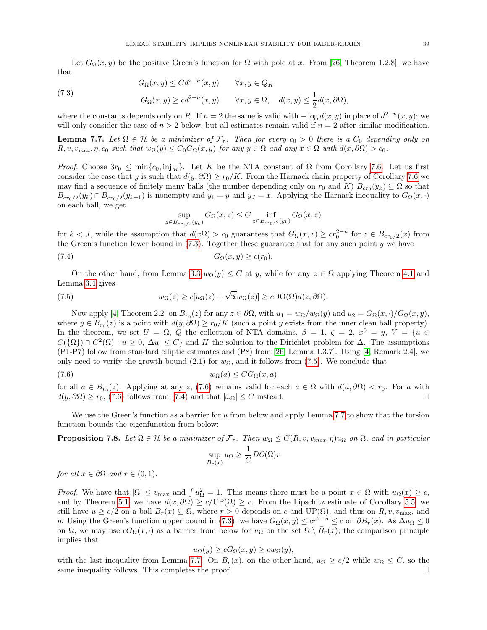Let  $G_{\Omega}(x, y)$  be the positive Green's function for  $\Omega$  with pole at x. From [\[26,](#page-70-4) Theorem 1.2.8], we have that

<span id="page-38-1"></span>(7.3)  
\n
$$
G_{\Omega}(x,y) \leq Cd^{2-n}(x,y) \qquad \forall x,y \in Q_R
$$
\n
$$
G_{\Omega}(x,y) \geq cd^{2-n}(x,y) \qquad \forall x,y \in \Omega, \quad d(x,y) \leq \frac{1}{2}d(x,\partial\Omega),
$$

where the constants depends only on R. If  $n = 2$  the same is valid with  $-\log d(x, y)$  in place of  $d^{2-n}(x, y)$ ; we will only consider the case of  $n > 2$  below, but all estimates remain valid if  $n = 2$  after similar modification.

<span id="page-38-5"></span>**Lemma 7.7.** Let  $\Omega \in \mathcal{H}$  be a minimizer of  $\mathcal{F}_{\tau}$ . Then for every  $c_0 > 0$  there is a  $C_0$  depending only on  $R, v, v_{max}, \eta, c_0$  such that  $w_{\Omega}(y) \leq C_0 G_{\Omega}(x, y)$  for any  $y \in \Omega$  and any  $x \in \Omega$  with  $d(x, \partial \Omega) > c_0$ .

*Proof.* Choose  $3r_0 \n\t\leq \min\{c_0, \infty\}$ . Let K be the NTA constant of  $\Omega$  from Corollary [7.6.](#page-37-1) Let us first consider the case that y is such that  $d(y, \partial \Omega) \ge r_0/K$ . From the Harnack chain property of Corollary [7.6](#page-37-1) we may find a sequence of finitely many balls (the number depending only on  $r_0$  and K)  $B_{cr_0}(y_k) \subseteq \Omega$  so that  $B_{cr_0/2}(y_k) \cap B_{cr_0/2}(y_{k+1})$  is nonempty and  $y_1 = y$  and  $y_j = x$ . Applying the Harnack inequality to  $G_{\Omega}(x, \cdot)$ on each ball, we get

<span id="page-38-4"></span><span id="page-38-2"></span>
$$
\sup_{z \in B_{cr_0/2}(y_k)} G_{\Omega}(x, z) \le C \inf_{z \in B_{cr_0/2}(y_k)} G_{\Omega}(x, z)
$$

for  $k < J$ , while the assumption that  $d(x\Omega) > c_0$  guarantees that  $G_{\Omega}(x, z) \geq c r_0^{2-n}$  for  $z \in B_{cr_0/2}(x)$  from the Green's function lower bound in  $(7.3)$ . Together these guarantee that for any such point y we have

$$
(7.4) \t G_{\Omega}(x,y) \geq c(r_0).
$$

On the other hand, from Lemma [3.3](#page-13-1)  $w_{\Omega}(y) \leq C$  at y, while for any  $z \in \Omega$  applying Theorem [4.1](#page-25-0) and Lemma [3.4](#page-13-0) gives

(7.5) 
$$
w_{\Omega}(z) \ge c[u_{\Omega}(z) + \sqrt{\mathfrak{T}}w_{\Omega}(z)] \ge c\mathrm{DO}(\Omega)d(z,\partial\Omega).
$$

Now apply [\[4,](#page-70-5) Theorem 2.2] on  $B_{r_0}(z)$  for any  $z \in \partial\Omega$ , with  $u_1 = w_\Omega/w_\Omega(y)$  and  $u_2 = G_\Omega(x, \cdot)/G_\Omega(x, y)$ , where  $y \in B_{r_0}(z)$  is a point with  $d(y, \partial \Omega) \ge r_0/K$  (such a point y exists from the inner clean ball property). In the theorem, we set  $U = \Omega$ , Q the collection of NTA domains,  $\beta = 1$ ,  $\zeta = 2$ ,  $x^0 = y$ ,  $V = \{u \in$  $C(\bar{\Omega}) \cap C^2(\Omega) : u \geq 0, |\Delta u| \leq C$  and H the solution to the Dirichlet problem for  $\Delta$ . The assumptions (P1-P7) follow from standard elliptic estimates and (P8) from [\[26,](#page-70-4) Lemma 1.3.7]. Using [\[4,](#page-70-5) Remark 2.4], we only need to verify the growth bound (2.1) for  $w_{\Omega}$ , and it follows from [\(7.5\)](#page-38-2). We conclude that

$$
(7.6) \t\t\t w_{\Omega}(a) \leq C G_{\Omega}(x, a)
$$

for all  $a \in B_{r_0}(z)$ . Applying at any z, [\(7.6\)](#page-38-3) remains valid for each  $a \in \Omega$  with  $d(a, \partial \Omega) < r_0$ . For a with  $d(y, \partial\Omega) \ge r_0$ , [\(7.6\)](#page-38-3) follows from [\(7.4\)](#page-38-4) and that  $|\omega_{\Omega}| \le C$  instead.

We use the Green's function as a barrier for  $u$  from below and apply Lemma [7.7](#page-38-5) to show that the torsion function bounds the eigenfunction from below:

<span id="page-38-0"></span>**Proposition 7.8.** Let  $\Omega \in \mathcal{H}$  be a minimizer of  $\mathcal{F}_{\tau}$ . Then  $w_{\Omega} \leq C(R, v, v_{max}, \eta)w_{\Omega}$  on  $\Omega$ , and in particular

<span id="page-38-3"></span>
$$
\sup_{B_r(x)} u_{\Omega} \ge \frac{1}{C} DO(\Omega)r
$$

for all  $x \in \partial \Omega$  and  $r \in (0,1)$ .

*Proof.* We have that  $|\Omega| \le v_{\text{max}}$  and  $\int u_{\Omega}^2 = 1$ . This means there must be a point  $x \in \Omega$  with  $u_{\Omega}(x) \ge c$ , and by Theorem [5.1,](#page-28-1) we have  $d(x, \partial \Omega) \ge c/\text{UP}(\Omega) \ge c$ . From the Lipschitz estimate of Corollary [5.5,](#page-32-0) we still have  $u \ge c/2$  on a ball  $B_r(x) \subseteq \Omega$ , where  $r > 0$  depends on c and  $UP(\Omega)$ , and thus on  $R, v, v_{\text{max}}$ , and *η*. Using the Green's function upper bound in [\(7.3\)](#page-38-1), we have  $G_{\Omega}(x, y) \leq c r^{2-n} \leq c$  on  $\partial B_r(x)$ . As  $\Delta u_{\Omega} \leq 0$ on  $\Omega$ , we may use  $cG_{\Omega}(x, \cdot)$  as a barrier from below for  $u_{\Omega}$  on the set  $\Omega \setminus \overline{B}_r(x)$ ; the comparison principle implies that

$$
u_{\Omega}(y) \ge cG_{\Omega}(x, y) \ge cw_{\Omega}(y),
$$

with the last inequality from Lemma [7.7.](#page-38-5) On  $B_r(x)$ , on the other hand,  $u_{\Omega} \geq c/2$  while  $w_{\Omega} \leq C$ , so the same inequality follows. This completes the proof.  $\Box$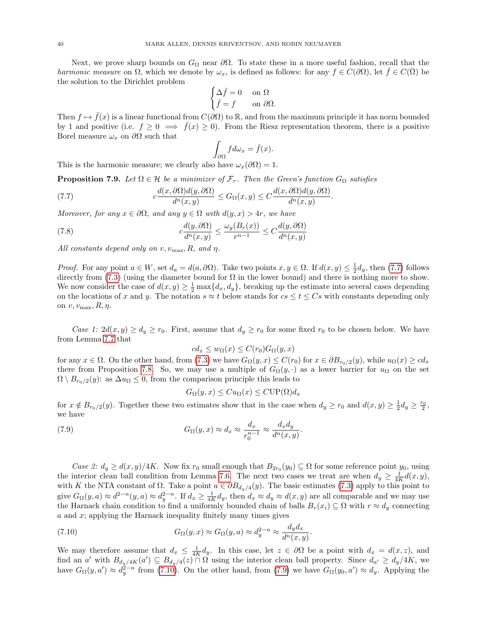Next, we prove sharp bounds on  $G_{\Omega}$  near  $\partial\Omega$ . To state these in a more useful fashion, recall that the harmonic measure on  $\Omega$ , which we denote by  $\omega_x$ , is defined as follows: for any  $f \in C(\partial\Omega)$ , let  $f \in C(\overline{\Omega})$  be the solution to the Dirichlet problem

$$
\begin{cases} \Delta \bar{f} = 0 & \text{on } \Omega\\ \bar{f} = f & \text{on } \partial \Omega. \end{cases}
$$

Then  $f \mapsto \bar{f}(x)$  is a linear functional from  $C(\partial\Omega)$  to R, and from the maximum principle it has norm bounded by 1 and positive (i.e.  $f \geq 0 \implies \bar{f}(x) \geq 0$ ). From the Riesz representation theorem, there is a positive Borel measure  $\omega_x$  on  $\partial\Omega$  such that

<span id="page-39-3"></span><span id="page-39-0"></span>
$$
\int_{\partial\Omega} f d\omega_x = \bar{f}(x).
$$

This is the harmonic measure; we clearly also have  $\omega_x(\partial\Omega) = 1$ .

<span id="page-39-4"></span>**Proposition 7.9.** Let  $\Omega \in \mathcal{H}$  be a minimizer of  $\mathcal{F}_{\tau}$ . Then the Green's function  $G_{\Omega}$  satisfies

(7.7) 
$$
c\frac{d(x,\partial\Omega)d(y,\partial\Omega)}{d^n(x,y)} \leq G_{\Omega}(x,y) \leq C\frac{d(x,\partial\Omega)d(y,\partial\Omega)}{d^n(x,y)}.
$$

Moreover, for any  $x \in \partial\Omega$ , and any  $y \in \Omega$  with  $d(y, x) > 4r$ , we have

(7.8) 
$$
c\frac{d(y,\partial\Omega)}{d^n(x,y)} \le \frac{\omega_y(B_r(x))}{r^{n-1}} \le C\frac{d(y,\partial\Omega)}{d^n(x,y)}
$$

All constants depend only on  $v, v_{max}, R$ , and  $\eta$ .

*Proof.* For any point  $a \in W$ , set  $d_a = d(a, \partial \Omega)$ . Take two points  $x, y \in \Omega$ . If  $d(x, y) \leq \frac{1}{2}d_y$ , then [\(7.7\)](#page-39-0) follows directly from [\(7.3\)](#page-38-1) (using the diameter bound for  $\Omega$  in the lower bound) and there is nothing more to show. We now consider the case of  $d(x, y) \geq \frac{1}{2} \max\{d_x, d_y\}$ , breaking up the estimate into several cases depending on the locations of x and y. The notation  $s \approx t$  below stands for  $cs \le t \le Cs$  with constants depending only on  $v, v_{\text{max}}, R, \eta$ .

Case 1:  $2d(x, y) \ge d_y \ge r_0$ . First, assume that  $d_y \ge r_0$  for some fixed  $r_0$  to be chosen below. We have from Lemma [7.7](#page-38-5) that

$$
cd_x \le w_{\Omega}(x) \le C(r_0)G_{\Omega}(y,x)
$$

for any  $x \in \Omega$ . On the other hand, from [\(7.3\)](#page-38-1) we have  $G_{\Omega}(y, x) \leq C(r_0)$  for  $x \in \partial B_{r_0/2}(y)$ , while  $u_{\Omega}(x) \geq c d_x$ there from Proposition [7.8.](#page-38-0) So, we may use a multiple of  $G_{\Omega}(y, \cdot)$  as a lower barrier for  $u_{\Omega}$  on the set  $\Omega \setminus B_{r_0/2}(y)$ : as  $\Delta u_\Omega \leq 0$ , from the comparison principle this leads to

<span id="page-39-2"></span>
$$
G_{\Omega}(y, x) \leq C u_{\Omega}(x) \leq C \text{UP}(\Omega) d_x
$$

for  $x \notin B_{r_0/2}(y)$ . Together these two estimates show that in the case when  $d_y \ge r_0$  and  $d(x,y) \ge \frac{1}{2}d_y \ge \frac{r_0}{2}$ , we have

(7.9) 
$$
G_{\Omega}(y,x) \approx d_x \approx \frac{d_x}{r_0^{n-1}} \approx \frac{d_x d_y}{d^n(x,y)}.
$$

Case 2:  $d_y \geq d(x, y)/4K$ . Now fix  $r_0$  small enough that  $B_{2r_0}(y_0) \subseteq \Omega$  for some reference point  $y_0$ , using the interior clean ball condition from Lemma [7.6.](#page-37-1) The next two cases we treat are when  $d_y \geq \frac{1}{4K}d(x,y)$ , with K the NTA constant of  $\Omega$ . Take a point  $a \in \partial B_{d_y/4}(y)$ . The basic estimates [\(7.3\)](#page-38-1) apply to this point to give  $G_{\Omega}(y, a) \approx d^{2-n} (y, a) \approx d^{2-n}_y$ . If  $d_x \geq \frac{1}{4K} d_y$ , then  $d_x \approx d_y \approx d(x, y)$  are all comparable and we may use the Harnack chain condition to find a uniformly bounded chain of balls  $B_r(x_i) \subseteq \Omega$  with  $r \approx d_y$  connecting  $a$  and  $x$ ; applying the Harnack inequality finitely many times gives

<span id="page-39-1"></span>(7.10) 
$$
G_{\Omega}(y,x) \approx G_{\Omega}(y,a) \approx d_y^{2-n} \approx \frac{d_y d_x}{d^n(x,y)}.
$$

We may therefore assume that  $d_x \leq \frac{1}{4K}d_y$ . In this case, let  $z \in \partial\Omega$  be a point with  $d_x = d(x, z)$ , and find an a' with  $B_{d_y/4K}(a') \subseteq B_{d_y/4}(z) \cap \Omega$  using the interior clean ball property. Since  $d_{a'} \geq d_y/4K$ , we have  $G_{\Omega}(y, a') \approx d_y^{2-n}$  from [\(7.10\)](#page-39-1). On the other hand, from [\(7.9\)](#page-39-2) we have  $G_{\Omega}(y_0, a') \approx d_y$ . Applying the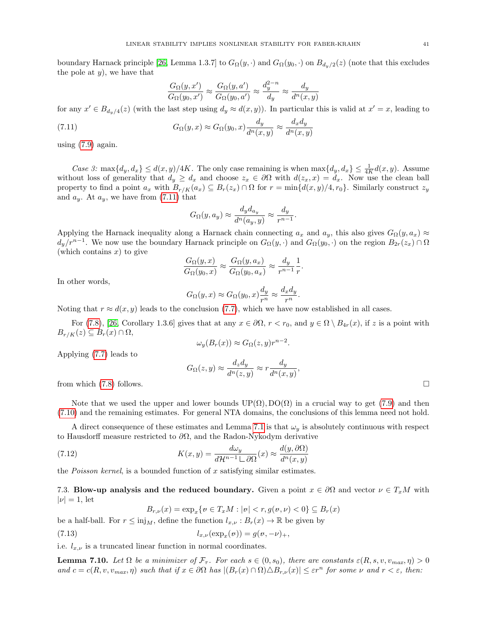boundary Harnack principle [\[26,](#page-70-4) Lemma 1.3.7] to  $G_{\Omega}(y, \cdot)$  and  $G_{\Omega}(y_0, \cdot)$  on  $B_{d_u/2}(z)$  (note that this excludes the pole at  $y$ , we have that

<span id="page-40-0"></span>
$$
\frac{G_{\Omega}(y, x')}{G_{\Omega}(y_0, x')} \approx \frac{G_{\Omega}(y, a')}{G_{\Omega}(y_0, a')} \approx \frac{d_y^{2-n}}{d_y} \approx \frac{d_y}{d^n(x, y)}
$$

for any  $x' \in B_{d_y/4}(z)$  (with the last step using  $d_y \approx d(x, y)$ ). In particular this is valid at  $x' = x$ , leading to

(7.11) 
$$
G_{\Omega}(y,x) \approx G_{\Omega}(y_0,x) \frac{d_y}{d^n(x,y)} \approx \frac{d_x d_y}{d^n(x,y)}
$$

using  $(7.9)$  again.

Case 3: max $\{d_y, d_x\} \leq d(x, y)/4K$ . The only case remaining is when  $\max\{d_y, d_x\} \leq \frac{1}{4K}d(x, y)$ . Assume without loss of generality that  $d_y \geq d_x$  and choose  $z_x \in \partial \Omega$  with  $d(z_x, x) = d_x$ . Now use the clean ball property to find a point  $a_x$  with  $B_{r/K}(a_x) \subseteq B_r(z_x) \cap \Omega$  for  $r = \min\{d(x,y)/4, r_0\}$ . Similarly construct  $z_y$ and  $a_y$ . At  $a_y$ , we have from [\(7.11\)](#page-40-0) that

$$
G_{\Omega}(y, a_y) \approx \frac{d_y d_{a_y}}{d^n(a_y, y)} \approx \frac{d_y}{r^{n-1}}
$$

.

Applying the Harnack inequality along a Harnack chain connecting  $a_x$  and  $a_y$ , this also gives  $G_{\Omega}(y, a_x) \approx$  $d_y/r^{n-1}$ . We now use the boundary Harnack principle on  $G_{\Omega}(y, \cdot)$  and  $G_{\Omega}(y_0, \cdot)$  on the region  $B_{2r}(z_x) \cap \Omega$ (which contains  $x$ ) to give

$$
\frac{G_{\Omega}(y,x)}{G_{\Omega}(y_0,x)} \approx \frac{G_{\Omega}(y,a_x)}{G_{\Omega}(y_0,a_x)} \approx \frac{d_y}{r^{n-1}} \frac{1}{r}.
$$

In other words,

$$
G_{\Omega}(y,x) \approx G_{\Omega}(y_0,x) \frac{d_y}{r^n} \approx \frac{d_x d_y}{r^n}.
$$

Noting that  $r \approx d(x, y)$  leads to the conclusion [\(7.7\)](#page-39-0), which we have now established in all cases.

For [\(7.8\)](#page-39-3), [\[26,](#page-70-4) Corollary 1.3.6] gives that at any  $x \in \partial\Omega$ ,  $r < r_0$ , and  $y \in \Omega \setminus B_{4r}(x)$ , if z is a point with  $B_{r/K}(z) \subseteq B_r(x) \cap \Omega$ ,

$$
\omega_y(B_r(x)) \approx G_{\Omega}(z, y)r^{n-2}.
$$

Applying [\(7.7\)](#page-39-0) leads to

$$
G_{\Omega}(z,y) \approx \frac{d_z d_y}{d^n(z,y)} \approx r \frac{d_y}{d^n(x,y)},
$$

from which  $(7.8)$  follows.

Note that we used the upper and lower bounds  $UP(\Omega)$ ,  $DO(\Omega)$  in a crucial way to get [\(7.9\)](#page-39-2) and then [\(7.10\)](#page-39-1) and the remaining estimates. For general NTA domains, the conclusions of this lemma need not hold.

A direct consequence of these estimates and Lemma [7.1](#page-35-2) is that  $\omega_y$  is absolutely continuous with respect to Hausdorff measure restricted to  $\partial\Omega$ , and the Radon-Nykodym derivative

(7.12) 
$$
K(x,y) = \frac{d\omega_y}{d\mathcal{H}^{n-1} \sqcup \partial\Omega}(x) \approx \frac{d(y,\partial\Omega)}{d^n(x,y)}
$$

the *Poisson kernel*, is a bounded function of x satisfying similar estimates.

7.3. Blow-up analysis and the reduced boundary. Given a point  $x \in \partial\Omega$  and vector  $\nu \in T_xM$  with  $|\nu|=1$ , let

<span id="page-40-3"></span><span id="page-40-2"></span> $B_{r,\nu}(x) = \exp_x\{v \in T_xM : |v| < r, g(v,\nu) < 0\} \subseteq B_r(x)$ 

be a half-ball. For  $r \leq inj<sub>M</sub>$ , define the function  $l_{x,\nu}: B_r(x) \to \mathbb{R}$  be given by (7.13)  $l_{x,\nu}(\exp_x(\nu)) = g(\nu, -\nu)_+,$ 

i.e.  $l_{x,\nu}$  is a truncated linear function in normal coordinates.

<span id="page-40-1"></span>**Lemma 7.10.** Let  $\Omega$  be a minimizer of  $\mathcal{F}_{\tau}$ . For each  $s \in (0, s_0)$ , there are constants  $\varepsilon(R, s, v, v_{max}, \eta) > 0$ and  $c = c(R, v, v_{max}, \eta)$  such that if  $x \in \partial \Omega$  has  $|(B_r(x) \cap \Omega) \triangle B_{r,\nu}(x)| \leq \varepsilon r^n$  for some  $\nu$  and  $r < \varepsilon$ , then: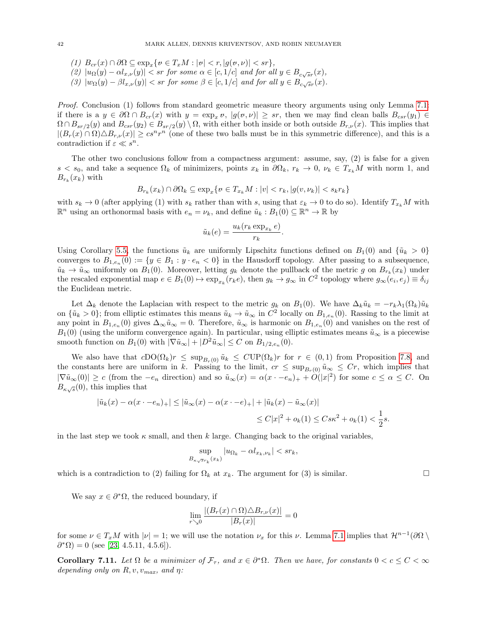- (1)  $B_{cr}(x) \cap \partial\Omega \subseteq \exp_x\{v \in T_xM : |v| < r, |g(v,v)| < sr\},\$
- (2)  $|u_{\Omega}(y) \alpha l_{x,\nu}(y)| < sr$  for some  $\alpha \in [c,1/c]$  and for all  $y \in B_{c\sqrt{sr}}(x)$ ,
- (3)  $|w_{\Omega}(y) \beta l_{x,\nu}(y)| < sr$  for some  $\beta \in [c,1/c]$  and for all  $y \in B_{c\sqrt{sr}}(x)$ .

Proof. Conclusion (1) follows from standard geometric measure theory arguments using only Lemma [7.1:](#page-35-2) if there is a  $y \in \partial\Omega \cap B_{cr}(x)$  with  $y = \exp_x v$ ,  $|g(v, v)| \geq sr$ , then we may find clean balls  $B_{csr}(y_1) \in$  $\Omega \cap B_{sr/2}(y)$  and  $B_{csr}(y_2) \in B_{sr/2}(y) \setminus \Omega$ , with either both inside or both outside  $B_{r,\nu}(x)$ . This implies that  $|(B_r(x) \cap \Omega) \triangle B_{r,\nu}(x)| \geq c s^n r^n$  (one of these two balls must be in this symmetric difference), and this is a contradiction if  $\varepsilon \ll s^n$ .

The other two conclusions follow from a compactness argument: assume, say, (2) is false for a given  $s < s_0$ , and take a sequence  $\Omega_k$  of minimizers, points  $x_k$  in  $\partial \Omega_k$ ,  $r_k \to 0$ ,  $\nu_k \in T_{x_k}M$  with norm 1, and  $B_{r_k}(x_k)$  with

$$
B_{r_k}(x_k) \cap \partial \Omega_k \subseteq \exp_x\{v \in T_{x_k}M : |v| < r_k, |g(v, \nu_k)| < s_k r_k\}
$$

with  $s_k \to 0$  (after applying (1) with  $s_k$  rather than with s, using that  $\varepsilon_k \to 0$  to do so). Identify  $T_{x_k}M$  with  $\mathbb{R}^n$  using an orthonormal basis with  $e_n = \nu_k$ , and define  $\tilde{u}_k : B_1(0) \subseteq \mathbb{R}^n \to \mathbb{R}$  by

$$
\tilde{u}_k(e) = \frac{u_k(r_k \exp_{x_k} e)}{r_k}.
$$

Using Corollary [5.5,](#page-32-0) the functions  $\tilde{u}_k$  are uniformly Lipschitz functions defined on  $B_1(0)$  and  $\{\tilde{u}_k > 0\}$ converges to  $B_{1,e_n}(0) := \{y \in B_1 : y \cdot e_n < 0\}$  in the Hausdorff topology. After passing to a subsequence,  $\tilde{u}_k \to \tilde{u}_{\infty}$  uniformly on  $B_1(0)$ . Moreover, letting  $g_k$  denote the pullback of the metric g on  $B_{r_k}(x_k)$  under the rescaled exponential map  $e \in B_1(0) \to \exp_{x_k}(r_k e)$ , then  $g_k \to g_\infty$  in  $C^2$  topology where  $g_\infty(e_i, e_j) \equiv \delta_{ij}$ the Euclidean metric.

Let  $\Delta_k$  denote the Laplacian with respect to the metric  $g_k$  on  $B_1(0)$ . We have  $\Delta_k\tilde{u}_k = -r_k\lambda_1(\Omega_k)\tilde{u}_k$ on  $\{\tilde{u}_k > 0\}$ ; from elliptic estimates this means  $\tilde{u}_k \to \tilde{u}_\infty$  in  $C^2$  locally on  $B_{1,e_n}(0)$ . Rassing to the limit at any point in  $B_{1,e_n}(0)$  gives  $\Delta_{\infty}\tilde{u}_{\infty}=0$ . Therefore,  $\tilde{u}_{\infty}$  is harmonic on  $B_{1,e_n}(0)$  and vanishes on the rest of  $B_1(0)$  (using the uniform convergence again). In particular, using elliptic estimates means  $\tilde{u}_{\infty}$  is a piecewise smooth function on  $B_1(0)$  with  $|\nabla \tilde{u}_{\infty}| + |D^2 \tilde{u}_{\infty}| \leq C$  on  $B_{1/2, e_n}(0)$ .

We also have that  $cDO(\Omega_k)r \leq \sup_{B_r(0)} \tilde{u}_k \leq CUP(\Omega_k)r$  for  $r \in (0,1)$  from Proposition [7.8,](#page-38-0) and the constants here are uniform in k. Passing to the limit,  $cr \leq \sup_{B_r(0)} \tilde{u}_{\infty} \leq Cr$ , which implies that  $|\nabla \tilde{u}_{\infty}(0)| \geq c$  (from the  $-e_n$  direction) and so  $\tilde{u}_{\infty}(x) = \alpha(x \cdot -e_n)_{+} + O(|x|^2)$  for some  $c \leq \alpha \leq C$ . On  $B_{\kappa\sqrt{s}}(0)$ , this implies that

$$
|\tilde{u}_k(x) - \alpha(x - e_n)| + |\leq |\tilde{u}_\infty(x) - \alpha(x - e)| + |\tilde{u}_k(x) - \tilde{u}_\infty(x)|
$$
  

$$
\leq C|x|^2 + o_k(1) \leq C s \kappa^2 + o_k(1) < \frac{1}{2} s.
$$

in the last step we took  $\kappa$  small, and then k large. Changing back to the original variables,

$$
\sup_{B_{\kappa\sqrt{s}r_k}(x_k)}|u_{\Omega_k} - \alpha l_{x_k,\nu_k}| < sr_k,
$$

which is a contradiction to (2) failing for  $\Omega_k$  at  $x_k$ . The argument for (3) is similar.

We say  $x \in \partial^* \Omega$ , the reduced boundary, if

$$
\lim_{r \searrow 0} \frac{|(B_r(x) \cap \Omega) \triangle B_{r,\nu}(x)|}{|B_r(x)|} = 0
$$

for some  $\nu \in T_xM$  with  $|\nu|=1$ ; we will use the notation  $\nu_x$  for this  $\nu$ . Lemma [7.1](#page-35-2) implies that  $\mathcal{H}^{n-1}(\partial\Omega \setminus$  $\partial^* \Omega$  = 0 (see [\[23,](#page-70-2) 4.5.11, 4.5.6]).

<span id="page-41-0"></span>Corollary 7.11. Let  $\Omega$  be a minimizer of  $\mathcal{F}_{\tau}$ , and  $x \in \partial^* \Omega$ . Then we have, for constants  $0 < c \leq C < \infty$ depending only on  $R, v, v_{max}$ , and  $\eta$ :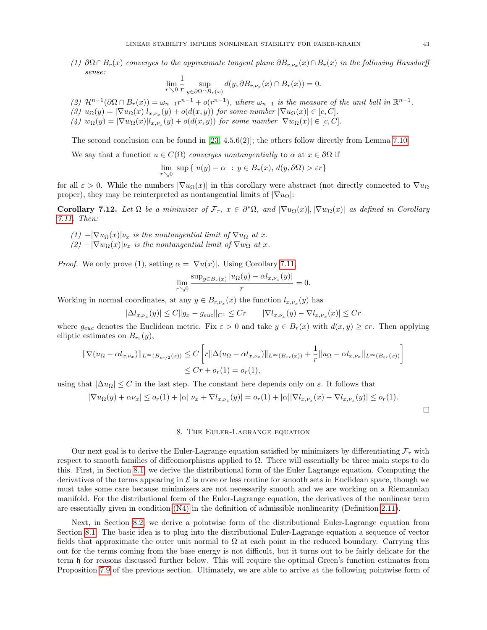(1)  $\partial\Omega \cap B_r(x)$  converges to the approximate tangent plane  $\partial B_{r,\nu_x}(x) \cap B_r(x)$  in the following Hausdorff sense:

$$
\lim_{r\searrow 0}\frac{1}{r}\sup_{y\in\partial\Omega\cap B_r(x)}d(y,\partial B_{r,\nu_x}(x)\cap B_r(x))=0.
$$

- (2)  $\mathcal{H}^{n-1}(\partial\Omega \cap B_r(x)) = \omega_{n-1}r^{n-1} + o(r^{n-1}),$  where  $\omega_{n-1}$  is the measure of the unit ball in  $\mathbb{R}^{n-1}$ .
- (3)  $u_{\Omega}(y) = |\nabla u_{\Omega}(x)| l_{x,\nu_x}(y) + o(d(x,y))$  for some number  $|\nabla u_{\Omega}(x)| \in [c, C]$ .
- (4)  $w_{\Omega}(y) = |\nabla w_{\Omega}(x)| l_{x,\nu_x}(y) + o(d(x,y))$  for some number  $|\nabla w_{\Omega}(x)| \in [c, C]$ .

The second conclusion can be found in  $[23, 4.5.6(2)]$  $[23, 4.5.6(2)]$ ; the others follow directly from Lemma [7.10.](#page-40-1)

We say that a function  $u \in C(\Omega)$  converges nontangentially to  $\alpha$  at  $x \in \partial \Omega$  if

$$
\lim_{r \searrow 0} \, \sup \, \{ |u(y) - \alpha| \, : \, y \in B_r(x), \, d(y, \partial \Omega) > \varepsilon r \}
$$

for all  $\varepsilon > 0$ . While the numbers  $|\nabla u_{\Omega}(x)|$  in this corollary were abstract (not directly connected to  $\nabla u_{\Omega}$ proper), they may be reinterpreted as nontangential limits of  $|\nabla u_{\Omega}|$ :

<span id="page-42-0"></span>Corollary 7.12. Let  $\Omega$  be a minimizer of  $\mathcal{F}_{\tau}$ ,  $x \in \partial^*\Omega$ , and  $|\nabla u_{\Omega}(x)|, |\nabla w_{\Omega}(x)|$  as defined in Corollary [7.11.](#page-41-0) Then:

- (1)  $-|\nabla u_{\Omega}(x)|\nu_x$  is the nontangential limit of  $\nabla u_{\Omega}$  at x.
- $(2)$  - $|\nabla w_{\Omega}(x)|\nu_x$  is the nontangential limit of  $\nabla w_{\Omega}$  at x.

*Proof.* We only prove (1), setting  $\alpha = |\nabla u(x)|$ . Using Corollary [7.11,](#page-41-0)

$$
\lim_{r \searrow 0} \frac{\sup_{y \in B_r(x)} |u_{\Omega}(y) - \alpha l_{x,\nu_x}(y)|}{r} = 0.
$$

Working in normal coordinates, at any  $y \in B_{r,\nu_x}(x)$  the function  $l_{x,\nu_x}(y)$  has

$$
|\Delta l_{x,\nu_x}(y)| \le C||g_x - g_{euc}||_{C^1} \le Cr \qquad |\nabla l_{x,\nu_x}(y) - \nabla l_{x,\nu_x}(x)| \le Cr
$$

where  $g_{euc}$  denotes the Euclidean metric. Fix  $\varepsilon > 0$  and take  $y \in B_r(x)$  with  $d(x, y) \geq \varepsilon r$ . Then applying elliptic estimates on  $B_{r\varepsilon}(y)$ ,

$$
\|\nabla(u_{\Omega} - \alpha l_{x,\nu_x})\|_{L^{\infty}(B_{\varepsilon r/2}(x))} \le C \left[ r\|\Delta(u_{\Omega} - \alpha l_{x,\nu_x})\|_{L^{\infty}(B_{\varepsilon r}(x))} + \frac{1}{r}\|u_{\Omega} - \alpha l_{x,\nu_x}\|_{L^{\infty}(B_{\varepsilon r}(x))} \right]
$$
  

$$
\le Cr + o_r(1) = o_r(1),
$$

using that  $|\Delta u_{\Omega}| \leq C$  in the last step. The constant here depends only on  $\varepsilon$ . It follows that

$$
|\nabla u_{\Omega}(y) + \alpha \nu_x| \leq o_r(1) + |\alpha||\nu_x + \nabla l_{x,\nu_x}(y)| = o_r(1) + |\alpha||\nabla l_{x,\nu_x}(x) - \nabla l_{x,\nu_x}(y)| \leq o_r(1).
$$

## 8. The Euler-Lagrange equation

Our next goal is to derive the Euler-Lagrange equation satisfied by minimizers by differentiating  $\mathcal{F}_{\tau}$  with respect to smooth families of diffeomorphisms applied to  $\Omega$ . There will essentially be three main steps to do this. First, in Section [8.1,](#page-43-0) we derive the distributional form of the Euler Lagrange equation. Computing the derivatives of the terms appearing in  $\mathcal E$  is more or less routine for smooth sets in Euclidean space, though we must take some care because minimizers are not necessarily smooth and we are working on a Riemannian manifold. For the distributional form of the Euler-Lagrange equation, the derivatives of the nonlinear term are essentially given in condition [\(N4\)](#page-8-0) in the definition of admissible nonlinearity (Definition [2.11\)](#page-8-1).

Next, in Section [8.2,](#page-50-0) we derive a pointwise form of the distributional Euler-Lagrange equation from Section [8.1.](#page-43-0) The basic idea is to plug into the distributional Euler-Lagrange equation a sequence of vector fields that approximate the outer unit normal to  $\Omega$  at each point in the reduced boundary. Carrying this out for the terms coming from the base energy is not difficult, but it turns out to be fairly delicate for the term h for reasons discussed further below. This will require the optimal Green's function estimates from Proposition [7.9](#page-39-4) of the previous section. Ultimately, we are able to arrive at the following pointwise form of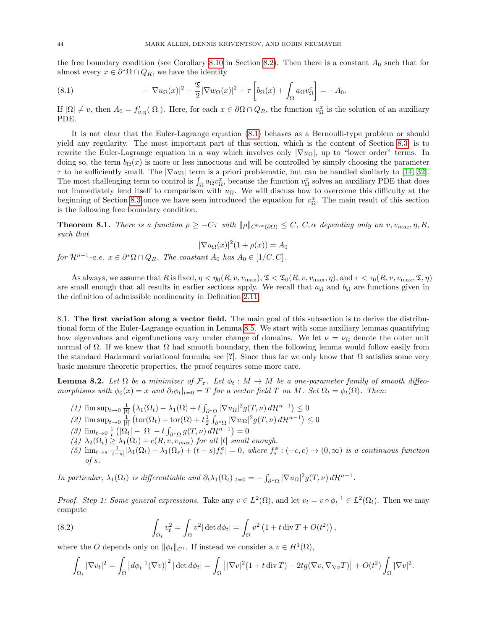the free boundary condition (see Corollary [8.10](#page-53-0) in Section [8.2\)](#page-50-0). Then there is a constant  $A_0$  such that for almost every  $x \in \partial^* \Omega \cap Q_R$ , we have the identity

<span id="page-43-1"></span>(8.1) 
$$
-|\nabla u_{\Omega}(x)|^2 - \frac{\mathfrak{T}}{2}|\nabla w_{\Omega}(x)|^2 + \tau \left[ b_{\Omega}(x) + \int_{\Omega} a_{\Omega} v_{\Omega}^x \right] = -A_0.
$$

If  $|\Omega|\neq v$ , then  $A_0=f'_{v,\eta}(|\Omega|)$ . Here, for each  $x\in\partial\Omega\cap Q_R$ , the function  $v_{\Omega}^x$  is the solution of an auxiliary PDE.

It is not clear that the Euler-Lagrange equation [\(8.1\)](#page-43-1) behaves as a Bernoulli-type problem or should yield any regularity. The most important part of this section, which is the content of Section [8.3,](#page-54-0) is to rewrite the Euler-Lagrange equation in a way which involves only  $|\nabla u_{\Omega}|$ , up to "lower order" terms. In doing so, the term  $b_{\Omega}(x)$  is more or less innocuous and will be controlled by simply choosing the parameter  $\tau$  to be sufficiently small. The  $|\nabla w_{\Omega}|$  term is a priori problematic, but can be handled similarly to [\[14,](#page-70-6) [32\]](#page-71-0). The most challenging term to control is  $\int_{\Omega} a_{\Omega} v_{\Omega}^x$ , because the function  $v_{\Omega}^x$  solves an auxiliary PDE that does not immediately lend itself to comparison with  $u_{\Omega}$ . We will discuss how to overcome this difficulty at the beginning of Section [8.3](#page-54-0) once we have seen introduced the equation for  $v_{\Omega}^x$ . The main result of this section is the following free boundary condition.

<span id="page-43-4"></span>**Theorem 8.1.** There is a function  $\rho \geq -C\tau$  with  $\|\rho\|_{C^{0,\alpha}(\partial\Omega)} \leq C$ ,  $C, \alpha$  depending only on  $v, v_{max}, \eta, R$ , such that

$$
|\nabla u_{\Omega}(x)|^2 (1 + \rho(x)) = A_0
$$

for  $\mathcal{H}^{n-1}$ -a.e.  $x \in \partial^* \Omega \cap Q_R$ . The constant  $A_0$  has  $A_0 \in [1/C, C]$ .

As always, we assume that R is fixed,  $\eta < \eta_0(R, v, v_{\text{max}}), \mathfrak{T} < \mathfrak{T}_0(R, v, v_{\text{max}}, \eta)$ , and  $\tau < \tau_0(R, v, v_{\text{max}}, \mathfrak{T}, \eta)$ are small enough that all results in earlier sections apply. We recall that  $a_{\Omega}$  and  $b_{\Omega}$  are functions given in the definition of admissible nonlinearity in Definition [2.11.](#page-8-1)

<span id="page-43-0"></span>8.1. The first variation along a vector field. The main goal of this subsection is to derive the distributional form of the Euler-Lagrange equation in Lemma [8.5.](#page-49-0) We start with some auxiliary lemmas quantifying how eigenvalues and eigenfunctions vary under change of domains. We let  $\nu = \nu_{\Omega}$  denote the outer unit normal of  $\Omega$ . If we knew that  $\Omega$  had smooth boundary, then the following lemma would follow easily from the standard Hadamard variational formula; see [?]. Since thus far we only know that  $\Omega$  satisfies some very basic measure theoretic properties, the proof requires some more care.

<span id="page-43-3"></span>**Lemma 8.2.** Let  $\Omega$  be a minimizer of  $\mathcal{F}_{\tau}$ . Let  $\phi_t : M \to M$  be a one-parameter family of smooth diffeomorphisms with  $\phi_0(x) = x$  and  $\partial_t \phi_t|_{t=0} = T$  for a vector field T on M. Set  $\Omega_t = \phi_t(\Omega)$ . Then:

- (1)  $\limsup_{t\to 0} \frac{1}{|t|} \left( \lambda_1(\Omega_t) \lambda_1(\Omega) + t \int_{\partial^* \Omega} |\nabla u_{\Omega}|^2 g(T, \nu) d\mathcal{H}^{n-1} \right) \leq 0$
- (2)  $\limsup_{t\to 0} \frac{1}{|t|} \left( \text{tor}(\Omega_t) \text{tor}(\Omega) + t \frac{1}{2} \int_{\partial^* \Omega} |\nabla w_{\Omega}|^2 g(T, \nu) d\mathcal{H}^{n-1} \right) \leq 0$
- (3)  $\lim_{t\to 0} \frac{1}{t} \left( |\Omega_t| |\Omega| t \int_{\partial^* \Omega} g(T,\nu) d\mathcal{H}^{n-1} \right) = 0$
- $(4)$   $\lambda_2(\Omega_t) \geq \lambda_1(\Omega_t) + c(R, v, v_{max})$  for all |t| small enough.
- (5)  $\lim_{t\to s} \frac{1}{|t-s|} |\lambda_1(\Omega_t) \lambda_1(\Omega_s) + (t-s)f_s^{\phi}| = 0$ , where  $f_s^{\phi} : (-c, c) \to (0, \infty)$  is a continuous function of s.

In particular,  $\lambda_1(\Omega_t)$  is differentiable and  $\partial_t \lambda_1(\Omega_t)|_{t=0} = -\int_{\partial^*\Omega} |\nabla u_{\Omega}|^2 g(T,\nu) d\mathcal{H}^{n-1}$ .

*Proof. Step 1: Some general expressions.* Take any  $v \in L^2(\Omega)$ , and let  $v_t = v \circ \phi_t^{-1} \in L^2(\Omega_t)$ . Then we may compute

(8.2) 
$$
\int_{\Omega_t} v_t^2 = \int_{\Omega} v^2 |\det d\phi_t| = \int_{\Omega} v^2 \left(1 + t \operatorname{div} T + O(t^2)\right),
$$

where the O depends only on  $\|\phi_t\|_{C^1}$ . If instead we consider a  $v \in H^1(\Omega)$ ,

<span id="page-43-2"></span>
$$
\int_{\Omega_t} |\nabla v_t|^2 = \int_{\Omega} \left| d\phi_t^{-1}(\nabla v) \right|^2 |\det d\phi_t| = \int_{\Omega} \left[ |\nabla v|^2 (1 + t \operatorname{div} T) - 2t g(\nabla v, \nabla_{\nabla v} T) \right] + O(t^2) \int_{\Omega} |\nabla v|^2.
$$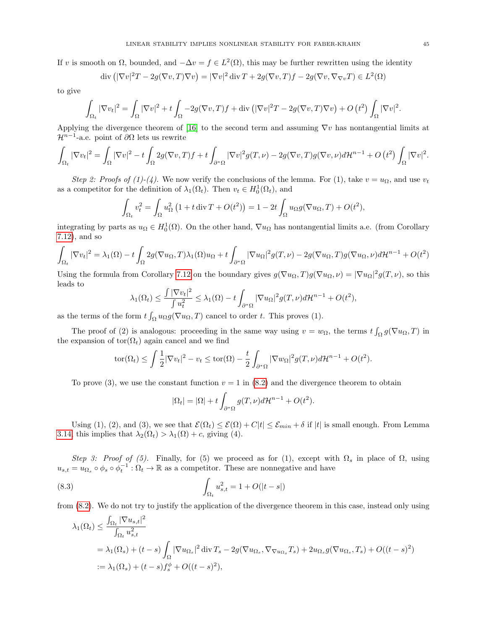If v is smooth on  $\Omega$ , bounded, and  $-\Delta v = f \in L^2(\Omega)$ , this may be further rewritten using the identity

$$
\operatorname{div} \left( |\nabla v|^2 T - 2g(\nabla v, T) \nabla v \right) = |\nabla v|^2 \operatorname{div} T + 2g(\nabla v, T) f - 2g(\nabla v, \nabla_{\nabla v} T) \in L^2(\Omega)
$$

to give

$$
\int_{\Omega_t} |\nabla v_t|^2 = \int_{\Omega} |\nabla v|^2 + t \int_{\Omega} -2g(\nabla v, T)f + \text{div} \left( |\nabla v|^2 T - 2g(\nabla v, T)\nabla v \right) + O \left( t^2 \right) \int_{\Omega} |\nabla v|^2.
$$

Applying the divergence theorem of [\[16\]](#page-70-7) to the second term and assuming  $\nabla v$  has nontangential limits at  $\mathcal{H}^{n-1}$ -a.e. point of  $\partial\Omega$  lets us rewrite

$$
\int_{\Omega_t} |\nabla v_t|^2 = \int_{\Omega} |\nabla v|^2 - t \int_{\Omega} 2g(\nabla v, T) f + t \int_{\partial^* \Omega} |\nabla v|^2 g(T, \nu) - 2g(\nabla v, T) g(\nabla v, \nu) d\mathcal{H}^{n-1} + O(t^2) \int_{\Omega} |\nabla v|^2.
$$

Step 2: Proofs of (1)-(4). We now verify the conclusions of the lemma. For (1), take  $v = u_{\Omega}$ , and use  $v_t$ as a competitor for the definition of  $\lambda_1(\Omega_t)$ . Then  $v_t \in H_0^1(\Omega_t)$ , and

$$
\int_{\Omega_t} v_t^2 = \int_{\Omega} u_{\Omega}^2 \left( 1 + t \operatorname{div} T + O(t^2) \right) = 1 - 2t \int_{\Omega} u_{\Omega} g(\nabla u_{\Omega}, T) + O(t^2),
$$

integrating by parts as  $u_{\Omega} \in H_0^1(\Omega)$ . On the other hand,  $\nabla u_{\Omega}$  has nontangential limits a.e. (from Corollary [7.12\)](#page-42-0), and so

$$
\int_{\Omega_t} |\nabla v_t|^2 = \lambda_1(\Omega) - t \int_{\Omega} 2g(\nabla u_{\Omega}, T) \lambda_1(\Omega) u_{\Omega} + t \int_{\partial^* \Omega} |\nabla u_{\Omega}|^2 g(T, \nu) - 2g(\nabla u_{\Omega}, T)g(\nabla u_{\Omega}, \nu) d\mathcal{H}^{n-1} + O(t^2)
$$

Using the formula from Corollary [7.12](#page-42-0) on the boundary gives  $g(\nabla u_{\Omega}, T)g(\nabla u_{\Omega}, \nu) = |\nabla u_{\Omega}|^2 g(T, \nu)$ , so this leads to

$$
\lambda_1(\Omega_t) \le \frac{\int |\nabla v_t|^2}{\int u_t^2} \le \lambda_1(\Omega) - t \int_{\partial^*\Omega} |\nabla u_\Omega|^2 g(T,\nu) d\mathcal{H}^{n-1} + O(t^2),
$$

as the terms of the form  $t \int_{\Omega} u_{\Omega} g(\nabla u_{\Omega}, T)$  cancel to order t. This proves (1).

The proof of (2) is analogous: proceeding in the same way using  $v = w_{\Omega}$ , the terms  $t \int_{\Omega} g(\nabla u_{\Omega}, T)$  in the expansion of  $\text{tor}(\Omega_t)$  again cancel and we find

$$
\text{tor}(\Omega_t) \leq \int \frac{1}{2} |\nabla v_t|^2 - v_t \leq \text{tor}(\Omega) - \frac{t}{2} \int_{\partial^* \Omega} |\nabla w_{\Omega}|^2 g(T, \nu) d\mathcal{H}^{n-1} + O(t^2).
$$

To prove (3), we use the constant function  $v = 1$  in [\(8.2\)](#page-43-2) and the divergence theorem to obtain

<span id="page-44-0"></span>
$$
|\Omega_t| = |\Omega| + t \int_{\partial^* \Omega} g(T, \nu) d\mathcal{H}^{n-1} + O(t^2).
$$

Using (1), (2), and (3), we see that  $\mathcal{E}(\Omega_t) \leq \mathcal{E}(\Omega) + C|t| \leq \mathcal{E}_{min} + \delta$  if |t| is small enough. From Lemma [3.14,](#page-20-0) this implies that  $\lambda_2(\Omega_t) > \lambda_1(\Omega) + c$ , giving (4).

Step 3: Proof of (5). Finally, for (5) we proceed as for (1), except with  $\Omega_s$  in place of  $\Omega$ , using  $u_{s,t} = u_{\Omega_s} \circ \phi_s \circ \phi_t^{-1} : \Omega_t \to \mathbb{R}$  as a competitor. These are nonnegative and have

(8.3) 
$$
\int_{\Omega_t} u_{s,t}^2 = 1 + O(|t - s|)
$$

from [\(8.2\)](#page-43-2). We do not try to justify the application of the divergence theorem in this case, instead only using

$$
\lambda_1(\Omega_t) \le \frac{\int_{\Omega_t} |\nabla u_{s,t}|^2}{\int_{\Omega_t} u_{s,t}^2}
$$
  
=  $\lambda_1(\Omega_s) + (t - s) \int_{\Omega} |\nabla u_{\Omega_s}|^2 \operatorname{div} T_s - 2g(\nabla u_{\Omega_s}, \nabla_{\nabla u_{\Omega_s}} T_s) + 2u_{\Omega_s} g(\nabla u_{\Omega_s}, T_s) + O((t - s)^2)$   
:=  $\lambda_1(\Omega_s) + (t - s) f_s^{\phi} + O((t - s)^2),$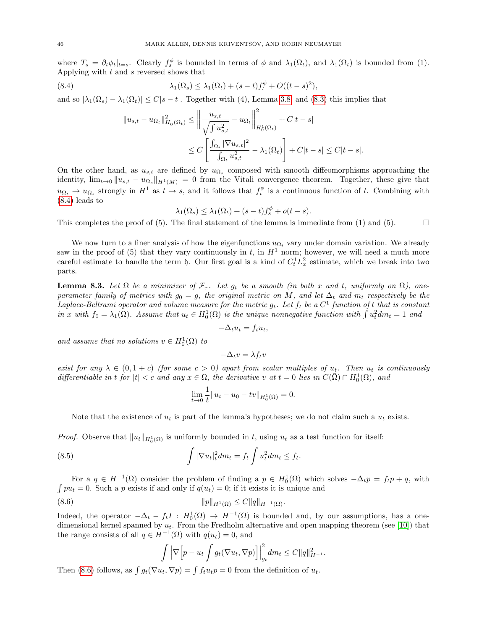where  $T_s = \partial_t \phi_t|_{t=s}$ . Clearly  $f_s^{\phi}$  is bounded in terms of  $\phi$  and  $\lambda_1(\Omega_t)$ , and  $\lambda_1(\Omega_t)$  is bounded from (1). Applying with  $t$  and  $s$  reversed shows that

(8.4) 
$$
\lambda_1(\Omega_s) \leq \lambda_1(\Omega_t) + (s-t)f_t^{\phi} + O((t-s)^2),
$$

and so  $|\lambda_1(\Omega_s) - \lambda_1(\Omega_t)| \le C|s-t|$ . Together with (4), Lemma [3.8,](#page-14-0) and [\(8.3\)](#page-44-0) this implies that

<span id="page-45-0"></span>
$$
||u_{s,t} - u_{\Omega_t}||_{H_0^1(\Omega_t)}^2 \le ||\frac{u_{s,t}}{\sqrt{\int u_{s,t}^2}} - u_{\Omega_t}||_{H_0^1(\Omega_t)}^2 + C|t-s|
$$
  

$$
\le C\left[\frac{\int_{\Omega_t} |\nabla u_{s,t}|^2}{\int_{\Omega_t} u_{s,t}^2} - \lambda_1(\Omega_t)\right] + C|t-s| \le C|t-s|.
$$

On the other hand, as  $u_{s,t}$  are defined by  $u_{\Omega_s}$  composed with smooth diffeomorphisms approaching the identity,  $\lim_{t\to 0} \|u_{s,t} - u_{\Omega_s}\|_{H^1(M)} = 0$  from the Vitali convergence theorem. Together, these give that  $u_{\Omega_t} \to u_{\Omega_s}$  strongly in  $H^1$  as  $t \to s$ , and it follows that  $f_t^{\phi}$  is a continuous function of t. Combining with [\(8.4\)](#page-45-0) leads to

$$
\lambda_1(\Omega_s) \leq \lambda_1(\Omega_t) + (s-t)f_s^{\phi} + o(t-s).
$$

This completes the proof of (5). The final statement of the lemma is immediate from (1) and (5).

We now turn to a finer analysis of how the eigenfunctions  $u_{\Omega}$ , vary under domain variation. We already saw in the proof of (5) that they vary continuously in  $t$ , in  $H<sup>1</sup>$  norm; however, we will need a much more careful estimate to handle the term  $\mathfrak h$ . Our first goal is a kind of  $C_t^1 L_x^2$  estimate, which we break into two parts.

<span id="page-45-2"></span>**Lemma 8.3.** Let  $\Omega$  be a minimizer of  $\mathcal{F}_{\tau}$ . Let  $g_t$  be a smooth (in both x and t, uniformly on  $\Omega$ ), oneparameter family of metrics with  $g_0 = q$ , the original metric on M, and let  $\Delta_t$  and  $m_t$  respectively be the Laplace-Beltrami operator and volume measure for the metric  $g_t$ . Let  $f_t$  be a  $C^1$  function of t that is constant in x with  $f_0 = \lambda_1(\Omega)$ . Assume that  $u_t \in H_0^1(\Omega)$  is the unique nonnegative function with  $\int u_t^2 dm_t = 1$  and

$$
-\Delta_t u_t = f_t u_t,
$$

and assume that no solutions  $v \in H_0^1(\Omega)$  to

 $-\Delta_t v = \lambda f_t v$ 

exist for any  $\lambda \in (0, 1+c)$  (for some  $c > 0$ ) apart from scalar multiples of  $u_t$ . Then  $u_t$  is continuously differentiable in t for  $|t| < c$  and any  $x \in \Omega$ , the derivative v at  $t = 0$  lies in  $C(\overline{\Omega}) \cap H_0^1(\Omega)$ , and

$$
\lim_{t \to 0} \frac{1}{t} ||u_t - u_0 - tv||_{H_0^1(\Omega)} = 0.
$$

Note that the existence of  $u_t$  is part of the lemma's hypotheses; we do not claim such a  $u_t$  exists.

*Proof.* Observe that  $||u_t||_{H_0^1(\Omega)}$  is uniformly bounded in t, using  $u_t$  as a test function for itself:

(8.5) 
$$
\int |\nabla u_t|_t^2 dm_t = f_t \int u_t^2 dm_t \leq f_t.
$$

For a  $q \in H^{-1}(\Omega)$  consider the problem of finding a  $p \in H_0^1(\Omega)$  which solves  $-\Delta_t p = f_t p + q$ , with  $\int pu_t = 0$ . Such a p exists if and only if  $q(u_t) = 0$ ; if it exists it is unique and

$$
(8.6) \t\t\t ||p||_{H^1(\Omega)} \le C ||q||_{H^{-1}(\Omega)}.
$$

Indeed, the operator  $-\Delta_t - f_t I$ :  $H_0^1(\Omega) \to H^{-1}(\Omega)$  is bounded and, by our assumptions, has a onedimensional kernel spanned by  $u_t$ . From the Fredholm alternative and open mapping theorem (see [\[10\]](#page-70-8)) that the range consists of all  $q \in H^{-1}(\Omega)$  with  $q(u_t) = 0$ , and

<span id="page-45-1"></span>
$$
\int \left| \nabla \Big[ p - u_t \int g_t(\nabla u_t, \nabla p) \Big] \right|_{g_t}^2 dm_t \leq C \|q\|_{H^{-1}}^2.
$$

Then [\(8.6\)](#page-45-1) follows, as  $\int g_t(\nabla u_t, \nabla p) = \int f_t u_t p = 0$  from the definition of  $u_t$ .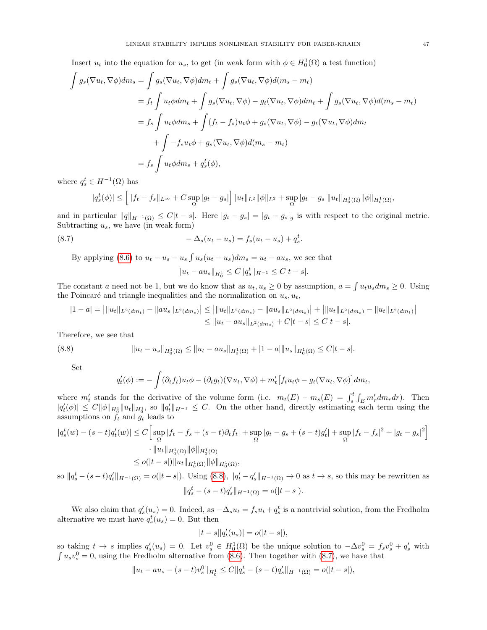Insert  $u_t$  into the equation for  $u_s$ , to get (in weak form with  $\phi \in H_0^1(\Omega)$  a test function)

$$
\int g_s(\nabla u_t, \nabla \phi) dm_s = \int g_s(\nabla u_t, \nabla \phi) dm_t + \int g_s(\nabla u_t, \nabla \phi) d(m_s - m_t)
$$
  
\n
$$
= f_t \int u_t \phi dm_t + \int g_s(\nabla u_t, \nabla \phi) - g_t(\nabla u_t, \nabla \phi) dm_t + \int g_s(\nabla u_t, \nabla \phi) d(m_s - m_t)
$$
  
\n
$$
= f_s \int u_t \phi dm_s + \int (f_t - f_s) u_t \phi + g_s(\nabla u_t, \nabla \phi) - g_t(\nabla u_t, \nabla \phi) dm_t
$$
  
\n
$$
+ \int -f_s u_t \phi + g_s(\nabla u_t, \nabla \phi) d(m_s - m_t)
$$
  
\n
$$
= f_s \int u_t \phi dm_s + q_s^t(\phi),
$$

where  $q_s^t \in H^{-1}(\Omega)$  has

$$
|q_s^t(\phi)| \leq \left[ \|f_t - f_s\|_{L^{\infty}} + C \sup_{\Omega} |g_t - g_s| \right] \|u_t\|_{L^2} \|\phi\|_{L^2} + \sup_{\Omega} |g_t - g_s| \|u_t\|_{H_0^1(\Omega)} \|\phi\|_{H_0^1(\Omega)},
$$

and in particular  $||q||_{H^{-1}(\Omega)} \leq C|t-s|$ . Here  $|g_t - g_s| = |g_t - g_s|_g$  is with respect to the original metric. Subtracting  $u_s$ , we have (in weak form)

(8.7) 
$$
-\Delta_s(u_t - u_s) = f_s(u_t - u_s) + q_s^t.
$$

By applying [\(8.6\)](#page-45-1) to  $u_t - u_s - u_s \int u_s(u_t - u_s) dm_s = u_t - au_s$ , we see that

<span id="page-46-1"></span>
$$
||u_t - au_s||_{H_0^1} \le C ||q_s^t||_{H^{-1}} \le C |t - s|.
$$

The constant a need not be 1, but we do know that as  $u_t, u_s \geq 0$  by assumption,  $a = \int u_t u_s dm_s \geq 0$ . Using the Poincaré and triangle inequalities and the normalization on  $u_s, u_t$ ,

$$
|1 - a| = ||u_t||_{L^2(dm_t)} - ||au_s||_{L^2(dm_s)} \le ||u_t||_{L^2(dm_s)} - ||au_s||_{L^2(dm_s)} + ||u_t||_{L^2(dm_s)} - ||u_t||_{L^2(dm_t)} \le ||u_t - au_s||_{L^2(dm_s)} + C|t - s| \le C|t - s|.
$$

Therefore, we see that

(8.8) 
$$
||u_t - u_s||_{H_0^1(\Omega)} \le ||u_t - au_s||_{H_0^1(\Omega)} + |1 - a||u_s||_{H_0^1(\Omega)} \le C|t - s|.
$$

Set

<span id="page-46-0"></span>
$$
q'_t(\phi) := -\int (\partial_t f_t) u_t \phi - (\partial_t g_t) (\nabla u_t, \nabla \phi) + m'_t \big[ f_t u_t \phi - g_t (\nabla u_t, \nabla \phi) \big] dm_t,
$$

where  $m'_t$  stands for the derivative of the volume form (i.e.  $m_t(E) - m_s(E) = \int_s^t \int_E m'_r dm_r dr$ ). Then  $|q'_t(\phi)| \leq C \|\phi\|_{H_0^1} \|u_t\|_{H_0^1}$ , so  $\|q'_t\|_{H^{-1}} \leq C$ . On the other hand, directly estimating each term using the assumptions on  $\tilde{f}_t$  and  $\tilde{g}_t$  leads to

$$
|q_s^t(w) - (s-t)q_t'(w)| \le C \left[ \sup_{\Omega} |f_t - f_s + (s-t)\partial_t f_t| + \sup_{\Omega} |g_t - g_s + (s-t)g_t'| + \sup_{\Omega} |f_t - f_s|^2 + |g_t - g_s|^2 \right] \cdot ||u_t||_{H_0^1(\Omega)} ||\phi||_{H_0^1(\Omega)} \le o(|t-s|) ||u_t||_{H_0^1(\Omega)} ||\phi||_{H_0^1(\Omega)},
$$

so  $||q_s^t - (s-t)q_t'||_{H^{-1}(\Omega)} = o(|t-s|)$ . Using [\(8.8\)](#page-46-0),  $||q_t' - q_s'||_{H^{-1}(\Omega)} \to 0$  as  $t \to s$ , so this may be rewritten as  $||q_s^t - (s-t)q_s'||_{H^{-1}(\Omega)} = o(|t-s|).$ 

We also claim that  $q'_s(u_s) = 0$ . Indeed, as  $-\Delta_s u_t = f_s u_t + q_s^t$  is a nontrivial solution, from the Fredholm alternative we must have  $q_s^t(u_s) = 0$ . But then

$$
|t-s||q_t'(u_s)| = o(|t-s|),
$$

so taking  $t \to s$  implies  $q'_s(u_s) = 0$ . Let  $v_s^0 \in H_0^1(\Omega)$  be the unique solution to  $-\Delta v_s^0 = f_s v_s^0 + q'_s$  with  $\int u_s v_s^0 = 0$ , using the Fredholm alternative from [\(8.6\)](#page-45-1). Then together with [\(8.7\)](#page-46-1), we have that

$$
||u_t - au_s - (s-t)v_s^0||_{H_0^1} \le C||q_s^t - (s-t)q_s'||_{H^{-1}(\Omega)} = o(|t-s|),
$$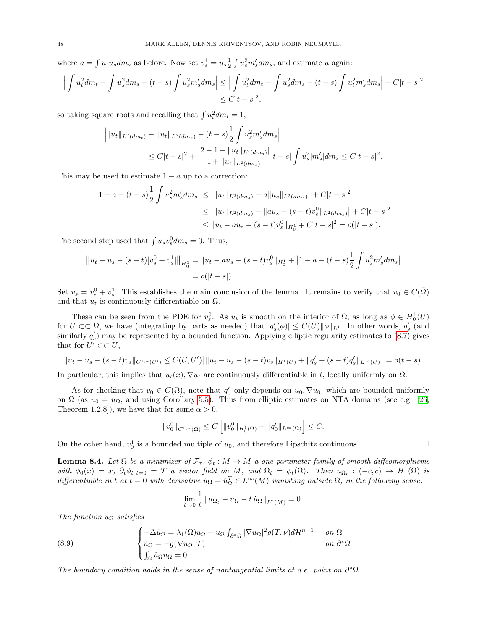where  $a = \int u_t u_s dm_s$  as before. Now set  $v_s^1 = u_s \frac{1}{2} \int u_s^2 m'_s dm_s$ , and estimate a again:

$$
\left| \int u_t^2 dm_t - \int u_s^2 dm_s - (t - s) \int u_s^2 m_s' dm_s \right| \le \left| \int u_t^2 dm_t - \int u_s^2 dm_s - (t - s) \int u_t^2 m_s' dm_s \right| + C|t - s|^2
$$
  

$$
\le C|t - s|^2,
$$

so taking square roots and recalling that  $\int u_t^2 dm_t = 1$ ,

$$
\|u_t\|_{L^2(dm_t)} - \|u_t\|_{L^2(dm_s)} - (t-s)\frac{1}{2}\int u_s^2 m'_s dm_s\|
$$
  
\n
$$
\leq C|t-s|^2 + \frac{|2-1-||u_t||_{L^2(dm_s)}||}{1+||u_t||_{L^2(dm_s)}}|t-s|\int u_s^2 |m'_s| dm_s \leq C|t-s|^2.
$$

This may be used to estimate  $1 - a$  up to a correction:

$$
\begin{aligned}\n\left|1 - a - (t - s)\frac{1}{2}\int u_s^2 m'_s dm_s\right| &\leq \left|\|u_t\|_{L^2(dm_s)} - a\|u_s\|_{L^2(dm_s)}\right| + C|t - s|^2 \\
&\leq \left|\|u_t\|_{L^2(dm_s)} - \|au_s - (s - t)v_s^0\|_{L^2(dm_s)}\right| + C|t - s|^2 \\
&\leq \|u_t - au_s - (s - t)v_s^0\|_{H_0^1} + C|t - s|^2 = o(|t - s|).\n\end{aligned}
$$

The second step used that  $\int u_s v_s^0 dm_s = 0$ . Thus,

$$
||u_t - u_s - (s - t)[v_s^0 + v_s^1]||_{H_0^1} = ||u_t - au_s - (s - t)v_s^0||_{H_0^1} + |1 - a - (t - s)\frac{1}{2}\int u_s^2 m'_s dm_s|
$$
  
=  $o(|t - s|).$ 

Set  $v_s = v_s^0 + v_s^1$ . This establishes the main conclusion of the lemma. It remains to verify that  $v_0 \in C(\overline{\Omega})$ and that  $u_t$  is continuously differentiable on  $\Omega$ .

These can be seen from the PDE for  $v_s^0$ . As  $u_t$  is smooth on the interior of  $\Omega$ , as long as  $\phi \in H_0^1(U)$ for  $U \subset\subset \Omega$ , we have (integrating by parts as needed) that  $|q'_{s}(\phi)| \leq C(U) ||\phi||_{L^{1}}$ . In other words,  $q'_{s}$  (and similarly  $q_s^t$ ) may be represented by a bounded function. Applying elliptic regularity estimates to  $(8.7)$  gives that for  $U' \subset\subset U$ ,

$$
||u_t - u_s - (s-t)v_s||_{C^{1,\alpha}(U')} \leq C(U, U')[||u_t - u_s - (s-t)v_s||_{H^1(U)} + ||q_s^t - (s-t)q_s'||_{L^\infty(U)}] = o(t-s).
$$

In particular, this implies that  $u_t(x)$ ,  $\nabla u_t$  are continuously differentiable in t, locally uniformly on  $\Omega$ .

As for checking that  $v_0 \in C(\overline{\Omega})$ , note that  $q'_0$  only depends on  $u_0, \nabla u_0$ , which are bounded uniformly on  $\Omega$  (as  $u_0 = u_\Omega$ , and using Corollary [5.5\)](#page-32-0). Thus from elliptic estimates on NTA domains (see e.g. [\[26,](#page-70-4) Theorem 1.2.8]), we have that for some  $\alpha > 0$ ,

$$
||v_0^0||_{C^{0,\alpha}(\bar{\Omega})} \leq C \left[||v_0^0||_{H_0^1(\Omega)} + ||q_0'||_{L^{\infty}(\Omega)}\right] \leq C.
$$

On the other hand,  $v_0^1$  is a bounded multiple of  $u_0$ , and therefore Lipschitz continuous.

<span id="page-47-0"></span>**Lemma 8.4.** Let  $\Omega$  be a minimizer of  $\mathcal{F}_{\tau}$ ,  $\phi_t : M \to M$  a one-parameter family of smooth diffeomorphisms with  $\phi_0(x) = x$ ,  $\partial_t \phi_t|_{t=0} = T$  a vector field on M, and  $\Omega_t = \phi_t(\Omega)$ . Then  $u_{\Omega_t} : (-c, c) \to H^1(\Omega)$  is differentiable in t at  $t = 0$  with derivative  $\dot{u}_{\Omega} = \dot{u}_{\Omega}^T \in L^{\infty}(M)$  vanishing outside  $\Omega$ , in the following sense:

<span id="page-47-1"></span>
$$
\lim_{t \to 0} \frac{1}{t} \| u_{\Omega_t} - u_{\Omega} - t \dot{u}_{\Omega} \|_{L^2(M)} = 0.
$$

The function  $\dot{u}_{\Omega}$  satisfies

(8.9) 
$$
\begin{cases} -\Delta \dot{u}_{\Omega} = \lambda_1(\Omega) \dot{u}_{\Omega} - u_{\Omega} \int_{\partial^* \Omega} |\nabla u_{\Omega}|^2 g(T, \nu) d\mathcal{H}^{n-1} & \text{on } \Omega \\ \dot{u}_{\Omega} = -g(\nabla u_{\Omega}, T) & \text{on } \partial^* \Omega \\ \int_{\Omega} \dot{u}_{\Omega} u_{\Omega} = 0. \end{cases}
$$

The boundary condition holds in the sense of nontangential limits at a.e. point on  $\partial^*\Omega$ .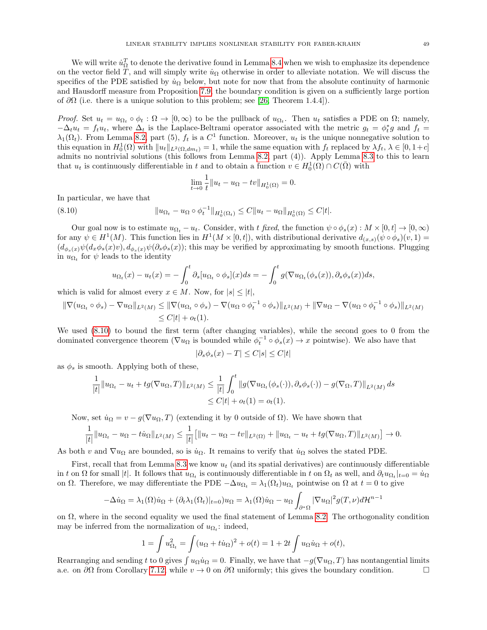We will write  $\dot{u}_\Omega^T$  to denote the derivative found in Lemma [8.4](#page-47-0) when we wish to emphasize its dependence on the vector field T, and will simply write  $\dot{u}_{\Omega}$  otherwise in order to alleviate notation. We will discuss the specifics of the PDE satisfied by  $\dot{u}_{\Omega}$  below, but note for now that from the absolute continuity of harmonic and Hausdorff measure from Proposition [7.9,](#page-39-4) the boundary condition is given on a sufficiently large portion of  $\partial\Omega$  (i.e. there is a unique solution to this problem; see [\[26,](#page-70-4) Theorem 1.4.4]).

Proof. Set  $u_t = u_{\Omega_t} \circ \phi_t : \Omega \to [0, \infty)$  to be the pullback of  $u_{\Omega_t}$ . Then  $u_t$  satisfies a PDE on  $\Omega$ ; namely,  $-\Delta_t u_t = f_t u_t$ , where  $\Delta_t$  is the Laplace-Beltrami operator associated with the metric  $g_t = \phi_t^* g$  and  $f_t =$  $\lambda_1(\Omega_t)$ . From Lemma [8.2,](#page-43-3) part (5),  $f_t$  is a  $C^1$  function. Moreover,  $u_t$  is the unique nonnegative solution to this equation in  $H_0^1(\Omega)$  with  $||u_t||_{L^2(\Omega, dm_t)} = 1$ , while the same equation with  $f_t$  replaced by  $\lambda f_t$ ,  $\lambda \in [0, 1+c]$ admits no nontrivial solutions (this follows from Lemma [8.2,](#page-43-3) part (4)). Apply Lemma [8.3](#page-45-2) to this to learn that  $u_t$  is continuously differentiable in t and to obtain a function  $v \in H_0^1(\Omega) \cap C(\overline{\Omega})$  with

<span id="page-48-0"></span>
$$
\lim_{t \to 0} \frac{1}{t} \| u_t - u_\Omega - tv \|_{H_0^1(\Omega)} = 0.
$$

In particular, we have that

(8.10) 
$$
\|u_{\Omega_t} - u_{\Omega} \circ \phi_t^{-1}\|_{H_0^1(\Omega_t)} \leq C \|u_t - u_{\Omega}\|_{H_0^1(\Omega)} \leq C |t|.
$$

Our goal now is to estimate  $u_{\Omega_t} - u_t$ . Consider, with t fixed, the function  $\psi \circ \phi_s(x) : M \times [0, t] \to [0, \infty)$ for any  $\psi \in H^1(M)$ . This function lies in  $H^1(M \times [0, t])$ , with distributional derivative  $d_{(x,s)}(\psi \circ \phi_s)(v, 1) =$  $(d_{\phi_s(x)}\psi(d_x\phi_s(x)v), d_{\phi_s(x)}\psi(\partial_s\phi_s(x));$  this may be verified by approximating by smooth functions. Plugging in  $u_{\Omega_t}$  for  $\psi$  leads to the identity

$$
u_{\Omega_t}(x) - u_t(x) = -\int_0^t \partial_s [u_{\Omega_t} \circ \phi_s](x) ds = -\int_0^t g(\nabla u_{\Omega_t}(\phi_s(x)), \partial_s \phi_s(x)) ds,
$$

which is valid for almost every  $x \in M$ . Now, for  $|s| \leq |t|$ ,

$$
\|\nabla(u_{\Omega_t} \circ \phi_s) - \nabla u_{\Omega}\|_{L^2(M)} \le \|\nabla(u_{\Omega_t} \circ \phi_s) - \nabla(u_{\Omega} \circ \phi_t^{-1} \circ \phi_s)\|_{L^2(M)} + \|\nabla u_{\Omega} - \nabla(u_{\Omega} \circ \phi_t^{-1} \circ \phi_s)\|_{L^2(M)} \le C|t| + o_t(1).
$$

We used [\(8.10\)](#page-48-0) to bound the first term (after changing variables), while the second goes to 0 from the dominated convergence theorem ( $\nabla u_{\Omega}$  is bounded while  $\phi_t^{-1} \circ \phi_s(x) \to x$  pointwise). We also have that

$$
|\partial_s \phi_s(x) - T| \le C|s| \le C|t|
$$

as  $\phi_s$  is smooth. Applying both of these,

$$
\frac{1}{|t|} \|u_{\Omega_t} - u_t + tg(\nabla u_{\Omega}, T)\|_{L^2(M)} \le \frac{1}{|t|} \int_0^t \|g(\nabla u_{\Omega_t}(\phi_s(\cdot)), \partial_s \phi_s(\cdot)) - g(\nabla_{\Omega}, T)\|_{L^2(M)} ds
$$
  

$$
\le C|t| + o_t(1) = o_t(1).
$$

Now, set  $\dot{u}_{\Omega} = v - g(\nabla u_{\Omega}, T)$  (extending it by 0 outside of  $\Omega$ ). We have shown that

$$
\frac{1}{|t|} \|u_{\Omega_t} - u_{\Omega} - t\dot{u}_{\Omega}\|_{L^2(M)} \le \frac{1}{|t|} \Big[ \|u_t - u_{\Omega} - tv\|_{L^2(\Omega)} + \|u_{\Omega_t} - u_t + tg(\nabla u_{\Omega}, T)\|_{L^2(M)} \Big] \to 0.
$$

As both v and  $\nabla u_{\Omega}$  are bounded, so is  $\dot{u}_{\Omega}$ . It remains to verify that  $\dot{u}_{\Omega}$  solves the stated PDE.

First, recall that from Lemma [8.3](#page-45-2) we know  $u_t$  (and its spatial derivatives) are continuously differentiable in t on  $\Omega$  for small |t|. It follows that  $u_{\Omega_t}$  is continuously differentiable in t on  $\Omega_t$  as well, and  $\partial_t u_{\Omega_t}|_{t=0} = \dot{u}_{\Omega}$ on  $\Omega$ . Therefore, we may differentiate the PDE  $-\Delta u_{\Omega_t} = \lambda_1(\Omega_t)u_{\Omega_t}$  pointwise on  $\Omega$  at  $t = 0$  to give

$$
-\Delta \dot{u}_{\Omega} = \lambda_1(\Omega)\dot{u}_{\Omega} + (\partial_t \lambda_1(\Omega_t)|_{t=0})u_{\Omega} = \lambda_1(\Omega)\dot{u}_{\Omega} - u_{\Omega} \int_{\partial^*\Omega} |\nabla u_{\Omega}|^2 g(T,\nu) d\mathcal{H}^{n-1}
$$

on  $\Omega$ , where in the second equality we used the final statement of Lemma [8.2.](#page-43-3) The orthogonality condition may be inferred from the normalization of  $u_{\Omega_t}$ : indeed,

$$
1 = \int u_{\Omega_t}^2 = \int (u_{\Omega} + t\dot{u}_{\Omega})^2 + o(t) = 1 + 2t \int u_{\Omega}\dot{u}_{\Omega} + o(t),
$$

Rearranging and sending t to 0 gives  $\int u_{\Omega}u_{\Omega}=0$ . Finally, we have that  $-g(\nabla u_{\Omega},T)$  has nontangential limits a.e. on  $\partial\Omega$  from Corollary [7.12,](#page-42-0) while  $v \to 0$  on  $\partial\Omega$  uniformly; this gives the boundary condition.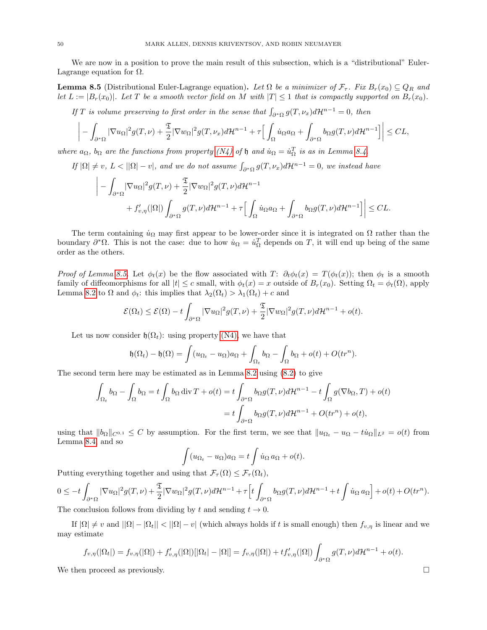We are now in a position to prove the main result of this subsection, which is a "distributional" Euler-Lagrange equation for  $\Omega$ .

<span id="page-49-0"></span>**Lemma 8.5** (Distributional Euler-Lagrange equation). Let  $\Omega$  be a minimizer of  $\mathcal{F}_{\tau}$ . Fix  $B_r(x_0) \subseteq Q_R$  and let  $L := |B_r(x_0)|$ . Let T be a smooth vector field on M with  $|T| \leq 1$  that is compactly supported on  $B_r(x_0)$ .

If T is volume preserving to first order in the sense that  $\int_{\partial^* \Omega} g(T, \nu_x) d\mathcal{H}^{n-1} = 0$ , then

$$
\bigg| - \int_{\partial^*\Omega} |\nabla u_\Omega|^2 g(T,\nu) + \frac{\mathfrak{T}}{2} |\nabla w_\Omega|^2 g(T,\nu_x) d\mathcal{H}^{n-1} + \tau \Big[ \int_\Omega \dot{u}_\Omega a_\Omega + \int_{\partial^*\Omega} b_\Omega g(T,\nu) d\mathcal{H}^{n-1} \Big] \bigg| \leq CL,
$$

where  $a_{\Omega}$ ,  $b_{\Omega}$  are the functions from property [\(N4\)](#page-8-0) of h and  $\dot{u}_{\Omega} = \dot{u}_{\Omega}^T$  is as in Lemma [8.4.](#page-47-0)

If 
$$
|\Omega| \neq v
$$
,  $L < ||\Omega| - v|$ , and we do not assume  $\int_{\partial^* \Omega} g(T, \nu_x) d\mathcal{H}^{n-1} = 0$ , we instead have

$$
\left| - \int_{\partial^*\Omega} |\nabla u_{\Omega}|^2 g(T,\nu) + \frac{\mathfrak{T}}{2} |\nabla w_{\Omega}|^2 g(T,\nu) d\mathcal{H}^{n-1} + f'_{\nu,\eta}(|\Omega|) \int_{\partial^*\Omega} g(T,\nu) d\mathcal{H}^{n-1} + \tau \Big[ \int_{\Omega} \dot{u}_{\Omega} a_{\Omega} + \int_{\partial^*\Omega} b_{\Omega} g(T,\nu) d\mathcal{H}^{n-1} \Big] \Big| \leq CL.
$$

The term containing  $\dot{u}_{\Omega}$  may first appear to be lower-order since it is integrated on  $\Omega$  rather than the boundary  $\partial^*\Omega$ . This is not the case: due to how  $\dot{u}_{\Omega} = \dot{u}_{\Omega}^T$  depends on T, it will end up being of the same order as the others.

Proof of Lemma [8.5.](#page-49-0) Let  $\phi_t(x)$  be the flow associated with T:  $\partial_t \phi_t(x) = T(\phi_t(x))$ ; then  $\phi_t$  is a smooth family of diffeomorphisms for all  $|t| \leq c$  small, with  $\phi_t(x) = x$  outside of  $B_r(x_0)$ . Setting  $\Omega_t = \phi_t(\Omega)$ , apply Lemma [8.2](#page-43-3) to  $\Omega$  and  $\phi_t$ : this implies that  $\lambda_2(\Omega_t) > \lambda_1(\Omega_t) + c$  and

$$
\mathcal{E}(\Omega_t) \leq \mathcal{E}(\Omega) - t \int_{\partial^* \Omega} |\nabla u_{\Omega}|^2 g(T, \nu) + \frac{\mathfrak{T}}{2} |\nabla w_{\Omega}|^2 g(T, \nu) d\mathcal{H}^{n-1} + o(t).
$$

Let us now consider  $\mathfrak{h}(\Omega_t)$ : using property [\(N4\),](#page-8-0) we have that

$$
\mathfrak{h}(\Omega_t) - \mathfrak{h}(\Omega) = \int (u_{\Omega_t} - u_{\Omega}) a_{\Omega} + \int_{\Omega_t} b_{\Omega} - \int_{\Omega} b_{\Omega} + o(t) + O(tr^n).
$$

The second term here may be estimated as in Lemma [8.2](#page-43-3) using [\(8.2\)](#page-43-2) to give

$$
\int_{\Omega_t} b_{\Omega} - \int_{\Omega} b_{\Omega} = t \int_{\Omega} b_{\Omega} \operatorname{div} T + o(t) = t \int_{\partial^* \Omega} b_{\Omega} g(T, \nu) d\mathcal{H}^{n-1} - t \int_{\Omega} g(\nabla b_{\Omega}, T) + o(t)
$$

$$
= t \int_{\partial^* \Omega} b_{\Omega} g(T, \nu) d\mathcal{H}^{n-1} + O(tr^n) + o(t),
$$

using that  $||b_{\Omega}||_{C^{0,1}} \leq C$  by assumption. For the first term, we see that  $||u_{\Omega_t} - u_{\Omega} - t\dot{u}_{\Omega}||_{L^2} = o(t)$  from Lemma [8.4,](#page-47-0) and so

$$
\int (u_{\Omega_t} - u_{\Omega}) a_{\Omega} = t \int \dot{u}_{\Omega} a_{\Omega} + o(t).
$$

Putting everything together and using that  $\mathcal{F}_{\tau}(\Omega) \leq \mathcal{F}_{\tau}(\Omega_t)$ ,

$$
0 \le -t \int_{\partial^*\Omega} |\nabla u_\Omega|^2 g(T,\nu) + \frac{\mathfrak{T}}{2} |\nabla w_\Omega|^2 g(T,\nu) d\mathcal{H}^{n-1} + \tau \Big[ t \int_{\partial^*\Omega} b_\Omega g(T,\nu) d\mathcal{H}^{n-1} + t \int \dot{u}_\Omega a_\Omega \Big] + o(t) + O(tr^n).
$$
  
The conclusion follows from the limit as  $h$  and so this  $t \to 0$ .

The conclusion follows from dividing by t and sending  $t \to 0$ .

If  $|\Omega| \neq v$  and  $||\Omega| - |\Omega_t|| < ||\Omega| - v||$  (which always holds if t is small enough) then  $f_{v,\eta}$  is linear and we may estimate

$$
f_{v,\eta}(|\Omega_t|) = f_{v,\eta}(|\Omega|) + f'_{v,\eta}(|\Omega|)[|\Omega_t| - |\Omega|] = f_{v,\eta}(|\Omega|) + tf'_{v,\eta}(|\Omega|) \int_{\partial^* \Omega} g(T,\nu) d\mathcal{H}^{n-1} + o(t).
$$

We then proceed as previously.  $\square$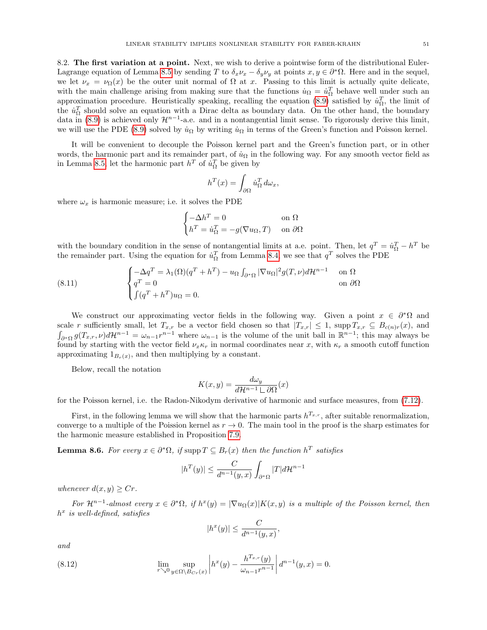<span id="page-50-0"></span>8.2. The first variation at a point. Next, we wish to derive a pointwise form of the distributional Euler-Lagrange equation of Lemma [8.5](#page-49-0) by sending T to  $\delta_x \nu_x - \delta_y \nu_y$  at points  $x, y \in \partial^* \Omega$ . Here and in the sequel, we let  $\nu_x = \nu_{\Omega}(x)$  be the outer unit normal of  $\Omega$  at x. Passing to this limit is actually quite delicate, with the main challenge arising from making sure that the functions  $\dot{u}_{\Omega} = \dot{u}_{\Omega}^T$  behave well under such an approximation procedure. Heuristically speaking, recalling the equation [\(8.9\)](#page-47-1) satisfied by  $\dot{u}_{\Omega}^T$ , the limit of the  $\dot{u}_\Omega^T$  should solve an equation with a Dirac delta as boundary data. On the other hand, the boundary data in [\(8.9\)](#page-47-1) is achieved only  $\mathcal{H}^{n-1}$ -a.e. and in a nontangential limit sense. To rigorously derive this limit, we will use the PDE [\(8.9\)](#page-47-1) solved by  $\dot{u}_{\Omega}$  by writing  $\dot{u}_{\Omega}$  in terms of the Green's function and Poisson kernel.

It will be convenient to decouple the Poisson kernel part and the Green's function part, or in other words, the harmonic part and its remainder part, of  $\dot{u}_{\Omega}$  in the following way. For any smooth vector field as in Lemma [8.5,](#page-49-0) let the harmonic part  $h^T$  of  $\dot{u}_\Omega^T$  be given by

$$
h^T(x) = \int_{\partial\Omega} \dot{u}_{\Omega}^T d\omega_x,
$$

where  $\omega_x$  is harmonic measure; i.e. it solves the PDE

$$
\begin{cases}\n-\Delta h^T = 0 & \text{on } \Omega\\
h^T = \dot{u}_\Omega^T = -g(\nabla u_\Omega, T) & \text{on } \partial\Omega\n\end{cases}
$$

with the boundary condition in the sense of nontangential limits at a.e. point. Then, let  $q^T = \dot{u}_\Omega^T - h^T$  be the remainder part. Using the equation for  $\dot{u}_{\Omega}^T$  from Lemma [8.4,](#page-47-0) we see that  $q^T$  solves the PDE

<span id="page-50-2"></span>(8.11) 
$$
\begin{cases}\n-\Delta q^T = \lambda_1(\Omega)(q^T + h^T) - u_{\Omega} \int_{\partial^* \Omega} |\nabla u_{\Omega}|^2 g(T, \nu) d\mathcal{H}^{n-1} & \text{on } \Omega \\
q^T = 0 & \text{on } \partial \Omega \\
\int (q^T + h^T) u_{\Omega} = 0.\n\end{cases}
$$

We construct our approximating vector fields in the following way. Given a point  $x \in \partial^* \Omega$  and scale r sufficiently small, let  $T_{x,r}$  be a vector field chosen so that  $|T_{x,r}| \leq 1$ , supp  $T_{x,r} \subseteq B_{c(n)r}(x)$ , and  $\int_{\partial^*\Omega} g(T_{x,r},\nu) d\mathcal{H}^{n-1} = \omega_{n-1} r^{n-1}$  where  $\omega_{n-1}$  is the volume of the unit ball in  $\mathbb{R}^{n-1}$ ; this may always be found by starting with the vector field  $\nu_x \kappa_r$  in normal coordinates near x, with  $\kappa_r$  a smooth cutoff function approximating  $1_{B_r(x)}$ , and then multiplying by a constant.

Below, recall the notation

$$
K(x,y) = \frac{d\omega_y}{d\mathcal{H}^{n-1} \sqcup \partial\Omega}(x)
$$

for the Poisson kernel, i.e. the Radon-Nikodym derivative of harmonic and surface measures, from [\(7.12\)](#page-40-2).

First, in the following lemma we will show that the harmonic parts  $h^{T_{x,r}}$ , after suitable renormalization, converge to a multiple of the Poission kernel as  $r \to 0$ . The main tool in the proof is the sharp estimates for the harmonic measure established in Proposition [7.9.](#page-39-4)

<span id="page-50-3"></span>**Lemma 8.6.** For every  $x \in \partial^* \Omega$ , if supp  $T \subseteq B_r(x)$  then the function  $h^T$  satisfies

$$
|h^T(y)| \le \frac{C}{d^{n-1}(y,x)} \int_{\partial^* \Omega} |T| d\mathcal{H}^{n-1}
$$

whenever  $d(x, y) \geq Cr$ .

For  $\mathcal{H}^{n-1}$ -almost every  $x \in \partial^* \Omega$ , if  $h^x(y) = |\nabla u_{\Omega}(x)| K(x, y)$  is a multiple of the Poisson kernel, then  $h^x$  is well-defined, satisfies

<span id="page-50-1"></span>
$$
|h^x(y)| \le \frac{C}{d^{n-1}(y,x)},
$$

and

(8.12) 
$$
\lim_{r \searrow 0} \sup_{y \in \Omega \setminus B_{Cr}(x)} \left| h^x(y) - \frac{h^{T_{x,r}}(y)}{\omega_{n-1}r^{n-1}} \right| d^{n-1}(y,x) = 0.
$$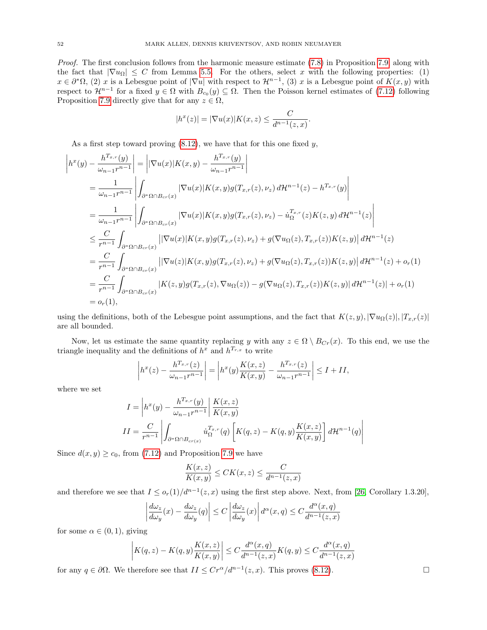Proof. The first conclusion follows from the harmonic measure estimate [\(7.8\)](#page-39-3) in Proposition [7.9,](#page-39-4) along with the fact that  $|\nabla u_{\Omega}| \leq C$  from Lemma [5.5.](#page-32-0) For the others, select x with the following properties: (1)  $x \in \partial^* \Omega$ , (2) x is a Lebesgue point of  $|\nabla u|$  with respect to  $\mathcal{H}^{n-1}$ , (3) x is a Lebesgue point of  $K(x, y)$  with respect to  $\mathcal{H}^{n-1}$  for a fixed  $y \in \Omega$  with  $B_{c_0}(y) \subseteq \Omega$ . Then the Poisson kernel estimates of [\(7.12\)](#page-40-2) following Proposition [7.9](#page-39-4) directly give that for any  $z \in \Omega$ ,

$$
|h^x(z)| = |\nabla u(x)|K(x,z) \leq \frac{C}{d^{n-1}(z,x)}.
$$

As a first step toward proving  $(8.12)$ , we have that for this one fixed y,

$$
\begin{split}\n\left|h^{x}(y) - \frac{h^{T_{x,r}}(y)}{\omega_{n-1}r^{n-1}}\right| &= \left|\left|\nabla u(x)\right|K(x,y) - \frac{h^{T_{x,r}}(y)}{\omega_{n-1}r^{n-1}}\right| \\
&= \frac{1}{\omega_{n-1}r^{n-1}} \left|\int_{\partial^{*}\Omega \cap B_{cr}(x)} \left|\nabla u(x)\right|K(x,y)g(T_{x,r}(z),\nu_{z}) d\mathcal{H}^{n-1}(z) - h^{T_{x,r}}(y)\right| \\
&= \frac{1}{\omega_{n-1}r^{n-1}} \left|\int_{\partial^{*}\Omega \cap B_{cr}(x)} \left|\nabla u(x)\right|K(x,y)g(T_{x,r}(z),\nu_{z}) - \dot{u}_{\Omega}^{T_{x,r}}(z)K(z,y) d\mathcal{H}^{n-1}(z)\right| \\
&\leq \frac{C}{r^{n-1}} \int_{\partial^{*}\Omega \cap B_{cr}(x)} \left|\left|\nabla u(x)\right|K(x,y)g(T_{x,r}(z),\nu_{z}) + g(\nabla u_{\Omega}(z), T_{x,r}(z))K(z,y)\right| d\mathcal{H}^{n-1}(z) \\
&= \frac{C}{r^{n-1}} \int_{\partial^{*}\Omega \cap B_{cr}(x)} \left|\left|\nabla u(z)\right|K(x,y)g(T_{x,r}(z),\nu_{z}) + g(\nabla u_{\Omega}(z), T_{x,r}(z))K(z,y)\right| d\mathcal{H}^{n-1}(z) + o_{r}(1) \\
&= \frac{C}{r^{n-1}} \int_{\partial^{*}\Omega \cap B_{cr}(x)} |K(z,y)g(T_{x,r}(z), \nabla u_{\Omega}(z)) - g(\nabla u_{\Omega}(z), T_{x,r}(z))K(z,y)| d\mathcal{H}^{n-1}(z)| + o_{r}(1) \\
&= o_{r}(1),\n\end{split}
$$

using the definitions, both of the Lebesgue point assumptions, and the fact that  $K(z, y), |\nabla u_{\Omega}(z)|, |T_{x,r}(z)|$ are all bounded.

Now, let us estimate the same quantity replacing y with any  $z \in \Omega \setminus B_{Cr}(x)$ . To this end, we use the triangle inequality and the definitions of  $h^x$  and  $h^{T_{r,x}}$  to write

$$
\left| h^{x}(z) - \frac{h^{T_{x,r}}(z)}{\omega_{n-1}r^{n-1}} \right| = \left| h^{x}(y) \frac{K(x,z)}{K(x,y)} - \frac{h^{T_{x,r}}(z)}{\omega_{n-1}r^{n-1}} \right| \le I + II,
$$

where we set

$$
I = \left| h^x(y) - \frac{h^{T_{x,r}}(y)}{\omega_{n-1}r^{n-1}} \right| \frac{K(x,z)}{K(x,y)}
$$
  

$$
II = \frac{C}{r^{n-1}} \left| \int_{\partial^* \Omega \cap B_{cr(x)}} u^{\frac{T_x}{\Omega},r}_{\Omega} (q) \left[ K(q,z) - K(q,y) \frac{K(x,z)}{K(x,y)} \right] d\mathcal{H}^{n-1}(q) \right|
$$

Since  $d(x, y) \ge c_0$ , from [\(7.12\)](#page-40-2) and Proposition [7.9](#page-39-4) we have

$$
\frac{K(x,z)}{K(x,y)} \le CK(x,z) \le \frac{C}{d^{n-1}(z,x)}
$$

and therefore we see that  $I \leq o_r(1)/d^{n-1}(z, x)$  using the first step above. Next, from [\[26,](#page-70-4) Corollary 1.3.20],

$$
\left| \frac{d\omega_z}{d\omega_y}(x) - \frac{d\omega_z}{d\omega_y}(q) \right| \le C \left| \frac{d\omega_z}{d\omega_y}(x) \right| d^{\alpha}(x, q) \le C \frac{d^{\alpha}(x, q)}{d^{n-1}(z, x)}
$$

for some  $\alpha \in (0,1)$ , giving

$$
\left| K(q,z) - K(q,y) \frac{K(x,z)}{K(x,y)} \right| \le C \frac{d^{\alpha}(x,q)}{d^{n-1}(z,x)} K(q,y) \le C \frac{d^{\alpha}(x,q)}{d^{n-1}(z,x)}
$$

for any  $q \in \partial\Omega$ . We therefore see that  $II \leq Cr^{\alpha}/d^{n-1}(z, x)$ . This proves [\(8.12\)](#page-50-1). □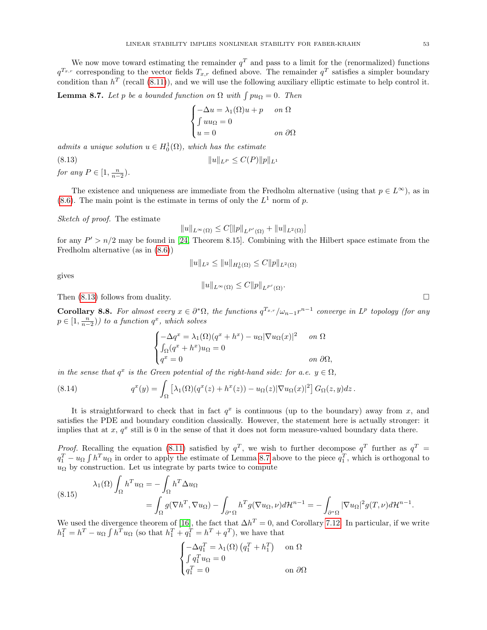We now move toward estimating the remainder  $q<sup>T</sup>$  and pass to a limit for the (renormalized) functions  $q^{T_{x,r}}$  corresponding to the vector fields  $T_{x,r}$  defined above. The remainder  $q^T$  satisfies a simpler boundary condition than  $h^T$  (recall [\(8.11\)](#page-50-2)), and we will use the following auxiliary elliptic estimate to help control it.

<span id="page-52-1"></span>**Lemma 8.7.** Let p be a bounded function on  $\Omega$  with  $\int pu_{\Omega} = 0$ . Then

<span id="page-52-0"></span>
$$
\begin{cases}\n-\Delta u = \lambda_1(\Omega)u + p & on \ \Omega \\
\int uu_\Omega = 0 & on \ \partial\Omega\n\end{cases}
$$

admits a unique solution  $u \in H_0^1(\Omega)$ , which has the estimate

(8.13)  $||u||_{L^P} \leq C(P)||p||_{L^1}$ 

for any  $P \in [1, \frac{n}{n-2}).$ 

The existence and uniqueness are immediate from the Fredholm alternative (using that  $p \in L^{\infty}$ ), as in  $(8.6)$ . The main point is the estimate in terms of only the  $L^1$  norm of p.

Sketch of proof. The estimate

$$
||u||_{L^{\infty}(\Omega)} \leq C[||p||_{L^{P'}(\Omega)} + ||u||_{L^{2}(\Omega)}]
$$

for any  $P' > n/2$  may be found in [\[24,](#page-70-0) Theorem 8.15]. Combining with the Hilbert space estimate from the Fredholm alternative (as in [\(8.6\)](#page-45-1))

$$
||u||_{L^2} \le ||u||_{H_0^1(\Omega)} \le C||p||_{L^2(\Omega)}
$$

gives

$$
||u||_{L^{\infty}(\Omega)} \leq C||p||_{L^{P'}(\Omega)}.
$$

Then  $(8.13)$  follows from duality.

<span id="page-52-4"></span>Corollary 8.8. For almost every  $x \in \partial^* \Omega$ , the functions  $q^{T_{x,r}}/\omega_{n-1} r^{n-1}$  converge in  $L^p$  topology (for any  $p \in [1, \frac{n}{n-2})$ ) to a function  $q^x$ , which solves

<span id="page-52-3"></span>
$$
\begin{cases}\n-\Delta q^x = \lambda_1(\Omega)(q^x + h^x) - u_\Omega |\nabla u_\Omega(x)|^2 & \text{on } \Omega \\
\int_{\Omega} (q^x + h^x) u_\Omega = 0 & \text{on } \partial\Omega,\n\end{cases}
$$

in the sense that  $q^x$  is the Green potential of the right-hand side: for a.e.  $y \in \Omega$ ,

(8.14) 
$$
q^x(y) = \int_{\Omega} \left[ \lambda_1(\Omega)(q^x(z) + h^x(z)) - u_{\Omega}(z) |\nabla u_{\Omega}(x)|^2 \right] G_{\Omega}(z, y) dz.
$$

It is straightforward to check that in fact  $q^x$  is continuous (up to the boundary) away from x, and satisfies the PDE and boundary condition classically. However, the statement here is actually stronger: it implies that at  $x, q^x$  still is 0 in the sense of that it does not form measure-valued boundary data there.

*Proof.* Recalling the equation [\(8.11\)](#page-50-2) satisfied by  $q^T$ , we wish to further decompose  $q^T$  further as  $q^T =$  $q_1^T - u_{\Omega} \int h^T u_{\Omega}$  in order to apply the estimate of Lemma [8.7](#page-52-1) above to the piece  $q_1^T$ , which is orthogonal to  $u_{\Omega}$  by construction. Let us integrate by parts twice to compute

<span id="page-52-2"></span>(8.15) 
$$
\lambda_1(\Omega) \int_{\Omega} h^T u_{\Omega} = -\int_{\Omega} h^T \Delta u_{\Omega}
$$

$$
= \int_{\Omega} g(\nabla h^T, \nabla u_{\Omega}) - \int_{\partial^* \Omega} h^T g(\nabla u_{\Omega}, \nu) d\mathcal{H}^{n-1} = -\int_{\partial^* \Omega} |\nabla u_{\Omega}|^2 g(T, \nu) d\mathcal{H}^{n-1}.
$$

We used the divergence theorem of [\[16\]](#page-70-7), the fact that  $\Delta h^T = 0$ , and Corollary [7.12.](#page-42-0) In particular, if we write  $h_1^T = h^T - u_{\Omega} \int h^T u_{\Omega}$  (so that  $h_1^T + q_1^T = h^T + q^T$ ), we have that

$$
\begin{cases}\n-\Delta q_1^T = \lambda_1(\Omega) (q_1^T + h_1^T) & \text{on } \Omega \\
\int q_1^T u_\Omega = 0 & \text{on } \partial\Omega\n\end{cases}
$$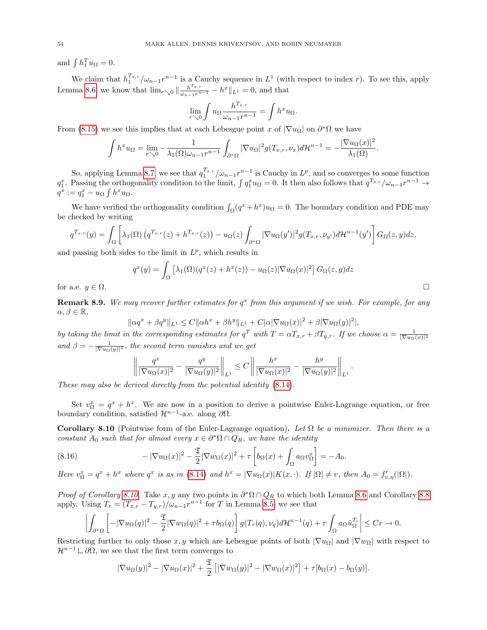and  $\int h_1^T u_\Omega = 0$ .

We claim that  $h_1^{T_{x,r}}/\omega_{n-1}r^{n-1}$  is a Cauchy sequence in  $L^1$  (with respect to index r). To see this, apply Lemma [8.6,](#page-50-3) we know that  $\lim_{r\searrow0} \|\frac{h^{T_{x,r}}}{\omega_{n-1}r^{n-1}} - h^x\|_{L^1} = 0$ , and that

$$
\lim_{r \searrow 0} \int u_{\Omega} \frac{h^{T_{x,r}}}{\omega_{n-1}r^{n-1}} = \int h^x u_{\Omega}.
$$

From [\(8.15\)](#page-52-2) we see this implies that at each Lebesgue point x of  $|\nabla u_{\Omega}|$  on  $\partial^*\Omega$  we have

$$
\int h^x u_{\Omega} = \lim_{r \searrow 0} -\frac{1}{\lambda_1(\Omega) \omega_{n-1} r^{n-1}} \int_{\partial^* \Omega} |\nabla u_{\Omega}|^2 g(T_{x,r}, \nu_x) d\mathcal{H}^{n-1} = -\frac{|\nabla u_{\Omega}(x)|^2}{\lambda_1(\Omega)}.
$$

So, applying Lemma [8.7,](#page-52-1) we see that  $q_1^{T_{x,r}}/\omega_{n-1}r^{n-1}$  is Cauchy in  $L^p$ , and so converges to some function  $q_1^x$ . Passing the orthogonality condition to the limit,  $\int q_1^x u_{\Omega} = 0$ . It then also follows that  $q^{T_{x,r}}/\omega_{n-1}r^{n-1} \to$  $q^x := q_1^x - u_\Omega \int h^x u_\Omega.$ 

We have verified the orthogonality condition  $\int_{\Omega} (q^x + h^x) u_{\Omega} = 0$ . The boundary condition and PDE may be checked by writing

$$
q^{T_{x,r}}(y) = \int_{\Omega} \left[ \lambda_1(\Omega) \left( q^{T_{x,r}}(z) + h^{T_{x,r}}(z) \right) - u_{\Omega}(z) \int_{\partial^* \Omega} |\nabla u_{\Omega}(y')|^2 g(T_{x,r}, \nu_{y'}) d\mathcal{H}^{n-1}(y') \right] G_{\Omega}(z, y) dz,
$$

and passing both sides to the limit in  $L^p$ , which results in

 $\epsilon$ 

$$
q^x(y) = \int_{\Omega} \left[ \lambda_1(\Omega)(q^x(z) + h^x(z)) - u_{\Omega}(z) |\nabla u_{\Omega}(x)|^2 \right] G_{\Omega}(z, y) dz
$$
  
for a.e.  $y \in \Omega$ .

<span id="page-53-2"></span>**Remark 8.9.** We may recover further estimates for  $q^x$  from this argument if we wish. For example, for any  $\alpha, \beta \in \mathbb{R}$ ,

$$
\|\alpha q^x + \beta q^y\|_{L^1} \le C \|\alpha h^x + \beta h^y\|_{L^1} + C|\alpha|\nabla u_{\Omega}(x)|^2 + \beta|\nabla u_{\Omega}(y)|^2|,
$$

by taking the limit in the corresponding estimates for  $q^T$  with  $T = \alpha T_{x,r} + \beta T_{y,r}$ . If we choose  $\alpha = \frac{1}{|\nabla u_{\Omega}(x)|^2}$ and  $\beta = -\frac{1}{|\nabla u_{\Omega}(y)|^2}$ , the second term vanishes and we get

$$
\left\|\frac{q^x}{|\nabla u_{\Omega}(x)|^2}-\frac{q^y}{|\nabla u_{\Omega}(y)|^2}\right\|_{L^1}\leq C\left\|\frac{h^x}{|\nabla u_{\Omega}(x)|^2}-\frac{h^y}{|\nabla u_{\Omega}(y)|^2}\right\|_{L^1}.
$$

These may also be derived directly from the potential identity [\(8.14\)](#page-52-3).

Set  $v_{\Omega}^x = q^x + h^x$ . We are now in a position to derive a pointwise Euler-Lagrange equation, or free boundary condition, satisfied  $\mathcal{H}^{n-1}$ -a.e. along  $\partial\Omega$ .

<span id="page-53-0"></span>Corollary 8.10 (Pointwise form of the Euler-Lagrange equation). Let  $\Omega$  be a minimizer. Then there is a constant  $A_0$  such that for almost every  $x \in \partial^* \Omega \cap Q_R$ , we have the identity

<span id="page-53-1"></span>(8.16) 
$$
-|\nabla u_{\Omega}(x)|^2 - \frac{\mathfrak{T}}{2}|\nabla w_{\Omega}(x)|^2 + \tau \left[ b_{\Omega}(x) + \int_{\Omega} a_{\Omega} v_{\Omega}^x \right] = -A_0.
$$

Here  $v_{\Omega}^x = q^x + h^x$  where  $q^x$  is as in [\(8.14\)](#page-52-3) and  $h^x = |\nabla u_{\Omega}(x)| K(x, \cdot)$ . If  $|\Omega| \neq v$ , then  $A_0 = f'_{v,\eta}(|\Omega|)$ .

*Proof of Corollary [8.10.](#page-53-0)* Take  $x, y$  any two points in  $\partial^* \Omega \cap Q_R$  to which both Lemma [8.6](#page-50-3) and Corollary [8.8](#page-52-4) apply. Using  $T_r = (T_{x,r} - T_{y,r})/\omega_{n-1}r^{n-1}$  for T in Lemma [8.5,](#page-49-0) we see that

$$
\left|\int_{\partial^*\Omega}\left[-|\nabla u_\Omega(q)|^2-\frac{\mathfrak{T}}{2}|\nabla w_\Omega(q)|^2+\tau b_\Omega(q)\right]g(T_r(q),\nu_q)d\mathcal{H}^{n-1}(q)+\tau\int_\Omega a_\Omega\dot{u}_\Omega^{T_r}\right|\leq Cr\rightarrow 0.
$$

Restricting further to only those x, y which are Lebesgue points of both  $|\nabla u_{\Omega}|$  and  $|\nabla w_{\Omega}|$  with respect to  $\mathcal{H}^{n-1} \sqcup \partial \Omega$ , we see that the first term converges to

$$
|\nabla u_{\Omega}(y)|^2 - |\nabla u_{\Omega}(x)|^2 + \frac{\mathfrak{T}}{2} [|\nabla w_{\Omega}(y)|^2 - |\nabla w_{\Omega}(x)|^2] + \tau [b_{\Omega}(x) - b_{\Omega}(y)].
$$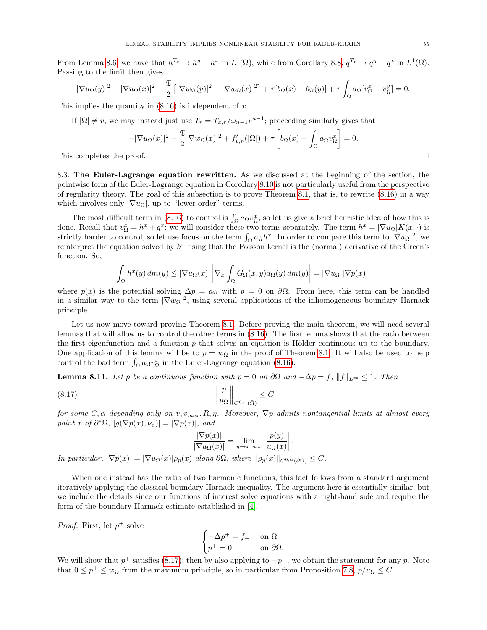From Lemma [8.6,](#page-50-3) we have that  $h^{T_r} \to h^y - h^x$  in  $L^1(\Omega)$ , while from Corollary [8.8,](#page-52-4)  $q^{T_r} \to q^y - q^x$  in  $L^1(\Omega)$ . Passing to the limit then gives

$$
|\nabla u_{\Omega}(y)|^2 - |\nabla u_{\Omega}(x)|^2 + \frac{\mathfrak{T}}{2} [|\nabla w_{\Omega}(y)|^2 - |\nabla w_{\Omega}(x)|^2] + \tau [b_{\Omega}(x) - b_{\Omega}(y)] + \tau \int_{\Omega} a_{\Omega} [v_{\Omega}^x - v_{\Omega}^y] = 0.
$$

This implies the quantity in  $(8.16)$  is independent of x.

If  $|\Omega| \neq v$ , we may instead just use  $T_r = T_{x,r}/\omega_{n-1}r^{n-1}$ ; proceeding similarly gives that

$$
-|\nabla u_{\Omega}(x)|^2 - \frac{\mathfrak{T}}{2}|\nabla w_{\Omega}(x)|^2 + f'_{v,\eta}(|\Omega|) + \tau \left[ b_{\Omega}(x) + \int_{\Omega} a_{\Omega} v_{\Omega}^x \right] = 0.
$$

This completes the proof.  $\square$ 

<span id="page-54-0"></span>8.3. The Euler-Lagrange equation rewritten. As we discussed at the beginning of the section, the pointwise form of the Euler-Lagrange equation in Corollary [8.10](#page-53-0) is not particularly useful from the perspective of regularity theory. The goal of this subsection is to prove Theorem [8.1,](#page-43-4) that is, to rewrite [\(8.16\)](#page-53-1) in a way which involves only  $|\nabla u_{\Omega}|$ , up to "lower order" terms.

The most difficult term in [\(8.16\)](#page-53-1) to control is  $\int_{\Omega} a_{\Omega} v_{\Omega}^x$ , so let us give a brief heuristic idea of how this is done. Recall that  $v_{\Omega}^x = h^x + q^x$ ; we will consider these two terms separately. The term  $h^x = |\nabla u_{\Omega}| K(x, \cdot)$  is strictly harder to control, so let use focus on the term  $\int_{\Omega} a_{\Omega} h^x$ . In order to compare this term to  $|\nabla u_{\Omega}|^2$ , we reinterpret the equation solved by  $h^x$  using that the Poisson kernel is the (normal) derivative of the Green's function. So,

$$
\int_{\Omega} h^{x}(y) dm(y) \leq |\nabla u_{\Omega}(x)| \left| \nabla_{x} \int_{\Omega} G_{\Omega}(x, y) a_{\Omega}(y) dm(y) \right| = |\nabla u_{\Omega}| |\nabla p(x)|,
$$

where  $p(x)$  is the potential solving  $\Delta p = a_{\Omega}$  with  $p = 0$  on  $\partial \Omega$ . From here, this term can be handled in a similar way to the term  $|\nabla w_{\Omega}|^2$ , using several applications of the inhomogeneous boundary Harnack principle.

Let us now move toward proving Theorem [8.1.](#page-43-4) Before proving the main theorem, we will need several lemmas that will allow us to control the other terms in [\(8.16\)](#page-53-1). The first lemma shows that the ratio between the first eigenfunction and a function  $p$  that solves an equation is Hölder continuous up to the boundary. One application of this lemma will be to  $p = w_{\Omega}$  in the proof of Theorem [8.1.](#page-43-4) It will also be used to help control the bad term  $\int_{\Omega} a_{\Omega} v_{\Omega}^x$  in the Euler-Lagrange equation [\(8.16\)](#page-53-1).

<span id="page-54-2"></span>**Lemma 8.11.** Let p be a continuous function with  $p = 0$  on  $\partial\Omega$  and  $-\Delta p = f$ ,  $||f||_{L^{\infty}} \leq 1$ . Then

$$
(8.17) \t\t \t\t \left\| \frac{p}{u_{\Omega}} \right\|_{C^{0,\alpha}(\bar{\Omega})} \leq C
$$

for some  $C, \alpha$  depending only on  $v, v_{max}, R, \eta$ . Moreover,  $\nabla p$  admits nontangential limits at almost every point x of  $\partial^*\Omega$ ,  $|g(\nabla p(x), \nu_x)| = |\nabla p(x)|$ , and

<span id="page-54-1"></span>
$$
\frac{|\nabla p(x)|}{|\nabla u_{\Omega}(x)|} = \lim_{y \to x} \lim_{n.t.} \left| \frac{p(y)}{u_{\Omega}(x)} \right|.
$$

In particular,  $|\nabla p(x)| = |\nabla u_{\Omega}(x)| \rho_p(x)$  along  $\partial \Omega$ , where  $\|\rho_p(x)\|_{C^{0,\alpha}(\partial \Omega)} \leq C$ .

When one instead has the ratio of two harmonic functions, this fact follows from a standard argument iteratively applying the classical boundary Harnack inequality. The argument here is essentially similar, but we include the details since our functions of interest solve equations with a right-hand side and require the form of the boundary Harnack estimate established in [\[4\]](#page-70-5).

*Proof.* First, let  $p^+$  solve

$$
\begin{cases}\n-\Delta p^+ = f_+ & \text{on } \Omega\\
p^+ = 0 & \text{on } \partial\Omega.\n\end{cases}
$$

We will show that  $p^+$  satisfies [\(8.17\)](#page-54-1); then by also applying to  $-p^-$ , we obtain the statement for any p. Note that  $0 \le p^+ \le w_\Omega$  from the maximum principle, so in particular from Proposition [7.8,](#page-38-0)  $p/u_\Omega \le C$ .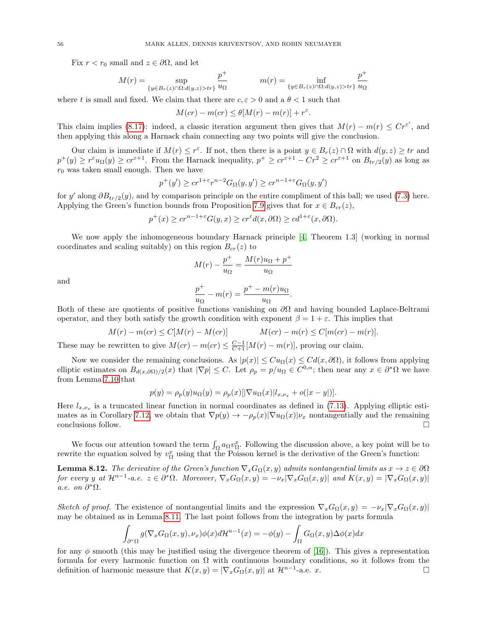Fix  $r < r_0$  small and  $z \in \partial \Omega$ , and let

$$
M(r) = \sup_{\{y \in B_r(z) \cap \Omega : d(y,z) > tr\}} \frac{p^+}{u_{\Omega}} \qquad m(r) = \inf_{\{y \in B_r(z) \cap \Omega : d(y,z) > tr\}} \frac{p^+}{u_{\Omega}}
$$

where t is small and fixed. We claim that there are  $c, \varepsilon > 0$  and a  $\theta < 1$  such that

$$
M(c r) - m(c r) \le \theta [M(r) - m(r)] + r^{\varepsilon}.
$$

This claim implies [\(8.17\)](#page-54-1): indeed, a classic iteration argument then gives that  $M(r) - m(r) \leq Cr^{\epsilon'}$ , and then applying this along a Harnack chain connecting any two points will give the conclusion.

Our claim is immediate if  $M(r) \leq r^{\varepsilon}$ . If not, then there is a point  $y \in B_r(z) \cap \Omega$  with  $d(y, z) \geq tr$  and  $p^+(y) \geq r^{\varepsilon} u_{\Omega}(y) \geq c r^{\varepsilon+1}$ . From the Harnack inequality,  $p^+ \geq c r^{\varepsilon+1} - C r^2 \geq c r^{\varepsilon+1}$  on  $B_{tr/2}(y)$  as long as  $r_0$  was taken small enough. Then we have

$$
p^+(y')\geq cr^{1+\varepsilon}r^{n-2}G_\Omega(y,y')\geq cr^{n-1+\varepsilon}G_\Omega(y,y')
$$

for y' along  $\partial B_{tr/2}(y)$ , and by comparison principle on the entire compliment of this ball; we used [\(7.3\)](#page-38-1) here. Applying the Green's function bounds from Proposition [7.9](#page-39-4) gives that for  $x \in B_{cr}(z)$ ,

$$
p^+(x) \ge cr^{n-1+\varepsilon} G(y, x) \ge cr^{\varepsilon} d(x, \partial \Omega) \ge cd^{1+\varepsilon}(x, \partial \Omega).
$$

We now apply the inhomogeneous boundary Harnack principle [\[4,](#page-70-5) Theorem 1.3] (working in normal coordinates and scaling suitably) on this region  $B_{cr}(z)$  to

$$
M(r) - \frac{p^+}{u_{\Omega}} = \frac{M(r)u_{\Omega} + p^+}{u_{\Omega}}
$$

and

$$
\frac{p^+}{u_{\Omega}} - m(r) = \frac{p^+ - m(r)u_{\Omega}}{u_{\Omega}}
$$

.

Both of these are quotients of positive functions vanishing on  $\partial\Omega$  and having bounded Laplace-Beltrami operator, and they both satisfy the growth condition with exponent  $\beta = 1 + \varepsilon$ . This implies that

$$
M(r) - m(cr) \le C[M(r) - M(cr)]
$$
  $M(cr) - m(r) \le C[m(cr) - m(r)].$ 

These may be rewritten to give  $M(cr) - m(cr) \leq \frac{C-1}{C+1}[M(r) - m(r)]$ , proving our claim.

Now we consider the remaining conclusions. As  $|p(x)| \leq Cu_{\Omega}(x) \leq Cd(x,\partial\Omega)$ , it follows from applying elliptic estimates on  $B_{d(x,\partial\Omega)/2}(x)$  that  $|\nabla p| \leq C$ . Let  $\rho_p = p/u_\Omega \in C^{0,\alpha}$ ; then near any  $x \in \partial^*\Omega$  we have from Lemma [7.10](#page-40-1) that

$$
p(y) = \rho_p(y)u_{\Omega}(y) = \rho_p(x)[|\nabla u_{\Omega}(x)|l_{x,\nu_x} + o(|x - y|)].
$$

Here  $l_{x,\nu_x}$  is a truncated linear function in normal coordinates as defined in [\(7.13\)](#page-40-3). Applying elliptic esti-mates as in Corollary [7.12,](#page-42-0) we obtain that  $\nabla p(y) \to -\rho_p(x) |\nabla u_\Omega(x)| \nu_x$  nontangentially and the remaining conclusions follow.  $\Box$ 

We focus our attention toward the term  $\int_{\Omega} a_{\Omega} v_{\Omega}^x$ . Following the discussion above, a key point will be to rewrite the equation solved by  $v_{\Omega}^x$  using that the Poisson kernel is the derivative of the Green's function:

<span id="page-55-0"></span>**Lemma 8.12.** The derivative of the Green's function  $\nabla_x G_{\Omega}(x, y)$  admits nontangential limits as  $x \to z \in \partial \Omega$ for every y at  $\mathcal{H}^{n-1}$ -a.e.  $z \in \partial^* \Omega$ . Moreover,  $\nabla_x G_{\Omega}(x,y) = -\nu_x |\nabla_x G_{\Omega}(x,y)|$  and  $K(x,y) = |\nabla_x G_{\Omega}(x,y)|$ a.e. on  $\partial^* \Omega$ .

Sketch of proof. The existence of nontangential limits and the expression  $\nabla_x G_\Omega(x, y) = -\nu_x |\nabla_x G_\Omega(x, y)|$ may be obtained as in Lemma [8.11.](#page-54-2) The last point follows from the integration by parts formula

$$
\int_{\partial^*\Omega} g(\nabla_x G_{\Omega}(x,y), \nu_x) \phi(x) d\mathcal{H}^{n-1}(x) = -\phi(y) - \int_{\Omega} G_{\Omega}(x,y) \Delta \phi(x) dx
$$

for any  $\phi$  smooth (this may be justified using the divergence theorem of [\[16\]](#page-70-7)). This gives a representation formula for every harmonic function on  $\Omega$  with continuous boundary conditions, so it follows from the definition of harmonic measure that  $K(x, y) = |\nabla_x G_{\Omega}(x, y)|$  at  $\mathcal{H}^{n-1}$ -a.e. x.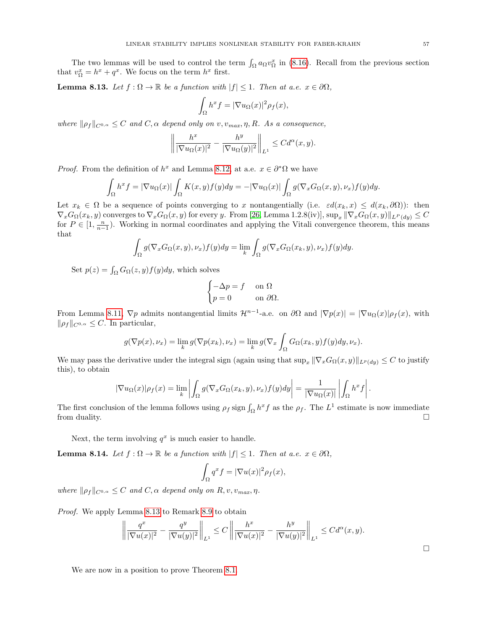The two lemmas will be used to control the term  $\int_{\Omega} a_{\Omega} v_{\Omega}^x$  in [\(8.16\)](#page-53-1). Recall from the previous section that  $v_{\Omega}^x = h^x + q^x$ . We focus on the term  $h^x$  first.

<span id="page-56-0"></span>**Lemma 8.13.** Let  $f : \Omega \to \mathbb{R}$  be a function with  $|f| \leq 1$ . Then at a.e.  $x \in \partial\Omega$ ,

$$
\int_{\Omega} h^x f = |\nabla u_{\Omega}(x)|^2 \rho_f(x),
$$

where  $\|\rho_f\|_{C^{0,\alpha}} \leq C$  and  $C, \alpha$  depend only on v,  $v_{max}, \eta, R$ . As a consequence,

$$
\left\| \frac{h^x}{|\nabla u_{\Omega}(x)|^2} - \frac{h^y}{|\nabla u_{\Omega}(y)|^2} \right\|_{L^1} \leq C d^{\alpha}(x, y).
$$

*Proof.* From the definition of  $h^x$  and Lemma [8.12,](#page-55-0) at a.e.  $x \in \partial^* \Omega$  we have

$$
\int_{\Omega} h^x f = |\nabla u_{\Omega}(x)| \int_{\Omega} K(x, y) f(y) dy = -|\nabla u_{\Omega}(x)| \int_{\Omega} g(\nabla_x G_{\Omega}(x, y), \nu_x) f(y) dy.
$$

Let  $x_k \in \Omega$  be a sequence of points converging to x nontangentially (i.e.  $\varepsilon d(x_k, x) \leq d(x_k, \partial \Omega)$ ): then  $\nabla_x G_{\Omega}(x_k, y)$  converges to  $\nabla_x G_{\Omega}(x, y)$  for every y. From [\[26,](#page-70-4) Lemma 1.2.8(iv)],  $\sup_x ||\nabla_x G_{\Omega}(x, y)||_{L^P (du)} \leq C$ for  $P \in [1, \frac{n}{n-1})$ . Working in normal coordinates and applying the Vitali convergence theorem, this means that

$$
\int_{\Omega} g(\nabla_x G_{\Omega}(x, y), \nu_x) f(y) dy = \lim_{k} \int_{\Omega} g(\nabla_x G_{\Omega}(x_k, y), \nu_x) f(y) dy.
$$

Set  $p(z) = \int_{\Omega} G_{\Omega}(z, y) f(y) dy$ , which solves

$$
\begin{cases}\n-\Delta p = f & \text{on } \Omega \\
p = 0 & \text{on } \partial\Omega.\n\end{cases}
$$

From Lemma [8.11,](#page-54-2)  $\nabla p$  admits nontangential limits  $\mathcal{H}^{n-1}$ -a.e. on  $\partial\Omega$  and  $|\nabla p(x)| = |\nabla u_{\Omega}(x)| \rho_f(x)$ , with  $\|\rho_f\|_{C^{0,\alpha}} \leq C.$  In particular,

$$
g(\nabla p(x), \nu_x) = \lim_k g(\nabla p(x_k), \nu_x) = \lim_k g(\nabla_x \int_{\Omega} G_{\Omega}(x_k, y) f(y) dy, \nu_x).
$$

We may pass the derivative under the integral sign (again using that  $\sup_x \|\nabla_x G_{\Omega}(x,y)\|_{L^p(dy)} \leq C$  to justify this), to obtain

$$
|\nabla u_{\Omega}(x)|\rho_f(x) = \lim_{k} \left| \int_{\Omega} g(\nabla_x G_{\Omega}(x_k, y), \nu_x) f(y) dy \right| = \frac{1}{|\nabla u_{\Omega}(x)|} \left| \int_{\Omega} h^x f \right|.
$$

The first conclusion of the lemma follows using  $\rho_f$  sign  $\int_{\Omega} h^x f$  as the  $\rho_f$ . The  $L^1$  estimate is now immediate from duality.  $\square$ 

Next, the term involving  $q^x$  is much easier to handle.

<span id="page-56-1"></span>**Lemma 8.14.** Let  $f : \Omega \to \mathbb{R}$  be a function with  $|f| \leq 1$ . Then at a.e.  $x \in \partial\Omega$ ,

$$
\int_{\Omega} q^x f = |\nabla u(x)|^2 \rho_f(x),
$$

where  $\|\rho_f\|_{C^{0,\alpha}} \leq C$  and  $C, \alpha$  depend only on  $R, v, v_{max}, \eta$ .

Proof. We apply Lemma [8.13](#page-56-0) to Remark [8.9](#page-53-2) to obtain

$$
\left\|\frac{q^x}{|\nabla u(x)|^2} - \frac{q^y}{|\nabla u(y)|^2}\right\|_{L^1} \le C \left\|\frac{h^x}{|\nabla u(x)|^2} - \frac{h^y}{|\nabla u(y)|^2}\right\|_{L^1} \le C d^{\alpha}(x, y).
$$

We are now in a position to prove Theorem [8.1.](#page-43-4)

 $\Box$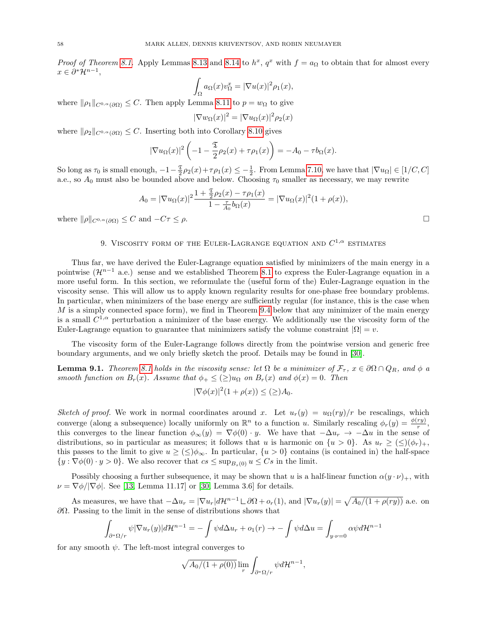*Proof of Theorem [8.1.](#page-43-4)* Apply Lemmas [8.13](#page-56-0) and [8.14](#page-56-1) to  $h^x$ ,  $q^x$  with  $f = a_{\Omega}$  to obtain that for almost every  $x \in \partial^* \mathcal{H}^{n-1},$ 

$$
\int_{\Omega} a_{\Omega}(x) v_{\Omega}^x = |\nabla u(x)|^2 \rho_1(x),
$$

where  $\|\rho_1\|_{C^{0,\alpha}(\partial\Omega)} \leq C$ . Then apply Lemma [8.11](#page-54-2) to  $p = w_{\Omega}$  to give

$$
|\nabla w_{\Omega}(x)|^2 = |\nabla u_{\Omega}(x)|^2 \rho_2(x)
$$

where  $\|\rho_2\|_{C^{0,\alpha}(\partial\Omega)} \leq C$ . Inserting both into Corollary [8.10](#page-53-0) gives

$$
|\nabla u_{\Omega}(x)|^2 \left(-1 - \frac{\mathfrak{T}}{2}\rho_2(x) + \tau \rho_1(x)\right) = -A_0 - \tau b_{\Omega}(x).
$$

So long as  $\tau_0$  is small enough,  $-1-\frac{\mathfrak{T}}{2}\rho_2(x)+\tau\rho_1(x)\leq -\frac{1}{2}$ . From Lemma [7.10,](#page-40-1) we have that  $|\nabla u_{\Omega}| \in [1/C, C]$ a.e., so  $A_0$  must also be bounded above and below. Choosing  $\tau_0$  smaller as necessary, we may rewrite

$$
A_0 = |\nabla u_{\Omega}(x)|^2 \frac{1 + \frac{\mathfrak{T}}{2} \rho_2(x) - \tau \rho_1(x)}{1 - \frac{\tau}{A_0} b_{\Omega}(x)} = |\nabla u_{\Omega}(x)|^2 (1 + \rho(x)),
$$

where  $\|\rho\|_{C^{0,\alpha}(\partial\Omega)} \leq C$  and  $-C\tau \leq \rho$ .

# 9. VISCOSITY FORM OF THE EULER-LAGRANGE EQUATION AND  $C^{1,\alpha}$  estimates

Thus far, we have derived the Euler-Lagrange equation satisfied by minimizers of the main energy in a pointwise  $(\mathcal{H}^{n-1}$  a.e.) sense and we established Theorem [8.1](#page-43-4) to express the Euler-Lagrange equation in a more useful form. In this section, we reformulate the (useful form of the) Euler-Lagrange equation in the viscosity sense. This will allow us to apply known regularity results for one-phase free boundary problems. In particular, when minimizers of the base energy are sufficiently regular (for instance, this is the case when  $M$  is a simply connected space form), we find in Theorem [9.4](#page-58-0) below that any minimizer of the main energy is a small  $C^{1,\alpha}$  perturbation a minimizer of the base energy. We additionally use the viscosity form of the Euler-Lagrange equation to guarantee that minimizers satisfy the volume constraint  $|Ω| = v$ .

The viscosity form of the Euler-Lagrange follows directly from the pointwise version and generic free boundary arguments, and we only briefly sketch the proof. Details may be found in [\[30\]](#page-70-1).

<span id="page-57-0"></span>**Lemma 9.1.** Theorem [8.1](#page-43-4) holds in the viscosity sense: let  $\Omega$  be a minimizer of  $\mathcal{F}_{\tau}$ ,  $x \in \partial \Omega \cap Q_R$ , and  $\phi$  a smooth function on  $B_r(x)$ . Assume that  $\phi_+ \leq (\geq) u_{\Omega}$  on  $B_r(x)$  and  $\phi(x) = 0$ . Then

$$
|\nabla \phi(x)|^2 (1 + \rho(x)) \le (\ge) A_0.
$$

Sketch of proof. We work in normal coordinates around x. Let  $u_r(y) = u_{\Omega}(ry)/r$  be rescalings, which converge (along a subsequence) locally uniformly on  $\mathbb{R}^n$  to a function u. Similarly rescaling  $\phi_r(y) = \frac{\phi(ry)}{r}$ , this converges to the linear function  $\phi_{\infty}(y) = \nabla \phi(0) \cdot y$ . We have that  $-\Delta u_r \to -\Delta u$  in the sense of distributions, so in particular as measures; it follows that u is harmonic on  $\{u > 0\}$ . As  $u_r \geq (\leq)(\phi_r)_+,$ this passes to the limit to give  $u \geq (\leq) \phi_{\infty}$ . In particular,  $\{u > 0\}$  contains (is contained in) the half-space  $\{y : \nabla \phi(0) \cdot y > 0\}$ . We also recover that  $cs \le \sup_{B \setminus (0)} u \le Cs$  in the limit.

Possibly choosing a further subsequence, it may be shown that u is a half-linear function  $\alpha(y \cdot \nu)_+$ , with  $\nu = \nabla \phi / |\nabla \phi|$ . See [\[13,](#page-70-9) Lemma 11.17] or [\[30,](#page-70-1) Lemma 3.6] for details.

As measures, we have that  $-\Delta u_r = |\nabla u_r| d\mathcal{H}^{n-1} \Box \partial \Omega + o_r(1)$ , and  $|\nabla u_r(y)| = \sqrt{A_0/(1 + \rho(ry))}$  a.e. on  $\partial Ω$ . Passing to the limit in the sense of distributions shows that

$$
\int_{\partial^*\Omega/r} \psi |\nabla u_r(y)| d\mathcal{H}^{n-1} = -\int \psi d\Delta u_r + o_1(r) \to -\int \psi d\Delta u = \int_{y \cdot \nu = 0} \alpha \psi d\mathcal{H}^{n-1}
$$

for any smooth  $\psi$ . The left-most integral converges to

$$
\sqrt{A_0/(1+\rho(0))}\lim_r \int_{\partial^* \Omega/r} \psi d\mathcal{H}^{n-1},
$$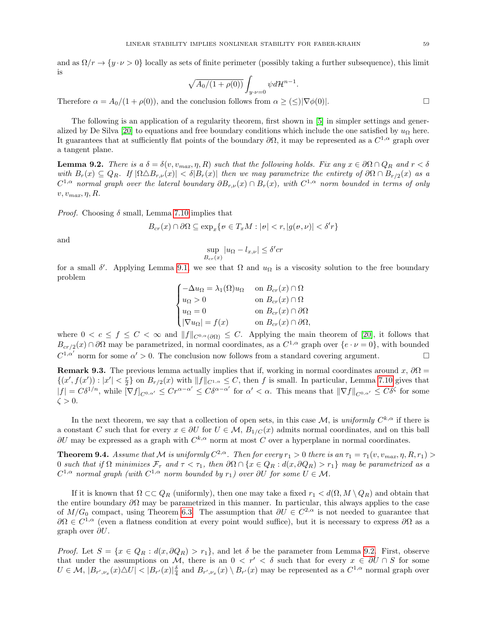and as  $\Omega/r \to \{y \cdot \nu > 0\}$  locally as sets of finite perimeter (possibly taking a further subsequence), this limit is

$$
\sqrt{A_0/(1+\rho(0))} \int_{y \cdot \nu=0} \psi d\mathcal{H}^{n-1}
$$

.

Therefore  $\alpha = A_0/(1 + \rho(0))$ , and the conclusion follows from  $\alpha \geq (\leq) |\nabla \phi(0)|$ .

The following is an application of a regularity theorem, first shown in [\[5\]](#page-70-10) in simpler settings and gener-alized by De Silva [\[20\]](#page-70-11) to equations and free boundary conditions which include the one satisfied by  $u_{\Omega}$  here. It guarantees that at sufficiently flat points of the boundary  $\partial\Omega$ , it may be represented as a  $C^{1,\alpha}$  graph over a tangent plane.

<span id="page-58-1"></span>**Lemma 9.2.** There is a  $\delta = \delta(v, v_{max}, \eta, R)$  such that the following holds. Fix any  $x \in \partial \Omega \cap Q_R$  and  $r < \delta$ with  $B_r(x) \subseteq Q_R$ . If  $|\Omega \triangle B_{r,\nu}(x)| < \delta |B_r(x)|$  then we may parametrize the entirety of  $\partial \Omega \cap B_{r/2}(x)$  as a  $C^{1,\alpha}$  normal graph over the lateral boundary  $\partial B_{r,\nu}(x)\cap B_r(x)$ , with  $C^{1,\alpha}$  norm bounded in terms of only  $v, v_{max}, \eta, R$ .

*Proof.* Choosing  $\delta$  small, Lemma [7.10](#page-40-1) implies that

$$
B_{cr}(x) \cap \partial\Omega \subseteq \exp_x\{v \in T_xM : |v| < r, |g(v, v)| < \delta'r\}
$$

and

$$
\sup_{B_{cr}(x)} |u_{\Omega} - l_{x,\nu}| \le \delta' cr
$$

for a small  $\delta'$ . Applying Lemma [9.1,](#page-57-0) we see that  $\Omega$  and  $u_{\Omega}$  is a viscosity solution to the free boundary problem

$$
\begin{cases}\n-\Delta u_{\Omega} = \lambda_1(\Omega)u_{\Omega} & \text{on } B_{cr}(x) \cap \Omega \\
u_{\Omega} > 0 & \text{on } B_{cr}(x) \cap \Omega \\
u_{\Omega} = 0 & \text{on } B_{cr}(x) \cap \partial \Omega \\
|\nabla u_{\Omega}| = f(x) & \text{on } B_{cr}(x) \cap \partial \Omega,\n\end{cases}
$$

where  $0 < c \le f \le C < \infty$  and  $||f||_{C^{0,\alpha}(\partial\Omega)} \le C$ . Applying the main theorem of [\[20\]](#page-70-11), it follows that  $B_{cr/2}(x) \cap \partial\Omega$  may be parametrized, in normal coordinates, as a  $C^{1,\alpha}$  graph over  $\{e \cdot \nu = 0\}$ , with bounded  $C^{1,\alpha'}$  norm for some  $\alpha' > 0$ . The conclusion now follows from a standard covering argument.

<span id="page-58-2"></span>**Remark 9.3.** The previous lemma actually implies that if, working in normal coordinates around x,  $\partial\Omega$  =  $\{(x', f(x')) : |x'| < \frac{r}{2}\}$  on  $B_{r/2}(x)$  with  $||f||_{C^{1,\alpha}} \leq C$ , then f is small. In particular, Lemma [7.10](#page-40-1) gives that  $|f| = C\delta^{1/n}$ , while  $[\nabla f]_{C^{0,\alpha'}} \leq C r^{\alpha-\alpha'} \leq C \delta^{\alpha-\alpha'}$  for  $\alpha' < \alpha$ . This means that  $\|\nabla f\|_{C^{0,\alpha'}} \leq C \delta^{\zeta}$  for some  $\zeta > 0$ .

In the next theorem, we say that a collection of open sets, in this case M, is uniformly  $C^{k,\alpha}$  if there is a constant C such that for every  $x \in \partial U$  for  $U \in \mathcal{M}$ ,  $B_{1/C}(x)$  admits normal coordinates, and on this ball  $\partial U$  may be expressed as a graph with  $C^{k,\alpha}$  norm at most C over a hyperplane in normal coordinates.

<span id="page-58-0"></span>**Theorem 9.4.** Assume that M is uniformly  $C^{2,\alpha}$ . Then for every  $r_1 > 0$  there is an  $\tau_1 = \tau_1(v, v_{max}, \eta, R, r_1) >$ 0 such that if  $\Omega$  minimizes  $\mathcal{F}_{\tau}$  and  $\tau < \tau_1$ , then  $\partial \Omega \cap \{x \in Q_R : d(x, \partial Q_R) > r_1\}$  may be parametrized as a  $C^{1,\alpha}$  normal graph (with  $C^{1,\alpha}$  norm bounded by  $r_1$ ) over  $\partial U$  for some  $U \in \mathcal{M}$ .

If it is known that  $\Omega \subset \subset Q_R$  (uniformly), then one may take a fixed  $r_1 < d(\Omega, M \setminus Q_R)$  and obtain that the entire boundary  $\partial\Omega$  may be parametrized in this manner. In particular, this always applies to the case of  $M/G_0$  compact, using Theorem [6.3.](#page-34-0) The assumption that  $\partial U \in C^{2,\alpha}$  is not needed to guarantee that  $\partial\Omega \in C^{1,\alpha}$  (even a flatness condition at every point would suffice), but it is necessary to express  $\partial\Omega$  as a graph over  $\partial U$ .

*Proof.* Let  $S = \{x \in Q_R : d(x, \partial Q_R) > r_1\}$ , and let  $\delta$  be the parameter from Lemma [9.2.](#page-58-1) First, observe that under the assumptions on M, there is an  $0 < r' < \delta$  such that for every  $x \in \partial U \cap S$  for some  $U \in \mathcal{M}, |B_{r',\nu_x}(x) \triangle U| < |B_{r'}(x)|\frac{\delta}{4}$  and  $B_{r',\nu_x}(x) \setminus B_{r'}(x)$  may be represented as a  $C^{1,\alpha}$  normal graph over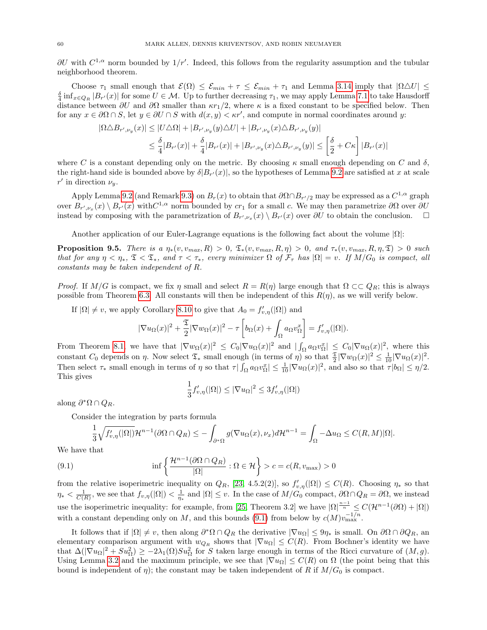$\partial U$  with  $C^{1,\alpha}$  norm bounded by  $1/r'$ . Indeed, this follows from the regularity assumption and the tubular neighborhood theorem.

Choose  $\tau_1$  small enough that  $\mathcal{E}(\Omega) \leq \mathcal{E}_{min} + \tau \leq \mathcal{E}_{min} + \tau_1$  and Lemma [3.14](#page-20-0) imply that  $|\Omega \Delta U| \leq$  $\frac{\delta}{4} \inf_{x \in Q_R} |B_{r'}(x)|$  for some  $U \in \mathcal{M}$ . Up to further decreasing  $\tau_1$ , we may apply Lemma [7.1](#page-35-2) to take Hausdorff distance between  $\partial U$  and  $\partial \Omega$  smaller than  $\kappa r_1/2$ , where  $\kappa$  is a fixed constant to be specified below. Then for any  $x \in \partial \Omega \cap S$ , let  $y \in \partial U \cap S$  with  $d(x, y) < \kappa r'$ , and compute in normal coordinates around y:

$$
|\Omega \triangle B_{r',\nu_y}(x)| \le |U \triangle \Omega| + |B_{r',\nu_y}(y) \triangle U| + |B_{r',\nu_y}(x) \triangle B_{r',\nu_y}(y)|
$$
  

$$
\le \frac{\delta}{4} |B_{r'}(x)| + \frac{\delta}{4} |B_{r'}(x)| + |B_{r',\nu_y}(x) \triangle B_{r',\nu_y}(y)| \le \left[\frac{\delta}{2} + C\kappa\right] |B_{r'}(x)|
$$

where C is a constant depending only on the metric. By choosing  $\kappa$  small enough depending on C and  $\delta$ , the right-hand side is bounded above by  $\delta|B_{r'}(x)|$ , so the hypotheses of Lemma [9.2](#page-58-1) are satisfied at x at scale  $r'$  in direction  $\nu_y$ .

Apply Lemma [9.2](#page-58-1) (and Remark [9.3\)](#page-58-2) on  $B_r(x)$  to obtain that  $\partial\Omega \cap B_{r'/2}$  may be expressed as a  $C^{1,\alpha}$  graph over  $B_{r',\nu_x}(x) \setminus B_{r'}(x)$  with  $C^{1,\alpha}$  norm bounded by  $cr_1$  for a small c. We may then parametrize  $\partial\Omega$  over  $\partial U$ instead by composing with the parametrization of  $B_{r',\nu_x}(x) \setminus B_{r'}(x)$  over  $\partial U$  to obtain the conclusion.  $\Box$ 

Another application of our Euler-Lagrange equations is the following fact about the volume  $|\Omega|$ :

**Proposition 9.5.** There is a  $\eta_*(v, v_{max}, R) > 0$ ,  $\mathfrak{T}_*(v, v_{max}, R, \eta) > 0$ , and  $\tau_*(v, v_{max}, R, \eta, \mathfrak{T}) > 0$  such that for any  $\eta < \eta_*, \mathfrak{T} < \mathfrak{T}_*,$  and  $\tau < \tau_*,$  every minimizer  $\Omega$  of  $\mathcal{F}_{\tau}$  has  $|\Omega| = v$ . If  $M/G_0$  is compact, all constants may be taken independent of R.

*Proof.* If  $M/G$  is compact, we fix  $\eta$  small and select  $R = R(\eta)$  large enough that  $\Omega \subset\subset Q_R$ ; this is always possible from Theorem [6.3.](#page-34-0) All constants will then be independent of this  $R(\eta)$ , as we will verify below.

If  $|\Omega| \neq v$ , we apply Corollary [8.10](#page-53-0) to give that  $A_0 = f'_{v,\eta}(|\Omega|)$  and

$$
|\nabla u_{\Omega}(x)|^2 + \frac{\mathfrak{T}}{2} |\nabla w_{\Omega}(x)|^2 - \tau \left[ b_{\Omega}(x) + \int_{\Omega} a_{\Omega} v_{\Omega}^x \right] = f'_{v,\eta}(|\Omega|).
$$

From Theorem [8.1,](#page-43-4) we have that  $|\nabla w_{\Omega}(x)|^2 \leq C_0 |\nabla u_{\Omega}(x)|^2$  and  $|\int_{\Omega} a_{\Omega} v_{\Omega}^x| \leq C_0 |\nabla u_{\Omega}(x)|^2$ , where this constant  $C_0$  depends on  $\eta$ . Now select  $\mathfrak{T}_*$  small enough (in terms of  $\eta$ ) so that  $\frac{\mathfrak{T}}{2}|\nabla w_\Omega(x)|^2 \leq \frac{1}{10}|\nabla u_\Omega(x)|^2$ . Then select  $\tau_*$  small enough in terms of  $\eta$  so that  $\tau | \int_{\Omega} a_{\Omega} v_{\Omega}^x | \leq \frac{1}{10} |\nabla u_{\Omega}(x)|^2$ , and also so that  $\tau |b_{\Omega}| \leq \eta/2$ . This gives

$$
\frac{1}{3}f'_{v,\eta}(|\Omega|) \le |\nabla u_{\Omega}|^2 \le 3f'_{v,\eta}(|\Omega|)
$$

along  $\partial^* \Omega \cap Q_R$ .

Consider the integration by parts formula

<span id="page-59-0"></span>
$$
\frac{1}{3}\sqrt{f'_{v,\eta}(|\Omega|)}\mathcal{H}^{n-1}(\partial\Omega\cap Q_R)\leq -\int_{\partial^*\Omega}g(\nabla u_\Omega(x),\nu_x)d\mathcal{H}^{n-1}=\int_{\Omega}-\Delta u_\Omega\leq C(R,M)|\Omega|.
$$

We have that

(9.1) 
$$
\inf \left\{ \frac{\mathcal{H}^{n-1}(\partial \Omega \cap Q_R)}{|\Omega|} : \Omega \in \mathcal{H} \right\} > c = c(R, v_{\text{max}}) > 0
$$

from the relative isoperimetric inequality on  $Q_R$ , [\[23,](#page-70-2) 4.5.2(2)], so  $f'_{v,\eta}(|\Omega|) \leq C(R)$ . Choosing  $\eta_*$  so that  $\eta_* < \frac{1}{C(R)}$ , we see that  $f_{v,\eta}(|\Omega|) < \frac{1}{\eta_*}$  and  $|\Omega| \le v$ . In the case of  $M/G_0$  compact,  $\partial \Omega \cap Q_R = \partial \Omega$ , we instead use the isoperimetric inequality: for example, from [\[25,](#page-70-12) Theorem 3.2] we have  $|\Omega|^{\frac{n-1}{n}} \leq C(\mathcal{H}^{n-1}(\partial \Omega) + |\Omega|)$ with a constant depending only on M, and this bounds [\(9.1\)](#page-59-0) from below by  $c(M)v_{\text{max}}^{-1/n}$ .

It follows that if  $|\Omega| \neq v$ , then along  $\partial^* \Omega \cap Q_R$  the derivative  $|\nabla u_{\Omega}| \leq \vartheta \eta_*$  is small. On  $\partial \Omega \cap \partial Q_R$ , an elementary comparison argument with  $w_{Q_R}$  shows that  $|\nabla u_{\Omega}| \leq C(R)$ . From Bochner's identity we have that  $\Delta(|\nabla u_{\Omega}|^2 + Su_{\Omega}^2) \geq -2\lambda_1(\Omega)Su_{\Omega}^2$  for S taken large enough in terms of the Ricci curvature of  $(M, g)$ . Using Lemma [3.2](#page-12-0) and the maximum principle, we see that  $|\nabla u_{\Omega}| \leq C(R)$  on  $\Omega$  (the point being that this bound is independent of  $\eta$ ); the constant may be taken independent of R if  $M/G_0$  is compact.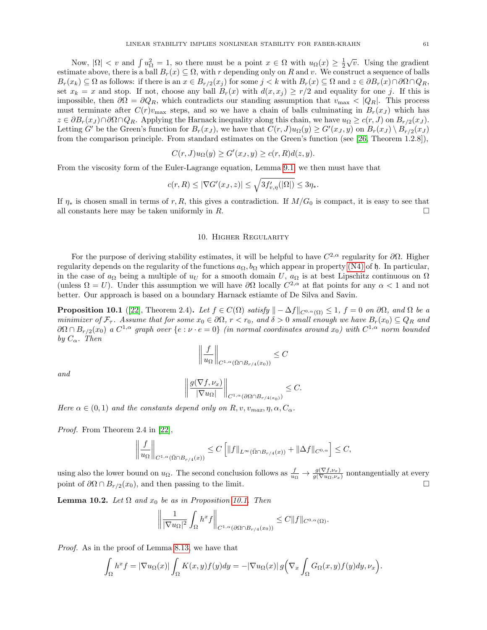Now,  $|\Omega| < v$  and  $\int u_{\Omega}^2 = 1$ , so there must be a point  $x \in \Omega$  with  $u_{\Omega}(x) \ge \frac{1}{2}$  $\sqrt{v}$ . Using the gradient estimate above, there is a ball  $B_r(x) \subseteq \Omega$ , with r depending only on R and v. We construct a sequence of balls  $B_r(x_k) \subseteq \Omega$  as follows: if there is an  $x \in B_{r/2}(x_j)$  for some  $j < k$  with  $B_r(x) \subseteq \Omega$  and  $z \in \partial B_r(x) \cap \partial \Omega \cap Q_R$ , set  $x_k = x$  and stop. If not, choose any ball  $B_r(x)$  with  $d(x, x_j) \geq r/2$  and equality for one j. If this is impossible, then  $\partial\Omega = \partial Q_R$ , which contradicts our standing assumption that  $v_{\text{max}} < |Q_R|$ . This process must terminate after  $C(r)v_{\text{max}}$  steps, and so we have a chain of balls culminating in  $B_r(x_J)$  which has  $z \in \partial B_r(x_J) \cap \partial \Omega \cap Q_R$ . Applying the Harnack inequality along this chain, we have  $u_{\Omega} \geq c(r, J)$  on  $B_{r/2}(x_J)$ . Letting G' be the Green's function for  $B_r(x_j)$ , we have that  $C(r, J)u_\Omega(y) \ge G'(x_j, y)$  on  $B_r(x_j) \setminus B_{r/2}(x_j)$ from the comparison principle. From standard estimates on the Green's function (see [\[26,](#page-70-4) Theorem 1.2.8]),

$$
C(r, J)u_{\Omega}(y) \ge G'(x_J, y) \ge c(r, R)d(z, y).
$$

From the viscosity form of the Euler-Lagrange equation, Lemma [9.1,](#page-57-0) we then must have that

$$
c(r,R) \leq |\nabla G'(x_J,z)| \leq \sqrt{3f'_{v,\eta}(|\Omega|)} \leq 3\eta_*.
$$

If  $\eta_*$  is chosen small in terms of r, R, this gives a contradiction. If  $M/G_0$  is compact, it is easy to see that all constants here may be taken uniformly in R.

## 10. Higher Regularity

<span id="page-60-2"></span>For the purpose of deriving stability estimates, it will be helpful to have  $C^{2,\alpha}$  regularity for  $\partial\Omega$ . Higher regularity depends on the regularity of the functions  $a_{\Omega}, b_{\Omega}$  which appear in property [\(N4\)](#page-8-0) of h. In particular, in the case of  $a_{\Omega}$  being a multiple of  $u_U$  for a smooth domain U,  $a_{\Omega}$  is at best Lipschitz continuous on  $\Omega$ (unless  $\Omega = U$ ). Under this assumption we will have  $\partial\Omega$  locally  $C^{2,\alpha}$  at flat points for any  $\alpha < 1$  and not better. Our approach is based on a boundary Harnack estiamte of De Silva and Savin.

<span id="page-60-0"></span>**Proposition 10.1** ([\[22\]](#page-70-13), Theorem 2.4). Let  $f \in C(\Omega)$  satisfy  $\| - \Delta f \|_{C^{0,\alpha}(\Omega)} \leq 1$ ,  $f = 0$  on  $\partial \Omega$ , and  $\Omega$  be a minimizer of  $\mathcal{F}_{\tau}$ . Assume that for some  $x_0 \in \partial\Omega$ ,  $r < r_0$ , and  $\delta > 0$  small enough we have  $B_r(x_0) \subseteq Q_R$  and  $\partial\Omega\cap B_{r/2}(x_0)$  a  $C^{1,\alpha}$  graph over  $\{e:\nu\cdot e=0\}$  (in normal coordinates around  $x_0)$  with  $C^{1,\alpha}$  norm bounded by  $C_{\alpha}$ . Then

$$
\left\| \frac{f}{u_{\Omega}} \right\|_{C^{1,\alpha}(\bar{\Omega} \cap B_{r/4}(x_0))} \leq C
$$

and

$$
\left\| \frac{g(\nabla f, \nu_x)}{|\nabla u_{\Omega}|} \right\|_{C^{1,\alpha}(\partial \Omega \cap B_{r/4(x_0)})} \leq C.
$$

Here  $\alpha \in (0,1)$  and the constants depend only on  $R, v, v_{max}, \eta, \alpha, C_{\alpha}$ .

Proof. From Theorem 2.4 in [\[22\]](#page-70-13),

$$
\left\|\frac{f}{u_{\Omega}}\right\|_{C^{1,\alpha}(\bar{\Omega}\cap B_{r/4}(x))} \leq C\left[\|f\|_{L^{\infty}(\bar{\Omega}\cap B_{r/4}(x))} + \|\Delta f\|_{C^{0,\alpha}}\right] \leq C,
$$

using also the lower bound on  $u_{\Omega}$ . The second conclusion follows as  $\frac{f}{u_{\Omega}} \to \frac{g(\nabla f, \nu_x)}{g(\nabla u_{\Omega}, \nu_x)}$  nontangentially at every point of  $\partial \Omega \cap B_{r/2}(x_0)$ , and then passing to the limit.

<span id="page-60-1"></span>**Lemma 10.2.** Let  $\Omega$  and  $x_0$  be as in Proposition [10.1.](#page-60-0) Then

$$
\left\| \frac{1}{|\nabla u_{\Omega}|^2} \int_{\Omega} h^x f \right\|_{C^{1,\alpha}(\partial \Omega \cap B_{r/4}(x_0))} \leq C \|f\|_{C^{0,\alpha}(\Omega)}.
$$

Proof. As in the proof of Lemma [8.13,](#page-56-0) we have that

$$
\int_{\Omega} h^x f = |\nabla u_{\Omega}(x)| \int_{\Omega} K(x, y) f(y) dy = -|\nabla u_{\Omega}(x)| g \Big( \nabla_x \int_{\Omega} G_{\Omega}(x, y) f(y) dy, \nu_x \Big).
$$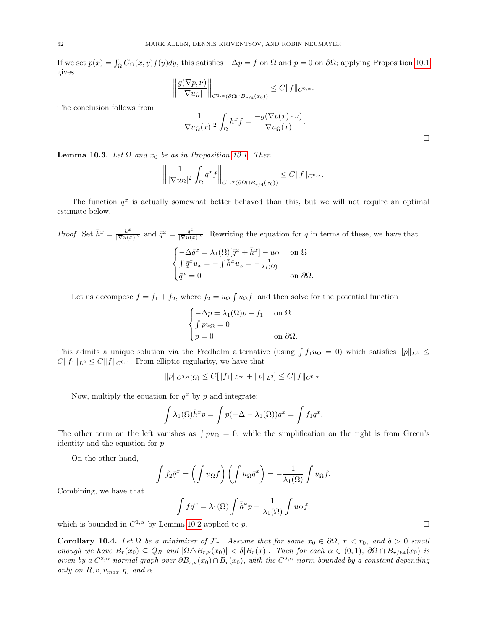If we set  $p(x) = \int_{\Omega} G_{\Omega}(x, y) f(y) dy$ , this satisfies  $-\Delta p = f$  on  $\Omega$  and  $p = 0$  on  $\partial\Omega$ ; applying Proposition [10.1](#page-60-0) gives

$$
\left\| \frac{g(\nabla p, \nu)}{|\nabla u_{\Omega}|} \right\|_{C^{1,\alpha}(\partial \Omega \cap B_{r/4}(x_0))} \leq C \|f\|_{C^{0,\alpha}}.
$$

The conclusion follows from

$$
\frac{1}{|\nabla u_{\Omega}(x)|^2} \int_{\Omega} h^x f = \frac{-g(\nabla p(x) \cdot \nu)}{|\nabla u_{\Omega}(x)|}.
$$

<span id="page-61-0"></span>**Lemma 10.3.** Let  $\Omega$  and  $x_0$  be as in Proposition [10.1.](#page-60-0) Then

$$
\left\| \frac{1}{|\nabla u_{\Omega}|^2} \int_{\Omega} q^x f \right\|_{C^{1,\alpha}(\partial \Omega \cap B_{r/4}(x_0))} \leq C \|f\|_{C^{0,\alpha}}.
$$

The function  $q^x$  is actually somewhat better behaved than this, but we will not require an optimal estimate below.

*Proof.* Set  $\bar{h}^x = \frac{h^x}{\sqrt{\sum_{x} h^x}}$  $\frac{h^x}{|\nabla u(x)|^2}$  and  $\bar{q}^x = \frac{q^x}{|\nabla u(x)|^2}$  $\frac{q^{-}}{|\nabla u(x)|^{2}}$ . Rewriting the equation for q in terms of these, we have that

$$
\begin{cases}\n-\Delta \bar{q}^x = \lambda_1(\Omega) [\bar{q}^x + \bar{h}^x] - u_\Omega & \text{on } \Omega \\
\int \bar{q}^x u_x = -\int \bar{h}^x u_x = -\frac{1}{\lambda_1(\Omega)} \\
\bar{q}^x = 0 & \text{on } \partial\Omega.\n\end{cases}
$$

Let us decompose  $f = f_1 + f_2$ , where  $f_2 = u_{\Omega} \int u_{\Omega} f$ , and then solve for the potential function

$$
\begin{cases}\n-\Delta p = \lambda_1(\Omega)p + f_1 & \text{on } \Omega\\
\int p u_\Omega = 0 & \text{on } \partial\Omega.\n\end{cases}
$$

This admits a unique solution via the Fredholm alternative (using  $\int f_1 u_{\Omega} = 0$ ) which satisfies  $||p||_{L^2} \le$  $C||f_1||_{L^2} \leq C||f||_{C^{0,\alpha}}$ . From elliptic regularity, we have that

$$
||p||_{C^{0,\alpha}(\Omega)} \leq C[||f_1||_{L^{\infty}} + ||p||_{L^2}] \leq C||f||_{C^{0,\alpha}}.
$$

Now, multiply the equation for  $\bar{q}^x$  by p and integrate:

$$
\int \lambda_1(\Omega) \bar{h}^x p = \int p(-\Delta - \lambda_1(\Omega)) \bar{q}^x = \int f_1 \bar{q}^x.
$$

The other term on the left vanishes as  $\int pu_{\Omega} = 0$ , while the simplification on the right is from Green's identity and the equation for p.

On the other hand,

$$
\int f_2 \bar{q}^x = \left( \int u_{\Omega} f \right) \left( \int u_{\Omega} \bar{q}^x \right) = -\frac{1}{\lambda_1(\Omega)} \int u_{\Omega} f.
$$

Combining, we have that

$$
\int f\bar{q}^x = \lambda_1(\Omega) \int \bar{h}^x p - \frac{1}{\lambda_1(\Omega)} \int u_{\Omega} f,
$$

which is bounded in  $C^{1,\alpha}$  by Lemma [10.2](#page-60-1) applied to p.

Corollary 10.4. Let  $\Omega$  be a minimizer of  $\mathcal{F}_{\tau}$ . Assume that for some  $x_0 \in \partial \Omega$ ,  $r < r_0$ , and  $\delta > 0$  small enough we have  $B_r(x_0) \subseteq Q_R$  and  $|\Omega \triangle B_{r,\nu}(x_0)| < \delta |B_r(x)|$ . Then for each  $\alpha \in (0,1)$ ,  $\partial \Omega \cap B_{r/64}(x_0)$  is given by a  $C^{2,\alpha}$  normal graph over  $\partial B_{r,\nu}(x_0)\cap B_r(x_0)$ , with the  $C^{2,\alpha}$  norm bounded by a constant depending only on  $R, v, v_{max}, \eta$ , and  $\alpha$ .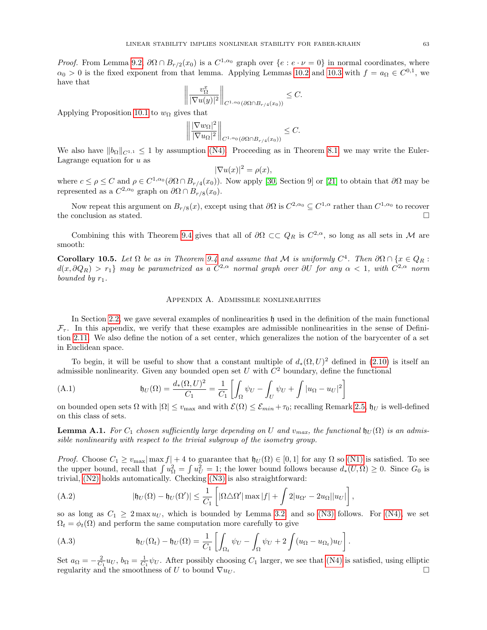*Proof.* From Lemma [9.2,](#page-58-1)  $\partial\Omega \cap B_{r/2}(x_0)$  is a  $C^{1,\alpha_0}$  graph over  $\{e : e \cdot \nu = 0\}$  in normal coordinates, where  $\alpha_0 > 0$  is the fixed exponent from that lemma. Applying Lemmas [10.2](#page-60-1) and [10.3](#page-61-0) with  $f = a_{\Omega} \in C^{0,1}$ , we have that

$$
\left\|\frac{v_{\Omega}^x}{|\nabla u(y)|^2}\right\|_{C^{1,\alpha_0}(\partial\Omega\cap B_{r/4}(x_0))}\leq C.
$$

Applying Proposition [10.1](#page-60-0) to  $w_{\Omega}$  gives that

$$
\left\|\frac{|\nabla w_{\Omega}|^2}{|\nabla u_{\Omega}|^2}\right\|_{C^{1,\alpha_0}(\partial\Omega\cap B_{r/4}(x_0))} \leq C.
$$

We also have  $||b_{\Omega}||_{C^{1,1}} \leq 1$  by assumption [\(N4\).](#page-8-0) Proceeding as in Theorem [8.1,](#page-43-4) we may write the Euler-Lagrange equation for  $u$  as

$$
|\nabla u(x)|^2 = \rho(x),
$$

where  $c \le \rho \le C$  and  $\rho \in C^{1,\alpha_0}(\partial \Omega \cap B_{r/4}(x_0))$ . Now apply [\[30,](#page-70-1) Section 9] or [\[21\]](#page-70-14) to obtain that  $\partial \Omega$  may be represented as a  $C^{2,\alpha_0}$  graph on  $\partial\Omega \cap B_{r/8}(x_0)$ .

Now repeat this argument on  $B_{r/8}(x)$ , except using that  $\partial\Omega$  is  $C^{2,\alpha_0} \subseteq C^{1,\alpha}$  rather than  $C^{1,\alpha_0}$  to recover the conclusion as stated.  $\square$ 

Combining this with Theorem [9.4](#page-58-0) gives that all of  $\partial\Omega \subset\subset Q_R$  is  $C^{2,\alpha}$ , so long as all sets in M are smooth:

**Corollary 10.5.** Let  $\Omega$  be as in Theorem [9.4](#page-58-0) and assume that M is uniformly  $C^4$ . Then  $\partial\Omega \cap \{x \in Q_R :$  $d(x, \partial Q_R) > r_1\}$  may be parametrized as a  $C^{2,\alpha}$  normal graph over  $\partial U$  for any  $\alpha < 1$ , with  $C^{2,\alpha}$  norm bounded by  $r_1$ .

### Appendix A. Admissible nonlinearities

In Section [2.2,](#page-6-0) we gave several examples of nonlinearities  $\mathfrak h$  used in the definition of the main functional  $\mathcal{F}_{\tau}$ . In this appendix, we verify that these examples are admissible nonlinearities in the sense of Definition [2.11.](#page-8-1) We also define the notion of a set center, which generalizes the notion of the barycenter of a set in Euclidean space.

To begin, it will be useful to show that a constant multiple of  $d_*(\Omega, U)^2$  defined in [\(2.10\)](#page-7-0) is itself an admissible nonlinearity. Given any bounded open set U with  $C^2$  boundary, define the functional

<span id="page-62-0"></span>(A.1) 
$$
\mathfrak{h}_U(\Omega) = \frac{d_*(\Omega, U)^2}{C_1} = \frac{1}{C_1} \left[ \int_{\Omega} \psi_U - \int_U \psi_U + \int |u_{\Omega} - u_U|^2 \right]
$$

on bounded open sets  $\Omega$  with  $|\Omega| \le v_{\text{max}}$  and with  $\mathcal{E}(\Omega) \le \mathcal{E}_{min} + \tau_0$ ; recalling Remark [2.5,](#page-7-1)  $\mathfrak{h}_U$  is well-defined on this class of sets.

<span id="page-62-2"></span>**Lemma A.1.** For  $C_1$  chosen sufficiently large depending on U and  $v_{max}$ , the functional  $\mathfrak{h}_U(\Omega)$  is an admissible nonlinearity with respect to the trivial subgroup of the isometry group.

*Proof.* Choose  $C_1 \ge v_{\text{max}} |\max f| + 4$  to guarantee that  $\mathfrak{h}_U(\Omega) \in [0,1]$  for any  $\Omega$  so [\(N1\)](#page-8-2) is satisfied. To see the upper bound, recall that  $\int u_{\Omega}^2 = \int u_U^2 = 1$ ; the lower bound follows because  $d_*(U, \Omega) \geq 0$ . Since  $G_0$  is trivial, [\(N2\)](#page-8-3) holds automatically. Checking [\(N3\)](#page-8-4) is also straightforward:

<span id="page-62-1"></span>(A.2) 
$$
|\mathfrak{h}_U(\Omega) - \mathfrak{h}_U(\Omega')| \leq \frac{1}{C_1} \left[ |\Omega \triangle \Omega'| \max |f| + \int 2|u_{\Omega'} - 2u_{\Omega}||u_U| \right],
$$

so as long as  $C_1 \geq 2 \max u_U$ , which is bounded by Lemma [3.2,](#page-12-0) and so [\(N3\)](#page-8-4) follows. For [\(N4\),](#page-8-0) we set  $\Omega_t = \phi_t(\Omega)$  and perform the same computation more carefully to give

<span id="page-62-3"></span>(A.3) 
$$
\mathfrak{h}_U(\Omega_t) - \mathfrak{h}_U(\Omega) = \frac{1}{C_1} \left[ \int_{\Omega_t} \psi_U - \int_{\Omega} \psi_U + 2 \int (u_{\Omega} - u_{\Omega_t}) u_U \right].
$$

Set  $a_{\Omega} = -\frac{2}{C_1} u_U$ ,  $b_{\Omega} = \frac{1}{C_1} \psi_U$ . After possibly choosing  $C_1$  larger, we see that [\(N4\)](#page-8-0) is satisfied, using elliptic regularity and the smoothness of U to bound  $\nabla u_U$ .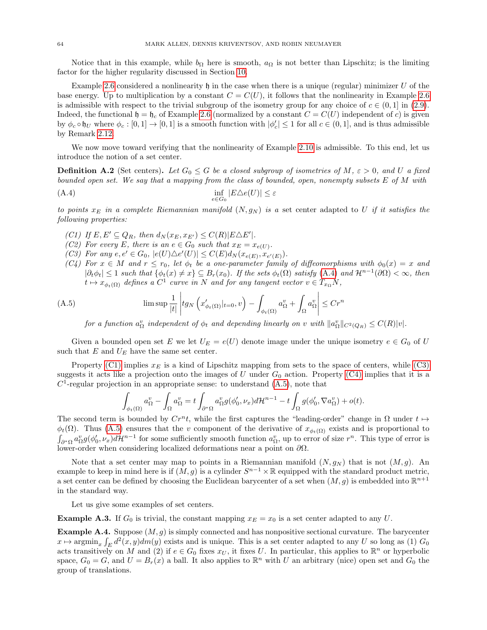Notice that in this example, while  $b_{\Omega}$  here is smooth,  $a_{\Omega}$  is not better than Lipschitz; is the limiting factor for the higher regularity discussed in Section [10.](#page-60-2)

Example [2.6](#page-7-2) considered a nonlinearity  $\mathfrak h$  in the case when there is a unique (regular) minimizer U of the base energy. Up to multiplication by a constant  $C = C(U)$ , it follows that the nonlinearity in Example [2.6](#page-7-2) is admissible with respect to the trivial subgroup of the isometry group for any choice of  $c \in (0, 1]$  in [\(2.9\)](#page-6-1). Indeed, the functional  $\mathfrak{h} = \mathfrak{h}_c$  of Example [2.6](#page-7-2) (normalized by a constant  $C = C(U)$  independent of c) is given by  $\phi_c \circ \mathfrak{h}_U$  where  $\phi_c : [0,1] \to [0,1]$  is a smooth function with  $|\phi_c'|\leq 1$  for all  $c \in (0,1]$ , and is thus admissible by Remark [2.12.](#page-9-0)

We now move toward verifying that the nonlinearity of Example [2.10](#page-8-5) is admissible. To this end, let us introduce the notion of a set center.

<span id="page-63-6"></span>**Definition A.2** (Set centers). Let  $G_0 \leq G$  be a closed subgroup of isometries of M,  $\varepsilon > 0$ , and U a fixed bounded open set. We say that a mapping from the class of bounded, open, nonempty subsets E of M with

$$
\inf_{e \in G_0} |E \triangle e(U)| \le \varepsilon
$$

to points  $x_E$  in a complete Riemannian manifold  $(N, g_N)$  is a set center adapted to U if it satisfies the following properties:

- <span id="page-63-1"></span><span id="page-63-0"></span>(C1) If  $E, E' \subseteq Q_R$ , then  $d_N(x_E, x_{E'}) \leq C(R)|E\triangle E'|$ .
- <span id="page-63-5"></span>(C2) For every E, there is an  $e \in G_0$  such that  $x_E = x_{e(U)}$ .
- <span id="page-63-2"></span>(C3) For any  $e, e' \in G_0$ ,  $|e(U) \triangle e'(U)| \le C(E) d_N(x_{e(E)}, x_{e'(E)})$ .
- <span id="page-63-3"></span>(C4) For  $x \in M$  and  $r \leq r_0$ , let  $\phi_t$  be a one-parameter family of diffeomorphisms with  $\phi_0(x) = x$  and  $|\partial_t \phi_t| \leq 1$  such that  $\{\phi_t(x) \neq x\} \subseteq B_r(x_0)$ . If the sets  $\phi_t(\Omega)$  satisfy  $(A.4)$  and  $\mathcal{H}^{n-1}(\partial \Omega) < \infty$ , then  $t \mapsto x_{\phi_t(\Omega)}$  defines a  $C^1$  curve in N and for any tangent vector  $v \in T_{x_{\Omega}}N$ ,

(A.5) 
$$
\limsup \frac{1}{|t|} \left| t g_N \left( x'_{\phi_t(\Omega)} |_{t=0}, v \right) - \int_{\phi_t(\Omega)} a^v_{\Omega} + \int_{\Omega} a^v_{\Omega} \right| \leq C r^n
$$

<span id="page-63-4"></span>for a function  $a_{\Omega}^v$  independent of  $\phi_t$  and depending linearly on v with  $||a_{\Omega}^v||_{C^2(Q_R)} \leq C(R)|v|$ .

Given a bounded open set E we let  $U_E = e(U)$  denote image under the unique isometry  $e \in G_0$  of U such that  $E$  and  $U_E$  have the same set center.

Property [\(C1\)](#page-63-1) implies  $x_E$  is a kind of Lipschitz mapping from sets to the space of centers, while [\(C3\)](#page-63-2) suggests it acts like a projection onto the images of U under  $G_0$  action. Property [\(C4\)](#page-63-3) implies that it is a  $C<sup>1</sup>$ -regular projection in an appropriate sense: to understand  $(A.5)$ , note that

$$
\int_{\phi_t(\Omega)} a_{\Omega}^v - \int_{\Omega} a_{\Omega}^v = t \int_{\partial^* \Omega} a_{\Omega}^v g(\phi_0', \nu_x) d\mathcal{H}^{n-1} - t \int_{\Omega} g(\phi_0', \nabla a_{\Omega}^v) + o(t).
$$

The second term is bounded by  $Cr^n t$ , while the first captures the "leading-order" change in  $\Omega$  under  $t \mapsto$  $\phi_t(\Omega)$ . Thus [\(A.5\)](#page-63-4) ensures that the v component of the derivative of  $x_{\phi_t(\Omega)}$  exists and is proportional to  $\int_{\partial^*\Omega} a_{\Omega}^v g(\phi'_0, \nu_x) d\mathcal{H}^{n-1}$  for some sufficiently smooth function  $a_{\Omega}^v$ , up to error of size  $r^n$ . This type of error is lower-order when considering localized deformations near a point on  $\partial\Omega$ .

Note that a set center may map to points in a Riemannian manifold  $(N, g_N)$  that is not  $(M, g)$ . An example to keep in mind here is if  $(M, g)$  is a cylinder  $S^{n-1} \times \mathbb{R}$  equipped with the standard product metric, a set center can be defined by choosing the Euclidean barycenter of a set when  $(M, g)$  is embedded into  $\mathbb{R}^{n+1}$ in the standard way.

Let us give some examples of set centers.

**Example A.3.** If  $G_0$  is trivial, the constant mapping  $x_E = x_0$  is a set center adapted to any U.

**Example A.4.** Suppose  $(M, g)$  is simply connected and has nonpositive sectional curvature. The barycenter  $x \mapsto \operatorname{argmin}_x \int_E d^2(x, y) dm(y)$  exists and is unique. This is a set center adapted to any U so long as (1)  $G_0$ acts transitively on M and (2) if  $e \in G_0$  fixes  $x_U$ , it fixes U. In particular, this applies to  $\mathbb{R}^n$  or hyperbolic space,  $G_0 = G$ , and  $U = B_r(x)$  a ball. It also applies to  $\mathbb{R}^n$  with U an arbitrary (nice) open set and  $G_0$  the group of translations.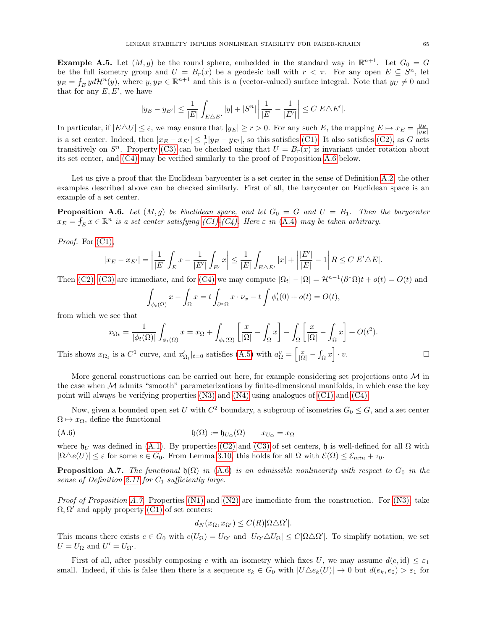**Example A.5.** Let  $(M, g)$  be the round sphere, embedded in the standard way in  $\mathbb{R}^{n+1}$ . Let  $G_0 = G$ be the full isometry group and  $U = B_r(x)$  be a geodesic ball with  $r < \pi$ . For any open  $E \subseteq S^n$ , let  $y_E = \int_E y d\mathcal{H}^n(y)$ , where  $y, y_E \in \mathbb{R}^{n+1}$  and this is a (vector-valued) surface integral. Note that  $y_U \neq 0$  and that for any  $E, E'$ , we have

$$
|y_E - y_{E'}| \le \frac{1}{|E|} \int_{E \triangle E'} |y| + |S^n| \left| \frac{1}{|E|} - \frac{1}{|E'|} \right| \le C|E \triangle E'|.
$$

In particular, if  $|E\Delta U| \leq \varepsilon$ , we may ensure that  $|y_E| \geq r > 0$ . For any such E, the mapping  $E \mapsto x_E = \frac{y_E}{|y_E|}$ is a set center. Indeed, then  $|x_E - x_{E'}| \leq \frac{1}{r}|y_E - y_{E'}|$ , so this satisfies [\(C1\).](#page-63-1) It also satisfies [\(C2\),](#page-63-5) as G acts transitively on  $S<sup>n</sup>$ . Property [\(C3\)](#page-63-2) can be checked using that  $U = B<sub>r</sub>(x)$  is invariant under rotation about its set center, and [\(C4\)](#page-63-3) may be verified similarly to the proof of Proposition [A.6](#page-64-0) below.

Let us give a proof that the Euclidean barycenter is a set center in the sense of Definition [A.2;](#page-63-6) the other examples described above can be checked similarly. First of all, the barycenter on Euclidean space is an example of a set center.

<span id="page-64-0"></span>**Proposition A.6.** Let  $(M, g)$  be Euclidean space, and let  $G_0 = G$  and  $U = B_1$ . Then the barycenter  $x_E = f_E x \in \mathbb{R}^n$  is a set center satisfying [\(C1\)-](#page-63-1)[\(C4\).](#page-63-3) Here  $\varepsilon$  in [\(A.4\)](#page-63-0) may be taken arbitrary.

Proof. For  $(C1)$ ,

$$
|x_E - x_{E'}| = \left| \frac{1}{|E|} \int_E x - \frac{1}{|E'|} \int_{E'} x \right| \le \frac{1}{|E|} \int_{E \triangle E'} |x| + \left| \frac{|E'|}{|E|} - 1 \right| R \le C|E'\triangle E|.
$$

Then [\(C2\),](#page-63-5) [\(C3\)](#page-63-2) are immediate, and for [\(C4\)](#page-63-3) we may compute  $|\Omega_t| - |\Omega| = \mathcal{H}^{n-1}(\partial^*\Omega)t + o(t) = O(t)$  and

$$
\int_{\phi_t(\Omega)} x - \int_{\Omega} x = t \int_{\partial^* \Omega} x \cdot \nu_x - t \int \phi'_t(0) + o(t) = O(t),
$$

from which we see that

$$
x_{\Omega_t} = \frac{1}{|\phi_t(\Omega)|} \int_{\phi_t(\Omega)} x = x_{\Omega} + \int_{\phi_t(\Omega)} \left[ \frac{x}{|\Omega|} - \int_{\Omega} x \right] - \int_{\Omega} \left[ \frac{x}{|\Omega|} - \int_{\Omega} x \right] + O(t^2).
$$

This shows  $x_{\Omega_t}$  is a  $C^1$  curve, and  $x'_{\Omega_t}|_{t=0}$  satisfies  $(A.5)$  with  $a_{\Omega}^v = \left[\frac{x}{|\Omega|} - \int_{\Omega} x\right] \cdot v$ .

More general constructions can be carried out here, for example considering set projections onto  $\mathcal M$  in the case when  $\mathcal M$  admits "smooth" parameterizations by finite-dimensional manifolds, in which case the key point will always be verifying properties  $(N3)$  and  $(N4)$  using analogues of  $(C1)$  and  $(C4)$ .

Now, given a bounded open set U with  $C^2$  boundary, a subgroup of isometries  $G_0 \leq G$ , and a set center  $\Omega \mapsto x_{\Omega}$ , define the functional

$$
\mathfrak{h}(\Omega) := \mathfrak{h}_{U_{\Omega}}(\Omega) \qquad x_{U_{\Omega}} = x_{\Omega}
$$

where  $\mathfrak{h}_U$  was defined in [\(A.1\)](#page-62-0). By properties [\(C2\)](#page-63-5) and [\(C3\)](#page-63-2) of set centers,  $\mathfrak{h}$  is well-defined for all  $\Omega$  with  $|\Omega \Delta e(U)| \leq \varepsilon$  for some  $e \in G_0$ . From Lemma [3.10,](#page-16-0) this holds for all  $\Omega$  with  $\mathcal{E}(\Omega) \leq \mathcal{E}_{min} + \tau_0$ .

<span id="page-64-2"></span>**Proposition A.7.** The functional  $\mathfrak{h}(\Omega)$  in [\(A.6\)](#page-64-1) is an admissible nonlinearity with respect to  $G_0$  in the sense of Definition [2.11](#page-8-1) for  $C_1$  sufficiently large.

*Proof of Proposition [A.7.](#page-64-2)* Properties [\(N1\)](#page-8-2) and [\(N2\)](#page-8-3) are immediate from the construction. For [\(N3\),](#page-8-4) take  $\Omega, \Omega'$  and apply property [\(C1\)](#page-63-1) of set centers:

<span id="page-64-1"></span>
$$
d_N(x_{\Omega}, x_{\Omega'}) \le C(R) |\Omega \triangle \Omega'|.
$$

This means there exists  $e \in G_0$  with  $e(U_{\Omega}) = U_{\Omega'}$  and  $|U_{\Omega'} \Delta U_{\Omega}| \leq C |\Omega \Delta \Omega'|$ . To simplify notation, we set  $U = U_{\Omega}$  and  $U' = U_{\Omega'}$ .

First of all, after possibly composing e with an isometry which fixes U, we may assume  $d(e, id) \leq \varepsilon_1$ small. Indeed, if this is false then there is a sequence  $e_k \in G_0$  with  $|U \triangle e_k(U)| \to 0$  but  $d(e_k, e_0) > \varepsilon_1$  for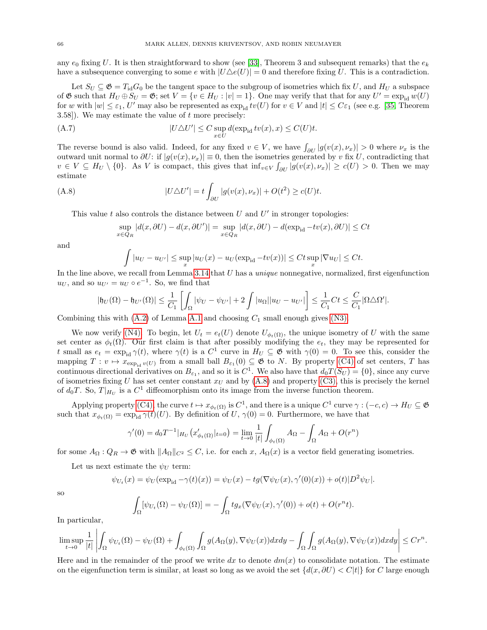any  $e_0$  fixing U. It is then straightforward to show (see [\[33\]](#page-71-1), Theorem 3 and subsequent remarks) that the  $e_k$ have a subsequence converging to some e with  $|U\Delta e(U)| = 0$  and therefore fixing U. This is a contradiction.

Let  $S_U \subseteq \mathfrak{G} = T_{\text{id}}G_0$  be the tangent space to the subgroup of isometries which fix U, and  $H_U$  a subspace of  $\mathfrak G$  such that  $H_U \oplus S_U = \mathfrak G$ ; set  $V = \{v \in H_U : |v| = 1\}$ . One may verify that that for any  $U' = \exp_{id} w(U)$ for w with  $|w| \leq \varepsilon_1$ , U' may also be represented as  $\exp_{id} tv(U)$  for  $v \in V$  and  $|t| \leq C \varepsilon_1$  (see e.g. [\[35,](#page-71-2) Theorem  $3.58$ . We may estimate the value of t more precisely:

(A.7) 
$$
|U \triangle U'| \leq C \sup_{x \in U} d(\exp_{\text{id}} tv(x), x) \leq C(U)t.
$$

The reverse bound is also valid. Indeed, for any fixed  $v \in V$ , we have  $\int_{\partial U} |g(v(x), \nu_x)| > 0$  where  $\nu_x$  is the outward unit normal to  $\partial U$ : if  $|g(v(x), \nu_x)| \equiv 0$ , then the isometries generated by v fix U, contradicting that  $v \in V \subseteq H_U \setminus \{0\}$ . As V is compact, this gives that  $\inf_{v \in V} \int_{\partial U} |g(v(x), \nu_x)| \ge c(U) > 0$ . Then we may estimate

(A.8) 
$$
|U \triangle U'| = t \int_{\partial U} |g(v(x), \nu_x)| + O(t^2) \geq c(U)t.
$$

This value  $t$  also controls the distance between  $U$  and  $U'$  in stronger topologies:

<span id="page-65-0"></span>
$$
\sup_{x \in Q_R} |d(x, \partial U) - d(x, \partial U')| = \sup_{x \in Q_R} |d(x, \partial U) - d(\exp_{\text{id}} - tv(x), \partial U)| \le Ct
$$

and

$$
\int |u_U - u_{U'}| \le \sup_x |u_U(x) - u_U(\exp_{\text{id}} - tv(x))| \le Ct \sup_x |\nabla u_U| \le Ct.
$$

In the line above, we recall from Lemma [3.14](#page-20-0) that  $U$  has a *unique* nonnegative, normalized, first eigenfunction  $u_U$ , and so  $u_{U'} = u_U \circ e^{-1}$ . So, we find that

$$
|\mathfrak{h}_U(\Omega) - \mathfrak{h}_{U'}(\Omega)| \leq \frac{1}{C_1} \left[ \int_{\Omega} |\psi_U - \psi_{U'}| + 2 \int |u_{\Omega}||u_U - u_{U'}| \right] \leq \frac{1}{C_1} C t \leq \frac{C}{C_1} |\Omega \triangle \Omega'|.
$$

Combining this with  $(A.2)$  of Lemma [A.1](#page-62-2) and choosing  $C_1$  small enough gives  $(N3)$ .

We now verify [\(N4\).](#page-8-0) To begin, let  $U_t = e_t(U)$  denote  $U_{\phi_t(\Omega)}$ , the unique isometry of U with the same set center as  $\phi_t(\Omega)$ . Our first claim is that after possibly modifying the  $e_t$ , they may be represented for t small as  $e_t = \exp_{id} \gamma(t)$ , where  $\gamma(t)$  is a  $C^1$  curve in  $H_U \subseteq \mathfrak{G}$  with  $\gamma(0) = 0$ . To see this, consider the mapping  $T: v \mapsto x_{\exp_{id} v(U)}$  from a small ball  $B_{\varepsilon_1}(0) \subseteq \mathfrak{G}$  to N. By property [\(C4\)](#page-63-3) of set centers, T has continuous directional derivatives on  $B_{\varepsilon_1}$ , and so it is  $C^1$ . We also have that  $d_0T(S_U) = \{0\}$ , since any curve of isometries fixing U has set center constant  $x_U$  and by [\(A.8\)](#page-65-0) and property [\(C3\),](#page-63-2) this is precisely the kernel of  $d_0T$ . So,  $T|_{H_U}$  is a  $C^1$  diffeomorphism onto its image from the inverse function theorem.

Applying property [\(C4\),](#page-63-3) the curve  $t \mapsto x_{\phi_t(\Omega)}$  is  $C^1$ , and there is a unique  $C^1$  curve  $\gamma: (-c, c) \to H_U \subseteq \mathfrak{G}$ such that  $x_{\phi_t(\Omega)} = \exp_{id} \gamma(t)(U)$ . By definition of U,  $\gamma(0) = 0$ . Furthermore, we have that

$$
\gamma'(0) = d_0 T^{-1} |_{H_U} (x'_{\phi_t(\Omega)}|_{t=0}) = \lim_{t \to 0} \frac{1}{|t|} \int_{\phi_t(\Omega)} A_{\Omega} - \int_{\Omega} A_{\Omega} + O(r^n)
$$

for some  $A_{\Omega}: Q_R \to \mathfrak{G}$  with  $||A_{\Omega}||_{C^2} \leq C$ , i.e. for each x,  $A_{\Omega}(x)$  is a vector field generating isometries.

Let us next estimate the  $\psi_U$  term:

$$
\psi_{U_t}(x) = \psi_U(\exp_{\text{id}} - \gamma(t)(x)) = \psi_U(x) - tg(\nabla \psi_U(x), \gamma'(0)(x)) + o(t)|D^2 \psi_U|.
$$

so

$$
\int_{\Omega} [\psi_{U_t}(\Omega) - \psi_U(\Omega)] = -\int_{\Omega} tg_x(\nabla \psi_U(x), \gamma'(0)) + o(t) + O(r^n t).
$$

In particular,

$$
\limsup_{t\to 0}\frac{1}{|t|}\left|\int_{\Omega}\psi_{U_t}(\Omega)-\psi_U(\Omega)+\int_{\phi_t(\Omega)}\int_{\Omega}g(A_{\Omega}(y),\nabla\psi_U(x))dxdy-\int_{\Omega}\int_{\Omega}g(A_{\Omega}(y),\nabla\psi_U(x))dxdy\right|\leq Cr^n.
$$

Here and in the remainder of the proof we write dx to denote  $dm(x)$  to consolidate notation. The estimate on the eigenfunction term is similar, at least so long as we avoid the set  $\{d(x,\partial U) < C|t|\}$  for C large enough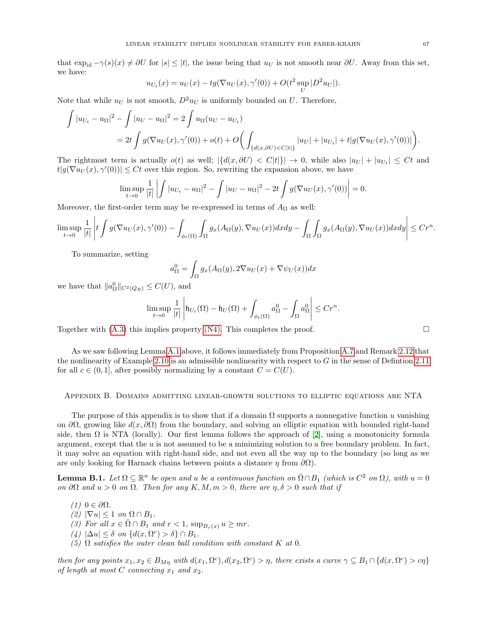that  $\exp_{id} - \gamma(s)(x) \neq \partial U$  for  $|s| \leq |t|$ , the issue being that  $u_U$  is not smooth near  $\partial U$ . Away from this set, we have:

$$
u_{U_t}(x) = u_U(x) - tg(\nabla u_U(x), \gamma'(0)) + O(t^2 \sup_U |D^2 u_U|).
$$

Note that while  $u_U$  is not smooth,  $D^2 u_U$  is uniformly bounded on U. Therefore,

$$
\int |u_{U_t} - u_{\Omega}|^2 - \int |u_U - u_{\Omega}|^2 = 2 \int u_{\Omega}(u_U - u_{U_t})
$$
  
=  $2t \int g(\nabla u_U(x), \gamma'(0)) + o(t) + O\left(\int_{\{d(x, \partial U) < C|t|\}} |u_U| + |u_{U_t}| + t|g(\nabla u_U(x), \gamma'(0))|\right).$ 

The rightmost term is actually  $o(t)$  as well;  $|\{(d(x,\partial U) < C|t|\}| \to 0$ , while also  $|u_U| + |u_{U_t}| \leq Ct$  and  $t|g(\nabla u_U(x), \gamma'(0))| \leq Ct$  over this region. So, rewriting the expansion above, we have

$$
\limsup_{t \to 0} \frac{1}{|t|} \left| \int |u_{U_t} - u_{\Omega}|^2 - \int |u_U - u_{\Omega}|^2 - 2t \int g(\nabla u_U(x), \gamma'(0)) \right| = 0.
$$

Moreover, the first-order term may be re-expressed in terms of  $A_{\Omega}$  as well:

$$
\limsup_{t\to 0}\frac{1}{|t|}\left|t\int g(\nabla u_U(x),\gamma'(0))-\int_{\phi_t(\Omega)}\int_\Omega g_x(A_\Omega(y),\nabla u_U(x))dxdy-\int_\Omega\int_\Omega g_x(A_\Omega(y),\nabla u_U(x))dxdy\right|\leq Cr^n.
$$

To summarize, setting

$$
a_{\Omega}^{0} = \int_{\Omega} g_x(A_{\Omega}(y), 2\nabla u_U(x) + \nabla \psi_U(x)) dx
$$

we have that  $||a_{\Omega}^{0}||_{C^{2}(Q_{R})} \leq C(U)$ , and

$$
\limsup_{t \to 0} \frac{1}{|t|} \left| \mathfrak{h}_{U_t}(\Omega) - \mathfrak{h}_U(\Omega) + \int_{\phi_t(\Omega)} a_{\Omega}^0 - \int_{\Omega} a_{\Omega}^0 \right| \leq Cr^n.
$$

Together with  $(A.3)$  this implies property  $(N4)$ . This completes the proof.

As we saw following Lemma [A.1](#page-62-2) above, it follows immediately from Proposition [A.7](#page-64-2) and Remark [2.12](#page-9-0) that the nonlinearity of Example [2.10](#page-8-5) is an admissible nonlinearity with respect to  $G$  in the sense of Defintion [2.11](#page-8-1) for all  $c \in (0,1]$ , after possibly normalizing by a constant  $C = C(U)$ .

## <span id="page-66-0"></span>Appendix B. Domains admitting linear-growth solutions to elliptic equations are NTA

The purpose of this appendix is to show that if a domain  $\Omega$  supports a nonnegative function u vanishing on  $\partial\Omega$ , growing like  $d(x, \partial\Omega)$  from the boundary, and solving an elliptic equation with bounded right-hand side, then  $\Omega$  is NTA (locally). Our first lemma follows the approach of [\[2\]](#page-70-3), using a monotonicity formula argument, except that the  $u$  is not assumed to be a minimizing solution to a free boundary problem. In fact, it may solve an equation with right-hand side, and not even all the way up to the boundary (so long as we are only looking for Harnack chains between points a distance  $\eta$  from  $\partial\Omega$ ).

<span id="page-66-1"></span>**Lemma B.1.** Let  $\Omega \subseteq \mathbb{R}^n$  be open and u be a continuous function on  $\overline{\Omega} \cap B_1$  (which is  $C^2$  on  $\Omega$ ), with  $u = 0$ on  $\partial\Omega$  and  $u > 0$  on  $\Omega$ . Then for any  $K, M, m > 0$ , there are  $\eta, \delta > 0$  such that if

- (1)  $0 \in \partial \Omega$ .
- $(2) |\nabla u| \leq 1$  on  $\Omega \cap B_1$ .
- (3) For all  $x \in \overline{\Omega} \cap B_1$  and  $r < 1$ ,  $\sup_{B_r(x)} u \ge mr$ .
- (4)  $|\Delta u| \leq \delta$  on  $\{d(x, \Omega^c) > \delta\} \cap B_1$ .
- (5)  $\Omega$  satisfies the outer clean ball condition with constant K at 0.

then for any points  $x_1, x_2 \in B_{M\eta}$  with  $d(x_1, \Omega^c)$ ,  $d(x_2, \Omega^c) > \eta$ , there exists a curve  $\gamma \subseteq B_1 \cap \{d(x, \Omega^c) > c\eta\}$ of length at most C connecting  $x_1$  and  $x_2$ .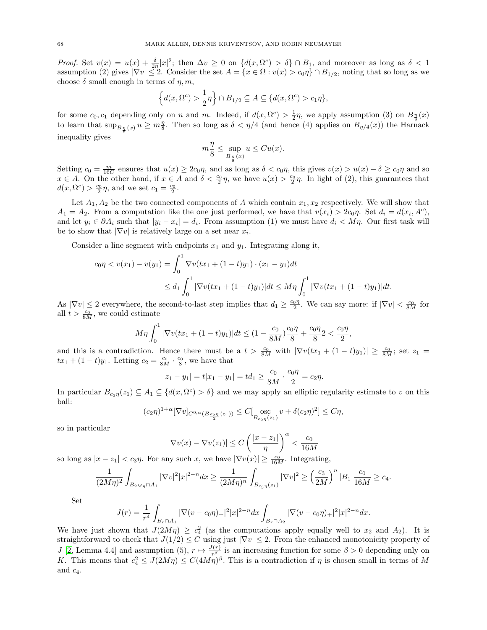*Proof.* Set  $v(x) = u(x) + \frac{\delta}{2n}|x|^2$ ; then  $\Delta v \geq 0$  on  $\{d(x, \Omega^c) > \delta\} \cap B_1$ , and moreover as long as  $\delta < 1$ assumption (2) gives  $|\nabla v| \leq 2$ . Consider the set  $A = \{x \in \Omega : v(x) > c_0\eta\} \cap B_{1/2}$ , noting that so long as we choose  $\delta$  small enough in terms of  $\eta$ ,  $m$ ,

$$
\left\{d(x,\Omega^c) > \frac{1}{2}\eta\right\} \cap B_{1/2} \subseteq A \subseteq \{d(x,\Omega^c) > c_1\eta\},\
$$

for some  $c_0, c_1$  depending only on n and m. Indeed, if  $d(x, \Omega^c) > \frac{1}{2}\eta$ , we apply assumption (3) on  $B_{\frac{\eta}{8}}(x)$ to learn that  $\sup_{B_{\frac{n}{8}}(x)} u \geq m_{8}^{n}$ . Then so long as  $\delta < \eta/4$  (and hence (4) applies on  $B_{\eta/4}(x)$ ) the Harnack inequality gives

$$
m\frac{\eta}{8} \le \sup_{B_{\frac{\eta}{8}}(x)} u \le Cu(x).
$$

Setting  $c_0 = \frac{m}{16C}$  ensures that  $u(x) \ge 2c_0\eta$ , and as long as  $\delta < c_0\eta$ , this gives  $v(x) > u(x) - \delta \ge c_0\eta$  and so  $x \in A$ . On the other hand, if  $x \in A$  and  $\delta < \frac{c_0}{2}\eta$ , we have  $u(x) > \frac{c_0}{2}\eta$ . In light of (2), this guarantees that  $d(x, \Omega^c) > \frac{c_0}{2}\eta$ , and we set  $c_1 = \frac{c_0}{2}$ .

Let  $A_1, A_2$  be the two connected components of A which contain  $x_1, x_2$  respectively. We will show that  $A_1 = A_2$ . From a computation like the one just performed, we have that  $v(x_i) > 2c_0\eta$ . Set  $d_i = d(x_i, A^c)$ , and let  $y_i \in \partial A_i$  such that  $|y_i - x_i| = d_i$ . From assumption (1) we must have  $d_i < M\eta$ . Our first task will be to show that  $|\nabla v|$  is relatively large on a set near  $x_i$ .

Consider a line segment with endpoints  $x_1$  and  $y_1$ . Integrating along it,

$$
c_0 \eta < v(x_1) - v(y_1) = \int_0^1 \nabla v(tx_1 + (1-t)y_1) \cdot (x_1 - y_1) dt
$$
\n
$$
\leq d_1 \int_0^1 |\nabla v(tx_1 + (1-t)y_1)| dt \leq M \eta \int_0^1 |\nabla v(tx_1 + (1-t)y_1)| dt.
$$

As  $|\nabla v| \leq 2$  everywhere, the second-to-last step implies that  $d_1 \geq \frac{c_0 \eta}{2}$ . We can say more: if  $|\nabla v| < \frac{c_0}{8M}$  for all  $t > \frac{c_0}{8M}$ , we could estimate

$$
M\eta \int_0^1 |\nabla v(tx_1 + (1-t)y_1)| dt \le (1 - \frac{c_0}{8M})\frac{c_0\eta}{8} + \frac{c_0\eta}{8} 2 < \frac{c_0\eta}{2},
$$

and this is a contradiction. Hence there must be a  $t > \frac{c_0}{8M}$  with  $|\nabla v(tx_1 + (1-t)y_1)| \ge \frac{c_0}{8M}$ ; set  $z_1 =$  $tx_1 + (1-t)y_1$ . Letting  $c_2 = \frac{c_0}{8M} \cdot \frac{c_0}{8}$ , we have that

$$
|z_1 - y_1| = t|x_1 - y_1| = td_1 \ge \frac{c_0}{8M} \cdot \frac{c_0 \eta}{2} = c_2 \eta.
$$

In particular  $B_{c_2\eta}(z_1) \subseteq A_1 \subseteq \{d(x,\Omega^c) > \delta\}$  and we may apply an elliptic regularity estimate to v on this ball:

$$
(c_2\eta)^{1+\alpha} [\nabla v]_{C^{0,\alpha}(B_{\frac{c_2\eta}{2}}(z_1))} \leq C[\operatorname*{osc}_{B_{c_2\eta}(z_1)} v + \delta(c_2\eta)^2] \leq C\eta,
$$

so in particular

$$
|\nabla v(x) - \nabla v(z_1)| \le C \left(\frac{|x - z_1|}{\eta}\right)^{\alpha} < \frac{c_0}{16M}
$$

so long as  $|x - z_1| < c_3\eta$ . For any such x, we have  $|\nabla v(x)| \ge \frac{c_0}{16M}$ . Integrating,

$$
\frac{1}{(2M\eta)^2} \int_{B_{2M\eta} \cap A_1} |\nabla v|^2 |x|^{2-n} dx \ge \frac{1}{(2M\eta)^n} \int_{B_{c_3\eta}(z_1)} |\nabla v|^2 \ge \left(\frac{c_3}{2M}\right)^n |B_1| \frac{c_0}{16M} \ge c_4.
$$

Set

$$
J(r) = \frac{1}{r^4} \int_{B_r \cap A_1} |\nabla (v - c_0 \eta)_+|^2 |x|^{2-n} dx \int_{B_r \cap A_2} |\nabla (v - c_0 \eta)_+|^2 |x|^{2-n} dx.
$$

We have just shown that  $J(2M\eta) \geq c_4^2$  (as the computations apply equally well to  $x_2$  and  $A_2$ ). It is straightforward to check that  $J(1/2) \leq C$  using just  $|\nabla v| \leq 2$ . From the enhanced monotonicity property of J [\[2,](#page-70-3) Lemma 4.4] and assumption (5),  $r \mapsto \frac{J(r)}{r^{\beta}}$  is an increasing function for some  $\beta > 0$  depending only on K. This means that  $c_4^2 \leq J(2M\eta) \leq C(4M\eta)^{\beta}$ . This is a contradiction if  $\eta$  is chosen small in terms of M and  $c_4$ .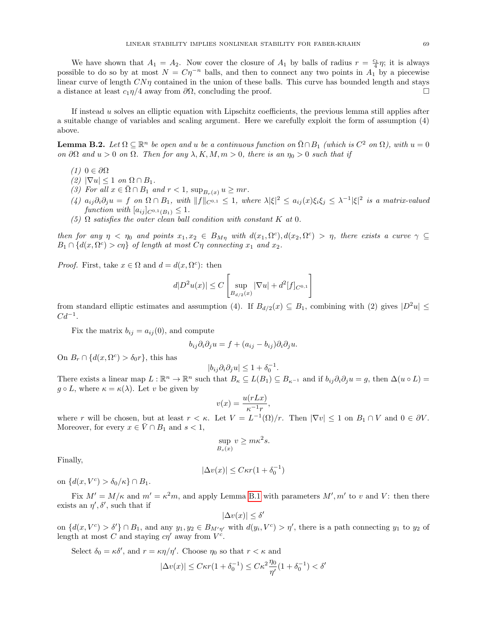We have shown that  $A_1 = A_2$ . Now cover the closure of  $A_1$  by balls of radius  $r = \frac{c_1}{4} \eta$ ; it is always possible to do so by at most  $N = C\eta^{-n}$  balls, and then to connect any two points in  $A_1$  by a piecewise linear curve of length  $CN\eta$  contained in the union of these balls. This curve has bounded length and stays a distance at least  $c_1\eta/4$  away from  $\partial\Omega$ , concluding the proof.  $\Box$ 

If instead u solves an elliptic equation with Lipschitz coefficients, the previous lemma still applies after a suitable change of variables and scaling argument. Here we carefully exploit the form of assumption (4) above.

<span id="page-68-0"></span>**Lemma B.2.** Let  $\Omega \subseteq \mathbb{R}^n$  be open and u be a continuous function on  $\overline{\Omega} \cap B_1$  (which is  $C^2$  on  $\Omega$ ), with  $u = 0$ on  $\partial\Omega$  and  $u > 0$  on  $\Omega$ . Then for any  $\lambda, K, M, m > 0$ , there is an  $\eta_0 > 0$  such that if

- (1)  $0 \in \partial \Omega$
- (2)  $|\nabla u| \leq 1$  on  $\Omega \cap B_1$ .
- (3) For all  $x \in \overline{\Omega} \cap B_1$  and  $r < 1$ ,  $\sup_{B_r(x)} u \ge mr$ .
- $(4)$   $a_{ij}\partial_i\partial_j u = f$  on  $\Omega \cap B_1$ , with  $||f||_{C^{0,1}} \leq 1$ , where  $\lambda |\xi|^2 \leq a_{ij}(x)\xi_i\xi_j \leq \lambda^{-1}|\xi|^2$  is a matrix-valued function with  $[a_{ij}]_{C^{0,1}(B_1)} \leq 1$ .
- (5)  $\Omega$  satisfies the outer clean ball condition with constant K at 0.

then for any  $\eta < \eta_0$  and points  $x_1, x_2 \in B_{M\eta}$  with  $d(x_1, \Omega^c), d(x_2, \Omega^c) > \eta$ , there exists a curve  $\gamma \subseteq$  $B_1 \cap \{d(x, \Omega^c) > c\eta\}$  of length at most  $C\eta$  connecting  $x_1$  and  $x_2$ .

*Proof.* First, take  $x \in \Omega$  and  $d = d(x, \Omega^c)$ : then

$$
d|D^2u(x)| \le C \left[ \sup_{B_{d/2}(x)} |\nabla u| + d^2[f]_{C^{0,1}} \right]
$$

from standard elliptic estimates and assumption (4). If  $B_{d/2}(x) \subseteq B_1$ , combining with (2) gives  $|D^2u| \leq$  $Cd^{-1}$ .

Fix the matrix  $b_{ij} = a_{ij}(0)$ , and compute

$$
b_{ij}\partial_i\partial_j u = f + (a_{ij} - b_{ij})\partial_i\partial_j u.
$$

On  $B_r \cap \{d(x, \Omega^c) > \delta_0 r\}$ , this has

$$
|b_{ij}\partial_i\partial_j u| \le 1 + \delta_0^{-1}.
$$

There exists a linear map  $L : \mathbb{R}^n \to \mathbb{R}^n$  such that  $B_{\kappa} \subseteq L(B_1) \subseteq B_{\kappa^{-1}}$  and if  $b_{ij}\partial_i\partial_j u = g$ , then  $\Delta(u \circ L) =$  $g \circ L$ , where  $\kappa = \kappa(\lambda)$ . Let v be given by

$$
v(x) = \frac{u(rLx)}{\kappa^{-1}r},
$$

where r will be chosen, but at least  $r < \kappa$ . Let  $V = L^{-1}(\Omega)/r$ . Then  $|\nabla v| \leq 1$  on  $B_1 \cap V$  and  $0 \in \partial V$ . Moreover, for every  $x \in \overline{V} \cap B_1$  and  $s < 1$ ,

$$
\sup_{B_s(x)} v \ge m\kappa^2 s.
$$

Finally,

$$
|\Delta v(x)| \leq C \kappa r (1+\delta_0^{-1})
$$

on  $\{d(x, V^c) > \delta_0/\kappa\} \cap B_1$ .

Fix  $M' = M/\kappa$  and  $m' = \kappa^2 m$ , and apply Lemma [B.1](#page-66-1) with parameters  $M', m'$  to v and V: then there exists an  $\eta', \delta'$ , such that if

$$
|\Delta v(x)| \le \delta'
$$

on  $\{d(x, V^c) > \delta'\}\cap B_1$ , and any  $y_1, y_2 \in B_{M'\eta'}$  with  $d(y_i, V^c) > \eta'$ , there is a path connecting  $y_1$  to  $y_2$  of length at most C and staying  $c\eta'$  away from  $V^c$ .

Select  $\delta_0 = \kappa \delta'$ , and  $r = \kappa \eta / \eta'$ . Choose  $\eta_0$  so that  $r < \kappa$  and

$$
|\Delta v(x)|\leq C\kappa r(1+\delta_0^{-1})\leq C\kappa^2\frac{\eta_0}{\eta'}(1+\delta_0^{-1})<\delta'
$$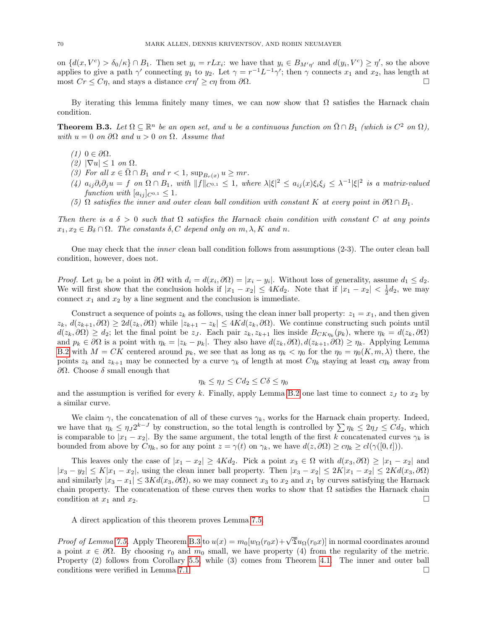on  $\{d(x, V^c) > \delta_0/\kappa\} \cap B_1$ . Then set  $y_i = rLx_i$ : we have that  $y_i \in B_{M'\eta'}$  and  $d(y_i, V^c) \geq \eta'$ , so the above applies to give a path  $\gamma'$  connecting  $y_1$  to  $y_2$ . Let  $\gamma = r^{-1}L^{-1}\gamma'$ ; then  $\gamma$  connects  $x_1$  and  $x_2$ , has length at most  $Cr \leq C\eta$ , and stays a distance  $cr\eta' \geq c\eta$  from  $\partial\Omega$ .

By iterating this lemma finitely many times, we can now show that  $\Omega$  satisfies the Harnack chain condition.

<span id="page-69-0"></span>**Theorem B.3.** Let  $\Omega \subseteq \mathbb{R}^n$  be an open set, and u be a continuous function on  $\overline{\Omega} \cap B_1$  (which is  $C^2$  on  $\Omega$ ), with  $u = 0$  on  $\partial\Omega$  and  $u > 0$  on  $\Omega$ . Assume that

- (1)  $0 \in \partial \Omega$ .
- $(2)$   $|\nabla u|$  < 1 on  $\Omega$ .
- (3) For all  $x \in \overline{\Omega} \cap B_1$  and  $r < 1$ ,  $\sup_{B_r(x)} u \ge mr$ .
- $(4)$   $a_{ij}\partial_i\partial_j u = f$  on  $\Omega \cap B_1$ , with  $||f||_{C^{0,1}} \leq 1$ , where  $\lambda |\xi|^2 \leq a_{ij}(x)\xi_i\xi_j \leq \lambda^{-1}|\xi|^2$  is a matrix-valued function with  $[a_{ij}]_{C^{0,1}} \leq 1$ .
- (5)  $\Omega$  satisfies the inner and outer clean ball condition with constant K at every point in  $\partial\Omega \cap B_1$ .

Then there is a  $\delta > 0$  such that  $\Omega$  satisfies the Harnack chain condition with constant C at any points  $x_1, x_2 \in B_\delta \cap \Omega$ . The constants  $\delta, C$  depend only on  $m, \lambda, K$  and n.

One may check that the inner clean ball condition follows from assumptions (2-3). The outer clean ball condition, however, does not.

*Proof.* Let  $y_i$  be a point in  $\partial\Omega$  with  $d_i = d(x_i, \partial\Omega) = |x_i - y_i|$ . Without loss of generality, assume  $d_1 \leq d_2$ . We will first show that the conclusion holds if  $|x_1 - x_2| \le 4Kd_2$ . Note that if  $|x_1 - x_2| < \frac{1}{2}d_2$ , we may connect  $x_1$  and  $x_2$  by a line segment and the conclusion is immediate.

Construct a sequence of points  $z_k$  as follows, using the clean inner ball property:  $z_1 = x_1$ , and then given  $z_k$ ,  $d(z_{k+1}, \partial \Omega) \geq 2d(z_k, \partial \Omega)$  while  $|z_{k+1} - z_k| \leq 4Kd(z_k, \partial \Omega)$ . We continue constructing such points until  $d(z_k, \partial \Omega) \geq d_2$ ; let the final point be  $z_j$ . Each pair  $z_k, z_{k+1}$  lies inside  $B_{CK\eta_k}(p_k)$ , where  $\eta_k = d(z_k, \partial \Omega)$ and  $p_k \in \partial\Omega$  is a point with  $\eta_k = |z_k - p_k|$ . They also have  $d(z_k, \partial\Omega), d(z_{k+1}, \partial\Omega) \geq \eta_k$ . Applying Lemma [B.2](#page-68-0) with  $M = CK$  centered around  $p_k$ , we see that as long as  $\eta_k < \eta_0$  for the  $\eta_0 = \eta_0(K, m, \lambda)$  there, the points  $z_k$  and  $z_{k+1}$  may be connected by a curve  $\gamma_k$  of length at most  $C\eta_k$  staying at least  $c\eta_k$  away from ∂Ω. Choose δ small enough that

$$
\eta_k \le \eta_J \le C d_2 \le C \delta \le \eta_0
$$

and the assumption is verified for every k. Finally, apply Lemma [B.2](#page-68-0) one last time to connect  $z_J$  to  $x_2$  by a similar curve.

We claim  $\gamma$ , the concatenation of all of these curves  $\gamma_k$ , works for the Harnack chain property. Indeed, we have that  $\eta_k \leq \eta_j 2^{k-J}$  by construction, so the total length is controlled by  $\sum \eta_k \leq 2\eta_j \leq C d_2$ , which is comparable to  $|x_1 - x_2|$ . By the same argument, the total length of the first k concatenated curves  $\gamma_k$  is bounded from above by  $C\eta_k$ , so for any point  $z = \gamma(t)$  on  $\gamma_k$ , we have  $d(z, \partial \Omega) \geq c\eta_k \geq cl(\gamma([0, t]))$ .

This leaves only the case of  $|x_1 - x_2| \ge 4Kd_2$ . Pick a point  $x_3 \in \Omega$  with  $d(x_3, \partial \Omega) \ge |x_1 - x_2|$  and  $|x_3 - y_2| \le K|x_1 - x_2|$ , using the clean inner ball property. Then  $|x_3 - x_2| \le 2K|x_1 - x_2| \le 2Kd(x_3, \partial\Omega)$ and similarly  $|x_3 - x_1| \leq 3Kd(x_3, \partial\Omega)$ , so we may connect  $x_3$  to  $x_2$  and  $x_1$  by curves satisfying the Harnack chain property. The concatenation of these curves then works to show that  $\Omega$  satisfies the Harnack chain condition at  $x_1$  and  $x_2$ .

A direct application of this theorem proves Lemma [7.5.](#page-37-0)

*Proof of Lemma [7.5.](#page-37-0)* Apply Theorem [B.3](#page-69-0) to  $u(x) = m_0[w_{\Omega}(r_0x) + \sqrt{\mathfrak{D}}u_{\Omega}(r_0x)]$  in normal coordinates around a point  $x \in \partial\Omega$ . By choosing  $r_0$  and  $m_0$  small, we have property (4) from the regularity of the metric. Property (2) follows from Corollary [5.5,](#page-32-0) while (3) comes from Theorem [4.1.](#page-25-0) The inner and outer ball conditions were verified in Lemma [7.1.](#page-35-2)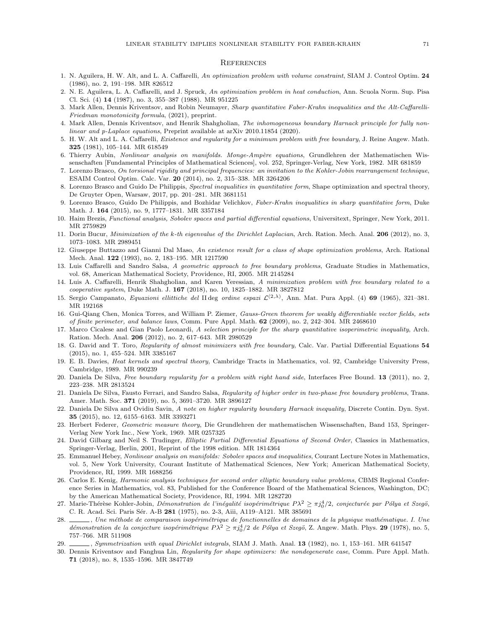#### **REFERENCES**

- 1. N. Aguilera, H. W. Alt, and L. A. Caffarelli, An optimization problem with volume constraint, SIAM J. Control Optim. 24 (1986), no. 2, 191–198. MR 826512
- <span id="page-70-3"></span>2. N. E. Aguilera, L. A. Caffarelli, and J. Spruck, An optimization problem in heat conduction, Ann. Scuola Norm. Sup. Pisa Cl. Sci. (4) 14 (1987), no. 3, 355–387 (1988). MR 951225
- 3. Mark Allen, Dennis Kriventsov, and Robin Neumayer, Sharp quantitative Faber-Krahn inequalities and the Alt-Caffarelli-Friedman monotonicity formula, (2021), preprint.
- <span id="page-70-5"></span>4. Mark Allen, Dennis Kriventsov, and Henrik Shahgholian, The inhomogeneous boundary Harnack principle for fully nonlinear and p-Laplace equations, Preprint available at arXiv 2010.11854 (2020).
- <span id="page-70-10"></span>5. H. W. Alt and L. A. Caffarelli, Existence and regularity for a minimum problem with free boundary, J. Reine Angew. Math. 325 (1981), 105–144. MR 618549
- 6. Thierry Aubin, Nonlinear analysis on manifolds. Monge-Ampère equations, Grundlehren der Mathematischen Wissenschaften [Fundamental Principles of Mathematical Sciences], vol. 252, Springer-Verlag, New York, 1982. MR 681859
- 7. Lorenzo Brasco, On torsional rigidity and principal frequencies: an invitation to the Kohler-Jobin rearrangement technique, ESAIM Control Optim. Calc. Var. 20 (2014), no. 2, 315–338. MR 3264206
- 8. Lorenzo Brasco and Guido De Philippis, Spectral inequalities in quantitative form, Shape optimization and spectral theory, De Gruyter Open, Warsaw, 2017, pp. 201–281. MR 3681151
- 9. Lorenzo Brasco, Guido De Philippis, and Bozhidar Velichkov, Faber-Krahn inequalities in sharp quantitative form, Duke Math. J. 164 (2015), no. 9, 1777–1831. MR 3357184
- <span id="page-70-8"></span>10. Haim Brezis, Functional analysis, Sobolev spaces and partial differential equations, Universitext, Springer, New York, 2011. MR 2759829
- 11. Dorin Bucur, Minimization of the k-th eigenvalue of the Dirichlet Laplacian, Arch. Ration. Mech. Anal. 206 (2012), no. 3, 1073–1083. MR 2989451
- 12. Giuseppe Buttazzo and Gianni Dal Maso, An existence result for a class of shape optimization problems, Arch. Rational Mech. Anal. 122 (1993), no. 2, 183–195. MR 1217590
- <span id="page-70-9"></span>13. Luis Caffarelli and Sandro Salsa, A geometric approach to free boundary problems, Graduate Studies in Mathematics, vol. 68, American Mathematical Society, Providence, RI, 2005. MR 2145284
- <span id="page-70-6"></span>14. Luis A. Caffarelli, Henrik Shahgholian, and Karen Yeressian, A minimization problem with free boundary related to a cooperative system, Duke Math. J. 167 (2018), no. 10, 1825-1882. MR 3827812
- 15. Sergio Campanato, Equazioni ellittiche del IIdeg ordine espazi  $\mathcal{L}^{(2,\lambda)}$ , Ann. Mat. Pura Appl. (4) 69 (1965), 321–381. MR 192168
- <span id="page-70-7"></span>16. Gui-Qiang Chen, Monica Torres, and William P. Ziemer, Gauss-Green theorem for weakly differentiable vector fields, sets of finite perimeter, and balance laws, Comm. Pure Appl. Math.  $62$  (2009), no. 2, 242–304. MR 2468610
- 17. Marco Cicalese and Gian Paolo Leonardi, A selection principle for the sharp quantitative isoperimetric inequality, Arch. Ration. Mech. Anal. 206 (2012), no. 2, 617–643. MR 2980529
- 18. G. David and T. Toro, Regularity of almost minimizers with free boundary, Calc. Var. Partial Differential Equations 54 (2015), no. 1, 455–524. MR 3385167
- 19. E. B. Davies, Heat kernels and spectral theory, Cambridge Tracts in Mathematics, vol. 92, Cambridge University Press, Cambridge, 1989. MR 990239
- <span id="page-70-11"></span>20. Daniela De Silva, Free boundary regularity for a problem with right hand side, Interfaces Free Bound. 13 (2011), no. 2, 223–238. MR 2813524
- <span id="page-70-14"></span>21. Daniela De Silva, Fausto Ferrari, and Sandro Salsa, Regularity of higher order in two-phase free boundary problems, Trans. Amer. Math. Soc. 371 (2019), no. 5, 3691–3720. MR 3896127
- <span id="page-70-13"></span>22. Daniela De Silva and Ovidiu Savin, A note on higher regularity boundary Harnack inequality, Discrete Contin. Dyn. Syst. 35 (2015), no. 12, 6155–6163. MR 3393271
- <span id="page-70-2"></span>23. Herbert Federer, Geometric measure theory, Die Grundlehren der mathematischen Wissenschaften, Band 153, Springer-Verlag New York Inc., New York, 1969. MR 0257325
- <span id="page-70-0"></span>24. David Gilbarg and Neil S. Trudinger, Elliptic Partial Differential Equations of Second Order, Classics in Mathematics, Springer-Verlag, Berlin, 2001, Reprint of the 1998 edition. MR 1814364
- <span id="page-70-12"></span>25. Emmanuel Hebey, Nonlinear analysis on manifolds: Sobolev spaces and inequalities, Courant Lecture Notes in Mathematics, vol. 5, New York University, Courant Institute of Mathematical Sciences, New York; American Mathematical Society, Providence, RI, 1999. MR 1688256
- <span id="page-70-4"></span>26. Carlos E. Kenig, Harmonic analysis techniques for second order elliptic boundary value problems, CBMS Regional Conference Series in Mathematics, vol. 83, Published for the Conference Board of the Mathematical Sciences, Washington, DC; by the American Mathematical Society, Providence, RI, 1994. MR 1282720
- 27. Marie-Thérèse Kohler-Jobin, *Démonstration de l'inégalité isopérimétrique P* $\lambda^2 \ge \pi j_0^4/2$ *, conjecturée par Pólya et Szegö,* C. R. Acad. Sci. Paris Sér. A-B 281 (1975), no. 2-3, Aiii, A119-A121. MR 385691
- 28.  $\_\_\_\_\$ , Une méthode de comparaison isopérimétrique de fonctionnelles de domaines de la physique mathématique. I. Une démonstration de la conjecture isopérimétrique  $P\lambda^2 \ge \pi j_0^4/2$  de Pólya et Szegö, Z. Angew. Math. Phys. 29 (1978), no. 5, 757–766. MR 511908
- $\sim$ , Symmetrization with equal Dirichlet integrals, SIAM J. Math. Anal. 13 (1982), no. 1, 153–161. MR 641547
- <span id="page-70-1"></span>30. Dennis Kriventsov and Fanghua Lin, Regularity for shape optimizers: the nondegenerate case, Comm. Pure Appl. Math. 71 (2018), no. 8, 1535–1596. MR 3847749